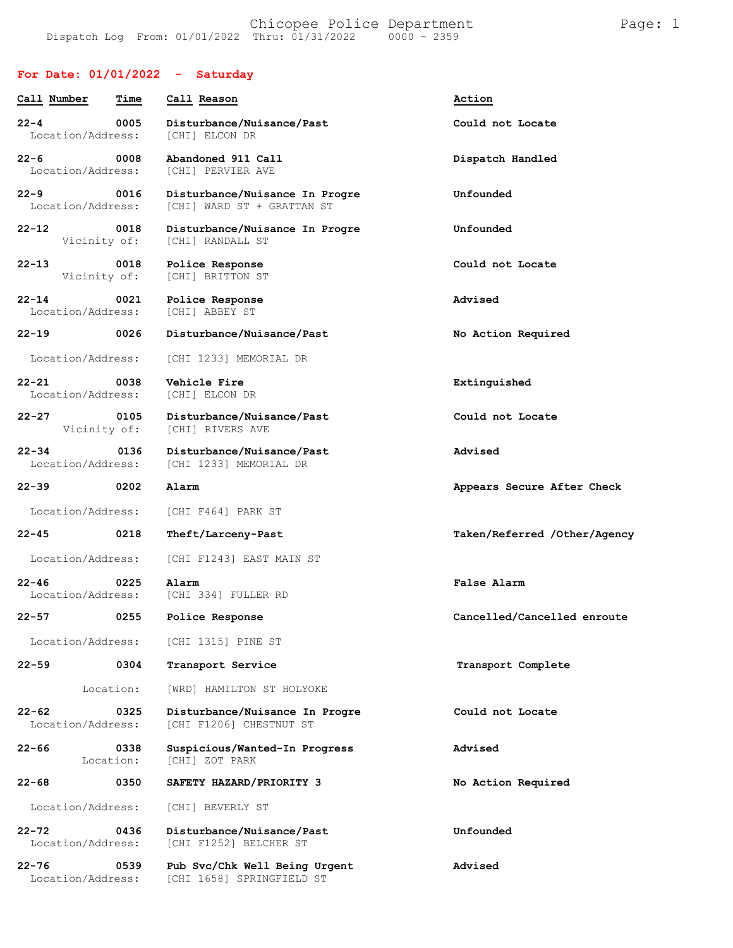### **For Date: 01/01/2022 - Saturday**

Location/Address: [CHI 1658] SPRINGFIELD ST

| Call Number                    | Time                 | Call Reason                                                  | Action                       |
|--------------------------------|----------------------|--------------------------------------------------------------|------------------------------|
|                                |                      |                                                              |                              |
| $22 - 4$<br>Location/Address:  | 0005                 | Disturbance/Nuisance/Past<br>[CHI] ELCON DR                  | Could not Locate             |
| $22 - 6$<br>Location/Address:  | 0008                 | Abandoned 911 Call<br>[CHI] PERVIER AVE                      | Dispatch Handled             |
| $22 - 9$<br>Location/Address:  | 0016                 | Disturbance/Nuisance In Progre<br>[CHI] WARD ST + GRATTAN ST | Unfounded                    |
| $22 - 12$                      | 0018<br>Vicinity of: | Disturbance/Nuisance In Progre<br>[CHI] RANDALL ST           | Unfounded                    |
| $22 - 13$<br>Vicinity of:      | 0018                 | Police Response<br>[CHI] BRITTON ST                          | Could not Locate             |
| $22 - 14$<br>Location/Address: | 0021                 | Police Response<br>[CHI] ABBEY ST                            | Advised                      |
| $22 - 19$                      | 0026                 | Disturbance/Nuisance/Past                                    | No Action Required           |
| Location/Address:              |                      | [CHI 1233] MEMORIAL DR                                       |                              |
| $22 - 21$<br>Location/Address: | 0038                 | Vehicle Fire<br>[CHI] ELCON DR                               | Extinguished                 |
| $22 - 27$                      | 0105<br>Vicinity of: | Disturbance/Nuisance/Past<br>[CHI] RIVERS AVE                | Could not Locate             |
| $22 - 34$<br>Location/Address: | 0136                 | Disturbance/Nuisance/Past<br>[CHI 1233] MEMORIAL DR          | Advised                      |
| 22-39                          | 0202                 | Alarm                                                        | Appears Secure After Check   |
| Location/Address:              |                      | [CHI F464] PARK ST                                           |                              |
| 22-45                          | 0218                 | Theft/Larceny-Past                                           | Taken/Referred /Other/Agency |
| Location/Address:              |                      | [CHI F1243] EAST MAIN ST                                     |                              |
| $22 - 46$<br>Location/Address: | 0225                 | Alarm<br>[CHI 334] FULLER RD                                 | False Alarm                  |
| $22 - 57$                      | 0255                 | Police Response                                              | Cancelled/Cancelled enroute  |
|                                |                      | Location/Address: [CHI 1315] PINE ST                         |                              |
| $22 - 59$                      | 0304                 | Transport Service                                            | Transport Complete           |
|                                | Location:            | [WRD] HAMILTON ST HOLYOKE                                    |                              |
| 22-62<br>Location/Address:     | 0325                 | Disturbance/Nuisance In Progre<br>[CHI F1206] CHESTNUT ST    | Could not Locate             |
| $22 - 66$                      | 0338<br>Location:    | Suspicious/Wanted-In Progress<br>[CHI] ZOT PARK              | Advised                      |
| $22 - 68$                      | 0350                 | SAFETY HAZARD/PRIORITY 3                                     | No Action Required           |
| Location/Address:              |                      | [CHI] BEVERLY ST                                             |                              |
| 22-72<br>Location/Address:     | 0436                 | Disturbance/Nuisance/Past<br>[CHI F1252] BELCHER ST          | Unfounded                    |
| $22 - 76$                      | 0539                 | Pub Svc/Chk Well Being Urgent                                | Advised                      |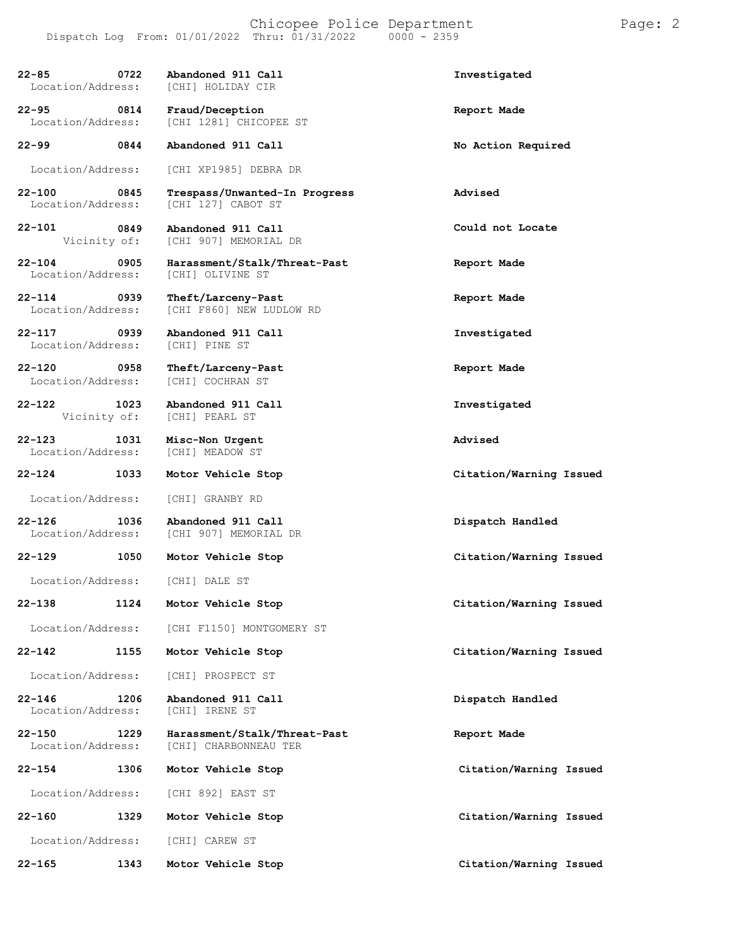**22-85 0722 Abandoned 911 Call Investigated** Location/Address: **22-95 0814 Fraud/Deception Report Made** Location/Address: [CHI 1281] CHICOPEE ST **22-99 0844 Abandoned 911 Call No Action Required** Location/Address: [CHI XP1985] DEBRA DR **22-100 0845 Trespass/Unwanted-In Progress Advised** [CHI 127] CABOT ST **22-101 0849** Vicinity of: **Abandoned 911 Call** [CHI 907] MEMORIAL DR **22-104 0905 Harassment/Stalk/Threat-Past Report Made** Location/Address: [CHI] OLIVINE ST **22-114 0939 Theft/Larceny-Past Report Made** Location/Address: [CHI F860] NEW LUDLOW RD **22-117 0939 Abandoned 911 Call Investigated** Location/Address: **22-120 0958 Theft/Larceny-Past Report Made** Location/Address: **22-122 1023 Abandoned 911 Call Investigated** [CHI] PEARL ST **22-123 1031 Misc-Non Urgent Advised** Location/Address: **22-124 1033 Motor Vehicle Stop Citation/Warning Issued** Location/Address: [CHI] GRANBY RD **22-126 1036 Abandoned 911 Call Dispatch Handled** [CHI 907] MEMORIAL DR **22-129 1050 Motor Vehicle Stop Citation/Warning Issued** Location/Address: [CHI] DALE ST **22-138 1124 Motor Vehicle Stop Citation/Warning Issued** Location/Address: [CHI F1150] MONTGOMERY ST **22-142 1155 Motor Vehicle Stop Citation/Warning Issued** Location/Address: [CHI] PROSPECT ST **22-146 1206 Abandoned 911 Call Dispatch Handled** Location/Address: **22-150 1229 Harassment/Stalk/Threat-Past Report Made** Location/Address: [CHI] CHARBONNEAU TER **22-154 1306 Motor Vehicle Stop Citation/Warning Issued 22-160 1329 Motor Vehicle Stop Citation/Warning Issued**

Location/Address: [CHI 892] EAST ST

Location/Address: [CHI] CAREW ST

**22-165 1343 Motor Vehicle Stop Citation/Warning Issued**

**Could not Locate**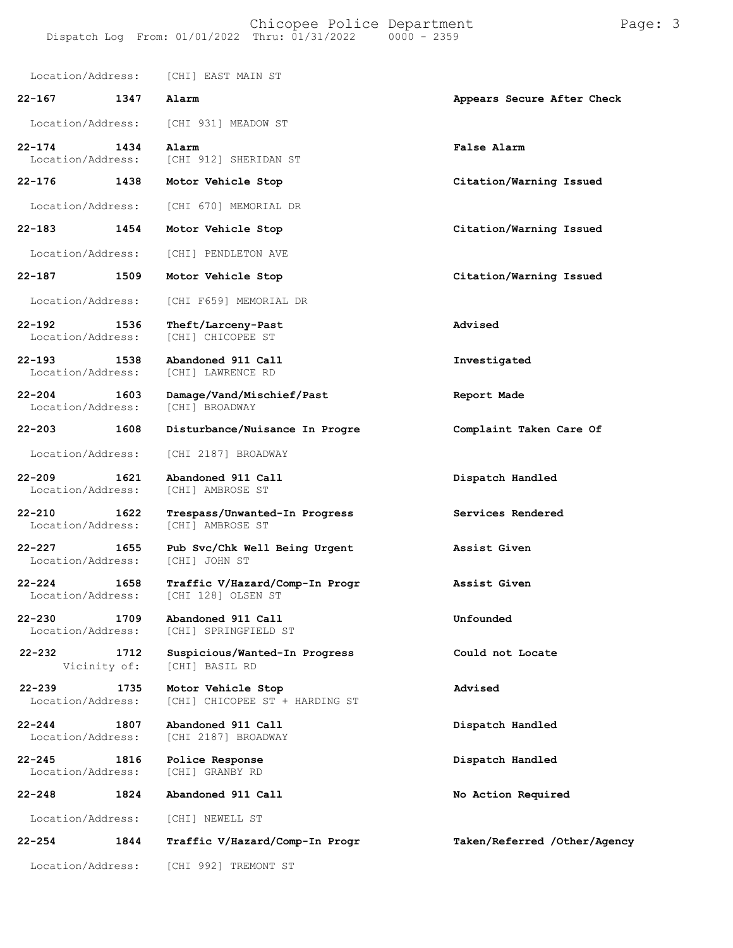#### Chicopee Police Department Page: 3 Dispatch Log From:  $01/01/2022$  Thru:  $01/31/2022$

Location/Address: [CHI] EAST MAIN ST **22-167 1347 Alarm Appears Secure After Check** Location/Address: [CHI 931] MEADOW ST **22-174 1434 Alarm False Alarm** Location/Address: [CHI 912] SHERIDAN ST **22-176 1438 Motor Vehicle Stop Citation/Warning Issued** Location/Address: [CHI 670] MEMORIAL DR **22-183 1454 Motor Vehicle Stop Citation/Warning Issued** Location/Address: [CHI] PENDLETON AVE **22-187 1509 Motor Vehicle Stop Citation/Warning Issued** Location/Address: [CHI F659] MEMORIAL DR **22-192 1536 Theft/Larceny-Past Advised** Location/Address: **22-193 1538 Abandoned 911 Call Investigated** Location/Address: **22-204 1603 Damage/Vand/Mischief/Past Report Made** Location/Address: **22-203 1608 Disturbance/Nuisance In Progre Complaint Taken Care Of** Location/Address: [CHI 2187] BROADWAY **22-209 1621 Abandoned 911 Call Dispatch Handled** Location/Address: **22-210 1622 Trespass/Unwanted-In Progress Services Rendered** [CHI] AMBROSE ST **22-227 1655 Pub Svc/Chk Well Being Urgent Assist Given** Location/Address: **22-224 1658 Traffic V/Hazard/Comp-In Progr Assist Given** Location/Address: **22-230 1709 Abandoned 911 Call Unfounded** [CHI] SPRINGFIELD ST **22-232 1712 Suspicious/Wanted-In Progress Could not Locate 22-239 1735**<br>
Location/Address: Vicinity of: **1735** [CHI] BASIL RD **Motor Vehicle Stop Advised** [CHI] CHICOPEE ST + HARDING ST **22-244 1807 Abandoned 911 Call Dispatch Handled** [CHI 2187] BROADWAY **22-245 1816 Police Response Dispatch Handled** Location/Address: **22-248 1824 Abandoned 911 Call No Action Required** Location/Address: [CHI] NEWELL ST

**22-254 1844 Traffic V/Hazard/Comp-In Progr Taken/Referred /Other/Agency**

Location/Address: [CHI 992] TREMONT ST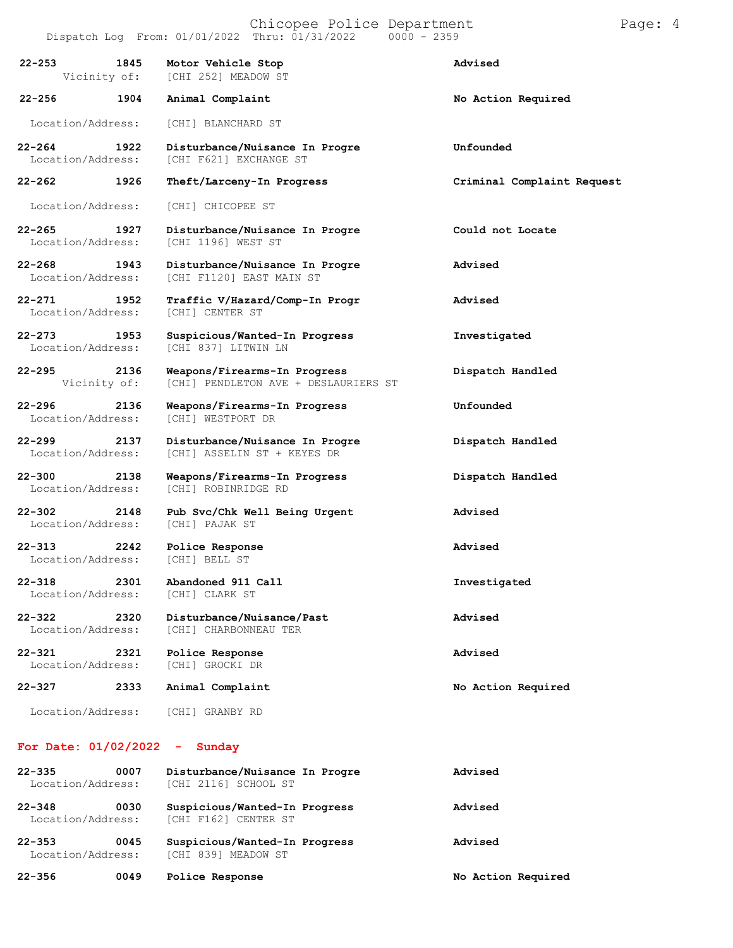Chicopee Police Department Page: 4  $Dispatch Log From: 01/01/2022 Thru: 01/31/2022$ **22-253 1845 Motor Vehicle Stop Advised 22-256** Vicinity of: **1904** [CHI 252] MEADOW ST **Animal Complaint No Action Required** Location/Address: [CHI] BLANCHARD ST **22-264 1922 Disturbance/Nuisance In Progre Unfounded** [CHI F621] EXCHANGE ST **22-262 1926 Theft/Larceny-In Progress Criminal Complaint Request** Location/Address: [CHI] CHICOPEE ST **22-265 1927 Disturbance/Nuisance In Progre Could not Locate** [CHI 1196] WEST ST **22-268 1943 Disturbance/Nuisance In Progre Advised** [CHI F1120] EAST MAIN ST **22-271 1952 Traffic V/Hazard/Comp-In Progr Advised** Location/Address: **22-273 1953 Suspicious/Wanted-In Progress Investigated** [CHI 837] LITWIN LN **22-295 2136 Weapons/Firearms-In Progress Dispatch Handled** [CHI] PENDLETON AVE + DESLAURIERS ST

[CHI] ASSELIN ST + KEYES DR

[CHI] ROBINRIDGE RD

**22-296 2136 Weapons/Firearms-In Progress Unfounded** Location/Address:

**22-299 2137 Disturbance/Nuisance In Progre Dispatch Handled**

**22-300 2138 Weapons/Firearms-In Progress Dispatch Handled**

**22-302 2148 Pub Svc/Chk Well Being Urgent Advised** Location/Address:

**22-313 2242 Police Response Advised** Location/Address:

**22-318 2301 Abandoned 911 Call Investigated** Location/Address:

**22-322 2320 Disturbance/Nuisance/Past Advised** Location/Address: [CHI] CHARBONNEAU TER

**22-321 2321 Police Response Advised** Location/Address:

**22-327 2333 Animal Complaint No Action Required**

Location/Address: [CHI] GRANBY RD

#### **For Date: 01/02/2022 - Sunday**

| $22 - 335$<br>Location/Address: | 0007 | Disturbance/Nuisance In Progre<br>[CHI 2116] SCHOOL ST       | Advised            |
|---------------------------------|------|--------------------------------------------------------------|--------------------|
| $22 - 348$<br>Location/Address: | 0030 | Suspicious/Wanted-In Progress<br><b>ICHI F1621 CENTER ST</b> | Advised            |
| $22 - 353$<br>Location/Address: | 0045 | Suspicious/Wanted-In Progress<br>[CHI 839] MEADOW ST         | Advised            |
| $22 - 356$                      | 0049 | Police Response                                              | No Action Required |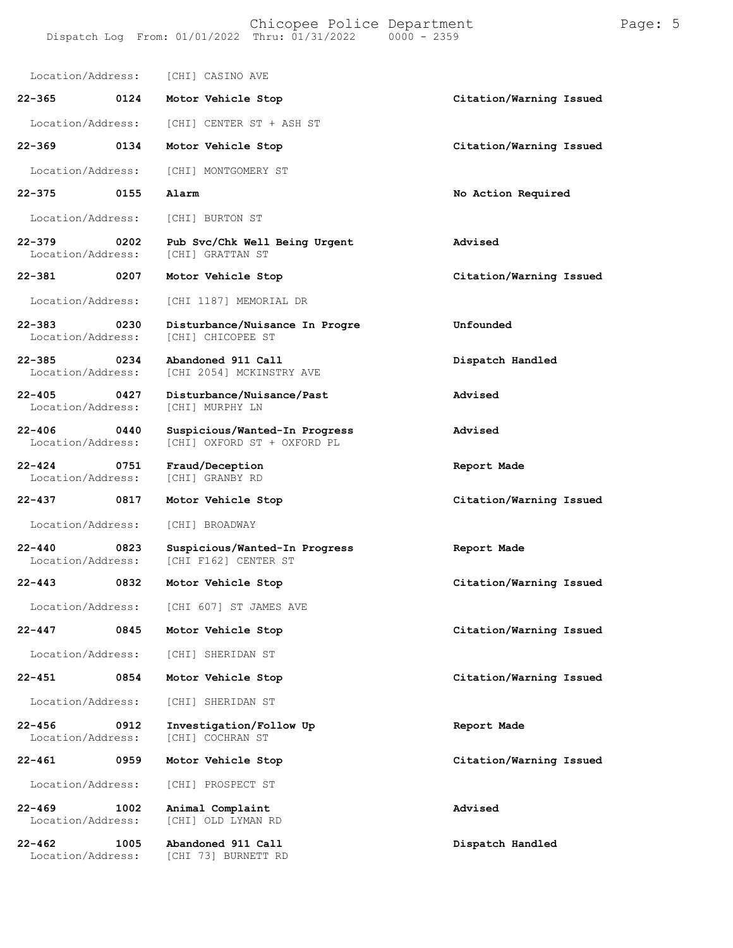Location/Address: [CHI] CASINO AVE **22-365 0124 Motor Vehicle Stop Citation/Warning Issued** Location/Address: [CHI] CENTER ST + ASH ST **22-369 0134 Motor Vehicle Stop Citation/Warning Issued** Location/Address: [CHI] MONTGOMERY ST **22-375 0155 Alarm No Action Required** Location/Address: [CHI] BURTON ST **22-379 0202 Pub Svc/Chk Well Being Urgent Advised** [CHI] GRATTAN ST **22-381 0207 Motor Vehicle Stop Citation/Warning Issued** Location/Address: [CHI 1187] MEMORIAL DR **22-383 0230 Disturbance/Nuisance In Progre Unfounded** Location/Address: **22-385 0234 Abandoned 911 Call Dispatch Handled** [CHI 2054] MCKINSTRY AVE **22-405 0427 Disturbance/Nuisance/Past Advised** Location/Address: **22-406 0440 Suspicious/Wanted-In Progress Advised** [CHI] OXFORD ST + OXFORD PL **22-424 0751 Fraud/Deception Report Made** Location/Address: **22-437 0817 Motor Vehicle Stop Citation/Warning Issued** Location/Address: [CHI] BROADWAY **22-440 0823 Suspicious/Wanted-In Progress Report Made** [CHI F162] CENTER ST **22-443 0832 Motor Vehicle Stop Citation/Warning Issued** Location/Address: [CHI 607] ST JAMES AVE **22-447 0845 Motor Vehicle Stop Citation/Warning Issued** Location/Address: [CHI] SHERIDAN ST **22-451 0854 Motor Vehicle Stop Citation/Warning Issued** Location/Address: [CHI] SHERIDAN ST **22-456 0912 Investigation/Follow Up Report Made** Location/Address: **22-461 0959 Motor Vehicle Stop Citation/Warning Issued** Location/Address: [CHI] PROSPECT ST **22-469 1002 Animal Complaint Advised** [CHI] OLD LYMAN RD **22-462 1005 Abandoned 911 Call Dispatch Handled** [CHI 73] BURNETT RD

Dispatch Log From: 01/01/2022 Thru: 01/31/2022

Chicopee Police Department Page: 5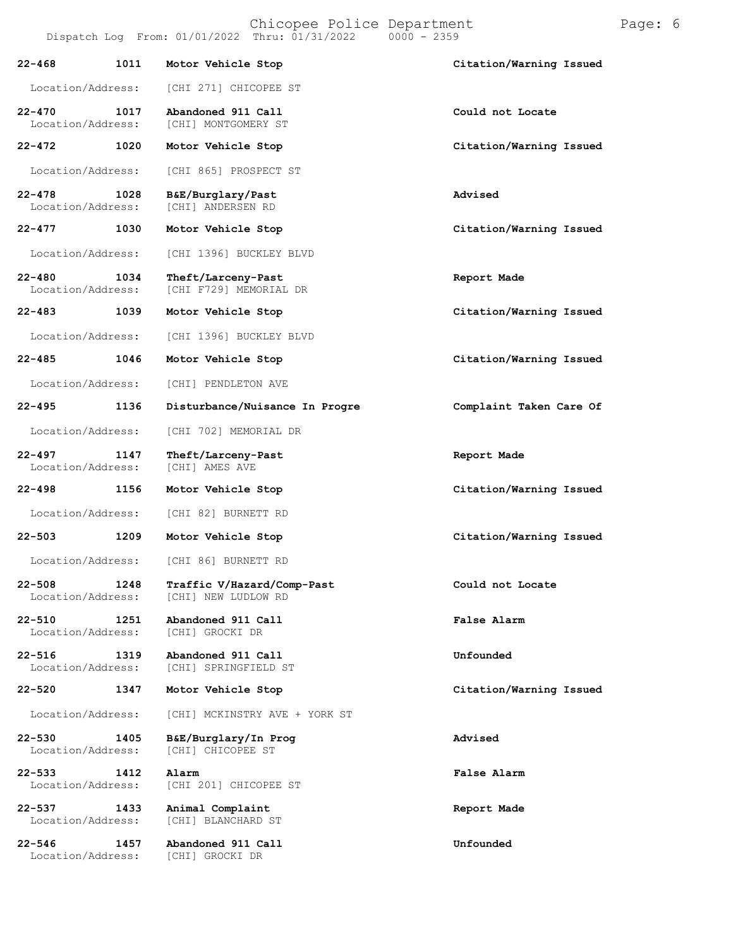Chicopee Police Department Page: 6

|                                 |      | Dispatch Log From: 01/01/2022 Thru: 01/31/2022<br>$0000 - 2359$ |                         |
|---------------------------------|------|-----------------------------------------------------------------|-------------------------|
| $22 - 468$                      | 1011 | Motor Vehicle Stop                                              | Citation/Warning Issued |
| Location/Address:               |      | [CHI 271] CHICOPEE ST                                           |                         |
| $22 - 470$<br>Location/Address: | 1017 | Abandoned 911 Call<br>[CHI] MONTGOMERY ST                       | Could not Locate        |
| $22 - 472$                      | 1020 | Motor Vehicle Stop                                              | Citation/Warning Issued |
| Location/Address:               |      | [CHI 865] PROSPECT ST                                           |                         |
| $22 - 478$<br>Location/Address: | 1028 | B&E/Burglary/Past<br>[CHI] ANDERSEN RD                          | Advised                 |
| $22 - 477$                      | 1030 | Motor Vehicle Stop                                              | Citation/Warning Issued |
| Location/Address:               |      | [CHI 1396] BUCKLEY BLVD                                         |                         |
| $22 - 480$<br>Location/Address: | 1034 | Theft/Larceny-Past<br>[CHI F729] MEMORIAL DR                    | Report Made             |
| $22 - 483$                      | 1039 | Motor Vehicle Stop                                              | Citation/Warning Issued |
| Location/Address:               |      | [CHI 1396] BUCKLEY BLVD                                         |                         |
| $22 - 485$                      | 1046 | Motor Vehicle Stop                                              | Citation/Warning Issued |
| Location/Address:               |      | [CHI] PENDLETON AVE                                             |                         |
| $22 - 495$                      | 1136 | Disturbance/Nuisance In Progre                                  | Complaint Taken Care Of |
| Location/Address:               |      | [CHI 702] MEMORIAL DR                                           |                         |
| $22 - 497$<br>Location/Address: | 1147 | Theft/Larceny-Past<br>[CHI] AMES AVE                            | Report Made             |
| $22 - 498$                      | 1156 | Motor Vehicle Stop                                              | Citation/Warning Issued |
| Location/Address:               |      | [CHI 82] BURNETT RD                                             |                         |
| $22 - 503$                      | 1209 | Motor Vehicle Stop                                              | Citation/Warning Issued |
| Location/Address:               |      | [CHI 86] BURNETT RD                                             |                         |
| $22 - 508$<br>Location/Address: | 1248 | Traffic V/Hazard/Comp-Past<br>[CHI] NEW LUDLOW RD               | Could not Locate        |
| $22 - 510$<br>Location/Address: | 1251 | Abandoned 911 Call<br>[CHI] GROCKI DR                           | <b>False Alarm</b>      |
| $22 - 516$<br>Location/Address: | 1319 | Abandoned 911 Call<br>[CHI] SPRINGFIELD ST                      | Unfounded               |
| $22 - 520$                      | 1347 | Motor Vehicle Stop                                              | Citation/Warning Issued |
| Location/Address:               |      | [CHI] MCKINSTRY AVE + YORK ST                                   |                         |
| $22 - 530$<br>Location/Address: | 1405 | B&E/Burglary/In Prog<br>[CHI] CHICOPEE ST                       | <b>Advised</b>          |
| $22 - 533$<br>Location/Address: | 1412 | Alarm<br>[CHI 201] CHICOPEE ST                                  | <b>False Alarm</b>      |
| $22 - 537$<br>Location/Address: | 1433 | Animal Complaint<br>[CHI] BLANCHARD ST                          | Report Made             |
| $22 - 546$                      | 1457 | Abandoned 911 Call                                              | Unfounded               |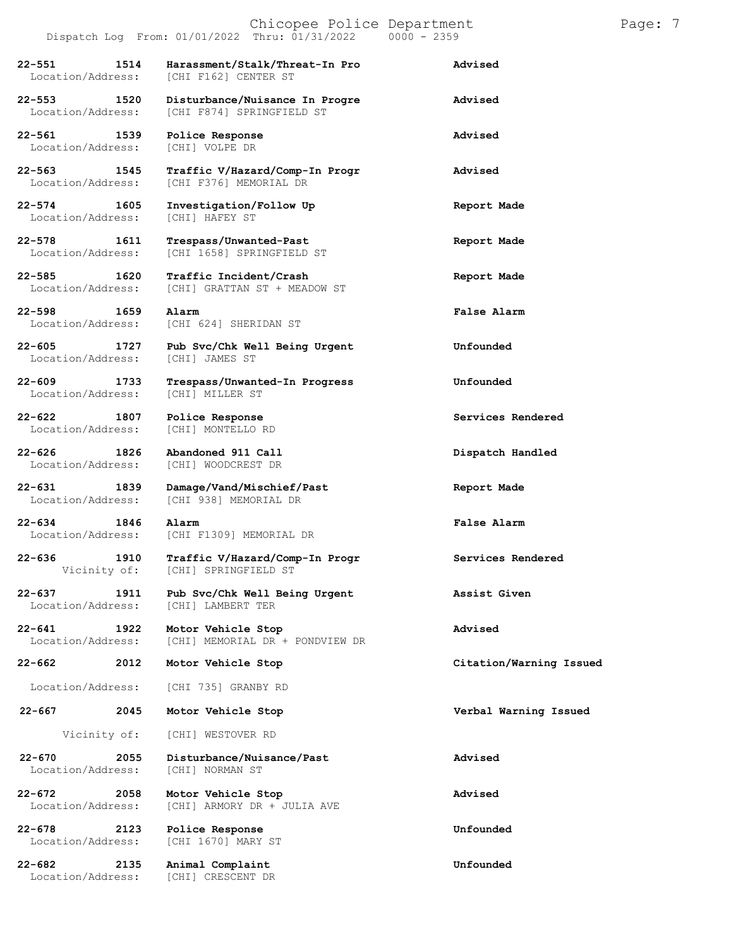#### Chicopee Police Department Page: 7 Dispatch Log From:  $01/01/2022$  Thru:  $01/31/2022$

**22-551 1514 Harassment/Stalk/Threat-In Pro Advised** [CHI F162] CENTER ST **22-553 1520 Disturbance/Nuisance In Progre Advised** [CHI F874] SPRINGFIELD ST **22-561 1539 Police Response Advised** Location/Address: **22-563 1545 Traffic V/Hazard/Comp-In Progr Advised** [CHI F376] MEMORIAL DR **22-574 1605 Investigation/Follow Up Report Made** Location/Address: **22-578 1611 Trespass/Unwanted-Past Report Made** [CHI 1658] SPRINGFIELD ST **22-585 1620 Traffic Incident/Crash Report Made** [CHI] GRATTAN ST + MEADOW ST **22-598 1659 Alarm False Alarm** [CHI 624] SHERIDAN ST **22-605 1727 Pub Svc/Chk Well Being Urgent Unfounded** Location/Address: **22-609 1733 Trespass/Unwanted-In Progress Unfounded** Location/Address: **22-622 1807 Police Response Services Rendered** Location/Address: **22-626 1826 Abandoned 911 Call Dispatch Handled** [CHI] WOODCREST DR **22-631 1839 Damage/Vand/Mischief/Past Report Made** [CHI 938] MEMORIAL DR **22-634 1846 Alarm False Alarm** Location/Address: [CHI F1309] MEMORIAL DR

Location/Address:

**22-667 2045 Motor Vehicle Stop Verbal Warning Issued**

Vicinity of:

**22-670 2055** Location/Address:

**22-678 2123 Police Response Unfounded**

**22-682 2135 Animal Complaint Unfounded**

**22-636 1910 Traffic V/Hazard/Comp-In Progr Services Rendered** [CHI] SPRINGFIELD ST **22-637 1911 Pub Svc/Chk Well Being Urgent Assist Given 22-641 1922 Motor Vehicle Stop Advised** [CHI] MEMORIAL DR + PONDVIEW DR **22-662 2012 Motor Vehicle Stop Citation/Warning Issued**

Location/Address: [CHI 735] GRANBY RD

[CHI] WESTOVER RD

**Disturbance/Nuisance/Past Advised**

**22-672 2058 Motor Vehicle Stop Advised** [CHI] ARMORY DR + JULIA AVE

Location/Address: [CHI 1670] MARY ST

[CHI] CRESCENT DR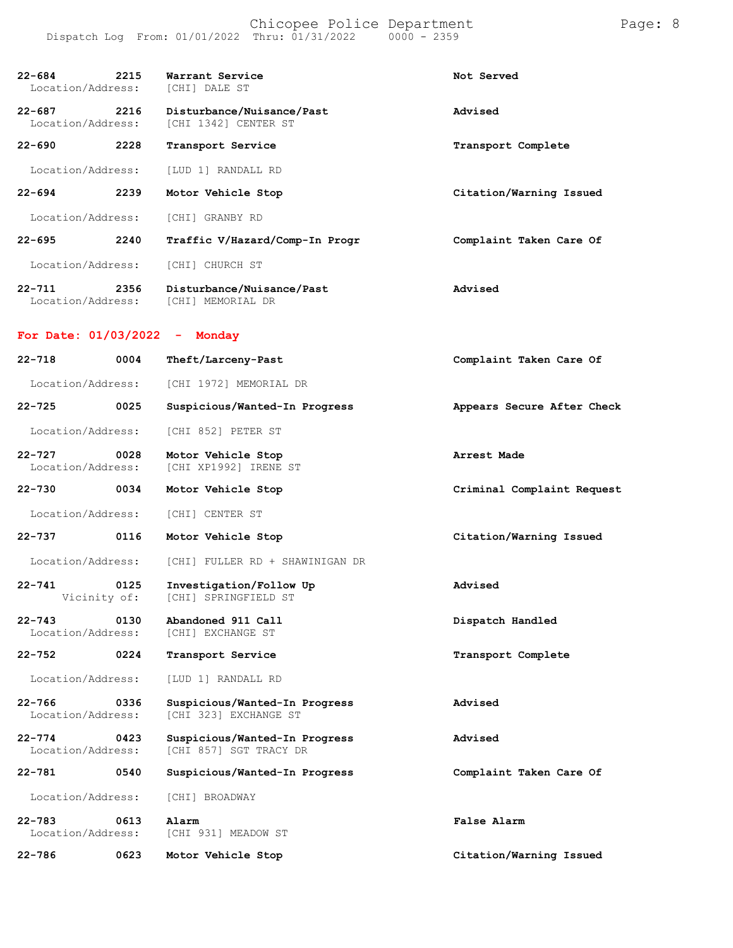| $22 - 684$<br>Location/Address: | 2215 | Warrant Service<br>[CHI] DALE ST                        | Not Served                 |
|---------------------------------|------|---------------------------------------------------------|----------------------------|
| $22 - 687$<br>Location/Address: | 2216 | Disturbance/Nuisance/Past<br>[CHI 1342] CENTER ST       | Advised                    |
| $22 - 690$                      | 2228 | Transport Service                                       | Transport Complete         |
| Location/Address:               |      | [LUD 1] RANDALL RD                                      |                            |
| 22-694                          | 2239 | Motor Vehicle Stop                                      | Citation/Warning Issued    |
| Location/Address:               |      | [CHI] GRANBY RD                                         |                            |
| 22-695                          | 2240 | Traffic V/Hazard/Comp-In Progr                          | Complaint Taken Care Of    |
| Location/Address:               |      | [CHI] CHURCH ST                                         |                            |
| $22 - 711$<br>Location/Address: | 2356 | Disturbance/Nuisance/Past<br>[CHI] MEMORIAL DR          | Advised                    |
| For Date: $01/03/2022 -$ Monday |      |                                                         |                            |
| $22 - 718$                      | 0004 | Theft/Larceny-Past                                      | Complaint Taken Care Of    |
| Location/Address:               |      | [CHI 1972] MEMORIAL DR                                  |                            |
| 22-725                          | 0025 | Suspicious/Wanted-In Progress                           | Appears Secure After Check |
| Location/Address:               |      | [CHI 852] PETER ST                                      |                            |
| 22-727<br>Location/Address:     | 0028 | Motor Vehicle Stop<br>[CHI XP1992] IRENE ST             | Arrest Made                |
| 22-730                          | 0034 | Motor Vehicle Stop                                      | Criminal Complaint Request |
| Location/Address:               |      | [CHI] CENTER ST                                         |                            |
| 22-737                          | 0116 | Motor Vehicle Stop                                      | Citation/Warning Issued    |
| Location/Address:               |      | [CHI] FULLER RD + SHAWINIGAN DR                         |                            |
| $22 - 741$<br>Vicinity of:      | 0125 | Investigation/Follow Up<br>[CHI] SPRINGFIELD ST         | Advised                    |
| $22 - 743$<br>Location/Address: | 0130 | Abandoned 911 Call<br>[CHI] EXCHANGE ST                 | Dispatch Handled           |
| $22 - 752$                      | 0224 | Transport Service                                       | Transport Complete         |
| Location/Address:               |      | [LUD 1] RANDALL RD                                      |                            |
| $22 - 766$<br>Location/Address: | 0336 | Suspicious/Wanted-In Progress<br>[CHI 323] EXCHANGE ST  | Advised                    |
| $22 - 774$<br>Location/Address: | 0423 | Suspicious/Wanted-In Progress<br>[CHI 857] SGT TRACY DR | Advised                    |
| 22-781                          | 0540 | Suspicious/Wanted-In Progress                           | Complaint Taken Care Of    |
| Location/Address:               |      | [CHI] BROADWAY                                          |                            |
| $22 - 783$<br>Location/Address: | 0613 | Alarm<br>[CHI 931] MEADOW ST                            | False Alarm                |
| 22-786                          | 0623 | Motor Vehicle Stop                                      | Citation/Warning Issued    |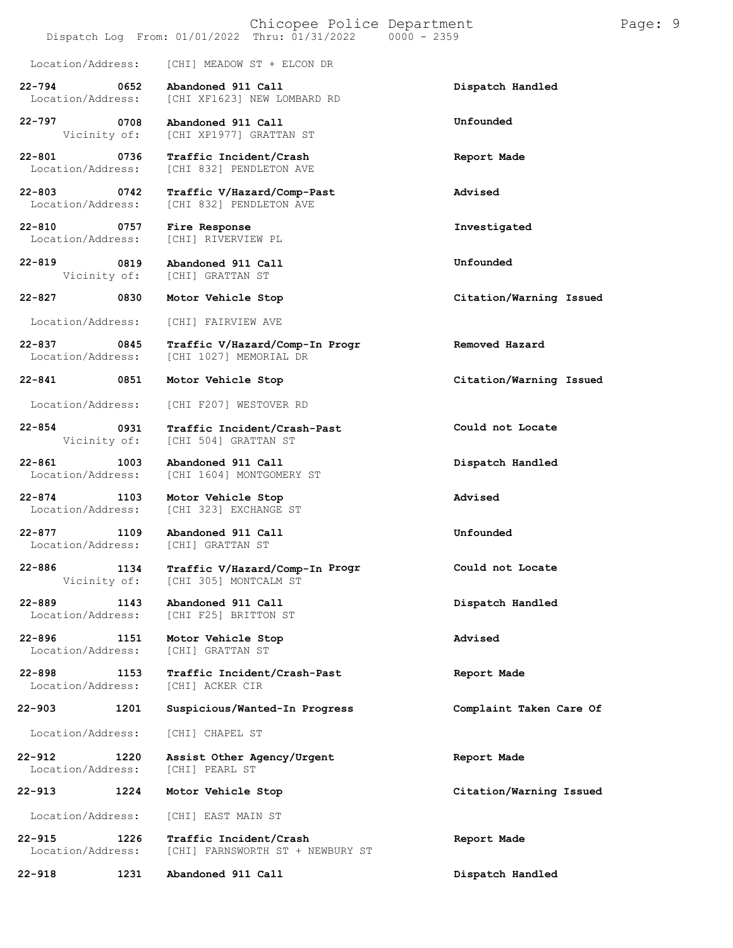|                                            | Chicopee Police Department<br>Dispatch Log From: 01/01/2022 Thru: 01/31/2022 | $0000 - 2359$           |
|--------------------------------------------|------------------------------------------------------------------------------|-------------------------|
| Location/Address:                          | [CHI] MEADOW ST + ELCON DR                                                   |                         |
| 22-794<br>0652<br>Location/Address:        | Abandoned 911 Call<br>[CHI XF1623] NEW LOMBARD RD                            | Dispatch Handled        |
| 22-797<br>0708<br>Vicinity of:             | Abandoned 911 Call<br>[CHI XP1977] GRATTAN ST                                | Unfounded               |
| 22-801<br>0736<br>Location/Address:        | Traffic Incident/Crash<br>[CHI 832] PENDLETON AVE                            | Report Made             |
| $22 - 803$<br>0742<br>Location/Address:    | Traffic V/Hazard/Comp-Past<br>[CHI 832] PENDLETON AVE                        | Advised                 |
| $22 - 810$<br>0757<br>Location/Address:    | Fire Response<br>[CHI] RIVERVIEW PL                                          | Investigated            |
| 22-819<br>0819<br>Vicinity of:             | Abandoned 911 Call<br>[CHI] GRATTAN ST                                       | Unfounded               |
| 22-827<br>0830                             | Motor Vehicle Stop                                                           | Citation/Warning Issued |
| Location/Address:                          | [CHI] FAIRVIEW AVE                                                           |                         |
| 22-837<br>$\sim 0845$<br>Location/Address: | Traffic V/Hazard/Comp-In Progr<br>[CHI 1027] MEMORIAL DR                     | Removed Hazard          |
| 22-841<br>0851                             | Motor Vehicle Stop                                                           | Citation/Warning Issued |
| Location/Address:                          | [CHI F207] WESTOVER RD                                                       |                         |
| 22-854<br>0931<br>Vicinity of:             | Traffic Incident/Crash-Past<br>[CHI 504] GRATTAN ST                          | Could not Locate        |
| $22 - 861$<br>1003<br>Location/Address:    | Abandoned 911 Call<br>[CHI 1604] MONTGOMERY ST                               | Dispatch Handled        |
| 22-874 1103<br>Location/Address:           | Motor Vehicle Stop<br>[CHI 323] EXCHANGE ST                                  | Advised                 |
| 1109<br>$22 - 877$<br>Location/Address:    | Abandoned 911 Call<br>[CHI] GRATTAN ST                                       | Unfounded               |
| 22-886<br>1134<br>Vicinity of:             | Traffic V/Hazard/Comp-In Progr<br>[CHI 305] MONTCALM ST                      | Could not Locate        |
| 22-889<br>1143<br>Location/Address:        | Abandoned 911 Call<br>[CHI F25] BRITTON ST                                   | Dispatch Handled        |
| $22 - 896$<br>1151<br>Location/Address:    | Motor Vehicle Stop<br>[CHI] GRATTAN ST                                       | <b>Advised</b>          |
| 22-898<br>1153<br>Location/Address:        | Traffic Incident/Crash-Past<br>[CHI] ACKER CIR                               | Report Made             |
| 22-903<br>1201                             | Suspicious/Wanted-In Progress                                                | Complaint Taken Care Of |
| Location/Address:                          | [CHI] CHAPEL ST                                                              |                         |
| $22 - 912$<br>1220<br>Location/Address:    | Assist Other Agency/Urgent<br>[CHI] PEARL ST                                 | Report Made             |
| 22-913<br>1224                             | Motor Vehicle Stop                                                           | Citation/Warning Issued |

**22-918 1231 Abandoned 911 Call Dispatch Handled**

Page: 9

Location/Address: [CHI] EAST MAIN ST

**22-915 1226 Traffic Incident/Crash Report Made** Location/Address: [CHI] FARNSWORTH ST + NEWBURY ST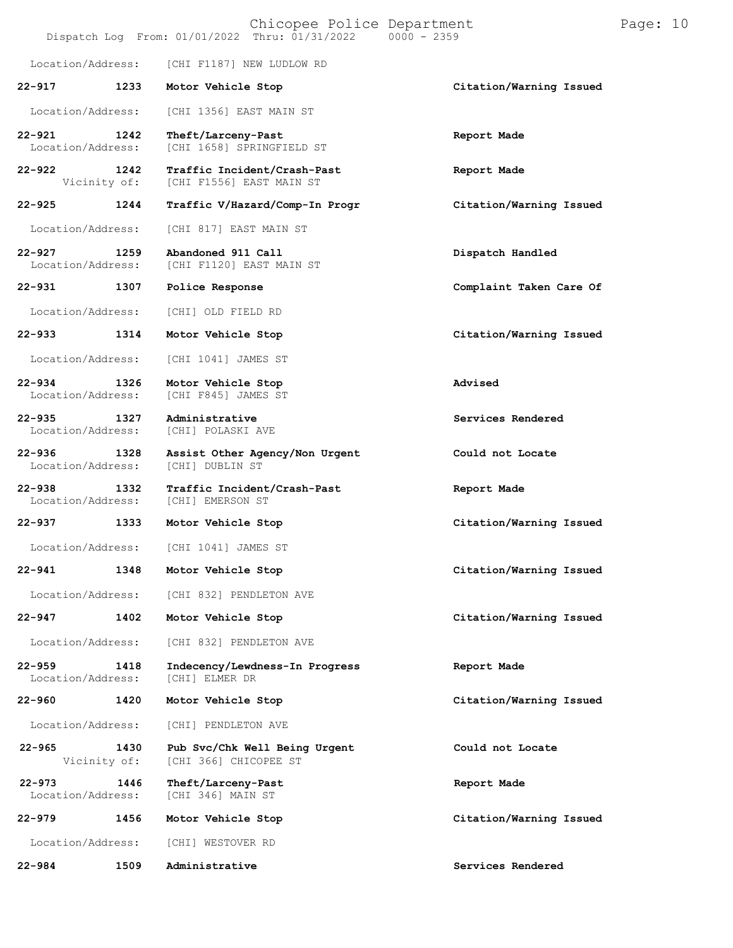|                                 |      | Chicopee Police Department<br>Dispatch Log From: 01/01/2022 Thru: 01/31/2022 0000 - 2359 |                         | Page: 10 |  |
|---------------------------------|------|------------------------------------------------------------------------------------------|-------------------------|----------|--|
| Location/Address:               |      | [CHI F1187] NEW LUDLOW RD                                                                |                         |          |  |
| 22-917                          | 1233 | Motor Vehicle Stop                                                                       | Citation/Warning Issued |          |  |
| Location/Address:               |      | [CHI 1356] EAST MAIN ST                                                                  |                         |          |  |
| $22 - 921$<br>Location/Address: | 1242 | Theft/Larceny-Past<br>[CHI 1658] SPRINGFIELD ST                                          | Report Made             |          |  |
| $22 - 922$<br>Vicinity of:      | 1242 | Traffic Incident/Crash-Past<br>[CHI F1556] EAST MAIN ST                                  | Report Made             |          |  |
| $22 - 925$                      | 1244 | Traffic V/Hazard/Comp-In Progr                                                           | Citation/Warning Issued |          |  |
| Location/Address:               |      | [CHI 817] EAST MAIN ST                                                                   |                         |          |  |
| $22 - 927$<br>Location/Address: | 1259 | Abandoned 911 Call<br>[CHI F1120] EAST MAIN ST                                           | Dispatch Handled        |          |  |
| 22-931                          | 1307 | Police Response                                                                          | Complaint Taken Care Of |          |  |
| Location/Address:               |      | [CHI] OLD FIELD RD                                                                       |                         |          |  |
| 22-933                          | 1314 | Motor Vehicle Stop                                                                       | Citation/Warning Issued |          |  |
| Location/Address:               |      | [CHI 1041] JAMES ST                                                                      |                         |          |  |
| $22 - 934$<br>Location/Address: | 1326 | Motor Vehicle Stop<br>[CHI F845] JAMES ST                                                | Advised                 |          |  |
| $22 - 935$<br>Location/Address: | 1327 | Administrative<br>[CHI] POLASKI AVE                                                      | Services Rendered       |          |  |
| $22 - 936$<br>Location/Address: | 1328 | Assist Other Agency/Non Urgent<br>[CHI] DUBLIN ST                                        | Could not Locate        |          |  |
| $22 - 938$<br>Location/Address: | 1332 | Traffic Incident/Crash-Past<br>[CHI] EMERSON ST                                          | Report Made             |          |  |
| $22 - 937$<br>1333              |      | Motor Vehicle Stop                                                                       | Citation/Warning Issued |          |  |
| Location/Address:               |      | [CHI 1041] JAMES ST                                                                      |                         |          |  |
| 22-941                          | 1348 | Motor Vehicle Stop                                                                       | Citation/Warning Issued |          |  |
| Location/Address:               |      | [CHI 832] PENDLETON AVE                                                                  |                         |          |  |
| 22-947                          | 1402 | Motor Vehicle Stop                                                                       | Citation/Warning Issued |          |  |
| Location/Address:               |      | [CHI 832] PENDLETON AVE                                                                  |                         |          |  |
| $22 - 959$<br>Location/Address: | 1418 | Indecency/Lewdness-In Progress<br>[CHI] ELMER DR                                         | Report Made             |          |  |
| 22-960                          | 1420 | Motor Vehicle Stop                                                                       | Citation/Warning Issued |          |  |
| Location/Address:               |      | [CHI] PENDLETON AVE                                                                      |                         |          |  |
| $22 - 965$<br>Vicinity of:      | 1430 | Pub Svc/Chk Well Being Urgent<br>[CHI 366] CHICOPEE ST                                   | Could not Locate        |          |  |
| $22 - 973$<br>Location/Address: | 1446 | Theft/Larceny-Past<br>[CHI 346] MAIN ST                                                  | Report Made             |          |  |
| $22 - 979$                      | 1456 | Motor Vehicle Stop                                                                       | Citation/Warning Issued |          |  |
| Location/Address:               |      | [CHI] WESTOVER RD                                                                        |                         |          |  |
| 22-984                          | 1509 | Administrative                                                                           | Services Rendered       |          |  |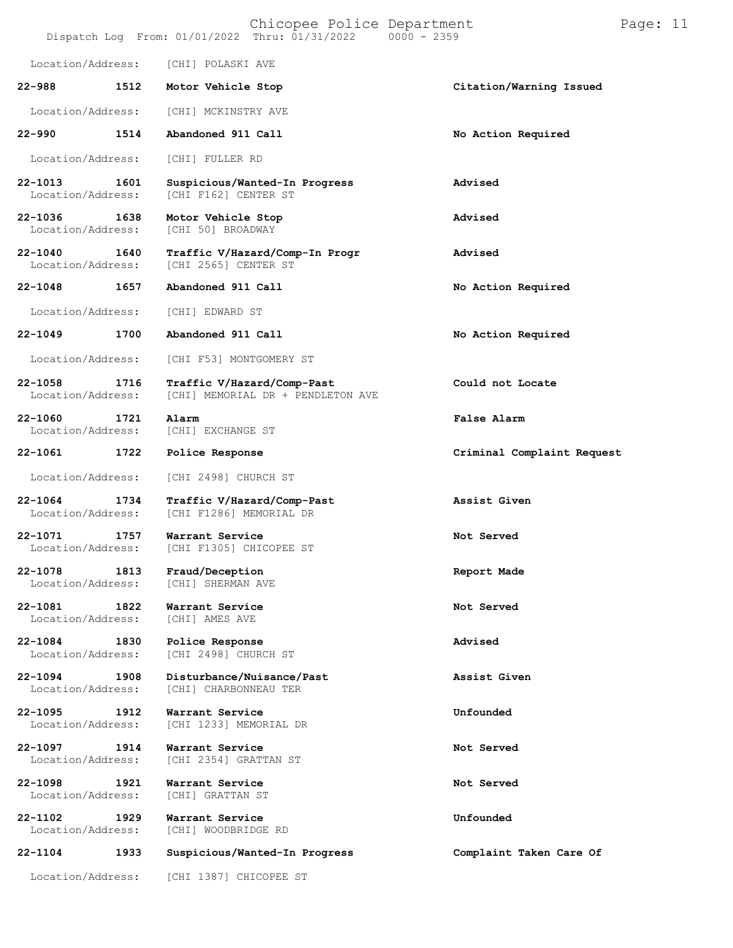|                                  |      | Chicopee Police Department<br>Dispatch Log From: 01/01/2022 Thru: 01/31/2022 | $0000 - 2359$              | Page: 11 |
|----------------------------------|------|------------------------------------------------------------------------------|----------------------------|----------|
| Location/Address:                |      | [CHI] POLASKI AVE                                                            |                            |          |
| $22 - 988$                       | 1512 | Motor Vehicle Stop                                                           | Citation/Warning Issued    |          |
| Location/Address:                |      | [CHI] MCKINSTRY AVE                                                          |                            |          |
| $22 - 990$                       | 1514 | Abandoned 911 Call                                                           | No Action Required         |          |
| Location/Address:                |      | [CHI] FULLER RD                                                              |                            |          |
| 22-1013<br>Location/Address:     | 1601 | Suspicious/Wanted-In Progress<br>[CHI F162] CENTER ST                        | Advised                    |          |
| 22-1036<br>Location/Address:     | 1638 | Motor Vehicle Stop<br>[CHI 50] BROADWAY                                      | Advised                    |          |
| $22 - 1040$<br>Location/Address: | 1640 | Traffic V/Hazard/Comp-In Progr<br>[CHI 2565] CENTER ST                       | Advised                    |          |
| $22 - 1048$                      | 1657 | Abandoned 911 Call                                                           | No Action Required         |          |
| Location/Address:                |      | [CHI] EDWARD ST                                                              |                            |          |
| $22 - 1049$                      | 1700 | Abandoned 911 Call                                                           | No Action Required         |          |
| Location/Address:                |      | [CHI F53] MONTGOMERY ST                                                      |                            |          |
| 22-1058<br>Location/Address:     | 1716 | Traffic V/Hazard/Comp-Past<br>[CHI] MEMORIAL DR + PENDLETON AVE              | Could not Locate           |          |
| $22 - 1060$<br>Location/Address: | 1721 | Alarm<br>[CHI] EXCHANGE ST                                                   | False Alarm                |          |
| 22-1061                          | 1722 | Police Response                                                              | Criminal Complaint Request |          |
| Location/Address:                |      | [CHI 2498] CHURCH ST                                                         |                            |          |
| 22-1064<br>Location/Address:     | 1734 | Traffic V/Hazard/Comp-Past<br>[CHI F1286] MEMORIAL DR                        | Assist Given               |          |
| 22-1071<br>Location/Address:     | 1757 | Warrant Service<br>[CHI F1305] CHICOPEE ST                                   | Not Served                 |          |
| 22-1078<br>Location/Address:     | 1813 | Fraud/Deception<br>[CHI] SHERMAN AVE                                         | Report Made                |          |
| 22-1081<br>Location/Address:     | 1822 | Warrant Service<br>[CHI] AMES AVE                                            | Not Served                 |          |
| 22-1084<br>Location/Address:     | 1830 | Police Response<br>[CHI 2498] CHURCH ST                                      | Advised                    |          |
| $22 - 1094$<br>Location/Address: | 1908 | Disturbance/Nuisance/Past<br>[CHI] CHARBONNEAU TER                           | Assist Given               |          |
| 22-1095<br>Location/Address:     | 1912 | Warrant Service<br>[CHI 1233] MEMORIAL DR                                    | Unfounded                  |          |
| 22-1097<br>Location/Address:     | 1914 | Warrant Service<br>[CHI 2354] GRATTAN ST                                     | Not Served                 |          |
| 22-1098<br>Location/Address:     | 1921 | Warrant Service<br>[CHI] GRATTAN ST                                          | Not Served                 |          |
| 22-1102<br>Location/Address:     | 1929 | Warrant Service<br>[CHI] WOODBRIDGE RD                                       | Unfounded                  |          |
| 22-1104                          | 1933 | Suspicious/Wanted-In Progress                                                | Complaint Taken Care Of    |          |
| Location/Address:                |      | [CHI 1387] CHICOPEE ST                                                       |                            |          |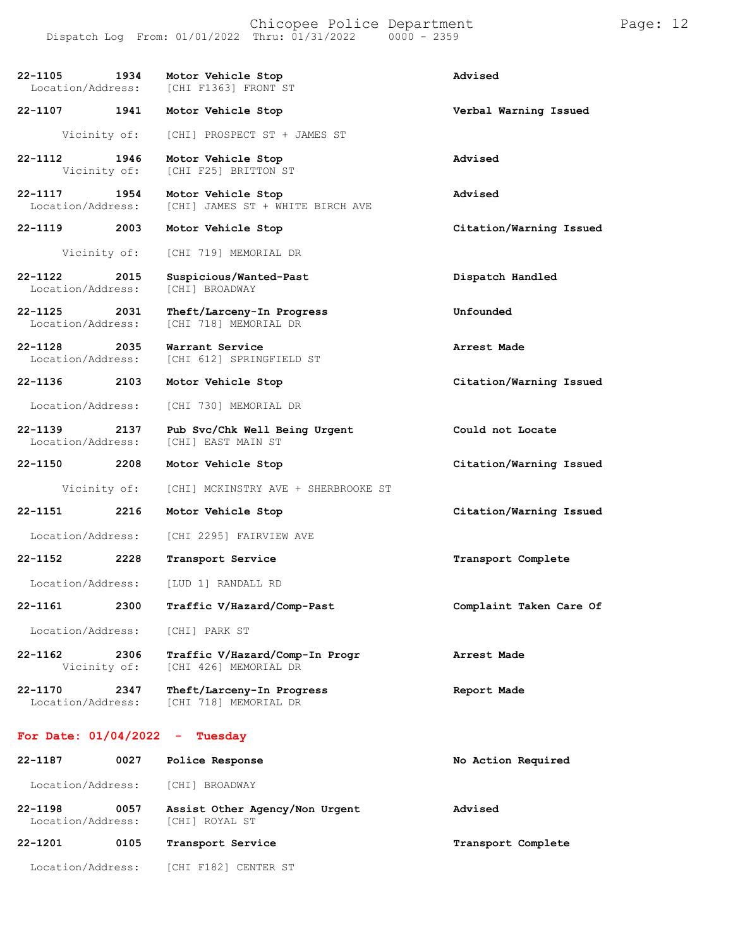Chicopee Police Department Page: 12 Dispatch Log From:  $01/01/2022$  Thru:  $01/31/2022$ **22-1105 1934 Motor Vehicle Stop Advised** [CHI F1363] FRONT ST **22-1107 1941 Motor Vehicle Stop Verbal Warning Issued** Vicinity of: [CHI] PROSPECT ST + JAMES ST **22-1112 1946 Motor Vehicle Stop Advised** [CHI F25] BRITTON ST **22-1117 1954 Motor Vehicle Stop Advised** [CHI] JAMES ST + WHITE BIRCH AVE **22-1119 2003 Motor Vehicle Stop Citation/Warning Issued** Vicinity of: [CHI 719] MEMORIAL DR **22-1122 2015 Suspicious/Wanted-Past Dispatch Handled** Location/Address: **22-1125 2031 Theft/Larceny-In Progress Unfounded** [CHI 718] MEMORIAL DR **22-1128 2035 Warrant Service Arrest Made** [CHI 612] SPRINGFIELD ST **22-1136 2103 Motor Vehicle Stop Citation/Warning Issued** Location/Address: [CHI 730] MEMORIAL DR **22-1139 2137 Pub Svc/Chk Well Being Urgent Could not Locate** [CHI] EAST MAIN ST **22-1150 2208 Motor Vehicle Stop Citation/Warning Issued** Vicinity of: [CHI] MCKINSTRY AVE + SHERBROOKE ST **22-1151 2216 Motor Vehicle Stop Citation/Warning Issued** Location/Address: [CHI 2295] FAIRVIEW AVE **22-1152 2228 Transport Service Transport Complete** Location/Address: [LUD 1] RANDALL RD **22-1161 2300 Traffic V/Hazard/Comp-Past Complaint Taken Care Of** Location/Address: [CHI] PARK ST **22-1162 2306 Traffic V/Hazard/Comp-In Progr Arrest Made** [CHI 426] MEMORIAL DR **22-1170 2347 Theft/Larceny-In Progress Report Made** [CHI 718] MEMORIAL DR **For Date: 01/04/2022 - Tuesday 22-1187 0027 Police Response No Action Required** Location/Address: [CHI] BROADWAY

**22-1198 0057 Assist Other Agency/Non Urgent Advised** Location/Address: **22-1201 0105 Transport Service Transport Complete**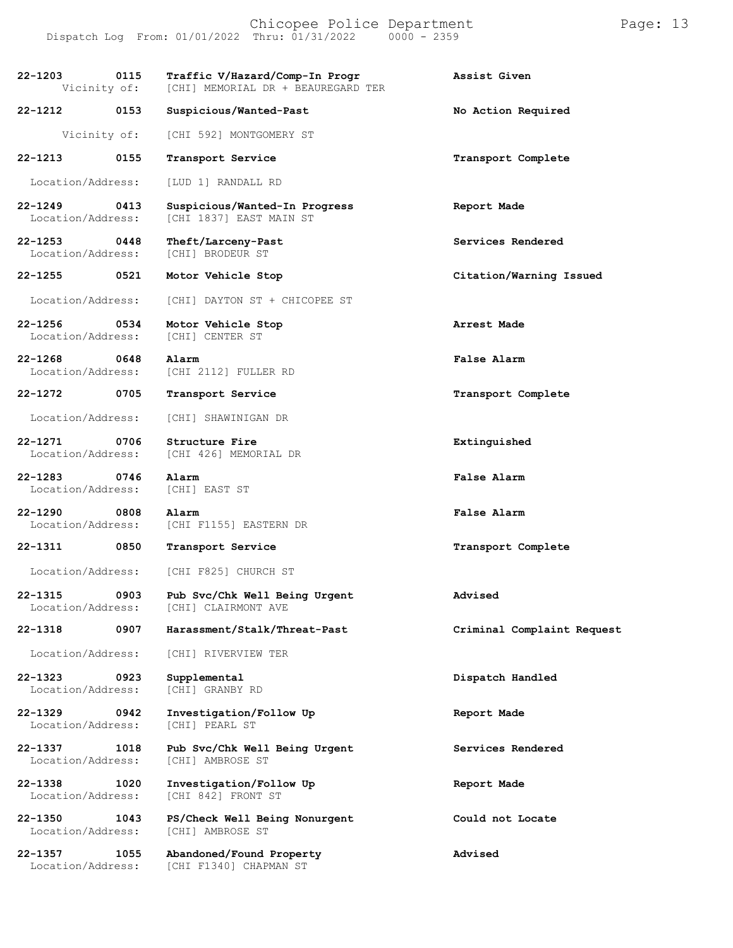Chicopee Police Department Page: 13 Dispatch Log From:  $01/01/2022$  Thru:  $01/31/2022$ **22-1203 0115 Traffic V/Hazard/Comp-In Progr Assist Given** [CHI] MEMORIAL DR + BEAUREGARD TER **22-1212 0153 Suspicious/Wanted-Past No Action Required** Vicinity of: [CHI 592] MONTGOMERY ST **22-1213 0155 Transport Service Transport Complete** Location/Address: [LUD 1] RANDALL RD **22-1249 0413 Suspicious/Wanted-In Progress Report Made** [CHI 1837] EAST MAIN ST **22-1253 0448 Theft/Larceny-Past Services Rendered** [CHI] BRODEUR ST **22-1255 0521 Motor Vehicle Stop Citation/Warning Issued** Location/Address: [CHI] DAYTON ST + CHICOPEE ST **22-1256 0534 Motor Vehicle Stop Arrest Made** Location/Address: **22-1268 0648 Alarm False Alarm** [CHI 2112] FULLER RD **22-1272 0705 Transport Service Transport Complete** Location/Address: [CHI] SHAWINIGAN DR **22-1271 0706 Structure Fire Extinguished** [CHI 426] MEMORIAL DR **22-1283 0746 Alarm False Alarm** Location/Address: [CHI] EAST ST **22-1290 0808 Alarm False Alarm** Location/Address: [CHI F1155] EASTERN DR **22-1311 0850 Transport Service Transport Complete** Location/Address: [CHI F825] CHURCH ST **22-1315 0903 Pub Svc/Chk Well Being Urgent Advised** [CHI] CLAIRMONT AVE **22-1318 0907 Harassment/Stalk/Threat-Past Criminal Complaint Request** Location/Address: [CHI] RIVERVIEW TER **22-1323 0923 Supplemental Dispatch Handled** Location/Address: **22-1329 0942 Investigation/Follow Up Report Made** Location/Address: [CHI] PEARL ST **22-1337 1018 Pub Svc/Chk Well Being Urgent Services Rendered** Location/Address: [CHI] AMBROSE ST **22-1338 1020 Investigation/Follow Up Report Made** Location/Address: **22-1350 1043 PS/Check Well Being Nonurgent Could not Locate** Location/Address: **22-1357 1055 Abandoned/Found Property Advised** [CHI F1340] CHAPMAN ST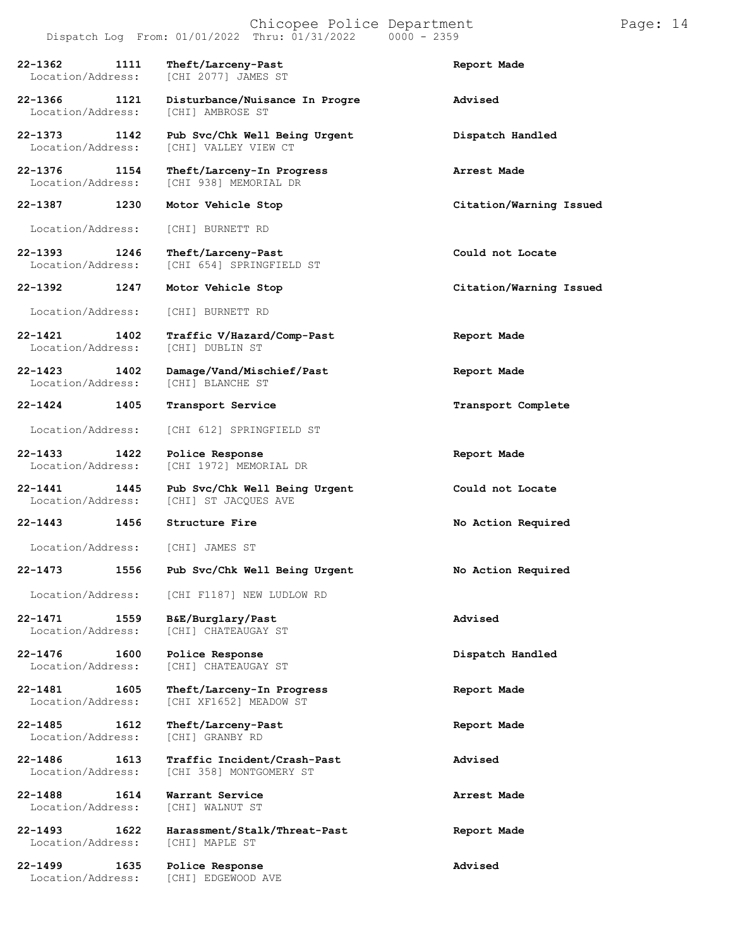## Chicopee Police Department Page: 14 Dispatch Log From:  $01/01/2022$  Thru:  $01/31/2022$

**22-1362 1111 Theft/Larceny-Past Report Made** Location/Address: [CHI 2077] JAMES ST **22-1366 1121 Disturbance/Nuisance In Progre Advised** Location/Address: **22-1373 1142 Pub Svc/Chk Well Being Urgent Dispatch Handled** [CHI] VALLEY VIEW CT **22-1376 1154 Theft/Larceny-In Progress Arrest Made** [CHI 938] MEMORIAL DR **22-1387 1230 Motor Vehicle Stop Citation/Warning Issued** Location/Address: [CHI] BURNETT RD **22-1393 1246 Theft/Larceny-Past Could not Locate** [CHI 654] SPRINGFIELD ST **22-1392 1247 Motor Vehicle Stop Citation/Warning Issued** Location/Address: [CHI] BURNETT RD **22-1421 1402 Traffic V/Hazard/Comp-Past Report Made** Location/Address: **22-1423 1402 Damage/Vand/Mischief/Past Report Made** Location/Address: **22-1424 1405 Transport Service Transport Complete** Location/Address: [CHI 612] SPRINGFIELD ST **22-1433 1422 Police Response Report Made** [CHI 1972] MEMORIAL DR **22-1441 1445 Pub Svc/Chk Well Being Urgent Could not Locate** [CHI] ST JACQUES AVE **22-1443 1456 Structure Fire No Action Required** Location/Address: [CHI] JAMES ST **22-1473 1556 Pub Svc/Chk Well Being Urgent No Action Required** Location/Address: [CHI F1187] NEW LUDLOW RD **22-1471 1559 B&E/Burglary/Past Advised** [CHI] CHATEAUGAY ST **22-1476 1600 Police Response Dispatch Handled** [CHI] CHATEAUGAY ST **22-1481 1605 Theft/Larceny-In Progress Report Made** [CHI XF1652] MEADOW ST **22-1485 1612 Theft/Larceny-Past Report Made** Location/Address: **22-1486 1613 Traffic Incident/Crash-Past Advised** [CHI 358] MONTGOMERY ST **22-1488 1614 Warrant Service Arrest Made** Location/Address: **22-1493 1622 Harassment/Stalk/Threat-Past Report Made**

Location/Address: [CHI] MAPLE ST

[CHI] EDGEWOOD AVE

**22-1499 1635 Police Response Advised**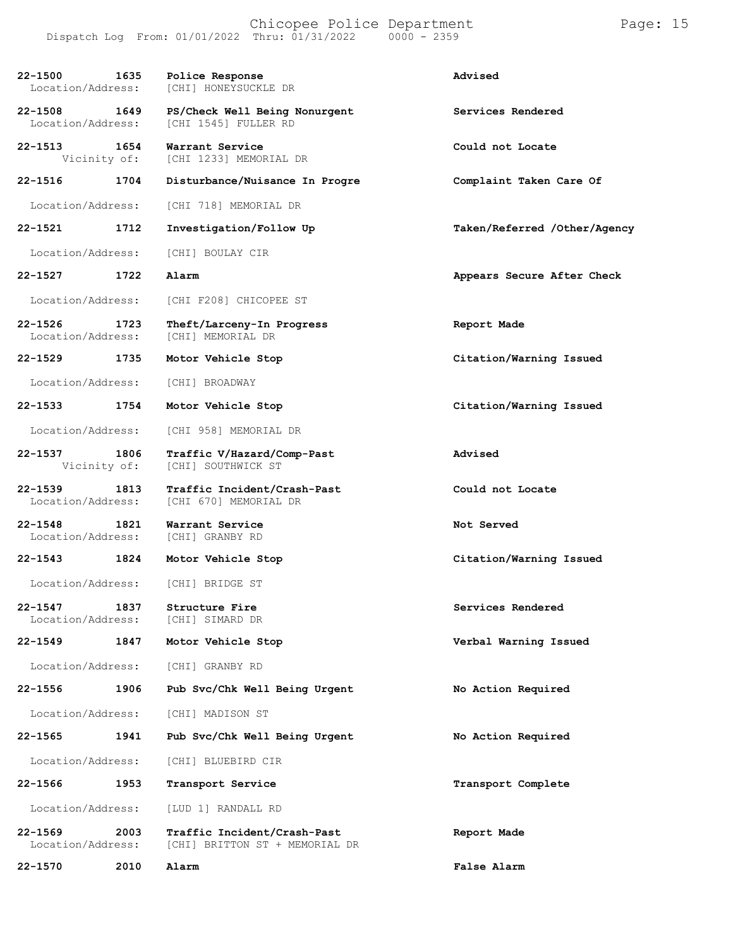#### Chicopee Police Department Page: 15 Dispatch Log From: 01/01/2022 Thru: 01/31/2022 0000 - 2359

| 22-1500<br>Location/Address:     | 1635 | Police Response<br>[CHI] HONEYSUCKLE DR                       | Advised                      |
|----------------------------------|------|---------------------------------------------------------------|------------------------------|
| $22 - 1508$<br>Location/Address: | 1649 | PS/Check Well Being Nonurgent<br>[CHI 1545] FULLER RD         | Services Rendered            |
| $22 - 1513$<br>Vicinity of:      | 1654 | Warrant Service<br>[CHI 1233] MEMORIAL DR                     | Could not Locate             |
| 22-1516                          | 1704 | Disturbance/Nuisance In Progre                                | Complaint Taken Care Of      |
| Location/Address:                |      | [CHI 718] MEMORIAL DR                                         |                              |
| 22-1521                          | 1712 | Investigation/Follow Up                                       | Taken/Referred /Other/Agency |
| Location/Address:                |      | [CHI] BOULAY CIR                                              |                              |
| $22 - 1527$                      | 1722 | Alarm                                                         | Appears Secure After Check   |
| Location/Address:                |      | [CHI F208] CHICOPEE ST                                        |                              |
| 22-1526<br>Location/Address:     | 1723 | Theft/Larceny-In Progress<br>[CHI] MEMORIAL DR                | Report Made                  |
| 22-1529                          | 1735 | Motor Vehicle Stop                                            | Citation/Warning Issued      |
| Location/Address:                |      | [CHI] BROADWAY                                                |                              |
| 22-1533                          | 1754 | Motor Vehicle Stop                                            | Citation/Warning Issued      |
| Location/Address:                |      | [CHI 958] MEMORIAL DR                                         |                              |
| 22-1537<br>Vicinity of:          | 1806 | Traffic V/Hazard/Comp-Past<br>[CHI] SOUTHWICK ST              | Advised                      |
| $22 - 1539$<br>Location/Address: | 1813 | Traffic Incident/Crash-Past<br>[CHI 670] MEMORIAL DR          | Could not Locate             |
| $22 - 1548$<br>Location/Address: | 1821 | Warrant Service<br>[CHI] GRANBY RD                            | Not Served                   |
| 22-1543                          | 1824 | Motor Vehicle Stop                                            | Citation/Warning Issued      |
| Location/Address:                |      | [CHI] BRIDGE ST                                               |                              |
| 22-1547<br>Location/Address:     | 1837 | Structure Fire<br>[CHI] SIMARD DR                             | Services Rendered            |
| $22 - 1549$                      | 1847 | Motor Vehicle Stop                                            | Verbal Warning Issued        |
| Location/Address:                |      | [CHI] GRANBY RD                                               |                              |
| 22-1556                          | 1906 | Pub Svc/Chk Well Being Urgent                                 | No Action Required           |
| Location/Address:                |      | [CHI] MADISON ST                                              |                              |
| $22 - 1565$                      | 1941 | Pub Svc/Chk Well Being Urgent                                 | No Action Required           |
| Location/Address:                |      | [CHI] BLUEBIRD CIR                                            |                              |
| 22-1566                          | 1953 | Transport Service                                             | Transport Complete           |
| Location/Address:                |      | [LUD 1] RANDALL RD                                            |                              |
| $22 - 1569$<br>Location/Address: | 2003 | Traffic Incident/Crash-Past<br>[CHI] BRITTON ST + MEMORIAL DR | Report Made                  |
| 22-1570                          | 2010 | Alarm                                                         | False Alarm                  |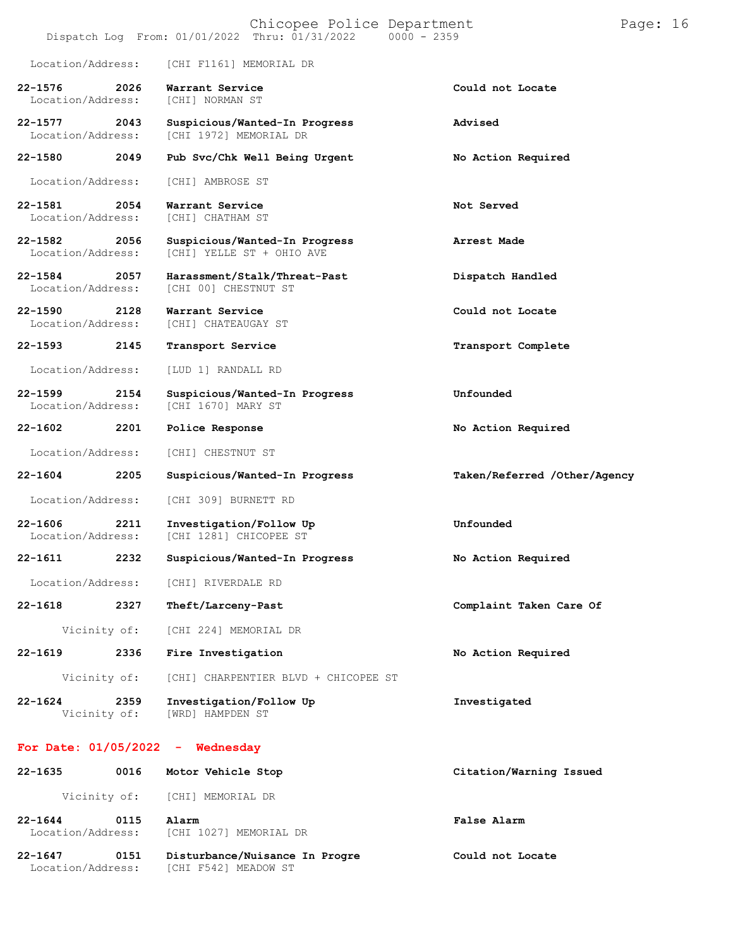|                                  |      | Chicopee Police Department<br>Dispatch Log From: 01/01/2022 Thru: 01/31/2022<br>$0000 - 2359$ |                              | Page: $16$ |  |
|----------------------------------|------|-----------------------------------------------------------------------------------------------|------------------------------|------------|--|
| Location/Address:                |      | [CHI F1161] MEMORIAL DR                                                                       |                              |            |  |
| $22 - 1576$<br>Location/Address: | 2026 | Warrant Service<br>[CHI] NORMAN ST                                                            | Could not Locate             |            |  |
| $22 - 1577$<br>Location/Address: | 2043 | Suspicious/Wanted-In Progress<br>[CHI 1972] MEMORIAL DR                                       | Advised                      |            |  |
| 22-1580                          | 2049 | Pub Svc/Chk Well Being Urgent                                                                 | No Action Required           |            |  |
| Location/Address:                |      | [CHI] AMBROSE ST                                                                              |                              |            |  |
| 22-1581<br>Location/Address:     | 2054 | Warrant Service<br>[CHI] CHATHAM ST                                                           | Not Served                   |            |  |
| 22-1582<br>Location/Address:     | 2056 | Suspicious/Wanted-In Progress<br>[CHI] YELLE ST + OHIO AVE                                    | Arrest Made                  |            |  |
| $22 - 1584$<br>Location/Address: | 2057 | Harassment/Stalk/Threat-Past<br>[CHI 00] CHESTNUT ST                                          | Dispatch Handled             |            |  |
| $22 - 1590$<br>Location/Address: | 2128 | Warrant Service<br>[CHI] CHATEAUGAY ST                                                        | Could not Locate             |            |  |
| $22 - 1593$                      | 2145 | Transport Service                                                                             | Transport Complete           |            |  |
| Location/Address:                |      | [LUD 1] RANDALL RD                                                                            |                              |            |  |
| $22 - 1599$<br>Location/Address: | 2154 | Suspicious/Wanted-In Progress<br>[CHI 1670] MARY ST                                           | Unfounded                    |            |  |
| 22-1602                          | 2201 | Police Response                                                                               | No Action Required           |            |  |
| Location/Address:                |      | [CHI] CHESTNUT ST                                                                             |                              |            |  |
| $22 - 1604$                      | 2205 | Suspicious/Wanted-In Progress                                                                 | Taken/Referred /Other/Agency |            |  |
| Location/Address:                |      | [CHI 309] BURNETT RD                                                                          |                              |            |  |
| $22 - 1606$<br>Location/Address: | 2211 | Investigation/Follow Up<br>[CHI 1281] CHICOPEE ST                                             | Unfounded                    |            |  |
| $22 - 1611$                      | 2232 | Suspicious/Wanted-In Progress                                                                 | No Action Required           |            |  |
| Location/Address:                |      | [CHI] RIVERDALE RD                                                                            |                              |            |  |
| $22 - 1618$                      | 2327 | Theft/Larceny-Past                                                                            | Complaint Taken Care Of      |            |  |
| Vicinity of:                     |      | [CHI 224] MEMORIAL DR                                                                         |                              |            |  |
| $22 - 1619$                      | 2336 | Fire Investigation                                                                            | No Action Required           |            |  |
| Vicinity of:                     |      | [CHI] CHARPENTIER BLVD + CHICOPEE ST                                                          |                              |            |  |
| $22 - 1624$<br>Vicinity of:      | 2359 | Investigation/Follow Up<br>[WRD] HAMPDEN ST                                                   | Investigated                 |            |  |
|                                  |      | For Date: $01/05/2022 -$ Wednesday                                                            |                              |            |  |
| 22-1635                          | 0016 | Motor Vehicle Stop                                                                            | Citation/Warning Issued      |            |  |
| Vicinity of:                     |      | [CHI] MEMORIAL DR                                                                             |                              |            |  |
| $22 - 1644$<br>Location/Address: | 0115 | Alarm<br>[CHI 1027] MEMORIAL DR                                                               | False Alarm                  |            |  |
| $22 - 1647$                      | 0151 | Disturbance/Nuisance In Progre                                                                | Could not Locate             |            |  |

Location/Address: [CHI F542] MEADOW ST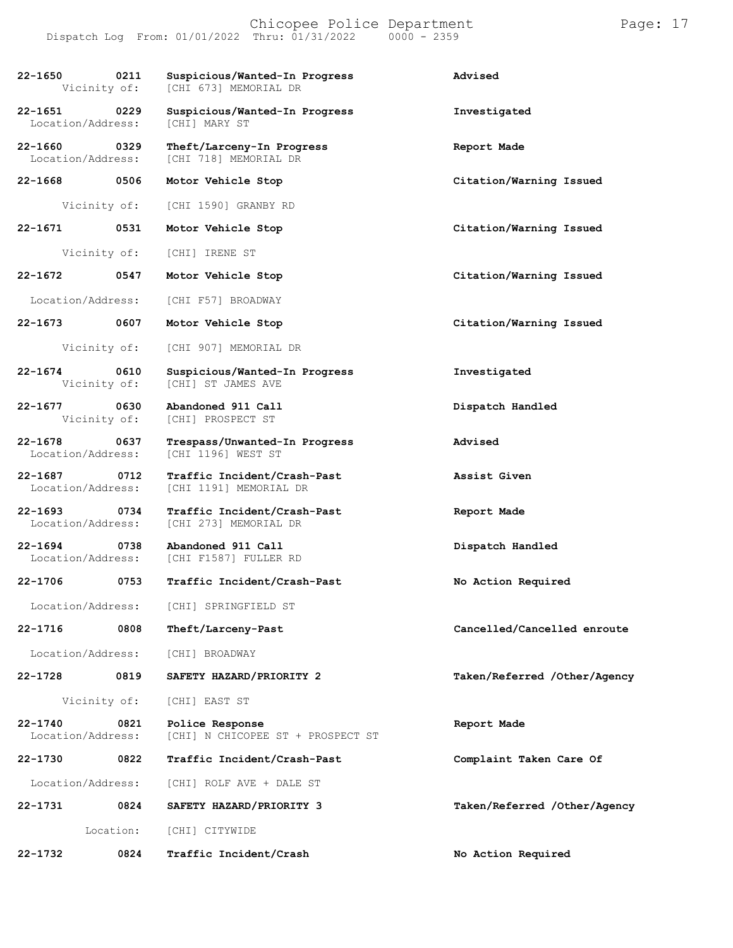#### Chicopee Police Department Page: 17 Dispatch Log From: 01/01/2022 Thru: 01/31/2022 0000 - 2359

| 22-1650                          | 0211<br>Vicinity of:      | Suspicious/Wanted-In Progress<br>[CHI 673] MEMORIAL DR | Advised                      |
|----------------------------------|---------------------------|--------------------------------------------------------|------------------------------|
| $22 - 1651$                      | 0229<br>Location/Address: | Suspicious/Wanted-In Progress<br><b>[CHI] MARY ST</b>  | Investigated                 |
| 22-1660<br>Location/Address:     | 0329                      | Theft/Larceny-In Progress<br>[CHI 718] MEMORIAL DR     | Report Made                  |
| 22-1668 0506                     |                           | Motor Vehicle Stop                                     | Citation/Warning Issued      |
|                                  | Vicinity of:              | [CHI 1590] GRANBY RD                                   |                              |
| 22-1671                          | 0531                      | Motor Vehicle Stop                                     | Citation/Warning Issued      |
|                                  | Vicinity of:              | [CHI] IRENE ST                                         |                              |
| 22-1672                          | 0547                      | Motor Vehicle Stop                                     | Citation/Warning Issued      |
| Location/Address:                |                           | [CHI F57] BROADWAY                                     |                              |
| 22-1673                          | 0607                      | Motor Vehicle Stop                                     | Citation/Warning Issued      |
|                                  | Vicinity of:              | [CHI 907] MEMORIAL DR                                  |                              |
| 22-1674                          | 0610<br>Vicinity of:      | Suspicious/Wanted-In Progress<br>[CHI] ST JAMES AVE    | Investigated                 |
| 22-1677                          | 0630<br>Vicinity of:      | Abandoned 911 Call<br>[CHI] PROSPECT ST                | Dispatch Handled             |
| $22 - 1678$<br>Location/Address: | 0637                      | Trespass/Unwanted-In Progress<br>[CHI 1196] WEST ST    | Advised                      |
| $22 - 1687$                      | 0712<br>Location/Address: | Traffic Incident/Crash-Past<br>[CHI 1191] MEMORIAL DR  | Assist Given                 |
| 22-1693 0734                     | Location/Address:         | Traffic Incident/Crash-Past<br>[CHI 273] MEMORIAL DR   | Report Made                  |
| $22 - 1694$                      | 0738<br>Location/Address: | Abandoned 911 Call<br>[CHI F1587] FULLER RD            | Dispatch Handled             |
| 22-1706                          | 0753                      | Traffic Incident/Crash-Past                            | No Action Required           |
|                                  | Location/Address:         | [CHI] SPRINGFIELD ST                                   |                              |
| $22 - 1716$                      | 0808                      | Theft/Larceny-Past                                     | Cancelled/Cancelled enroute  |
| Location/Address:                |                           | [CHI] BROADWAY                                         |                              |
| 22-1728                          | 0819                      | SAFETY HAZARD/PRIORITY 2                               | Taken/Referred /Other/Agency |
|                                  | Vicinity of:              | [CHI] EAST ST                                          |                              |
| $22 - 1740$<br>Location/Address: | 0821                      | Police Response<br>[CHI] N CHICOPEE ST + PROSPECT ST   | Report Made                  |
| 22-1730                          | 0822                      | Traffic Incident/Crash-Past                            | Complaint Taken Care Of      |
| Location/Address:                |                           | [CHI] ROLF AVE + DALE ST                               |                              |
| 22-1731                          | 0824                      | SAFETY HAZARD/PRIORITY 3                               | Taken/Referred /Other/Agency |
|                                  | Location:                 | [CHI] CITYWIDE                                         |                              |
| 22-1732                          | 0824                      | Traffic Incident/Crash                                 | No Action Required           |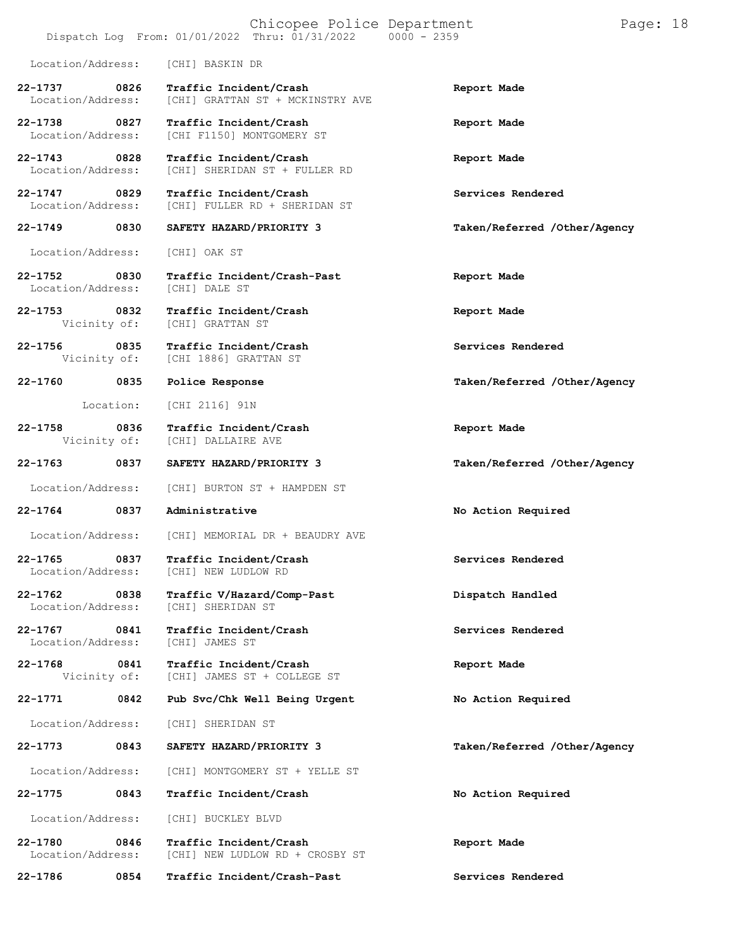|                                   |             | Chicopee Police Department<br>Dispatch Log From: 01/01/2022 Thru: 01/31/2022 0000 - 2359 |                              | Page: 18 |  |
|-----------------------------------|-------------|------------------------------------------------------------------------------------------|------------------------------|----------|--|
| Location/Address:                 |             | [CHI] BASKIN DR                                                                          |                              |          |  |
| 22-1737<br>Location/Address:      | 0826        | Traffic Incident/Crash<br>[CHI] GRATTAN ST + MCKINSTRY AVE                               | Report Made                  |          |  |
| 22-1738 0827<br>Location/Address: |             | Traffic Incident/Crash<br>[CHI F1150] MONTGOMERY ST                                      | Report Made                  |          |  |
| 22-1743 0828<br>Location/Address: |             | Traffic Incident/Crash<br>[CHI] SHERIDAN ST + FULLER RD                                  | Report Made                  |          |  |
| $22 - 1747$<br>Location/Address:  | 0829        | Traffic Incident/Crash<br>[CHI] FULLER RD + SHERIDAN ST                                  | Services Rendered            |          |  |
| 22-1749                           | 0830        | SAFETY HAZARD/PRIORITY 3                                                                 | Taken/Referred /Other/Agency |          |  |
| Location/Address:                 |             | [CHI] OAK ST                                                                             |                              |          |  |
| 22-1752 0830<br>Location/Address: |             | Traffic Incident/Crash-Past<br>[CHI] DALE ST                                             | Report Made                  |          |  |
| 22-1753<br>Vicinity of:           | $\sim$ 0832 | Traffic Incident/Crash<br>[CHI] GRATTAN ST                                               | Report Made                  |          |  |
| 22-1756<br>Vicinity of:           | 0835        | Traffic Incident/Crash<br>[CHI 1886] GRATTAN ST                                          | Services Rendered            |          |  |
| $22 - 1760$                       | 0835        | Police Response                                                                          | Taken/Referred /Other/Agency |          |  |
|                                   | Location:   | [CHI 2116] 91N                                                                           |                              |          |  |
| 22-1758<br>Vicinity of:           | 0836        | Traffic Incident/Crash<br>[CHI] DALLAIRE AVE                                             | Report Made                  |          |  |
| 22-1763                           | 0837        | SAFETY HAZARD/PRIORITY 3                                                                 | Taken/Referred /Other/Agency |          |  |
| Location/Address:                 |             | [CHI] BURTON ST + HAMPDEN ST                                                             |                              |          |  |
| $22 - 1764$                       | 0837        | Administrative                                                                           | No Action Required           |          |  |
| Location/Address:                 |             | [CHI] MEMORIAL DR + BEAUDRY AVE                                                          |                              |          |  |
| $22 - 1765$<br>Location/Address:  | 0837        | Traffic Incident/Crash<br>[CHI] NEW LUDLOW RD                                            | Services Rendered            |          |  |
| 22-1762<br>Location/Address:      | 0838        | Traffic V/Hazard/Comp-Past<br>[CHI] SHERIDAN ST                                          | Dispatch Handled             |          |  |
| $22 - 1767$<br>Location/Address:  | 0841        | Traffic Incident/Crash<br>[CHI] JAMES ST                                                 | Services Rendered            |          |  |
| $22 - 1768$<br>Vicinity of:       | 0841        | Traffic Incident/Crash<br>[CHI] JAMES ST + COLLEGE ST                                    | Report Made                  |          |  |
| 22-1771                           | 0842        | Pub Svc/Chk Well Being Urgent                                                            | No Action Required           |          |  |
| Location/Address:                 |             | [CHI] SHERIDAN ST                                                                        |                              |          |  |
| 22-1773                           | 0843        | SAFETY HAZARD/PRIORITY 3                                                                 | Taken/Referred /Other/Agency |          |  |
| Location/Address:                 |             | [CHI] MONTGOMERY ST + YELLE ST                                                           |                              |          |  |
| 22-1775                           | 0843        | Traffic Incident/Crash                                                                   | No Action Required           |          |  |
| Location/Address:                 |             | [CHI] BUCKLEY BLVD                                                                       |                              |          |  |
| 22-1780<br>Location/Address:      | 0846        | Traffic Incident/Crash<br>[CHI] NEW LUDLOW RD + CROSBY ST                                | Report Made                  |          |  |
| 22-1786                           | 0854        | Traffic Incident/Crash-Past                                                              | Services Rendered            |          |  |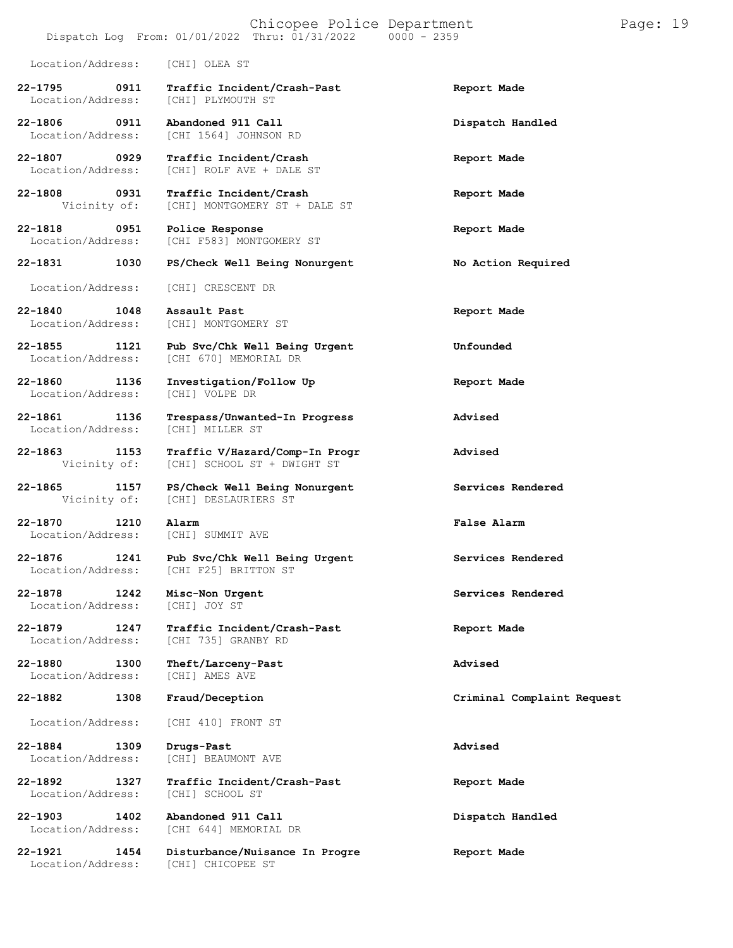### Chicopee Police Department Page: 19  $Dispatch$   $Log$   $From:$   $01/01/2022$   $Thru:$   $01/31/2022$ Location/Address: [CHI] OLEA ST **22-1795 0911 Traffic Incident/Crash-Past Report Made** Location/Address: **22-1806 0911 Abandoned 911 Call Dispatch Handled** Location/Address: [CHI 1564] JOHNSON RD **22-1807 0929 Traffic Incident/Crash Report Made** Location/Address: [CHI] ROLF AVE + DALE ST **22-1808 0931 Traffic Incident/Crash Report Made** [CHI] MONTGOMERY ST + DALE ST **22-1818 0951 Police Response Report Made** [CHI F583] MONTGOMERY ST **22-1831 1030 PS/Check Well Being Nonurgent No Action Required** Location/Address: [CHI] CRESCENT DR **22-1840 1048 Assault Past Report Made** [CHI] MONTGOMERY ST **22-1855 1121 Pub Svc/Chk Well Being Urgent Unfounded** [CHI 670] MEMORIAL DR **22-1860 1136 Investigation/Follow Up Report Made** Location/Address: **22-1861 1136 Trespass/Unwanted-In Progress Advised** Location/Address: **22-1863 1153 Traffic V/Hazard/Comp-In Progr Advised** [CHI] SCHOOL ST + DWIGHT ST **22-1865 1157 PS/Check Well Being Nonurgent Services Rendered** [CHI] DESLAURIERS ST **22-1870 1210 Alarm False Alarm** Location/Address: [CHI] SUMMIT AVE

**22-1876 1241 Pub Svc/Chk Well Being Urgent Services Rendered** Location/Address: [CHI F25] BRITTON ST

**22-1878 1242 Misc-Non Urgent Services Rendered**

**22-1879 1247 Traffic Incident/Crash-Past Report Made**

**22-1880 1300 Theft/Larceny-Past Advised** Location/Address:

Location/Address:

**22-1903 1402 Abandoned 911 Call Dispatch Handled**

Location/Address: [CHI] JOY ST

Location/Address: [CHI 735] GRANBY RD

Location/Address: [CHI 410] FRONT ST

**22-1884 1309 Drugs-Past Advised** [CHI] BEAUMONT AVE

**22-1892 1327 Traffic Incident/Crash-Past Report Made**

[CHI 644] MEMORIAL DR

**22-1921 1454 Disturbance/Nuisance In Progre Report Made** Location/Address: [CHI] CHICOPEE ST

#### **22-1882 1308 Fraud/Deception Criminal Complaint Request**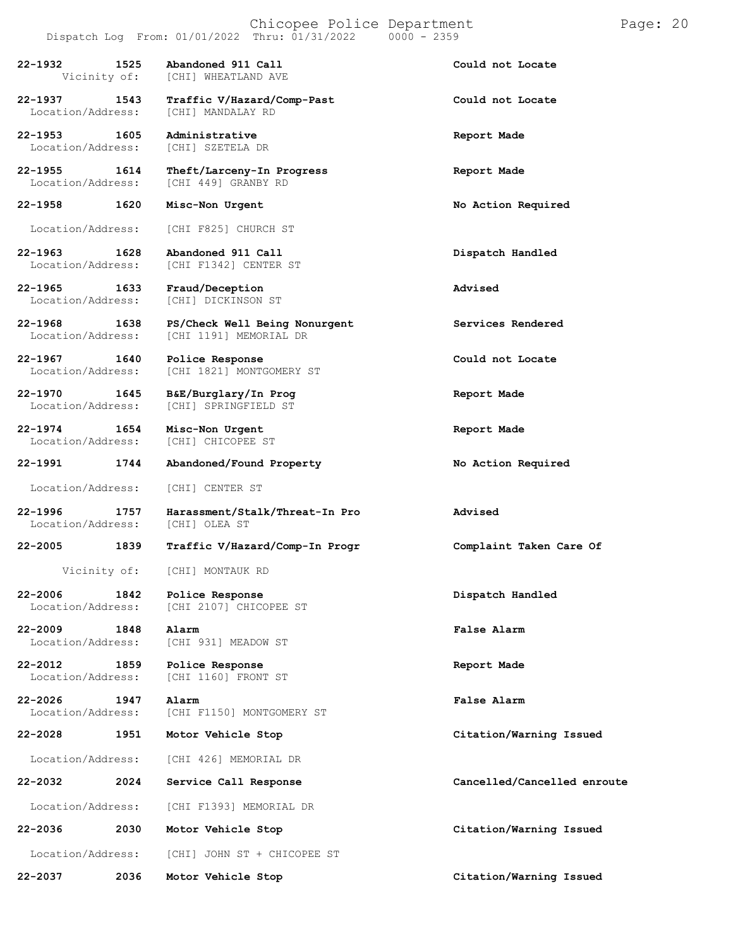# Chicopee Police Department Page: 20

**22-1937 1543 Traffic V/Hazard/Comp-Past Could not Locate** Location/Address: **22-1953 1605 Administrative Report Made** Location/Address: [CHI] SZETELA DR **22-1955 1614 Theft/Larceny-In Progress Report Made** [CHI 449] GRANBY RD **22-1958 1620 Misc-Non Urgent No Action Required** Location/Address: [CHI F825] CHURCH ST **22-1963 1628 Abandoned 911 Call Dispatch Handled** [CHI F1342] CENTER ST **22-1965 1633 Fraud/Deception Advised** [CHI] DICKINSON ST

**22-1968 1638 PS/Check Well Being Nonurgent Services Rendered** [CHI 1191] MEMORIAL DR

**22-1967 1640 Police Response Could not Locate**

**22-1970 1645 B&E/Burglary/In Prog Report Made**

**22-1974 1654 Misc-Non Urgent Report Made**

Location/Address: [CHI] CENTER ST

Location/Address:

**22-2009 1848 Alarm False Alarm**

**22-2012 1859 Police Response Report Made**

**22-2026 1947 Alarm False Alarm**

Location/Address: [CHI 426] MEMORIAL DR

Location/Address: [CHI F1393] MEMORIAL DR

**22-2036 2030 Motor Vehicle Stop Citation/Warning Issued**

Location/Address: [CHI] JOHN ST + CHICOPEE ST

[CHI] CHICOPEE ST **22-1991 1744 Abandoned/Found Property No Action Required**

Location/Address: [CHI] SPRINGFIELD ST

[CHI 1821] MONTGOMERY ST

**22-1996 1757 Harassment/Stalk/Threat-In Pro Advised**

**22-2005 1839 Traffic V/Hazard/Comp-In Progr Complaint Taken Care Of**

Vicinity of: [CHI] MONTAUK RD

**22-2006 1842 Police Response Dispatch Handled** [CHI 2107] CHICOPEE ST

Location/Address: [CHI 931] MEADOW ST

[CHI 1160] FRONT ST

[CHI F1150] MONTGOMERY ST

**22-2028 1951 Motor Vehicle Stop Citation/Warning Issued**

**22-2032 2024 Service Call Response Cancelled/Cancelled enroute**

**22-2037 2036 Motor Vehicle Stop Citation/Warning Issued**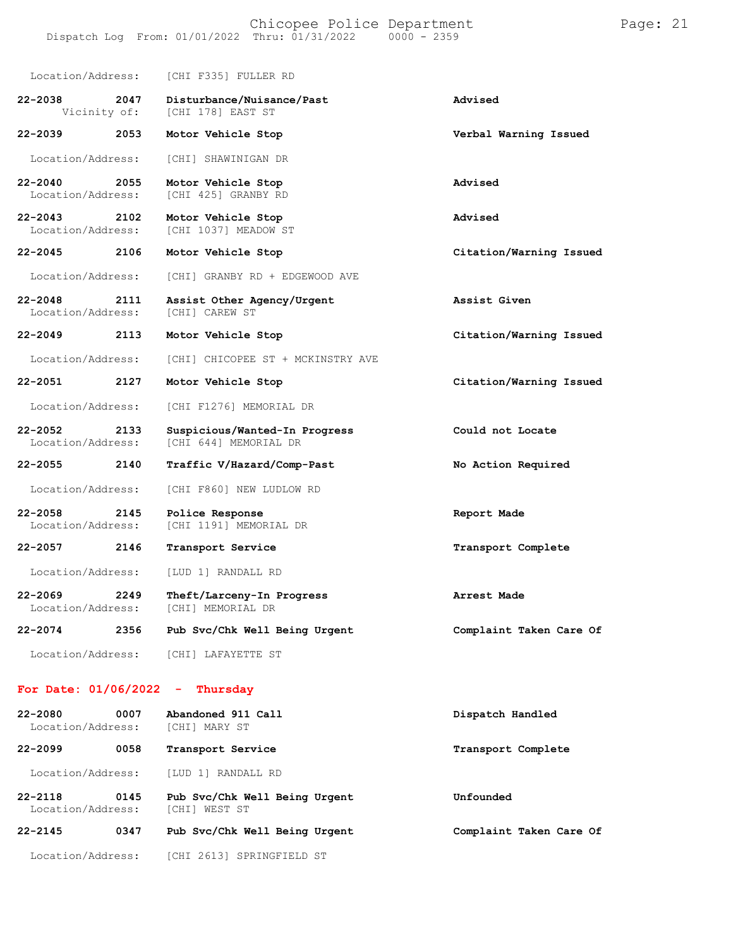|                                  |      | Location/Address: [CHI F335] FULLER RD                      |                         |
|----------------------------------|------|-------------------------------------------------------------|-------------------------|
| 22-2038                          | 2047 | Disturbance/Nuisance/Past<br>Vicinity of: [CHI 178] EAST ST | Advised                 |
| 22-2039                          | 2053 | Motor Vehicle Stop                                          | Verbal Warning Issued   |
| Location/Address:                |      | [CHI] SHAWINIGAN DR                                         |                         |
| $22 - 2040$<br>Location/Address: | 2055 | Motor Vehicle Stop<br>[CHI 425] GRANBY RD                   | Advised                 |
| 22-2043<br>Location/Address:     | 2102 | Motor Vehicle Stop<br>[CHI 1037] MEADOW ST                  | Advised                 |
| $22 - 2045$                      | 2106 | Motor Vehicle Stop                                          | Citation/Warning Issued |
| Location/Address:                |      | [CHI] GRANBY RD + EDGEWOOD AVE                              |                         |
| $22 - 2048$<br>Location/Address: | 2111 | Assist Other Agency/Urgent<br>[CHI] CAREW ST                | Assist Given            |
| $22 - 2049$                      | 2113 | Motor Vehicle Stop                                          | Citation/Warning Issued |
| Location/Address:                |      | [CHI] CHICOPEE ST + MCKINSTRY AVE                           |                         |
| 22-2051                          | 2127 | Motor Vehicle Stop                                          | Citation/Warning Issued |
| Location/Address:                |      | [CHI F1276] MEMORIAL DR                                     |                         |
| $22 - 2052$<br>Location/Address: | 2133 | Suspicious/Wanted-In Progress<br>[CHI 644] MEMORIAL DR      | Could not Locate        |
| 22-2055                          | 2140 | Traffic V/Hazard/Comp-Past                                  | No Action Required      |
| Location/Address:                |      | [CHI F860] NEW LUDLOW RD                                    |                         |
| $22 - 2058$<br>Location/Address: | 2145 | Police Response<br>[CHI 1191] MEMORIAL DR                   | Report Made             |
| $22 - 2057$                      | 2146 | Transport Service                                           | Transport Complete      |
| Location/Address:                |      | [LUD 1] RANDALL RD                                          |                         |
| $22 - 2069$<br>Location/Address: | 2249 | Theft/Larceny-In Progress<br>[CHI] MEMORIAL DR              | Arrest Made             |
| 22-2074                          | 2356 | Pub Svc/Chk Well Being Urgent                               | Complaint Taken Care Of |
| Location/Address:                |      | [CHI] LAFAYETTE ST                                          |                         |
| For Date: 01/06/2022             |      | Thursday<br>۰                                               |                         |

**22-2080 0007 Abandoned 911 Call Dispatch Handled** Location/Address: [CHI] MARY ST **22-2099 0058 Transport Service Transport Complete** Location/Address: [LUD 1] RANDALL RD **22-2118 0145 Pub Svc/Chk Well Being Urgent Unfounded** Location/Address: [CHI] WEST ST **22-2145 0347 Pub Svc/Chk Well Being Urgent Complaint Taken Care Of** Location/Address: [CHI 2613] SPRINGFIELD ST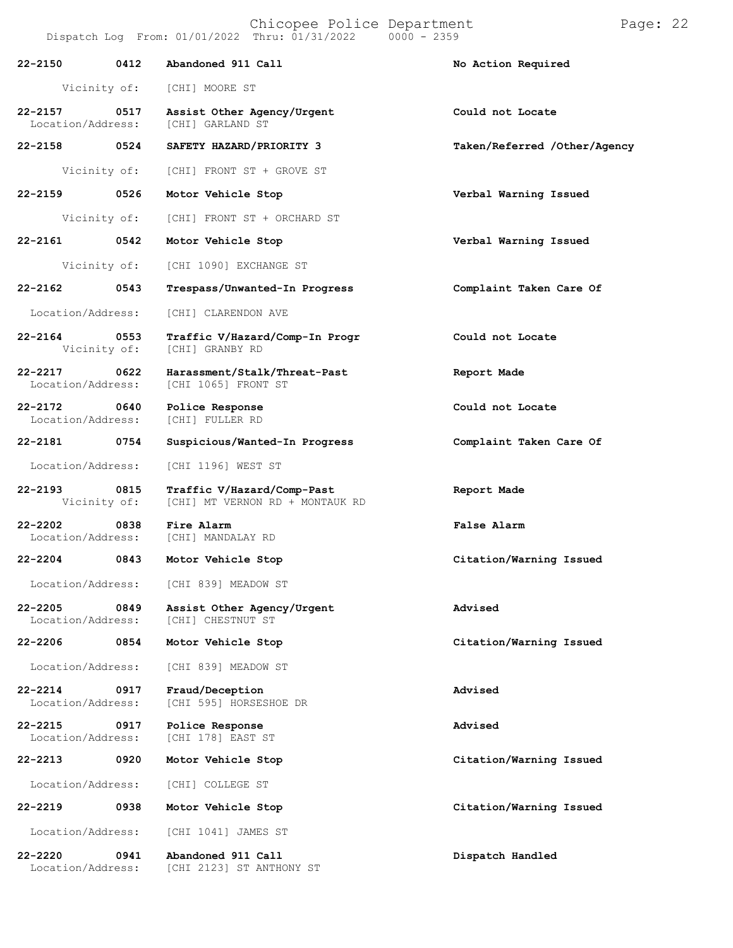Chicopee Police Department Page: 22

| 22-2150                           | 0412         | Abandoned 911 Call                                            | No Action Required           |
|-----------------------------------|--------------|---------------------------------------------------------------|------------------------------|
|                                   | Vicinity of: | [CHI] MOORE ST                                                |                              |
| 22-2157<br>Location/Address:      | 0517         | Assist Other Agency/Urgent<br>[CHI] GARLAND ST                | Could not Locate             |
| 22-2158                           | 0524         | SAFETY HAZARD/PRIORITY 3                                      | Taken/Referred /Other/Agency |
|                                   | Vicinity of: | [CHI] FRONT ST + GROVE ST                                     |                              |
| 22-2159                           | 0526         | Motor Vehicle Stop                                            | Verbal Warning Issued        |
|                                   | Vicinity of: | [CHI] FRONT ST + ORCHARD ST                                   |                              |
| 22-2161                           | 0542         | Motor Vehicle Stop                                            | Verbal Warning Issued        |
|                                   | Vicinity of: | [CHI 1090] EXCHANGE ST                                        |                              |
| 22-2162                           | 0543         | Trespass/Unwanted-In Progress                                 | Complaint Taken Care Of      |
| Location/Address:                 |              | [CHI] CLARENDON AVE                                           |                              |
| 22-2164<br>Vicinity of:           | 0553         | Traffic V/Hazard/Comp-In Progr<br>[CHI] GRANBY RD             | Could not Locate             |
| $22 - 2217$<br>Location/Address:  | 0622         | Harassment/Stalk/Threat-Past<br>[CHI 1065] FRONT ST           | Report Made                  |
| 22-2172 0640<br>Location/Address: |              | Police Response<br>[CHI] FULLER RD                            | Could not Locate             |
| 22-2181 0754                      |              | Suspicious/Wanted-In Progress                                 | Complaint Taken Care Of      |
| Location/Address:                 |              | [CHI 1196] WEST ST                                            |                              |
| 22-2193<br>Vicinity of:           | 0815         | Traffic V/Hazard/Comp-Past<br>[CHI] MT VERNON RD + MONTAUK RD | Report Made                  |
| $22 - 2202$<br>Location/Address:  | 0838         | Fire Alarm<br>[CHI] MANDALAY RD                               | <b>False Alarm</b>           |
| 22-2204 0843                      |              | Motor Vehicle Stop                                            | Citation/Warning Issued      |
| Location/Address:                 |              | [CHI 839] MEADOW ST                                           |                              |
| $22 - 2205$<br>Location/Address:  | 0849         | Assist Other Agency/Urgent<br>[CHI] CHESTNUT ST               | Advised                      |
| $22 - 2206$                       | 0854         | Motor Vehicle Stop                                            | Citation/Warning Issued      |
| Location/Address:                 |              | [CHI 839] MEADOW ST                                           |                              |
| $22 - 2214$<br>Location/Address:  | 0917         | Fraud/Deception<br>[CHI 595] HORSESHOE DR                     | Advised                      |
| $22 - 2215$<br>Location/Address:  | 0917         | Police Response<br>[CHI 178] EAST ST                          | Advised                      |
| $22 - 2213$                       | 0920         | Motor Vehicle Stop                                            | Citation/Warning Issued      |
| Location/Address:                 |              | [CHI] COLLEGE ST                                              |                              |
| $22 - 2219$                       | 0938         | Motor Vehicle Stop                                            | Citation/Warning Issued      |
| Location/Address:                 |              | [CHI 1041] JAMES ST                                           |                              |
| $22 - 2220$<br>Location/Address:  | 0941         | Abandoned 911 Call<br>[CHI 2123] ST ANTHONY ST                | Dispatch Handled             |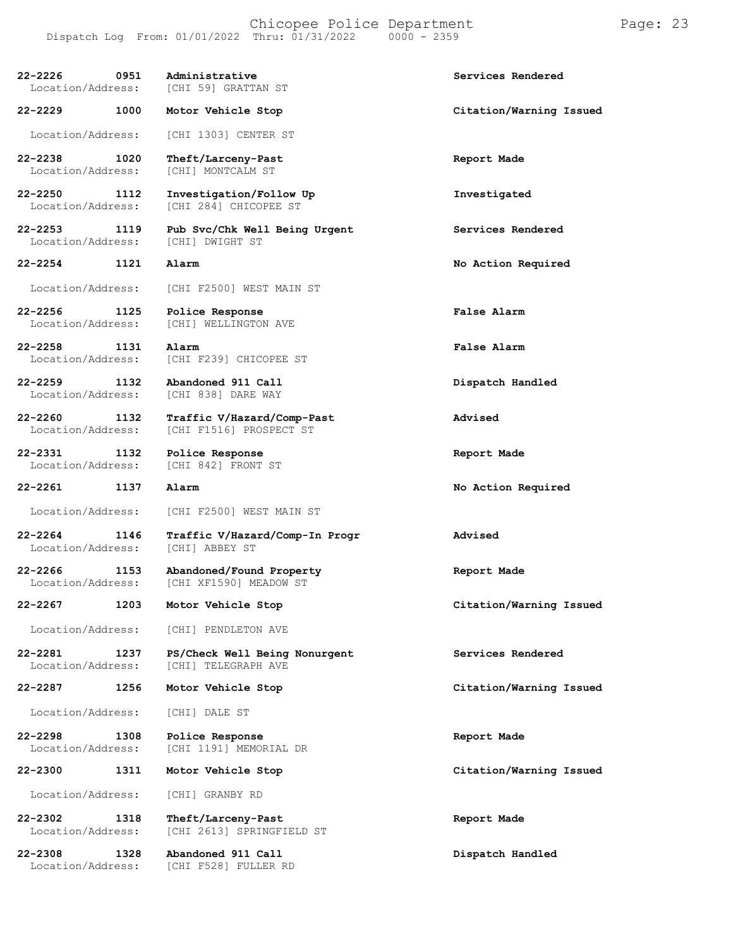| 22-2226 0951<br>Location/Address:           | Administrative<br>[CHI 59] GRATTAN ST                 | Services Rendered       |
|---------------------------------------------|-------------------------------------------------------|-------------------------|
| 22-2229 1000                                | Motor Vehicle Stop                                    | Citation/Warning Issued |
| Location/Address:                           | [CHI 1303] CENTER ST                                  |                         |
| 22-2238 22-238<br>1020<br>Location/Address: | Theft/Larceny-Past<br>[CHI] MONTCALM ST               | Report Made             |
| 22-2250 1112<br>Location/Address:           | Investigation/Follow Up<br>[CHI 284] CHICOPEE ST      | Investigated            |
| 22-2253 1119<br>Location/Address:           | Pub Svc/Chk Well Being Urgent<br>[CHI] DWIGHT ST      | Services Rendered       |
| 22-2254<br>1121                             | Alarm                                                 | No Action Required      |
| Location/Address:                           | [CHI F2500] WEST MAIN ST                              |                         |
| 22-2256 1125<br>Location/Address:           | Police Response<br>[CHI] WELLINGTON AVE               | False Alarm             |
| 22-2258<br>1131<br>Location/Address:        | Alarm<br>[CHI F239] CHICOPEE ST                       | False Alarm             |
| 22-2259 1132<br>Location/Address:           | Abandoned 911 Call<br>[CHI 838] DARE WAY              | Dispatch Handled        |
| 22-2260<br>1132<br>Location/Address:        | Traffic V/Hazard/Comp-Past<br>[CHI F1516] PROSPECT ST | Advised                 |
| 22-2331 1132<br>Location/Address:           | Police Response<br>[CHI 842] FRONT ST                 | Report Made             |
| 22-2261 1137                                | Alarm                                                 | No Action Required      |
| Location/Address:                           | [CHI F2500] WEST MAIN ST                              |                         |
| 22-2264<br>1146<br>Location/Address:        | Traffic V/Hazard/Comp-In Progr<br>[CHI] ABBEY ST      | Advised                 |
| 22-2266<br>1153<br>Location/Address:        | Abandoned/Found Property<br>[CHI XF1590] MEADOW ST    | Report Made             |
| 22-2267<br>1203                             | Motor Vehicle Stop                                    | Citation/Warning Issued |
| Location/Address:                           | [CHI] PENDLETON AVE                                   |                         |
| 22-2281<br>1237<br>Location/Address:        | PS/Check Well Being Nonurgent<br>[CHI] TELEGRAPH AVE  | Services Rendered       |
| 22-2287<br>1256                             | Motor Vehicle Stop                                    | Citation/Warning Issued |
| Location/Address:                           | [CHI] DALE ST                                         |                         |
| 22-2298<br>1308<br>Location/Address:        | Police Response<br>[CHI 1191] MEMORIAL DR             | Report Made             |
| 22-2300<br>1311                             | Motor Vehicle Stop                                    | Citation/Warning Issued |
| Location/Address:                           | [CHI] GRANBY RD                                       |                         |
| 22-2302<br>1318<br>Location/Address:        | Theft/Larceny-Past<br>[CHI 2613] SPRINGFIELD ST       | Report Made             |
| 22-2308<br>1328                             | Abandoned 911 Call                                    | Dispatch Handled        |

Location/Address: [CHI F528] FULLER RD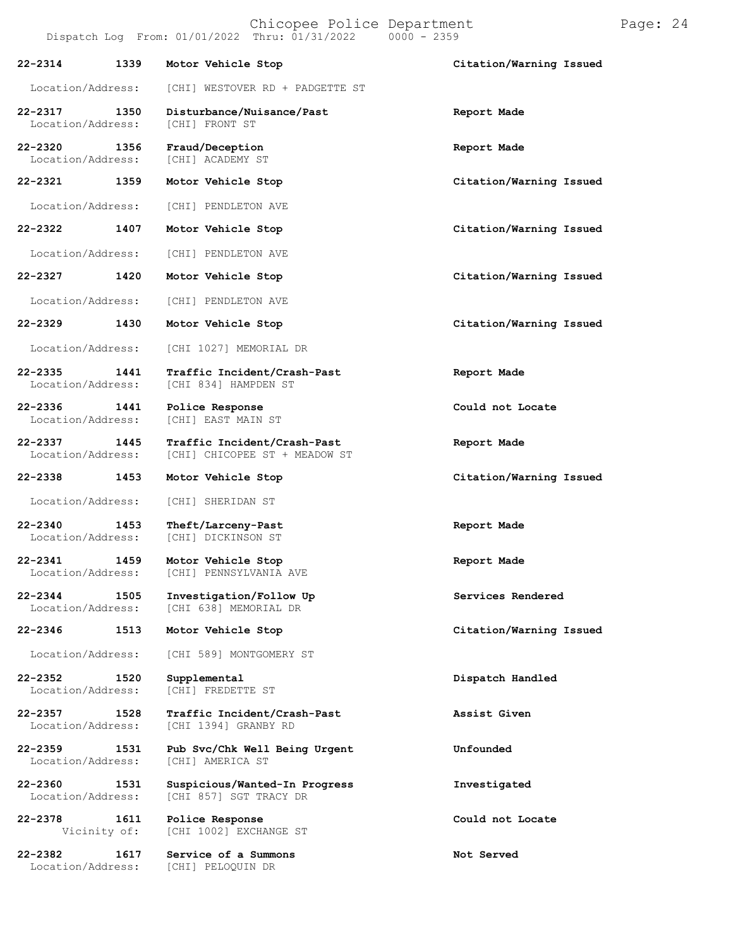Chicopee Police Department Page: 24 Dispatch Log From:  $01/01/2022$  Thru:  $01/31/2022$ **22-2314 1339 Motor Vehicle Stop Citation/Warning Issued** Location/Address: [CHI] WESTOVER RD + PADGETTE ST **22-2317 1350 Disturbance/Nuisance/Past Report Made** Location/Address: **22-2320 1356 Fraud/Deception Report Made** Location/Address: **22-2321 1359 Motor Vehicle Stop Citation/Warning Issued** Location/Address: [CHI] PENDLETON AVE **22-2322 1407 Motor Vehicle Stop Citation/Warning Issued** Location/Address: [CHI] PENDLETON AVE **22-2327 1420 Motor Vehicle Stop Citation/Warning Issued** Location/Address: [CHI] PENDLETON AVE **22-2329 1430 Motor Vehicle Stop Citation/Warning Issued** Location/Address: [CHI 1027] MEMORIAL DR **22-2335 1441 Traffic Incident/Crash-Past Report Made** [CHI 834] HAMPDEN ST **22-2336 1441 Police Response Could not Locate** [CHI] EAST MAIN ST **22-2337 1445 Traffic Incident/Crash-Past Report Made** [CHI] CHICOPEE ST + MEADOW ST **22-2338 1453 Motor Vehicle Stop Citation/Warning Issued** Location/Address: [CHI] SHERIDAN ST **22-2340 1453 Theft/Larceny-Past Report Made** [CHI] DICKINSON ST **22-2341 1459 Motor Vehicle Stop Report Made** [CHI] PENNSYLVANIA AVE **22-2344 1505 Investigation/Follow Up Services Rendered** [CHI 638] MEMORIAL DR **22-2346 1513 Motor Vehicle Stop Citation/Warning Issued** Location/Address: [CHI 589] MONTGOMERY ST **22-2352 1520 Supplemental Dispatch Handled** Location/Address: **22-2357 1528 Traffic Incident/Crash-Past Assist Given** [CHI 1394] GRANBY RD **22-2359 1531 Pub Svc/Chk Well Being Urgent Unfounded** Location/Address: **22-2360 1531 Suspicious/Wanted-In Progress Investigated** [CHI 857] SGT TRACY DR **22-2378 1611 Police Response Could not Locate** [CHI 1002] EXCHANGE ST **22-2382 1617 Service of a Summons Not Served**

Location/Address: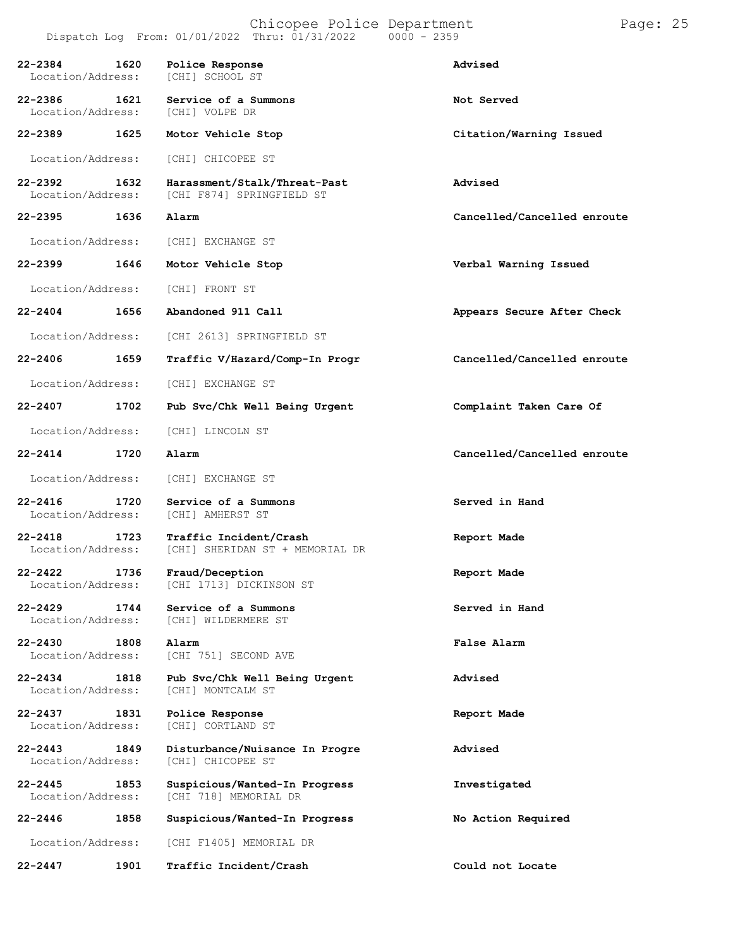| $22 - 2384$<br>1620<br>Location/Address: | Police Response<br>[CHI] SCHOOL ST                        | Advised                     |
|------------------------------------------|-----------------------------------------------------------|-----------------------------|
| $22 - 2386$<br>1621<br>Location/Address: | Service of a Summons<br>[CHI] VOLPE DR                    | Not Served                  |
| $22 - 2389$<br>1625                      | Motor Vehicle Stop                                        | Citation/Warning Issued     |
| Location/Address:                        | [CHI] CHICOPEE ST                                         |                             |
| $22 - 2392$<br>1632<br>Location/Address: | Harassment/Stalk/Threat-Past<br>[CHI F874] SPRINGFIELD ST | Advised                     |
| $22 - 2395$<br>1636                      | Alarm                                                     | Cancelled/Cancelled enroute |
| Location/Address:                        | [CHI] EXCHANGE ST                                         |                             |
| $22 - 2399$<br>1646                      | Motor Vehicle Stop                                        | Verbal Warning Issued       |
| Location/Address:                        | [CHI] FRONT ST                                            |                             |
| $22 - 2404$<br>1656                      | Abandoned 911 Call                                        | Appears Secure After Check  |
| Location/Address:                        | [CHI 2613] SPRINGFIELD ST                                 |                             |
| $22 - 2406$<br>1659                      | Traffic V/Hazard/Comp-In Progr                            | Cancelled/Cancelled enroute |
| Location/Address:                        | [CHI] EXCHANGE ST                                         |                             |
| $22 - 2407$<br>1702                      | Pub Svc/Chk Well Being Urgent                             | Complaint Taken Care Of     |
| Location/Address:                        | [CHI] LINCOLN ST                                          |                             |
| $22 - 2414$<br>1720                      | Alarm                                                     | Cancelled/Cancelled enroute |
| Location/Address:                        | [CHI] EXCHANGE ST                                         |                             |
| $22 - 2416$<br>1720<br>Location/Address: | Service of a Summons<br>[CHI] AMHERST ST                  | Served in Hand              |
| $22 - 2418$<br>1723<br>Location/Address: | Traffic Incident/Crash<br>[CHI] SHERIDAN ST + MEMORIAL DR | Report Made                 |
| $22 - 2422$<br>1736<br>Location/Address: | Fraud/Deception<br>[CHI 1713] DICKINSON ST                | Report Made                 |
| 22-2429<br>1744<br>Location/Address:     | Service of a Summons<br>[CHI] WILDERMERE ST               | Served in Hand              |
| $22 - 2430$<br>1808<br>Location/Address: | Alarm<br>[CHI 751] SECOND AVE                             | <b>False Alarm</b>          |
| 22-2434<br>1818<br>Location/Address:     | Pub Svc/Chk Well Being Urgent<br>[CHI] MONTCALM ST        | Advised                     |
| 22-2437<br>1831<br>Location/Address:     | Police Response<br>[CHI] CORTLAND ST                      | Report Made                 |
| $22 - 2443$<br>1849<br>Location/Address: | Disturbance/Nuisance In Progre<br>[CHI] CHICOPEE ST       | Advised                     |
| $22 - 2445$<br>1853<br>Location/Address: | Suspicious/Wanted-In Progress<br>[CHI 718] MEMORIAL DR    | Investigated                |
| $22 - 2446$<br>1858                      | Suspicious/Wanted-In Progress                             | No Action Required          |
| Location/Address:                        | [CHI F1405] MEMORIAL DR                                   |                             |
| $22 - 2447$<br>1901                      | Traffic Incident/Crash                                    | Could not Locate            |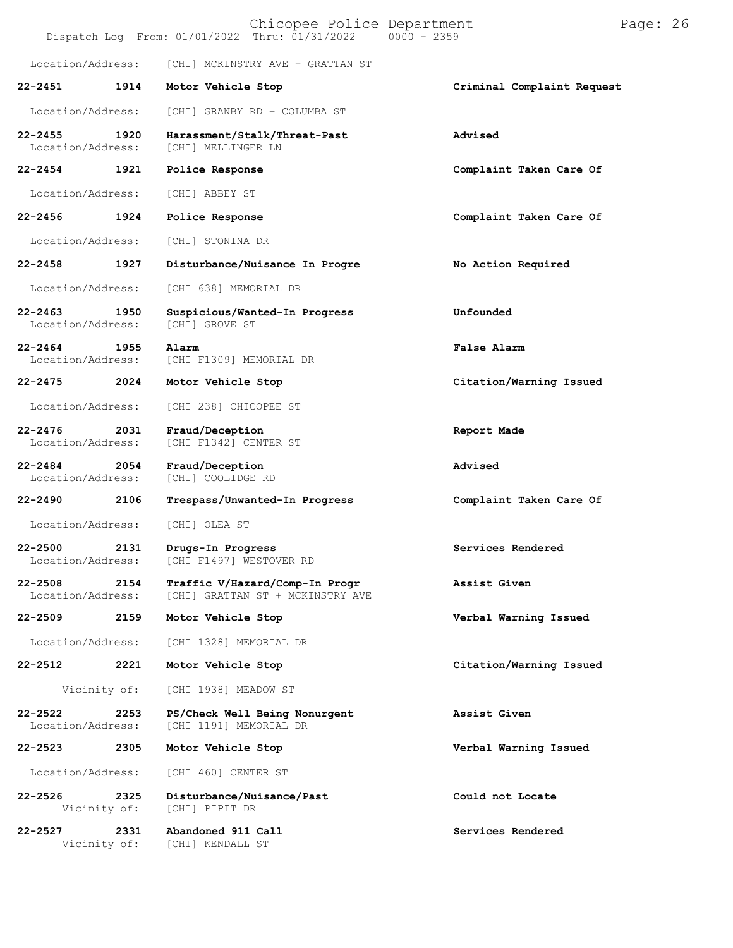|                                  |      | Chicopee Police Department<br>$0000 - 2359$<br>Dispatch Log From: 01/01/2022 Thru: 01/31/2022 | Page: 26                   |
|----------------------------------|------|-----------------------------------------------------------------------------------------------|----------------------------|
| Location/Address:                |      | [CHI] MCKINSTRY AVE + GRATTAN ST                                                              |                            |
| $22 - 2451$                      | 1914 | Motor Vehicle Stop                                                                            | Criminal Complaint Request |
| Location/Address:                |      | [CHI] GRANBY RD + COLUMBA ST                                                                  |                            |
| $22 - 2455$<br>Location/Address: | 1920 | Harassment/Stalk/Threat-Past<br>[CHI] MELLINGER LN                                            | Advised                    |
| $22 - 2454$                      | 1921 | Police Response                                                                               | Complaint Taken Care Of    |
| Location/Address:                |      | [CHI] ABBEY ST                                                                                |                            |
| $22 - 2456$                      | 1924 | Police Response                                                                               | Complaint Taken Care Of    |
| Location/Address:                |      | [CHI] STONINA DR                                                                              |                            |
| $22 - 2458$                      | 1927 | Disturbance/Nuisance In Progre                                                                | No Action Required         |
| Location/Address:                |      | [CHI 638] MEMORIAL DR                                                                         |                            |
| $22 - 2463$<br>Location/Address: | 1950 | Suspicious/Wanted-In Progress<br>[CHI] GROVE ST                                               | Unfounded                  |
| $22 - 2464$<br>Location/Address: | 1955 | Alarm<br>[CHI F1309] MEMORIAL DR                                                              | False Alarm                |
| $22 - 2475$                      | 2024 | Motor Vehicle Stop                                                                            | Citation/Warning Issued    |
| Location/Address:                |      | [CHI 238] CHICOPEE ST                                                                         |                            |
| $22 - 2476$<br>Location/Address: | 2031 | Fraud/Deception<br>[CHI F1342] CENTER ST                                                      | Report Made                |
| $22 - 2484$<br>Location/Address: | 2054 | Fraud/Deception<br>[CHI] COOLIDGE RD                                                          | Advised                    |
| $22 - 2490$                      | 2106 | Trespass/Unwanted-In Progress                                                                 | Complaint Taken Care Of    |
| Location/Address:                |      | [CHI] OLEA ST                                                                                 |                            |
| $22 - 2500$<br>Location/Address: | 2131 | Drugs-In Progress<br>[CHI F1497] WESTOVER RD                                                  | Services Rendered          |
| $22 - 2508$<br>Location/Address: | 2154 | Traffic V/Hazard/Comp-In Progr<br>[CHI] GRATTAN ST + MCKINSTRY AVE                            | Assist Given               |
| $22 - 2509$                      | 2159 | Motor Vehicle Stop                                                                            | Verbal Warning Issued      |
| Location/Address:                |      | [CHI 1328] MEMORIAL DR                                                                        |                            |
| 22-2512                          | 2221 | Motor Vehicle Stop                                                                            | Citation/Warning Issued    |
| Vicinity of:                     |      | [CHI 1938] MEADOW ST                                                                          |                            |
| $22 - 2522$<br>Location/Address: | 2253 | PS/Check Well Being Nonurgent<br>[CHI 1191] MEMORIAL DR                                       | Assist Given               |
| 22-2523                          | 2305 | Motor Vehicle Stop                                                                            | Verbal Warning Issued      |
| Location/Address:                |      | [CHI 460] CENTER ST                                                                           |                            |
| $22 - 2526$<br>Vicinity of:      | 2325 | Disturbance/Nuisance/Past<br>[CHI] PIPIT DR                                                   | Could not Locate           |
| $22 - 2527$<br>Vicinity of:      | 2331 | Abandoned 911 Call<br>[CHI] KENDALL ST                                                        | Services Rendered          |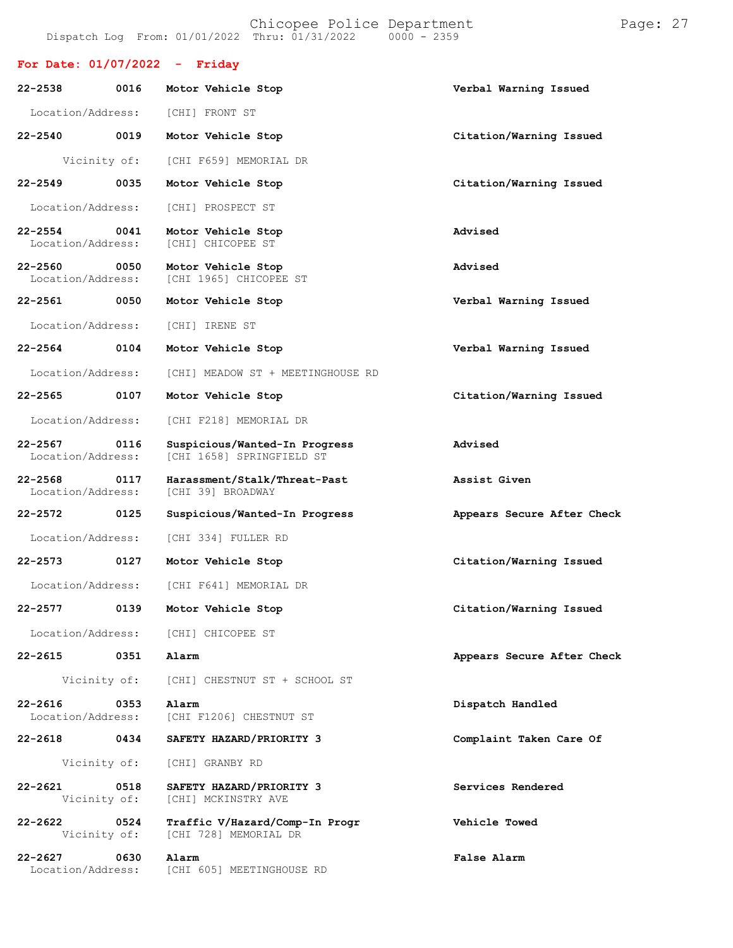Location/Address:

Location/Address: [CHI F218] MEMORIAL DR

Location/Address: [CHI 334] FULLER RD

Location/Address: [CHI] CHICOPEE ST

Vicinity of: [CHI] GRANBY RD

Location/Address: [CHI F641] MEMORIAL DR

Vicinity of: [CHI] CHESTNUT ST + SCHOOL ST

[CHI 1658] SPRINGFIELD ST

|                                   |      | Dispatch Log From: 01/01/2022 Thru: 01/31/2022 0000 - 2359 | Chicopee Police Department |  |                         | Page: 27 |  |
|-----------------------------------|------|------------------------------------------------------------|----------------------------|--|-------------------------|----------|--|
| For Date: $01/07/2022 -$ Friday   |      |                                                            |                            |  |                         |          |  |
| $22 - 2538$                       | 0016 | Motor Vehicle Stop                                         |                            |  | Verbal Warning Issued   |          |  |
| Location/Address:                 |      | [CHI] FRONT ST                                             |                            |  |                         |          |  |
| $22 - 2540$<br>0019               |      | Motor Vehicle Stop                                         |                            |  | Citation/Warning Issued |          |  |
| Vicinity of:                      |      | [CHI F659] MEMORIAL DR                                     |                            |  |                         |          |  |
| $22 - 2549$                       | 0035 | Motor Vehicle Stop                                         |                            |  | Citation/Warning Issued |          |  |
| Location/Address:                 |      | [CHI] PROSPECT ST                                          |                            |  |                         |          |  |
| 22-2554 0041<br>Location/Address: |      | Motor Vehicle Stop<br>[CHI] CHICOPEE ST                    |                            |  | Advised                 |          |  |
| $22 - 2560$<br>Location/Address:  | 0050 | Motor Vehicle Stop<br>[CHI 1965] CHICOPEE ST               |                            |  | Advised                 |          |  |
| 22-2561 0050                      |      | Motor Vehicle Stop                                         |                            |  | Verbal Warning Issued   |          |  |
| Location/Address:                 |      | [CHI] IRENE ST                                             |                            |  |                         |          |  |
| 0104<br>$22 - 2564$               |      | Motor Vehicle Stop                                         |                            |  | Verbal Warning Issued   |          |  |
| Location/Address:                 |      | [CHI] MEADOW ST + MEETINGHOUSE RD                          |                            |  |                         |          |  |

**22-2565 0107 Motor Vehicle Stop Citation/Warning Issued**

**22-2567 0116 Suspicious/Wanted-In Progress Advised**

**22-2568 0117 Harassment/Stalk/Threat-Past Assist Given**

**22-2572 0125 Suspicious/Wanted-In Progress Appears Secure After Check**

**22-2573 0127 Motor Vehicle Stop Citation/Warning Issued**

**22-2577 0139 Motor Vehicle Stop Citation/Warning Issued**

**22-2615 0351 Alarm Appears Secure After Check**

**22-2616 0353 Alarm Dispatch Handled**

**22-2618 0434 SAFETY HAZARD/PRIORITY 3 Complaint Taken Care Of**

**22-2621 0518 SAFETY HAZARD/PRIORITY 3 Services Rendered**

**22-2622 0524 Traffic V/Hazard/Comp-In Progr Vehicle Towed**

**22-2627 0630 Alarm False Alarm** [CHI 605] MEETINGHOUSE RD

[CHI 728] MEMORIAL DR

[CHI] MCKINSTRY AVE

[CHI F1206] CHESTNUT ST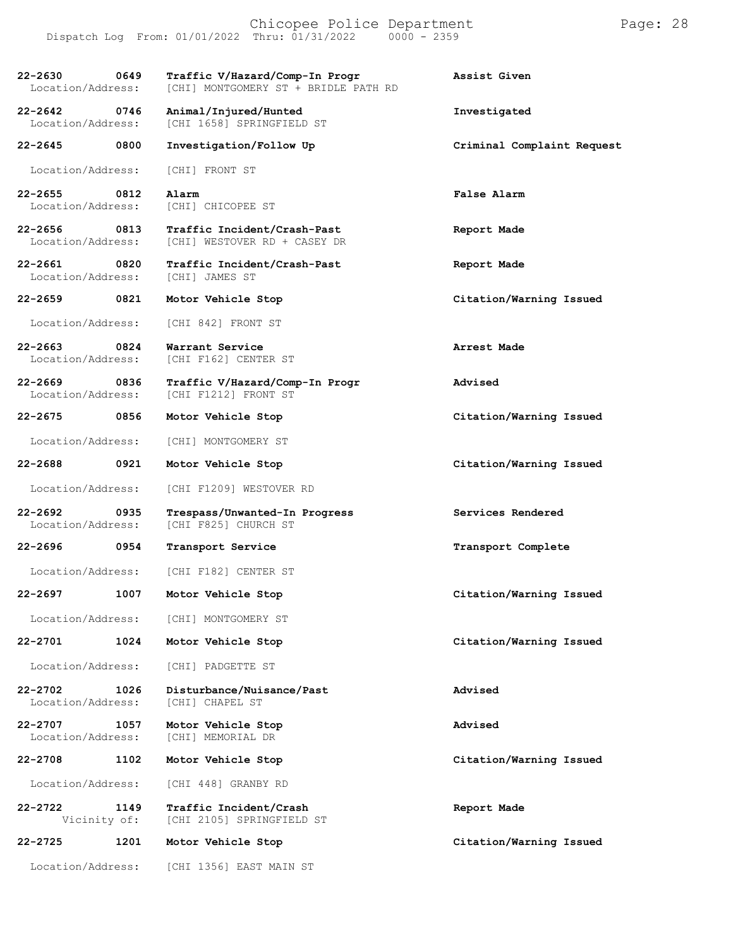Chicopee Police Department Page: 28 Dispatch Log From: 01/01/2022 Thru: 01/31/2022 **22-2630 0649 Traffic V/Hazard/Comp-In Progr Assist Given** [CHI] MONTGOMERY ST + BRIDLE PATH RD **22-2642 0746 Animal/Injured/Hunted Investigated** [CHI 1658] SPRINGFIELD ST **22-2645 0800 Investigation/Follow Up Criminal Complaint Request** Location/Address: [CHI] FRONT ST **22-2655 0812 Alarm False Alarm** Location/Address: [CHI] CHICOPEE ST **22-2656 0813 Traffic Incident/Crash-Past Report Made** [CHI] WESTOVER RD + CASEY DR **22-2661 0820 Traffic Incident/Crash-Past Report Made** Location/Address: **22-2659 0821 Motor Vehicle Stop Citation/Warning Issued** Location/Address: [CHI 842] FRONT ST **22-2663 0824 Warrant Service Arrest Made** [CHI F162] CENTER ST **22-2669 0836 Traffic V/Hazard/Comp-In Progr Advised** [CHI F1212] FRONT ST **22-2675 0856 Motor Vehicle Stop Citation/Warning Issued** Location/Address: [CHI] MONTGOMERY ST **22-2688 0921 Motor Vehicle Stop Citation/Warning Issued** Location/Address: [CHI F1209] WESTOVER RD **22-2692 0935 Trespass/Unwanted-In Progress Services Rendered** [CHI F825] CHURCH ST **22-2696 0954 Transport Service Transport Complete** Location/Address: [CHI F182] CENTER ST **22-2697 1007 Motor Vehicle Stop Citation/Warning Issued** Location/Address: [CHI] MONTGOMERY ST **22-2701 1024 Motor Vehicle Stop Citation/Warning Issued** Location/Address: [CHI] PADGETTE ST **22-2702 1026 Disturbance/Nuisance/Past Advised** Location/Address: **22-2707 1057 Motor Vehicle Stop Advised** [CHI] MEMORIAL DR **22-2708 1102 Motor Vehicle Stop Citation/Warning Issued** Location/Address: [CHI 448] GRANBY RD **22-2722 1149 Traffic Incident/Crash Report Made** [CHI 2105] SPRINGFIELD ST **22-2725 1201 Motor Vehicle Stop Citation/Warning Issued** Location/Address: [CHI 1356] EAST MAIN ST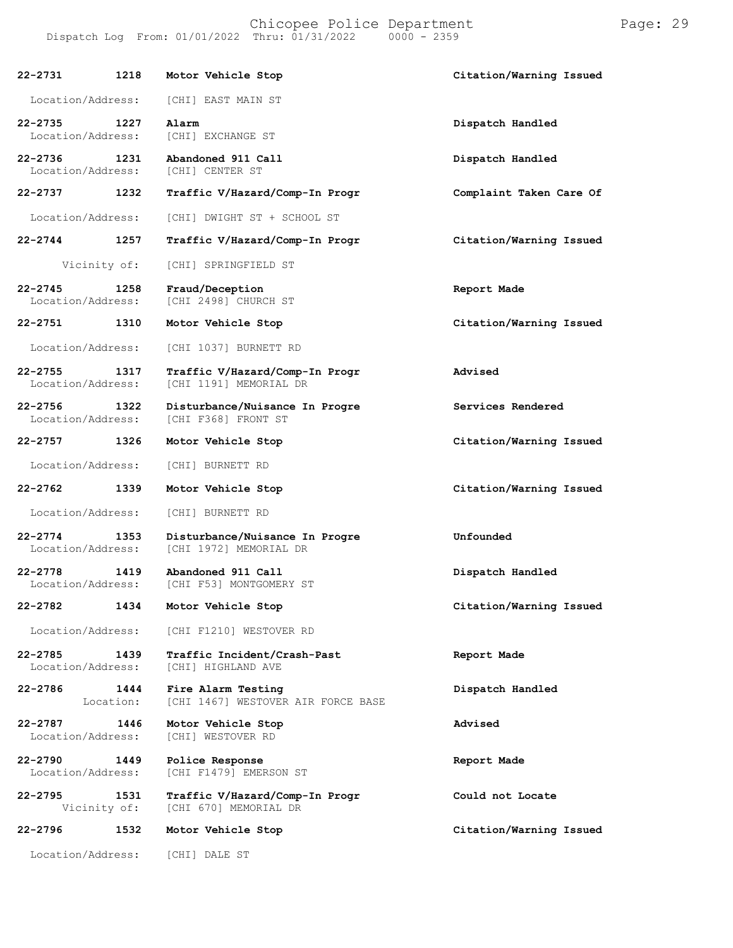| 22-2731                           | 1218              | Motor Vehicle Stop                                       | Citation/Warning Issued |
|-----------------------------------|-------------------|----------------------------------------------------------|-------------------------|
| Location/Address:                 |                   | [CHI] EAST MAIN ST                                       |                         |
| 22-2735<br>Location/Address:      | 1227              | Alarm<br>[CHI] EXCHANGE ST                               | Dispatch Handled        |
| $22 - 2736$<br>Location/Address:  | 1231              | Abandoned 911 Call<br>[CHI] CENTER ST                    | Dispatch Handled        |
| 22-2737 1232                      |                   | Traffic V/Hazard/Comp-In Progr                           | Complaint Taken Care Of |
| Location/Address:                 |                   | [CHI] DWIGHT ST + SCHOOL ST                              |                         |
| 22-2744                           | 1257              | Traffic V/Hazard/Comp-In Progr                           | Citation/Warning Issued |
| Vicinity of:                      |                   | [CHI] SPRINGFIELD ST                                     |                         |
| $22 - 2745$<br>Location/Address:  | 1258              | Fraud/Deception<br>[CHI 2498] CHURCH ST                  | Report Made             |
| 22-2751 1310                      |                   | Motor Vehicle Stop                                       | Citation/Warning Issued |
| Location/Address:                 |                   | [CHI 1037] BURNETT RD                                    |                         |
| $22 - 2755$<br>Location/Address:  | 1317              | Traffic V/Hazard/Comp-In Progr<br>[CHI 1191] MEMORIAL DR | Advised                 |
| 22-2756 1322<br>Location/Address: |                   | Disturbance/Nuisance In Progre<br>[CHI F368] FRONT ST    | Services Rendered       |
| 22-2757                           | 1326              | Motor Vehicle Stop                                       | Citation/Warning Issued |
| Location/Address:                 |                   | [CHI] BURNETT RD                                         |                         |
| 22-2762                           | 1339              | Motor Vehicle Stop                                       | Citation/Warning Issued |
| Location/Address:                 |                   | [CHI] BURNETT RD                                         |                         |
| $22 - 2774$<br>Location/Address:  | 1353              | Disturbance/Nuisance In Progre<br>[CHI 1972] MEMORIAL DR | Unfounded               |
| $22 - 2778$<br>Location/Address:  | 1419              | Abandoned 911 Call<br>[CHI F53] MONTGOMERY ST            | Dispatch Handled        |
| 22-2782                           | 1434              | Motor Vehicle Stop                                       | Citation/Warning Issued |
| Location/Address:                 |                   | [CHI F1210] WESTOVER RD                                  |                         |
| $22 - 2785$<br>Location/Address:  | 1439              | Traffic Incident/Crash-Past<br>[CHI] HIGHLAND AVE        | Report Made             |
| 22-2786                           | 1444<br>Location: | Fire Alarm Testing<br>[CHI 1467] WESTOVER AIR FORCE BASE | Dispatch Handled        |
| $22 - 2787$<br>Location/Address:  | 1446              | Motor Vehicle Stop<br>[CHI] WESTOVER RD                  | Advised                 |
| $22 - 2790$<br>Location/Address:  | 1449              | Police Response<br>[CHI F1479] EMERSON ST                | Report Made             |
| 22-2795<br>Vicinity of:           | 1531              | Traffic V/Hazard/Comp-In Progr<br>[CHI 670] MEMORIAL DR  | Could not Locate        |
| $22 - 2796$                       | 1532              | Motor Vehicle Stop                                       | Citation/Warning Issued |
| Location/Address:                 |                   | [CHI] DALE ST                                            |                         |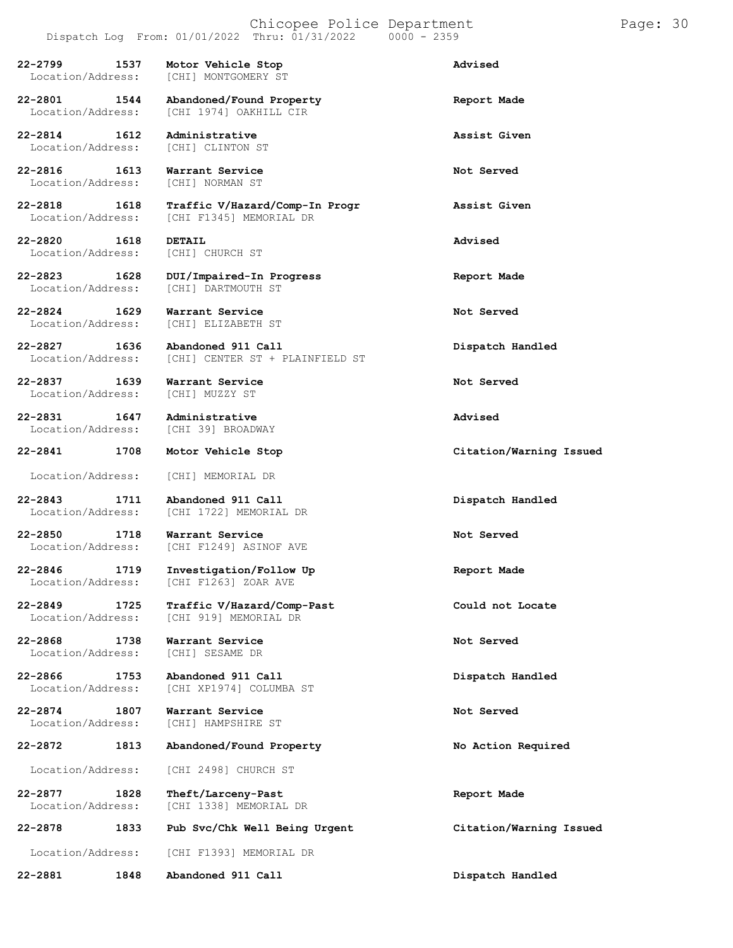**22-2799 1537 Motor Vehicle Stop Advised** [CHI] MONTGOMERY ST

**22-2801 1544 Abandoned/Found Property Report Made** [CHI 1974] OAKHILL CIR

Location/Address:

**22-2816 1613 Warrant Service 1613 Not Served Not Served Notice Notice Not** Location/Address:

**22-2820 1618 DETAIL Advised** Location/Address: [CHI] CHURCH ST

**22-2837 1639 Warrant Service Not Served** Location/Address:

**22-2831 1647 Administrative Advised** Location/Address:

**22-2868 1738 Warrant Service Not Served** Location/Address:

**22-2874 1807 Warrant Service Not Served Not Served I**ocation/Address: [CHI] HAMPSHIRE ST

**22-2814 1612 Administrative Assist Given**

**22-2818 1618 Traffic V/Hazard/Comp-In Progr Assist Given** [CHI F1345] MEMORIAL DR

**22-2823 1628 DUI/Impaired-In Progress Report Made** [CHI] DARTMOUTH ST

**22-2824 1629 Warrant Service Not Served** Location/Address: [CHI] ELIZABETH ST

**22-2827 1636 Abandoned 911 Call Dispatch Handled** [CHI] CENTER ST + PLAINFIELD ST

Location/Address: [CHI] MEMORIAL DR

**22-2843 1711 Abandoned 911 Call Dispatch Handled** [CHI 1722] MEMORIAL DR

**22-2850 1718 Warrant Service Not Served** [CHI F1249] ASINOF AVE

**22-2846 1719 Investigation/Follow Up Report Made** [CHI F1263] ZOAR AVE

**22-2849 1725 Traffic V/Hazard/Comp-Past Could not Locate** [CHI 919] MEMORIAL DR

**22-2866 1753 Abandoned 911 Call Dispatch Handled** [CHI XP1974] COLUMBA ST

Location/Address: [CHI] HAMPSHIRE ST

**22-2872 1813 Abandoned/Found Property No Action Required**

Location/Address: [CHI 2498] CHURCH ST

**22-2877 1828 Theft/Larceny-Past Report Made** [CHI 1338] MEMORIAL DR

**22-2878 1833 Pub Svc/Chk Well Being Urgent Citation/Warning Issued** Location/Address: [CHI F1393] MEMORIAL DR

**22-2881 1848 Abandoned 911 Call Dispatch Handled**

**22-2841 1708 Motor Vehicle Stop Citation/Warning Issued**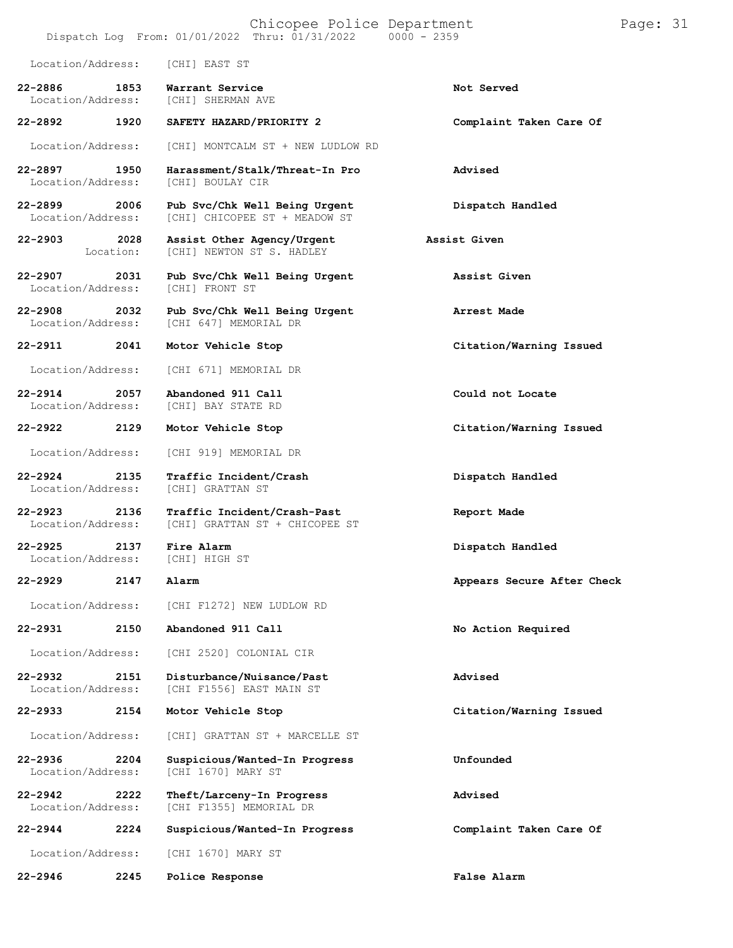|                                  |                   | Chicopee Police Department<br>Dispatch Log From: 01/01/2022 Thru: 01/31/2022 0000 - 2359 |                            | Page: 31 |  |
|----------------------------------|-------------------|------------------------------------------------------------------------------------------|----------------------------|----------|--|
| Location/Address:                |                   | [CHI] EAST ST                                                                            |                            |          |  |
| $22 - 2886$<br>Location/Address: | 1853              | Warrant Service<br>[CHI] SHERMAN AVE                                                     | Not Served                 |          |  |
| 22-2892                          | 1920              | SAFETY HAZARD/PRIORITY 2                                                                 | Complaint Taken Care Of    |          |  |
| Location/Address:                |                   | [CHI] MONTCALM ST + NEW LUDLOW RD                                                        |                            |          |  |
| 22-2897<br>Location/Address:     | 1950              | Harassment/Stalk/Threat-In Pro<br>[CHI] BOULAY CIR                                       | Advised                    |          |  |
| 22-2899<br>Location/Address:     | 2006              | Pub Svc/Chk Well Being Urgent<br>[CHI] CHICOPEE ST + MEADOW ST                           | Dispatch Handled           |          |  |
| $22 - 2903$                      | 2028<br>Location: | Assist Other Agency/Urgent<br>[CHI] NEWTON ST S. HADLEY                                  | Assist Given               |          |  |
| 22-2907<br>Location/Address:     | 2031              | Pub Svc/Chk Well Being Urgent<br>[CHI] FRONT ST                                          | Assist Given               |          |  |
| $22 - 2908$<br>Location/Address: | 2032              | Pub Svc/Chk Well Being Urgent<br><b>ICHI 6471 MEMORIAL DR</b>                            | Arrest Made                |          |  |
| 22-2911                          | 2041              | Motor Vehicle Stop                                                                       | Citation/Warning Issued    |          |  |
| Location/Address:                |                   | [CHI 671] MEMORIAL DR                                                                    |                            |          |  |
| $22 - 2914$<br>Location/Address: | 2057              | Abandoned 911 Call<br>[CHI] BAY STATE RD                                                 | Could not Locate           |          |  |
| 22-2922                          | 2129              | Motor Vehicle Stop                                                                       | Citation/Warning Issued    |          |  |
| Location/Address:                |                   | [CHI 919] MEMORIAL DR                                                                    |                            |          |  |
| $22 - 2924$<br>Location/Address: | 2135              | Traffic Incident/Crash<br>[CHI] GRATTAN ST                                               | Dispatch Handled           |          |  |
| $22 - 2923$<br>Location/Address: | 2136              | Traffic Incident/Crash-Past<br>[CHI] GRATTAN ST + CHICOPEE ST                            | Report Made                |          |  |
| 22-2925<br>Location/Address:     | 2137              | Fire Alarm<br>[CHI] HIGH ST                                                              | Dispatch Handled           |          |  |
| 22-2929                          | 2147              | Alarm                                                                                    | Appears Secure After Check |          |  |
| Location/Address:                |                   | [CHI F1272] NEW LUDLOW RD                                                                |                            |          |  |
| $22 - 2931$                      | 2150              | Abandoned 911 Call                                                                       | No Action Required         |          |  |
| Location/Address:                |                   | [CHI 2520] COLONIAL CIR                                                                  |                            |          |  |
| $22 - 2932$<br>Location/Address: | 2151              | Disturbance/Nuisance/Past<br>[CHI F1556] EAST MAIN ST                                    | Advised                    |          |  |
| $22 - 2933$                      | 2154              | Motor Vehicle Stop                                                                       | Citation/Warning Issued    |          |  |
| Location/Address:                |                   | [CHI] GRATTAN ST + MARCELLE ST                                                           |                            |          |  |
| $22 - 2936$<br>Location/Address: | 2204              | Suspicious/Wanted-In Progress<br>[CHI 1670] MARY ST                                      | Unfounded                  |          |  |
| $22 - 2942$<br>Location/Address: | 2222              | Theft/Larceny-In Progress<br>[CHI F1355] MEMORIAL DR                                     | Advised                    |          |  |
| $22 - 2944$                      | 2224              | Suspicious/Wanted-In Progress                                                            | Complaint Taken Care Of    |          |  |
| Location/Address:                |                   | [CHI 1670] MARY ST                                                                       |                            |          |  |
| $22 - 2946$                      | 2245              | Police Response                                                                          | False Alarm                |          |  |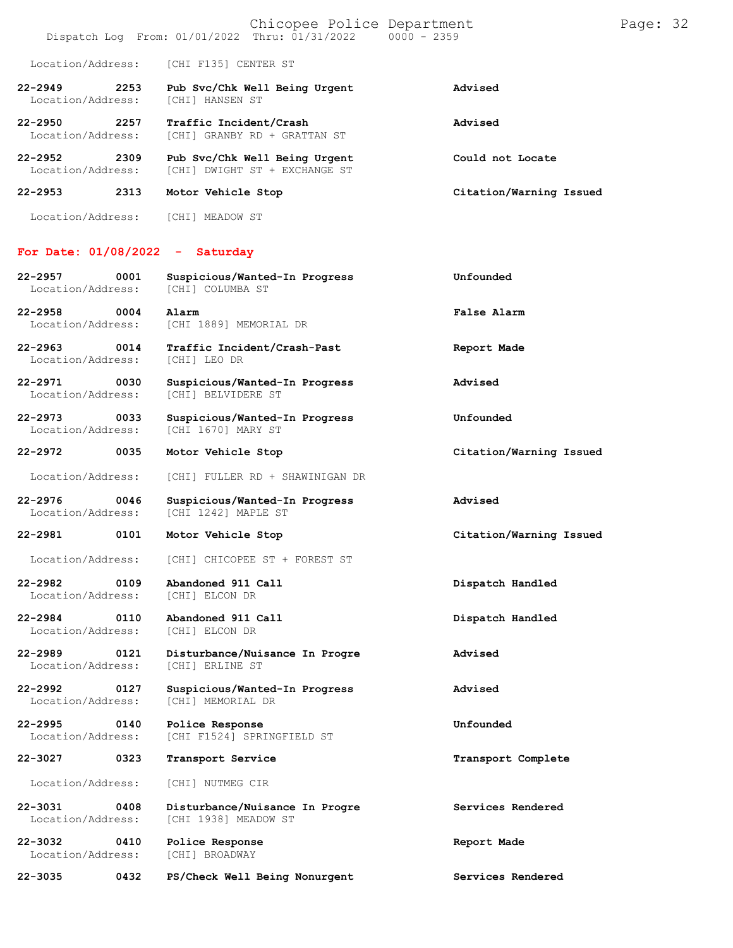| $22 - 2953$                      | 2313 | Motor Vehicle Stop                                                                       | Citation/Warning Issued |          |  |
|----------------------------------|------|------------------------------------------------------------------------------------------|-------------------------|----------|--|
| $22 - 2952$<br>Location/Address: | 2309 | Pub Svc/Chk Well Being Urgent<br>[CHI] DWIGHT ST + EXCHANGE ST                           | Could not Locate        |          |  |
| $22 - 2950$<br>Location/Address: | 2257 | Traffic Incident/Crash<br>[CHI] GRANBY RD + GRATTAN ST                                   | Advised                 |          |  |
| $22 - 2949$<br>Location/Address: | 2253 | Pub Svc/Chk Well Being Urgent<br><b>[CHI] HANSEN ST</b>                                  | Advised                 |          |  |
| Location/Address:                |      | [CHI F135] CENTER ST                                                                     |                         |          |  |
|                                  |      | Chicopee Police Department<br>Dispatch Log From: 01/01/2022 Thru: 01/31/2022 0000 - 2359 |                         | Page: 32 |  |

**22-2957 0001 Suspicious/Wanted-In Progress Unfounded**

Location/Address: [CHI] MEADOW ST

### **For Date: 01/08/2022 - Saturday**

| Location/Address:                        | [CHI] COLUMBA ST                                       |                         |
|------------------------------------------|--------------------------------------------------------|-------------------------|
| $22 - 2958$<br>0004<br>Location/Address: | Alarm<br>[CHI 1889] MEMORIAL DR                        | False Alarm             |
| 22-2963 0014<br>Location/Address:        | Traffic Incident/Crash-Past<br>[CHI] LEO DR            | Report Made             |
| 22-2971 0030<br>Location/Address:        | Suspicious/Wanted-In Progress<br>[CHI] BELVIDERE ST    | Advised                 |
| 22-2973 0033<br>Location/Address:        | Suspicious/Wanted-In Progress<br>[CHI 1670] MARY ST    | Unfounded               |
| 22-2972 0035                             | Motor Vehicle Stop                                     | Citation/Warning Issued |
| Location/Address:                        | [CHI] FULLER RD + SHAWINIGAN DR                        |                         |
| 22-2976<br>0046<br>Location/Address:     | Suspicious/Wanted-In Progress<br>[CHI 1242] MAPLE ST   | Advised                 |
| 22-2981 0101                             | Motor Vehicle Stop                                     | Citation/Warning Issued |
| Location/Address:                        | [CHI] CHICOPEE ST + FOREST ST                          |                         |
| $22 - 2982$<br>0109<br>Location/Address: | Abandoned 911 Call<br>[CHI] ELCON DR                   | Dispatch Handled        |
| 22-2984 0110<br>Location/Address:        | Abandoned 911 Call<br>[CHI] ELCON DR                   | Dispatch Handled        |
| $22 - 2989$<br>0121<br>Location/Address: | Disturbance/Nuisance In Progre<br>[CHI] ERLINE ST      | Advised                 |
| 22-2992 0127<br>Location/Address:        | Suspicious/Wanted-In Progress<br>[CHI] MEMORIAL DR     | Advised                 |
| $22 - 2995$<br>0140<br>Location/Address: | Police Response<br>[CHI F1524] SPRINGFIELD ST          | Unfounded               |
| 22-3027<br>0323                          | Transport Service                                      | Transport Complete      |
| Location/Address:                        | [CHI] NUTMEG CIR                                       |                         |
| 22-3031<br>0408<br>Location/Address:     | Disturbance/Nuisance In Progre<br>[CHI 1938] MEADOW ST | Services Rendered       |
| 22-3032<br>0410<br>Location/Address:     | Police Response<br>[CHI] BROADWAY                      | Report Made             |
|                                          | PS/Check Well Being Nonurgent                          | Services Rendered       |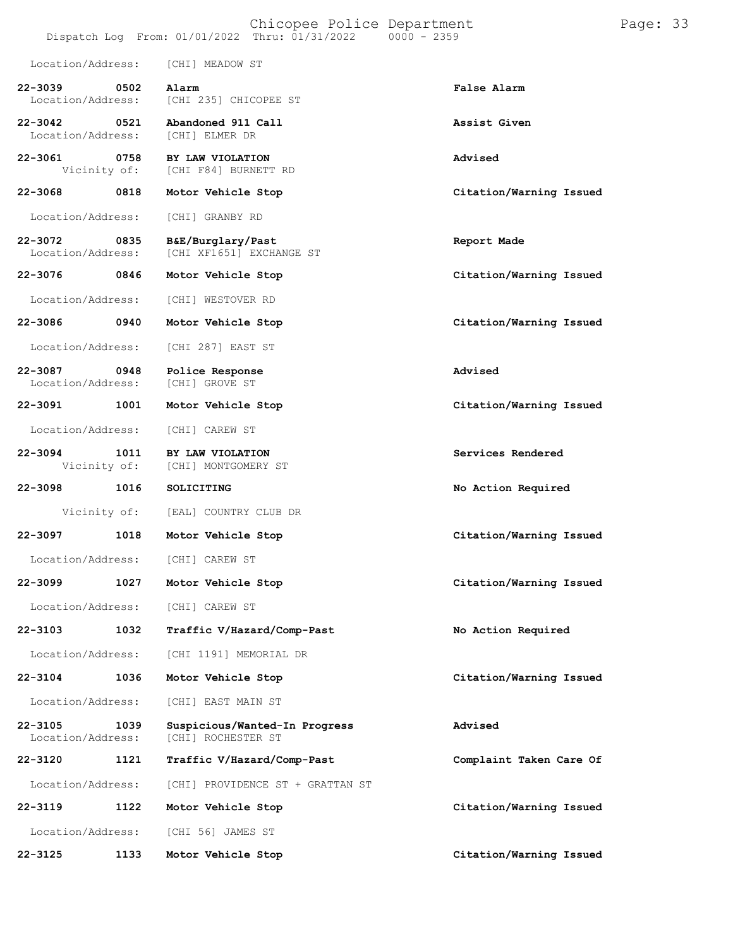|                                  |      |                                               | Chicopee Police Department<br>Dispatch Log From: 01/01/2022 Thru: 01/31/2022 | $0000 - 2359$ |                         | Page: 33 |  |
|----------------------------------|------|-----------------------------------------------|------------------------------------------------------------------------------|---------------|-------------------------|----------|--|
| Location/Address:                |      | [CHI] MEADOW ST                               |                                                                              |               |                         |          |  |
| $22 - 3039$<br>Location/Address: | 0502 | Alarm<br>[CHI 235] CHICOPEE ST                |                                                                              |               | False Alarm             |          |  |
| $22 - 3042$<br>Location/Address: | 0521 | Abandoned 911 Call<br>[CHI] ELMER DR          |                                                                              |               | Assist Given            |          |  |
| $22 - 3061$<br>Vicinity of:      | 0758 | BY LAW VIOLATION<br>[CHI F84] BURNETT RD      |                                                                              |               | Advised                 |          |  |
| $22 - 3068$                      | 0818 | Motor Vehicle Stop                            |                                                                              |               | Citation/Warning Issued |          |  |
| Location/Address:                |      | [CHI] GRANBY RD                               |                                                                              |               |                         |          |  |
| 22-3072<br>Location/Address:     | 0835 | B&E/Burglary/Past<br>[CHI XF1651] EXCHANGE ST |                                                                              |               | Report Made             |          |  |
| 22-3076                          | 0846 | Motor Vehicle Stop                            |                                                                              |               | Citation/Warning Issued |          |  |
| Location/Address:                |      | [CHI] WESTOVER RD                             |                                                                              |               |                         |          |  |
| 22-3086                          | 0940 | Motor Vehicle Stop                            |                                                                              |               | Citation/Warning Issued |          |  |
| Location/Address:                |      | [CHI 287] EAST ST                             |                                                                              |               |                         |          |  |
| 22-3087<br>Location/Address:     | 0948 | Police Response<br>[CHI] GROVE ST             |                                                                              |               | Advised                 |          |  |
| 22-3091                          | 1001 | Motor Vehicle Stop                            |                                                                              |               | Citation/Warning Issued |          |  |
| Location/Address:                |      | [CHI] CAREW ST                                |                                                                              |               |                         |          |  |
| $22 - 3094$<br>Vicinity of:      | 1011 | BY LAW VIOLATION<br>[CHI] MONTGOMERY ST       |                                                                              |               | Services Rendered       |          |  |
| $22 - 3098$                      | 1016 | SOLICITING                                    |                                                                              |               | No Action Required      |          |  |
| Vicinity of:                     |      | [EAL] COUNTRY CLUB DR                         |                                                                              |               |                         |          |  |
| $22 - 3097$                      | 1018 | Motor Vehicle Stop                            |                                                                              |               | Citation/Warning Issued |          |  |
| Location/Address:                |      | [CHI] CAREW ST                                |                                                                              |               |                         |          |  |
| $22 - 3099$                      | 1027 | Motor Vehicle Stop                            |                                                                              |               | Citation/Warning Issued |          |  |
| Location/Address:                |      | [CHI] CAREW ST                                |                                                                              |               |                         |          |  |
| 22-3103                          | 1032 |                                               | Traffic V/Hazard/Comp-Past                                                   |               | No Action Required      |          |  |
| Location/Address:                |      | [CHI 1191] MEMORIAL DR                        |                                                                              |               |                         |          |  |
| $22 - 3104$                      | 1036 | Motor Vehicle Stop                            |                                                                              |               | Citation/Warning Issued |          |  |
| Location/Address:                |      | [CHI] EAST MAIN ST                            |                                                                              |               |                         |          |  |
| $22 - 3105$<br>Location/Address: | 1039 | [CHI] ROCHESTER ST                            | Suspicious/Wanted-In Progress                                                |               | Advised                 |          |  |
| $22 - 3120$                      | 1121 |                                               | Traffic V/Hazard/Comp-Past                                                   |               | Complaint Taken Care Of |          |  |
| Location/Address:                |      |                                               | [CHI] PROVIDENCE ST + GRATTAN ST                                             |               |                         |          |  |
| $22 - 3119$                      | 1122 | Motor Vehicle Stop                            |                                                                              |               | Citation/Warning Issued |          |  |
| Location/Address:                |      | [CHI 56] JAMES ST                             |                                                                              |               |                         |          |  |
| $22 - 3125$                      | 1133 | Motor Vehicle Stop                            |                                                                              |               | Citation/Warning Issued |          |  |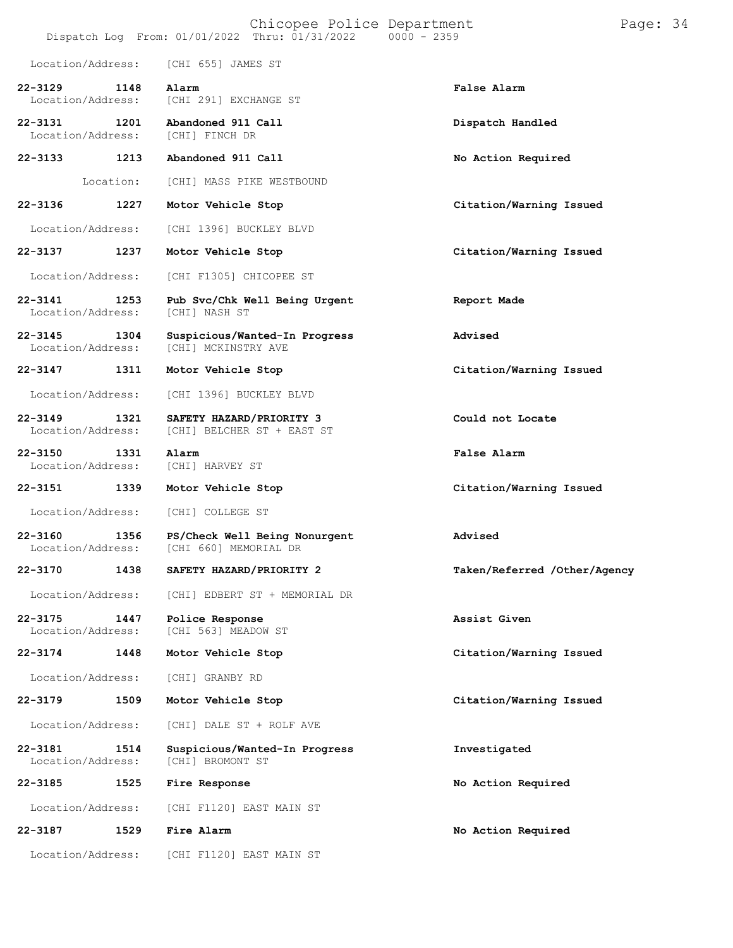|                                  |           | Chicopee Police Department<br>Dispatch Log From: 01/01/2022 Thru: 01/31/2022 0000 - 2359 |                              | Page: 34 |  |
|----------------------------------|-----------|------------------------------------------------------------------------------------------|------------------------------|----------|--|
| Location/Address:                |           | [CHI 655] JAMES ST                                                                       |                              |          |  |
| $22 - 3129$<br>Location/Address: | 1148      | Alarm<br>[CHI 291] EXCHANGE ST                                                           | False Alarm                  |          |  |
| $22 - 3131$<br>Location/Address: | 1201      | Abandoned 911 Call<br>[CHI] FINCH DR                                                     | Dispatch Handled             |          |  |
| $22 - 3133$                      | 1213      | Abandoned 911 Call                                                                       | No Action Required           |          |  |
|                                  | Location: | [CHI] MASS PIKE WESTBOUND                                                                |                              |          |  |
| 22-3136                          | 1227      | Motor Vehicle Stop                                                                       | Citation/Warning Issued      |          |  |
| Location/Address:                |           | [CHI 1396] BUCKLEY BLVD                                                                  |                              |          |  |
| 22-3137                          | 1237      | Motor Vehicle Stop                                                                       | Citation/Warning Issued      |          |  |
| Location/Address:                |           | [CHI F1305] CHICOPEE ST                                                                  |                              |          |  |
| $22 - 3141$<br>Location/Address: | 1253      | Pub Svc/Chk Well Being Urgent<br>[CHI] NASH ST                                           | Report Made                  |          |  |
| $22 - 3145$<br>Location/Address: | 1304      | Suspicious/Wanted-In Progress<br>[CHI] MCKINSTRY AVE                                     | Advised                      |          |  |
| 22-3147                          | 1311      | Motor Vehicle Stop                                                                       | Citation/Warning Issued      |          |  |
| Location/Address:                |           | [CHI 1396] BUCKLEY BLVD                                                                  |                              |          |  |
| $22 - 3149$<br>Location/Address: | 1321      | SAFETY HAZARD/PRIORITY 3<br>[CHI] BELCHER ST + EAST ST                                   | Could not Locate             |          |  |
| 22-3150<br>Location/Address:     | 1331      | Alarm<br>[CHI] HARVEY ST                                                                 | False Alarm                  |          |  |
| 22-3151                          | 1339      | Motor Vehicle Stop                                                                       | Citation/Warning Issued      |          |  |
| Location/Address:                |           | [CHI] COLLEGE ST                                                                         |                              |          |  |
| $22 - 3160$<br>Location/Address: | 1356      | PS/Check Well Being Nonurgent<br>[CHI 660] MEMORIAL DR                                   | Advised                      |          |  |
| 22-3170                          | 1438      | SAFETY HAZARD/PRIORITY 2                                                                 | Taken/Referred /Other/Agency |          |  |
| Location/Address:                |           | [CHI] EDBERT ST + MEMORIAL DR                                                            |                              |          |  |
| 22-3175<br>Location/Address:     | 1447      | Police Response<br>[CHI 563] MEADOW ST                                                   | Assist Given                 |          |  |
| 22-3174                          | 1448      | Motor Vehicle Stop                                                                       | Citation/Warning Issued      |          |  |
| Location/Address:                |           | [CHI] GRANBY RD                                                                          |                              |          |  |
| 22-3179                          | 1509      | Motor Vehicle Stop                                                                       | Citation/Warning Issued      |          |  |
| Location/Address:                |           | [CHI] DALE ST + ROLF AVE                                                                 |                              |          |  |
| $22 - 3181$<br>Location/Address: | 1514      | Suspicious/Wanted-In Progress<br>[CHI] BROMONT ST                                        | Investigated                 |          |  |
| 22-3185                          | 1525      | Fire Response                                                                            | No Action Required           |          |  |
| Location/Address:                |           | [CHI F1120] EAST MAIN ST                                                                 |                              |          |  |
| 22-3187                          | 1529      | Fire Alarm                                                                               | No Action Required           |          |  |
| Location/Address:                |           | [CHI F1120] EAST MAIN ST                                                                 |                              |          |  |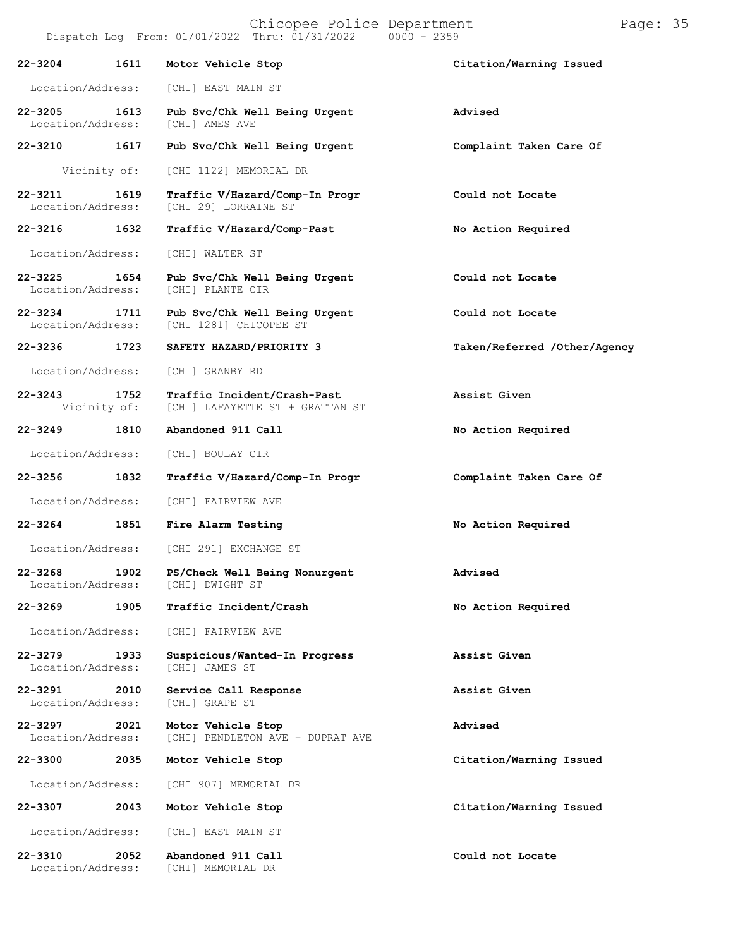# Chicopee Police Department Page: 35

**22-3205 1613 Pub Svc/Chk Well Being Urgent Advised** Location/Address:

**22-3210 1617 Pub Svc/Chk Well Being Urgent Complaint Taken Care Of**

Vicinity of: [CHI 1122] MEMORIAL DR

[CHI 29] LORRAINE ST

**22-3211 1619 Traffic V/Hazard/Comp-In Progr Could not Locate**

**22-3216 1632 Traffic V/Hazard/Comp-Past No Action Required**

Location/Address: [CHI] WALTER ST

- **22-3225 1654 Pub Svc/Chk Well Being Urgent Could not Locate** Location/Address:
	-
- **22-3234 1711 Pub Svc/Chk Well Being Urgent Could not Locate** [CHI 1281] CHICOPEE ST
- **22-3236 1723 SAFETY HAZARD/PRIORITY 3 Taken/Referred /Other/Agency**
- Location/Address: [CHI] GRANBY RD
- **22-3243 1752 Traffic Incident/Crash-Past Assist Given** [CHI] LAFAYETTE ST + GRATTAN ST
- **22-3249 1810 Abandoned 911 Call No Action Required**
	- Location/Address: [CHI] BOULAY CIR
- **22-3256 1832 Traffic V/Hazard/Comp-In Progr Complaint Taken Care Of**
	- Location/Address: [CHI] FAIRVIEW AVE
- **22-3264 1851 Fire Alarm Testing No Action Required**
	- Location/Address: [CHI 291] EXCHANGE ST
- **22-3268 1902 PS/Check Well Being Nonurgent Advised** Location/Address:
- **22-3269 1905 Traffic Incident/Crash No Action Required**
- Location/Address: [CHI] FAIRVIEW AVE
- **22-3279 1933 Suspicious/Wanted-In Progress Assist Given** Location/Address:
- **22-3291 2010 Service Call Response Assist Given** Location/Address:
- **22-3297 2021 Motor Vehicle Stop Advised** [CHI] PENDLETON AVE + DUPRAT AVE
- **22-3300 2035 Motor Vehicle Stop Citation/Warning Issued**
- Location/Address: [CHI 907] MEMORIAL DR
- **22-3307 2043 Motor Vehicle Stop Citation/Warning Issued**
- Location/Address: [CHI] EAST MAIN ST
- **22-3310 2052 Abandoned 911 Call Could not Locate** Location/Address:
- 
- 
- 
- 
- 
- 
- 
- 
- 
- 
- 
- 
- 
- 
- 
- 
-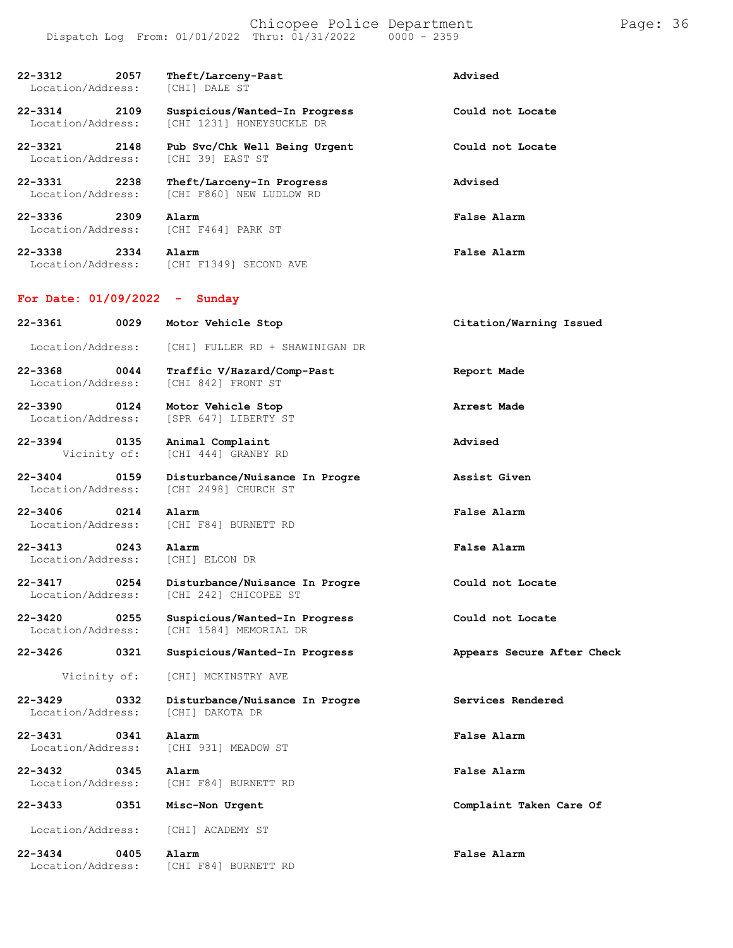| 22-3312<br>2057<br>Location/Address:     | Theft/Larceny-Past<br>[CHI] DALE ST                        | Advised                    |
|------------------------------------------|------------------------------------------------------------|----------------------------|
| 22-3314<br>2109<br>Location/Address:     | Suspicious/Wanted-In Progress<br>[CHI 1231] HONEYSUCKLE DR | Could not Locate           |
| 22-3321<br>2148<br>Location/Address:     | Pub Svc/Chk Well Being Urgent<br>[CHI 39] EAST ST          | Could not Locate           |
| $22 - 3331$<br>2238<br>Location/Address: | Theft/Larceny-In Progress<br>[CHI F860] NEW LUDLOW RD      | Advised                    |
| 22-3336<br>2309<br>Location/Address:     | Alarm<br>[CHI F464] PARK ST                                | False Alarm                |
| 22-3338<br>2334<br>Location/Address:     | Alarm<br>[CHI F1349] SECOND AVE                            | False Alarm                |
| For Date: $01/09/2022 -$                 | Sunday                                                     |                            |
| 22-3361<br>0029                          | Motor Vehicle Stop                                         | Citation/Warning Issued    |
| Location/Address:                        | [CHI] FULLER RD + SHAWINIGAN DR                            |                            |
| 22-3368<br>0044<br>Location/Address:     | Traffic V/Hazard/Comp-Past<br>[CHI 842] FRONT ST           | Report Made                |
| $22 - 3390$<br>0124<br>Location/Address: | Motor Vehicle Stop<br>[SPR 647] LIBERTY ST                 | Arrest Made                |
| 22-3394<br>0135<br>Vicinity of:          | Animal Complaint<br>[CHI 444] GRANBY RD                    | Advised                    |
| $22 - 3404$<br>0159<br>Location/Address: | Disturbance/Nuisance In Progre<br>[CHI 2498] CHURCH ST     | Assist Given               |
| $22 - 3406$<br>0214<br>Location/Address: | Alarm<br>[CHI F84] BURNETT RD                              | False Alarm                |
| 22-3413<br>0243<br>Location/Address:     | Alarm<br>[CHI] ELCON DR                                    | False Alarm                |
| $22 - 3417$<br>0254<br>Location/Address: | Disturbance/Nuisance In Progre<br>[CHI 242] CHICOPEE ST    | Could not Locate           |
| $22 - 3420$<br>0255<br>Location/Address: | Suspicious/Wanted-In Progress<br>[CHI 1584] MEMORIAL DR    | Could not Locate           |
| $22 - 3426$<br>0321                      | Suspicious/Wanted-In Progress                              | Appears Secure After Check |
| Vicinity of:                             | [CHI] MCKINSTRY AVE                                        |                            |
| 0332<br>$22 - 3429$<br>Location/Address: | Disturbance/Nuisance In Progre<br>[CHI] DAKOTA DR          | Services Rendered          |
| $22 - 3431$<br>0341<br>Location/Address: | Alarm<br>[CHI 931] MEADOW ST                               | False Alarm                |
| $22 - 3432$<br>0345<br>Location/Address: | Alarm<br>[CHI F84] BURNETT RD                              | False Alarm                |
| 22-3433<br>0351                          | Misc-Non Urgent                                            | Complaint Taken Care Of    |
| Location/Address:                        | [CHI] ACADEMY ST                                           |                            |
| $22 - 3434$<br>0405<br>Location/Address: | Alarm<br>[CHI F84] BURNETT RD                              | <b>False Alarm</b>         |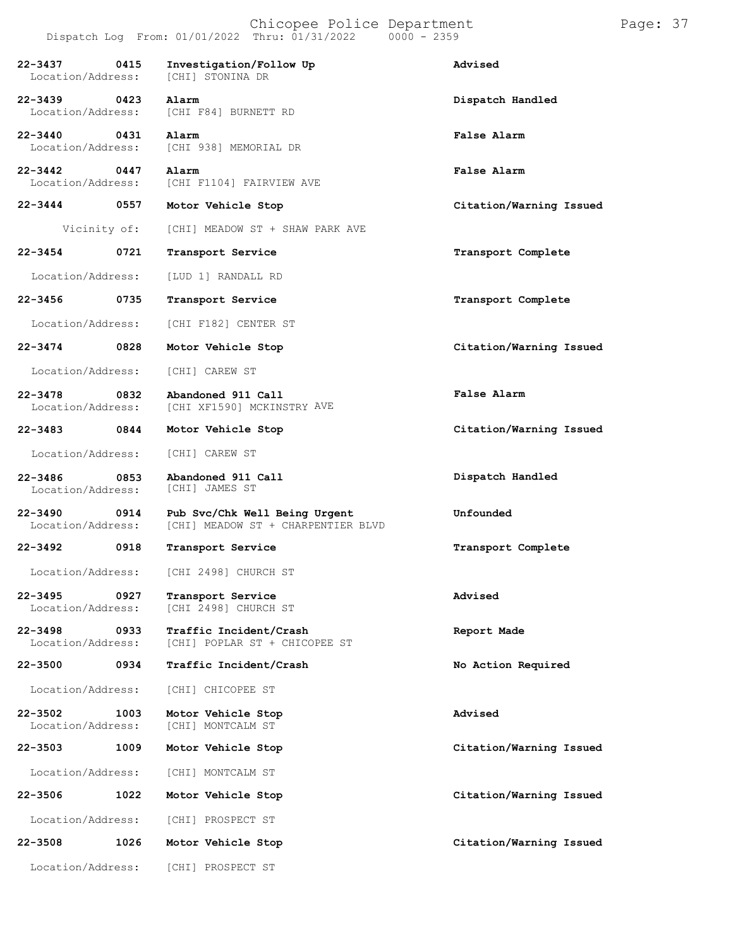|                                      | Dispatch Log From: 01/01/2022 Thru: 01/31/2022 0000 - 2359                            |                         |
|--------------------------------------|---------------------------------------------------------------------------------------|-------------------------|
| 22-3437 0415<br>Location/Address:    | Investigation/Follow Up<br>[CHI] STONINA DR                                           | Advised                 |
| 22-3439 0423 Alarm                   | Location/Address: [CHI F84] BURNETT RD                                                | Dispatch Handled        |
| 22-3440 0431 Alarm                   | Location/Address: [CHI 938] MEMORIAL DR                                               | False Alarm             |
| 22-3442 0447 Alarm                   | Location/Address: [CHI F1104] FAIRVIEW AVE                                            | False Alarm             |
| 22-3444 0557                         | Motor Vehicle Stop                                                                    | Citation/Warning Issued |
| Vicinity of:                         | [CHI] MEADOW ST + SHAW PARK AVE                                                       |                         |
| 22-3454 0721                         | Transport Service                                                                     | Transport Complete      |
| Location/Address:                    | [LUD 1] RANDALL RD                                                                    |                         |
| 22-3456 0735                         | Transport Service                                                                     | Transport Complete      |
| Location/Address:                    | [CHI F182] CENTER ST                                                                  |                         |
| 22-3474 0828                         | Motor Vehicle Stop                                                                    | Citation/Warning Issued |
| Location/Address:                    | [CHI] CAREW ST                                                                        |                         |
|                                      | 22-3478 0832 Abandoned 911 Call<br>Location/Address: [CHI XF1590] MCKINSTRY AVE       | False Alarm             |
| 22-3483 0844                         | Motor Vehicle Stop                                                                    | Citation/Warning Issued |
| Location/Address:                    | [CHI] CAREW ST                                                                        |                         |
| 22-3486 0853<br>Location/Address:    | Abandoned 911 Call<br>[CHI] JAMES ST                                                  | Dispatch Handled        |
| 22-3490 0914                         | Pub Svc/Chk Well Being Urgent<br>Location/Address: [CHI] MEADOW ST + CHARPENTIER BLVD | Unfounded               |
| 22-3492 0918                         | Transport Service                                                                     | Transport Complete      |
|                                      | Location/Address: [CHI 2498] CHURCH ST                                                |                         |
| 22-3495<br>0927<br>Location/Address: | Transport Service<br>[CHI 2498] CHURCH ST                                             | Advised                 |
| 22-3498<br>0933<br>Location/Address: | Traffic Incident/Crash<br>[CHI] POPLAR ST + CHICOPEE ST                               | Report Made             |
| 22-3500<br>0934                      | Traffic Incident/Crash                                                                | No Action Required      |
| Location/Address:                    | [CHI] CHICOPEE ST                                                                     |                         |
| 22-3502<br>1003<br>Location/Address: | Motor Vehicle Stop<br>[CHI] MONTCALM ST                                               | Advised                 |
| 22-3503<br>1009                      | Motor Vehicle Stop                                                                    | Citation/Warning Issued |
| Location/Address:                    | [CHI] MONTCALM ST                                                                     |                         |
| 22-3506<br>1022                      | Motor Vehicle Stop                                                                    | Citation/Warning Issued |
| Location/Address:                    | [CHI] PROSPECT ST                                                                     |                         |
| 22-3508<br>1026                      | Motor Vehicle Stop                                                                    | Citation/Warning Issued |

Location/Address: [CHI] PROSPECT ST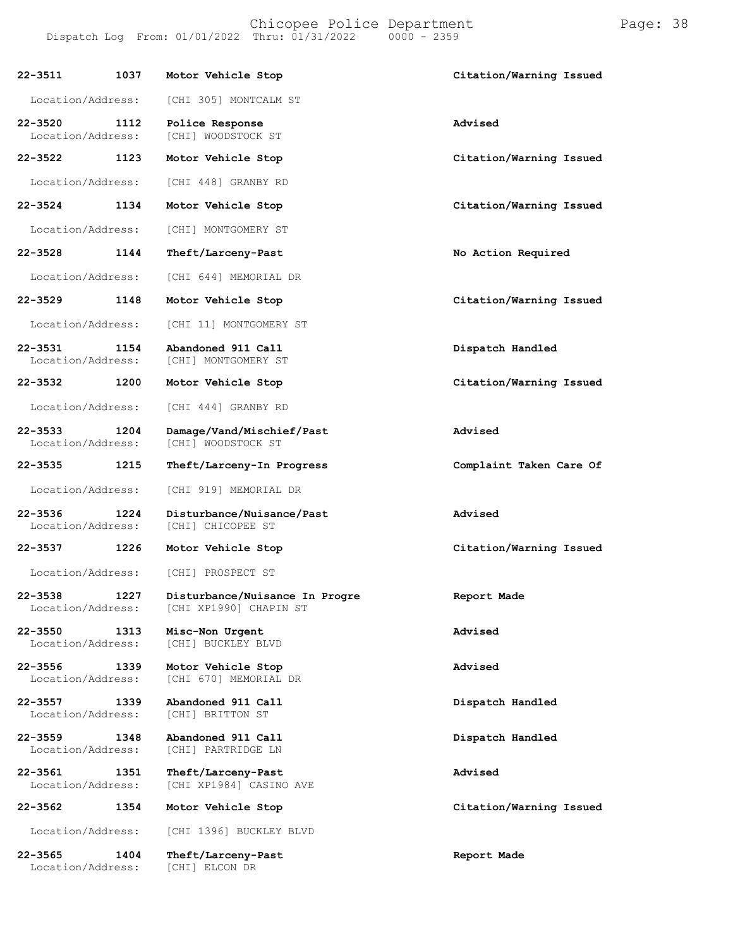|                                  |      | Chicopee Police Department<br>Dispatch Log From: 01/01/2022 Thru: 01/31/2022 | $0000 - 2359$           | Page: 38 |  |
|----------------------------------|------|------------------------------------------------------------------------------|-------------------------|----------|--|
| $22 - 3511$                      | 1037 | Motor Vehicle Stop                                                           | Citation/Warning Issued |          |  |
| Location/Address:                |      | [CHI 305] MONTCALM ST                                                        |                         |          |  |
| $22 - 3520$<br>Location/Address: | 1112 | Police Response<br>[CHI] WOODSTOCK ST                                        | Advised                 |          |  |
| $22 - 3522$                      | 1123 | Motor Vehicle Stop                                                           | Citation/Warning Issued |          |  |
| Location/Address:                |      | [CHI 448] GRANBY RD                                                          |                         |          |  |
| $22 - 3524$                      | 1134 | Motor Vehicle Stop                                                           | Citation/Warning Issued |          |  |
| Location/Address:                |      | [CHI] MONTGOMERY ST                                                          |                         |          |  |
| 22-3528                          | 1144 | Theft/Larceny-Past                                                           | No Action Required      |          |  |
| Location/Address:                |      | [CHI 644] MEMORIAL DR                                                        |                         |          |  |
| $22 - 3529$                      | 1148 | Motor Vehicle Stop                                                           | Citation/Warning Issued |          |  |
| Location/Address:                |      | [CHI 11] MONTGOMERY ST                                                       |                         |          |  |
| $22 - 3531$<br>Location/Address: | 1154 | Abandoned 911 Call<br>[CHI] MONTGOMERY ST                                    | Dispatch Handled        |          |  |
| $22 - 3532$                      | 1200 | Motor Vehicle Stop                                                           | Citation/Warning Issued |          |  |
| Location/Address:                |      | [CHI 444] GRANBY RD                                                          |                         |          |  |
| $22 - 3533$<br>Location/Address: | 1204 | Damage/Vand/Mischief/Past<br>[CHI] WOODSTOCK ST                              | Advised                 |          |  |
| $22 - 3535$                      | 1215 | Theft/Larceny-In Progress                                                    | Complaint Taken Care Of |          |  |
| Location/Address:                |      | [CHI 919] MEMORIAL DR                                                        |                         |          |  |
| $22 - 3536$<br>Location/Address: | 1224 | Disturbance/Nuisance/Past<br>[CHI] CHICOPEE ST                               | Advised                 |          |  |
| 22-3537                          | 1226 | Motor Vehicle Stop                                                           | Citation/Warning Issued |          |  |
| Location/Address:                |      | [CHI] PROSPECT ST                                                            |                         |          |  |
| $22 - 3538$<br>Location/Address: | 1227 | Disturbance/Nuisance In Progre<br>[CHI XP1990] CHAPIN ST                     | Report Made             |          |  |
| $22 - 3550$<br>Location/Address: | 1313 | Misc-Non Urgent<br>[CHI] BUCKLEY BLVD                                        | Advised                 |          |  |
| $22 - 3556$<br>Location/Address: | 1339 | Motor Vehicle Stop<br>[CHI 670] MEMORIAL DR                                  | Advised                 |          |  |
| $22 - 3557$<br>Location/Address: | 1339 | Abandoned 911 Call<br>[CHI] BRITTON ST                                       | Dispatch Handled        |          |  |
| $22 - 3559$                      | 1348 | Abandoned 911 Call                                                           | Dispatch Handled        |          |  |

Location/Address: [CHI] PARTRIDGE LN

**22-3561 1351 Theft/Larceny-Past Advised** Location/Address: [CHI XP1984] CASINO AVE

**22-3562 1354 Motor Vehicle Stop Citation/Warning Issued**

Location/Address: [CHI 1396] BUCKLEY BLVD

**22-3565 1404 Theft/Larceny-Past Report Made** Location/Address: [CHI] ELCON DR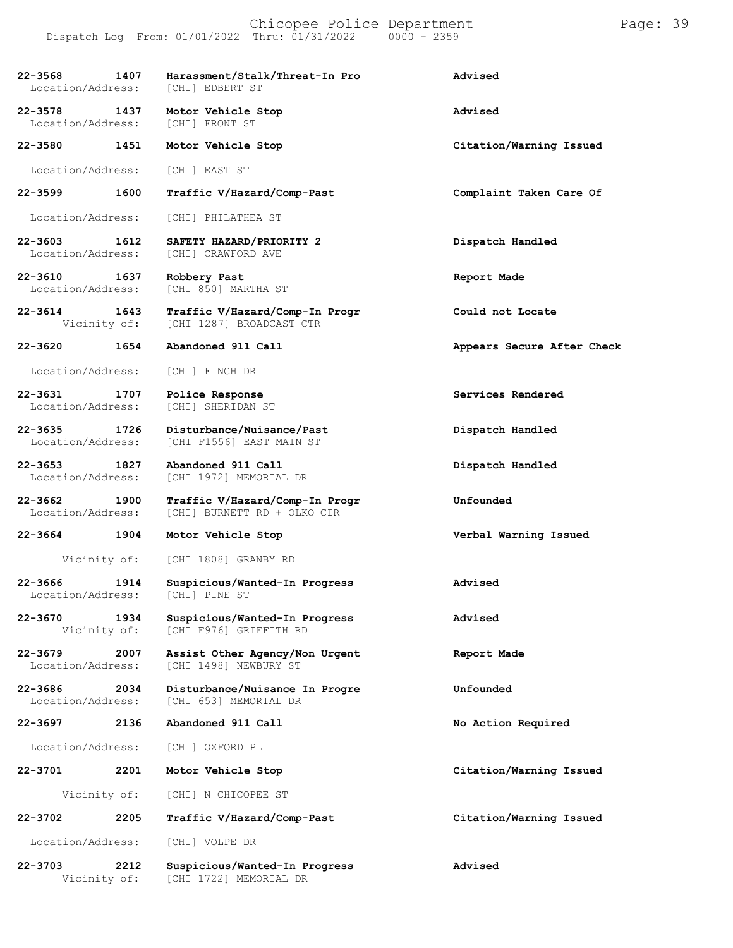| $22 - 3568$<br>1407<br>Location/Address: | Harassment/Stalk/Threat-In Pro<br>[CHI] EDBERT ST             | Advised                    |
|------------------------------------------|---------------------------------------------------------------|----------------------------|
| 22-3578<br>1437<br>Location/Address:     | Motor Vehicle Stop<br>[CHI] FRONT ST                          | Advised                    |
| 22-3580<br>1451                          | Motor Vehicle Stop                                            | Citation/Warning Issued    |
| Location/Address:                        | [CHI] EAST ST                                                 |                            |
| 1600<br>22-3599                          | Traffic V/Hazard/Comp-Past                                    | Complaint Taken Care Of    |
| Location/Address:                        | [CHI] PHILATHEA ST                                            |                            |
| 22-3603<br>1612<br>Location/Address:     | SAFETY HAZARD/PRIORITY 2<br>[CHI] CRAWFORD AVE                | Dispatch Handled           |
| 22-3610 1637<br>Location/Address:        | Robbery Past<br>[CHI 850] MARTHA ST                           | Report Made                |
| 22-3614<br>1643<br>Vicinity of:          | Traffic V/Hazard/Comp-In Progr<br>[CHI 1287] BROADCAST CTR    | Could not Locate           |
| 1654<br>$22 - 3620$                      | Abandoned 911 Call                                            | Appears Secure After Check |
| Location/Address:                        | [CHI] FINCH DR                                                |                            |
| 22-3631<br>1707<br>Location/Address:     | Police Response<br>[CHI] SHERIDAN ST                          | Services Rendered          |
| 22-3635 1726<br>Location/Address:        | Disturbance/Nuisance/Past<br>[CHI F1556] EAST MAIN ST         | Dispatch Handled           |
| 22-3653<br>1827<br>Location/Address:     | Abandoned 911 Call<br>[CHI 1972] MEMORIAL DR                  | Dispatch Handled           |
| 22-3662 1900<br>Location/Address:        | Traffic V/Hazard/Comp-In Progr<br>[CHI] BURNETT RD + OLKO CIR | Unfounded                  |
| 22-3664<br>1904                          | Motor Vehicle Stop                                            | Verbal Warning Issued      |
| Vicinity of:                             | [CHI 1808] GRANBY RD                                          |                            |
| 1914<br>22-3666<br>Location/Address:     | Suspicious/Wanted-In Progress<br>[CHI] PINE ST                | Advised                    |
| 22-3670<br>1934<br>Vicinity of:          | Suspicious/Wanted-In Progress<br>[CHI F976] GRIFFITH RD       | Advised                    |
| 22-3679<br>2007<br>Location/Address:     | Assist Other Agency/Non Urgent<br>[CHI 1498] NEWBURY ST       | Report Made                |
| 22-3686<br>2034<br>Location/Address:     | Disturbance/Nuisance In Progre<br>[CHI 653] MEMORIAL DR       | Unfounded                  |
| 22-3697<br>2136                          | Abandoned 911 Call                                            | No Action Required         |
| Location/Address:                        | [CHI] OXFORD PL                                               |                            |
| 2201<br>22-3701                          | Motor Vehicle Stop                                            | Citation/Warning Issued    |
| Vicinity of:                             | [CHI] N CHICOPEE ST                                           |                            |
| 2205<br>22-3702                          | Traffic V/Hazard/Comp-Past                                    | Citation/Warning Issued    |
| Location/Address:                        | [CHI] VOLPE DR                                                |                            |
| 2212<br>22-3703<br>Vicinity of:          | Suspicious/Wanted-In Progress<br>[CHI 1722] MEMORIAL DR       | Advised                    |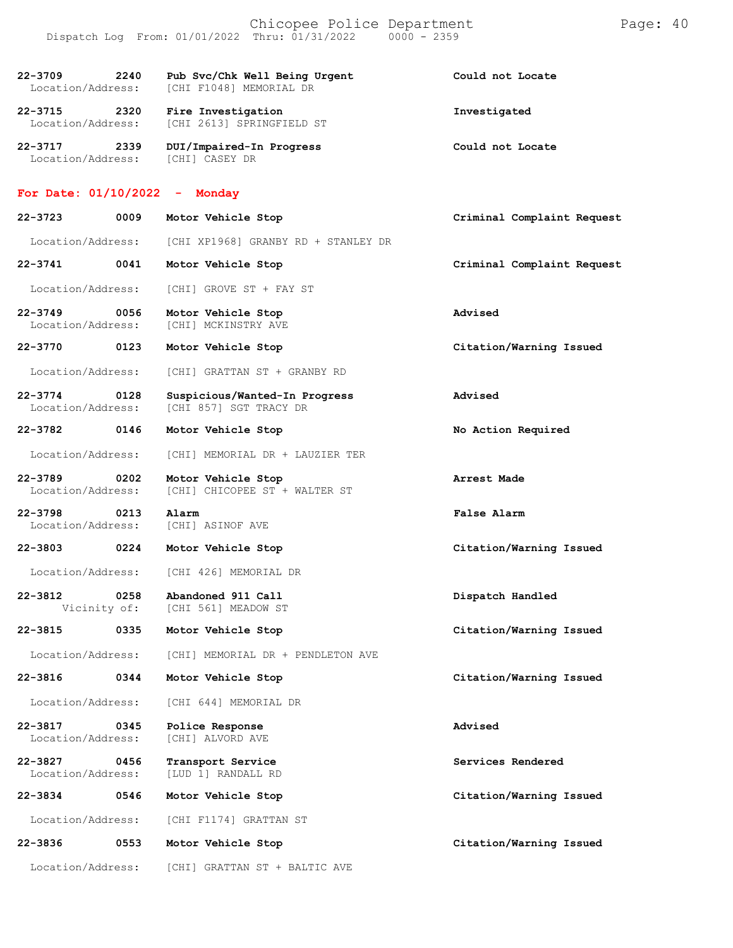|                                          | Dispatch Log From: $01/01/2022$ Thru: $01/31/2022$ 0000 - 2359 |                            |
|------------------------------------------|----------------------------------------------------------------|----------------------------|
| 22-3709 2240<br>Location/Address:        | Pub Svc/Chk Well Being Urgent<br>[CHI F1048] MEMORIAL DR       | Could not Locate           |
| 22-3715 2320<br>Location/Address:        | Fire Investigation<br>[CHI 2613] SPRINGFIELD ST                | Investigated               |
| $22 - 3717$<br>2339<br>Location/Address: | DUI/Impaired-In Progress<br>[CHI] CASEY DR                     | Could not Locate           |
| For Date: $01/10/2022 -$ Monday          |                                                                |                            |
| 22-3723<br>0009                          | Motor Vehicle Stop                                             | Criminal Complaint Request |
| Location/Address:                        | [CHI XP1968] GRANBY RD + STANLEY DR                            |                            |
| 22-3741<br>0041                          | Motor Vehicle Stop                                             | Criminal Complaint Request |
| Location/Address:                        | [CHI] GROVE ST + FAY ST                                        |                            |
| $22 - 3749$<br>0056<br>Location/Address: | Motor Vehicle Stop<br>[CHI] MCKINSTRY AVE                      | Advised                    |
| 22-3770<br>0123                          | Motor Vehicle Stop                                             | Citation/Warning Issued    |
| Location/Address:                        | [CHI] GRATTAN ST + GRANBY RD                                   |                            |
| 22-3774 0128<br>Location/Address:        | Suspicious/Wanted-In Progress<br>[CHI 857] SGT TRACY DR        | Advised                    |
| 22-3782<br>0146                          | Motor Vehicle Stop                                             | No Action Required         |
| Location/Address:                        | [CHI] MEMORIAL DR + LAUZIER TER                                |                            |
| 22-3789<br>0202<br>Location/Address:     | Motor Vehicle Stop<br>[CHI] CHICOPEE ST + WALTER ST            | Arrest Made                |
| $22 - 3798$<br>0213<br>Location/Address: | Alarm<br>[CHI] ASINOF AVE                                      | False Alarm                |
| 22-3803 0224                             | Motor Vehicle Stop                                             | Citation/Warning Issued    |
|                                          | Location/Address: [CHI 426] MEMORIAL DR                        |                            |
| 22-3812<br>0258<br>Vicinity of:          | Abandoned 911 Call<br>[CHI 561] MEADOW ST                      | Dispatch Handled           |
| 22-3815<br>0335                          | Motor Vehicle Stop                                             | Citation/Warning Issued    |
| Location/Address:                        | [CHI] MEMORIAL DR + PENDLETON AVE                              |                            |
| 22-3816<br>0344                          | Motor Vehicle Stop                                             | Citation/Warning Issued    |
| Location/Address:                        | [CHI 644] MEMORIAL DR                                          |                            |
| 22-3817<br>0345<br>Location/Address:     | Police Response<br>[CHI] ALVORD AVE                            | Advised                    |
| 22-3827<br>0456<br>Location/Address:     | Transport Service<br>[LUD 1] RANDALL RD                        | Services Rendered          |
| 22-3834<br>0546                          | Motor Vehicle Stop                                             | Citation/Warning Issued    |
| Location/Address:                        | [CHI F1174] GRATTAN ST                                         |                            |
| 22-3836<br>0553                          | Motor Vehicle Stop                                             | Citation/Warning Issued    |
| Location/Address:                        | [CHI] GRATTAN ST + BALTIC AVE                                  |                            |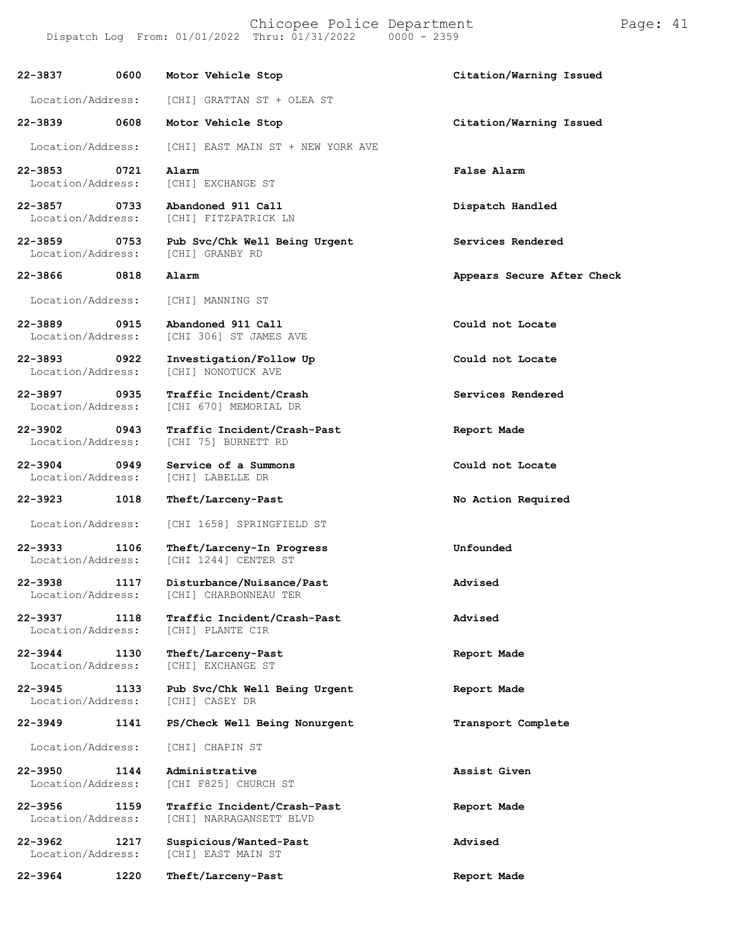Chicopee Police Department Page: 41 Dispatch Log From:  $01/01/2022$  Thru:  $01/31/2022$ 

**22-3837 0600 Motor Vehicle Stop Citation/Warning Issued** Location/Address: [CHI] GRATTAN ST + OLEA ST **22-3839 0608 Motor Vehicle Stop Citation/Warning Issued** Location/Address: [CHI] EAST MAIN ST + NEW YORK AVE **22-3853 0721 Alarm False Alarm** Location/Address: [CHI] EXCHANGE ST **22-3857 0733 Abandoned 911 Call Dispatch Handled** [CHI] FITZPATRICK LN **22-3859 0753 Pub Svc/Chk Well Being Urgent Services Rendered** [CHI] GRANBY RD **22-3866 0818 Alarm Appears Secure After Check** Location/Address: [CHI] MANNING ST **22-3889 0915 Abandoned 911 Call Could not Locate** [CHI 306] ST JAMES AVE **22-3893 0922 Investigation/Follow Up Could not Locate** [CHI] NONOTUCK AVE **22-3897 0935 Traffic Incident/Crash Services Rendered** [CHI 670] MEMORIAL DR **22-3902 0943 Traffic Incident/Crash-Past Report Made** [CHI 75] BURNETT RD **22-3904 0949 Service of a Summons Could not Locate** Location/Address: **22-3923 1018 Theft/Larceny-Past No Action Required** Location/Address: [CHI 1658] SPRINGFIELD ST **22-3933 1106 Theft/Larceny-In Progress Unfounded** [CHI 1244] CENTER ST

**22-3938 1117 Disturbance/Nuisance/Past Advised**

**22-3937 1118 Traffic Incident/Crash-Past Advised** [CHI] PLANTE CIR

**22-3944 1130 Theft/Larceny-Past Report Made** Location/Address:

**22-3945 1133 Pub Svc/Chk Well Being Urgent Report Made** Location/Address:

**22-3949 1141 PS/Check Well Being Nonurgent Transport Complete**

Location/Address: [CHI] CHAPIN ST

**22-3950 1144 Administrative Assist Given**

**22-3956 1159 Traffic Incident/Crash-Past Report Made** [CHI] NARRAGANSETT BLVD

**22-3962 1217 Suspicious/Wanted-Past Advised**

**22-3964 1220 Theft/Larceny-Past Report Made**

[CHI F825] CHURCH ST

[CHI] EAST MAIN ST

Location/Address: [CHI] CHARBONNEAU TER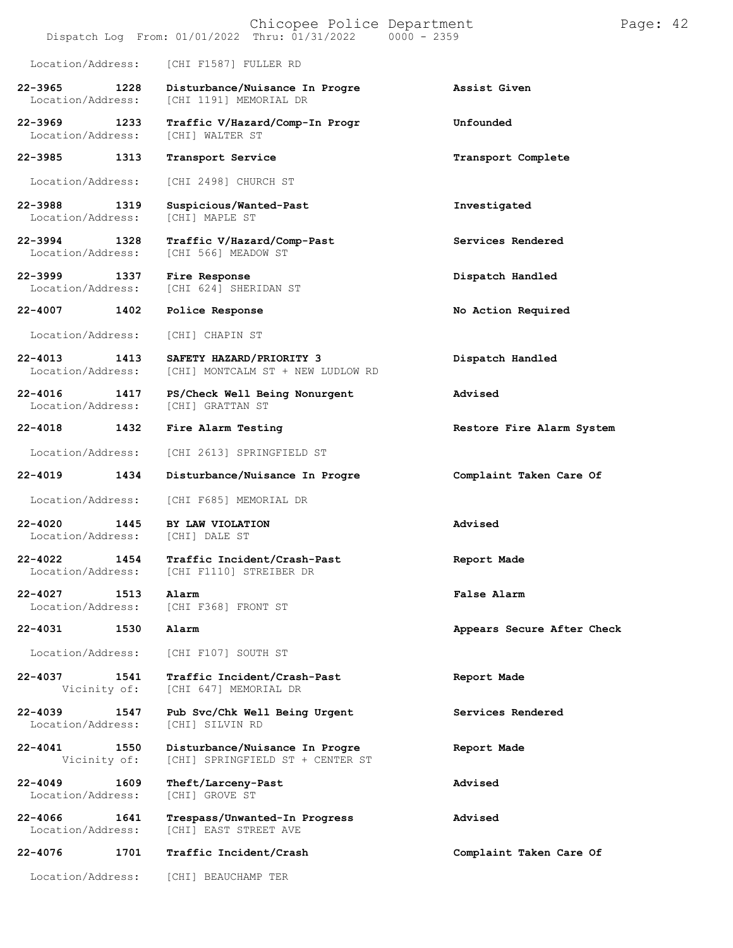|                                    |      | Chicopee Police Department<br>Dispatch Log From: 01/01/2022 Thru: 01/31/2022 0000 - 2359 |                            | Page: 42 |  |
|------------------------------------|------|------------------------------------------------------------------------------------------|----------------------------|----------|--|
| Location/Address:                  |      | [CHI F1587] FULLER RD                                                                    |                            |          |  |
| $22 - 3965$<br>Location/Address:   | 1228 | Disturbance/Nuisance In Progre<br>[CHI 1191] MEMORIAL DR                                 | Assist Given               |          |  |
| 22–3969 — 100<br>Location/Address: | 1233 | Traffic V/Hazard/Comp-In Progr<br>[CHI] WALTER ST                                        | Unfounded                  |          |  |
| 22-3985                            | 1313 | Transport Service                                                                        | Transport Complete         |          |  |
| Location/Address:                  |      | [CHI 2498] CHURCH ST                                                                     |                            |          |  |
| 22-3988<br>Location/Address:       | 1319 | Suspicious/Wanted-Past<br>[CHI] MAPLE ST                                                 | Investigated               |          |  |
| 22-3994<br>Location/Address:       | 1328 | Traffic V/Hazard/Comp-Past<br>[CHI 566] MEADOW ST                                        | Services Rendered          |          |  |
| 22–3999 — 120<br>Location/Address: | 1337 | Fire Response<br>[CHI 624] SHERIDAN ST                                                   | Dispatch Handled           |          |  |
| 22-4007                            | 1402 | Police Response                                                                          | No Action Required         |          |  |
| Location/Address:                  |      | [CHI] CHAPIN ST                                                                          |                            |          |  |
| $22 - 4013$<br>Location/Address:   | 1413 | SAFETY HAZARD/PRIORITY 3<br>[CHI] MONTCALM ST + NEW LUDLOW RD                            | Dispatch Handled           |          |  |
| $22 - 4016$<br>Location/Address:   | 1417 | PS/Check Well Being Nonurgent<br>[CHI] GRATTAN ST                                        | Advised                    |          |  |
| 22-4018                            | 1432 | Fire Alarm Testing                                                                       | Restore Fire Alarm System  |          |  |
| Location/Address:                  |      | [CHI 2613] SPRINGFIELD ST                                                                |                            |          |  |
| $22 - 4019$                        | 1434 | Disturbance/Nuisance In Progre                                                           | Complaint Taken Care Of    |          |  |
| Location/Address:                  |      | [CHI F685] MEMORIAL DR                                                                   |                            |          |  |
| $22 - 4020$<br>Location/Address:   | 1445 | BY LAW VIOLATION<br>[CHI] DALE ST                                                        | Advised                    |          |  |
| 22-4022<br>Location/Address:       | 1454 | Traffic Incident/Crash-Past<br>[CHI F1110] STREIBER DR                                   | Report Made                |          |  |
| 22-4027<br>Location/Address:       | 1513 | Alarm<br>[CHI F368] FRONT ST                                                             | False Alarm                |          |  |
| 22-4031                            | 1530 | Alarm                                                                                    | Appears Secure After Check |          |  |
| Location/Address:                  |      | [CHI F107] SOUTH ST                                                                      |                            |          |  |
| 22-4037<br>Vicinity of:            | 1541 | Traffic Incident/Crash-Past<br>[CHI 647] MEMORIAL DR                                     | Report Made                |          |  |
| $22 - 4039$<br>Location/Address:   | 1547 | Pub Svc/Chk Well Being Urgent<br>[CHI] SILVIN RD                                         | Services Rendered          |          |  |
| 22-4041<br>Vicinity of:            | 1550 | Disturbance/Nuisance In Progre<br>[CHI] SPRINGFIELD ST + CENTER ST                       | Report Made                |          |  |
| 22-4049<br>Location/Address:       | 1609 | Theft/Larceny-Past<br>[CHI] GROVE ST                                                     | Advised                    |          |  |
| $22 - 4066$<br>Location/Address:   | 1641 | Trespass/Unwanted-In Progress<br>[CHI] EAST STREET AVE                                   | Advised                    |          |  |
| 22-4076                            | 1701 | Traffic Incident/Crash                                                                   | Complaint Taken Care Of    |          |  |
| Location/Address:                  |      | [CHI] BEAUCHAMP TER                                                                      |                            |          |  |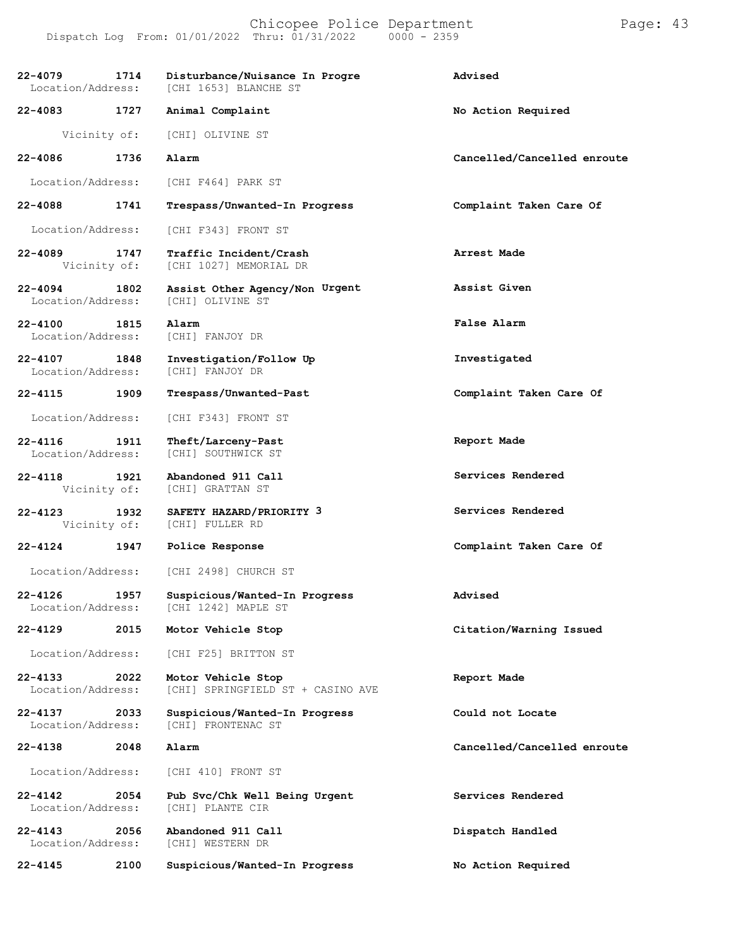## Chicopee Police Department Page: 43 Dispatch Log From: 01/01/2022 Thru: 01/31/2022

**22-4079 1714 Disturbance/Nuisance In Progre Advised** [CHI 1653] BLANCHE ST **22-4083 1727 Animal Complaint No Action Required** Vicinity of: [CHI] OLIVINE ST **22-4086 1736 Alarm Cancelled/Cancelled enroute** Location/Address: [CHI F464] PARK ST **22-4088 1741 Trespass/Unwanted-In Progress Complaint Taken Care Of** Location/Address: **22-4089 1747** Vicinity of: **22-4094 1802** Location/Address: **22-4100 1815** Location/Address: **22-4107 1848** Location/Address: **22-4115 1909** Location/Address: **22-4116 1911** Location/Address: **22-4118 1921** Vicinity of: **22-4123 1932** Vicinity of: **22-4124 1947** Location/Address: [CHI 2498] CHURCH ST **22-4126 1957 Suspicious/Wanted-In Progress Advised** [CHI 1242] MAPLE ST **22-4129 2015 Motor Vehicle Stop Citation/Warning Issued** Location/Address: [CHI F25] BRITTON ST **22-4133 2022 Motor Vehicle Stop Report Made** [CHI] SPRINGFIELD ST + CASINO AVE **22-4137 2033 Suspicious/Wanted-In Progress Could not Locate** [CHI] FRONTENAC ST **22-4138 2048 Alarm Cancelled/Cancelled enroute** Location/Address: [CHI 410] FRONT ST **22-4142 2054 Pub Svc/Chk Well Being Urgent Services Rendered** [CHI] PLANTE CIR **22-4143 2056 Abandoned 911 Call Dispatch Handled** Location/Address: [CHI F343] FRONT ST **Traffic Incident/Crash** [CHI 1027] MEMORIAL DR **Arrest Made Assist Other Agency/Non** [CHI] OLIVINE ST **Assist Given Alarm** [CHI] FANJOY DR **False Alarm Investigation/Follow Up** [CHI] FANJOY DR **Investigated Trespass/Unwanted-Past Complaint Taken Care Of** [CHI F343] FRONT ST **Theft/Larceny-Past** [CHI] SOUTHWICK ST **Report Made Abandoned 911 Call** [CHI] GRATTAN ST **Services Rendered SAFETY HAZARD/PRIORITY** [CHI] FULLER RD **3 Services Rendered Police Response Complaint Taken Care Of**

**22-4145 2100 Suspicious/Wanted-In Progress No Action Required**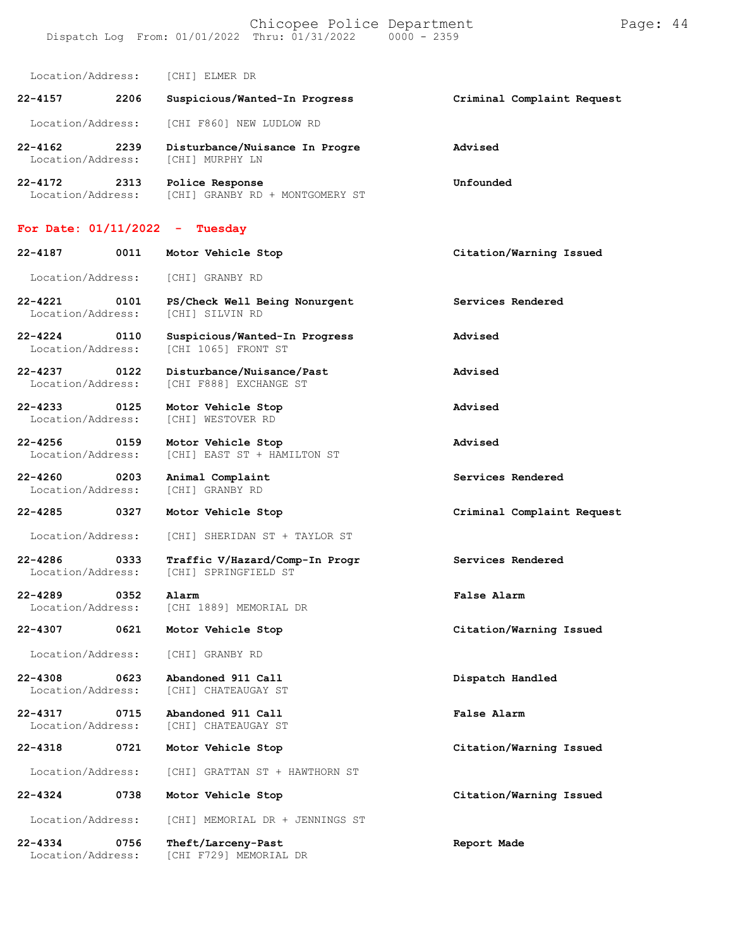Chicopee Police Department Frage: 44 Dispatch Log From: 01/01/2022 Thru: 01/31/2022 0000 - 2359

Location/Address: [CHI] ELMER DR

| $22 - 4157$                      | 2206 | Suspicious/Wanted-In Progress                     | Criminal Complaint Request |
|----------------------------------|------|---------------------------------------------------|----------------------------|
| Location/Address:                |      | [CHI F860] NEW LUDLOW RD                          |                            |
| $22 - 4162$<br>Location/Address: | 2239 | Disturbance/Nuisance In Progre<br>[CHI] MURPHY LN | Advised                    |

**22-4172 2313 Police Response Unfounded** Location/Address: [CHI] GRANBY RD + MONTGOMERY ST

## **For Date: 01/11/2022 - Tuesday**

| 22-4187<br>0011                          | Motor Vehicle Stop                                     | Citation/Warning Issued    |
|------------------------------------------|--------------------------------------------------------|----------------------------|
| Location/Address:                        | [CHI] GRANBY RD                                        |                            |
| 22-4221<br>0101<br>Location/Address:     | PS/Check Well Being Nonurgent<br>[CHI] SILVIN RD       | Services Rendered          |
| $22 - 4224$<br>0110<br>Location/Address: | Suspicious/Wanted-In Progress<br>[CHI 1065] FRONT ST   | Advised                    |
| 22-4237 0122<br>Location/Address:        | Disturbance/Nuisance/Past<br>[CHI F888] EXCHANGE ST    | Advised                    |
| 22-4233<br>0125<br>Location/Address:     | Motor Vehicle Stop<br>[CHI] WESTOVER RD                | Advised                    |
| 22-4256 0159<br>Location/Address:        | Motor Vehicle Stop<br>[CHI] EAST ST + HAMILTON ST      | Advised                    |
| $22 - 4260$<br>0203<br>Location/Address: | Animal Complaint<br>[CHI] GRANBY RD                    | Services Rendered          |
| $22 - 4285$<br>0327                      | Motor Vehicle Stop                                     | Criminal Complaint Request |
| Location/Address:                        | [CHI] SHERIDAN ST + TAYLOR ST                          |                            |
| 22-4286<br>0333<br>Location/Address:     | Traffic V/Hazard/Comp-In Progr<br>[CHI] SPRINGFIELD ST | Services Rendered          |
| $22 - 4289$<br>0352<br>Location/Address: | Alarm<br>[CHI 1889] MEMORIAL DR                        | False Alarm                |
| 0621<br>22-4307                          | Motor Vehicle Stop                                     | Citation/Warning Issued    |
| Location/Address:                        | [CHI] GRANBY RD                                        |                            |
| $22 - 4308$<br>0623<br>Location/Address: | Abandoned 911 Call<br>[CHI] CHATEAUGAY ST              | Dispatch Handled           |
| 22-4317<br>0715<br>Location/Address:     | Abandoned 911 Call<br>[CHI] CHATEAUGAY ST              | False Alarm                |
| 22-4318<br>0721                          | Motor Vehicle Stop                                     | Citation/Warning Issued    |
| Location/Address:                        | [CHI] GRATTAN ST + HAWTHORN ST                         |                            |
| 22-4324<br>0738                          | Motor Vehicle Stop                                     | Citation/Warning Issued    |
| Location/Address:                        | [CHI] MEMORIAL DR + JENNINGS ST                        |                            |
| $22 - 4334$<br>0756<br>Location/Address: | Theft/Larceny-Past<br>[CHI F729] MEMORIAL DR           | Report Made                |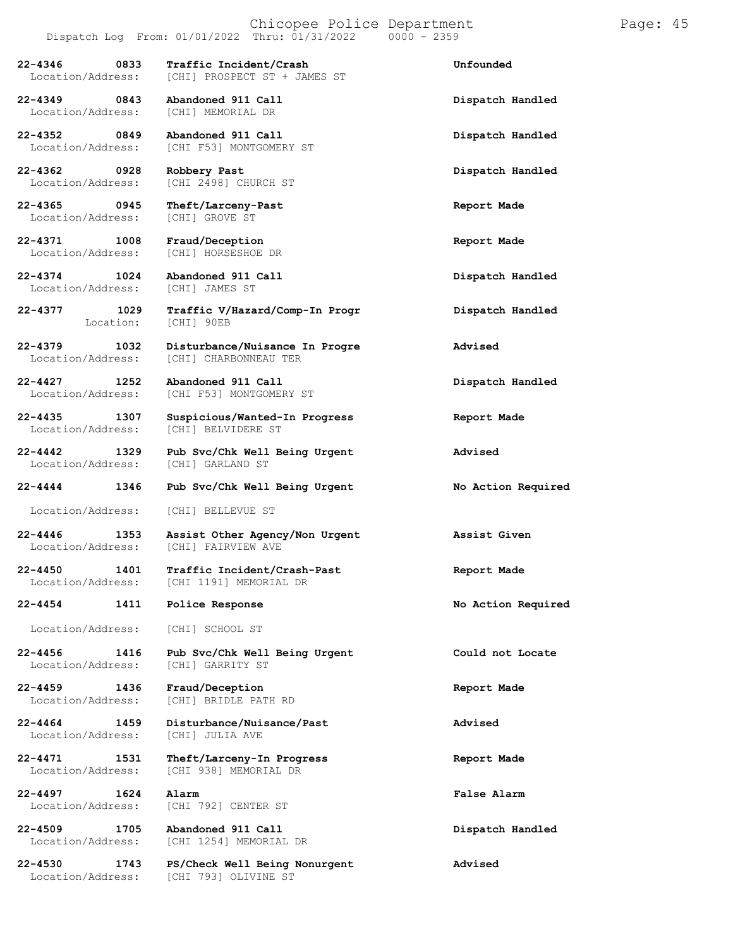[CHI] PROSPECT ST + JAMES ST

[CHI] MEMORIAL DR

[CHI F53] MONTGOMERY ST

[CHI 2498] CHURCH ST

[CHI] HORSESHOE DR

[CHI] CHARBONNEAU TER

Location/Address: [CHI F53] MONTGOMERY ST

Location/Address: [CHI] BELVIDERE ST

[CHI] 90EB

**22-4346 0833 Traffic Incident/Crash Unfounded**

**22-4349 0843 Abandoned 911 Call Dispatch Handled**

**22-4352 0849 Abandoned 911 Call Dispatch Handled**

**22-4362 0928 Robbery Past Dispatch Handled**

**22-4365 0945 Theft/Larceny-Past Report Made** Location/Address:

**22-4371 1008 Fraud/Deception Report Made**

**22-4374 1024 Abandoned 911 Call Dispatch Handled** Location/Address:

**22-4379 1032 Disturbance/Nuisance In Progre Advised**

**22-4427 1252 Abandoned 911 Call Dispatch Handled**

**22-4435 1307 Suspicious/Wanted-In Progress Report Made**

**22-4442 1329 Pub Svc/Chk Well Being Urgent Advised** Location/Address:

**22-4444 1346 Pub Svc/Chk Well Being Urgent No Action Required**

Location/Address: [CHI] BELLEVUE ST

**22-4446 1353 Assist Other Agency/Non Urgent Assist Given** [CHI] FAIRVIEW AVE

**22-4450 1401 Traffic Incident/Crash-Past Report Made**

**22-4454 1411 Police Response No Action Required**

Location/Address: [CHI] SCHOOL ST

**22-4456 1416 Pub Svc/Chk Well Being Urgent Could not Locate** Location/Address: [CHI] GARRITY ST

**22-4459 1436 Fraud/Deception Report Made** [CHI] BRIDLE PATH RD

[CHI 1191] MEMORIAL DR

**22-4464 1459 Disturbance/Nuisance/Past Advised** Location/Address:

**22-4471 1531 Theft/Larceny-In Progress Report Made** [CHI 938] MEMORIAL DR

**22-4497 1624 Alarm False Alarm** Location/Address: [CHI 792] CENTER ST

**22-4509 1705 Abandoned 911 Call Dispatch Handled** [CHI 1254] MEMORIAL DR

**22-4530 1743 PS/Check Well Being Nonurgent Advised** [CHI 793] OLIVINE ST

**22-4377 1029 Traffic V/Hazard/Comp-In Progr Dispatch Handled**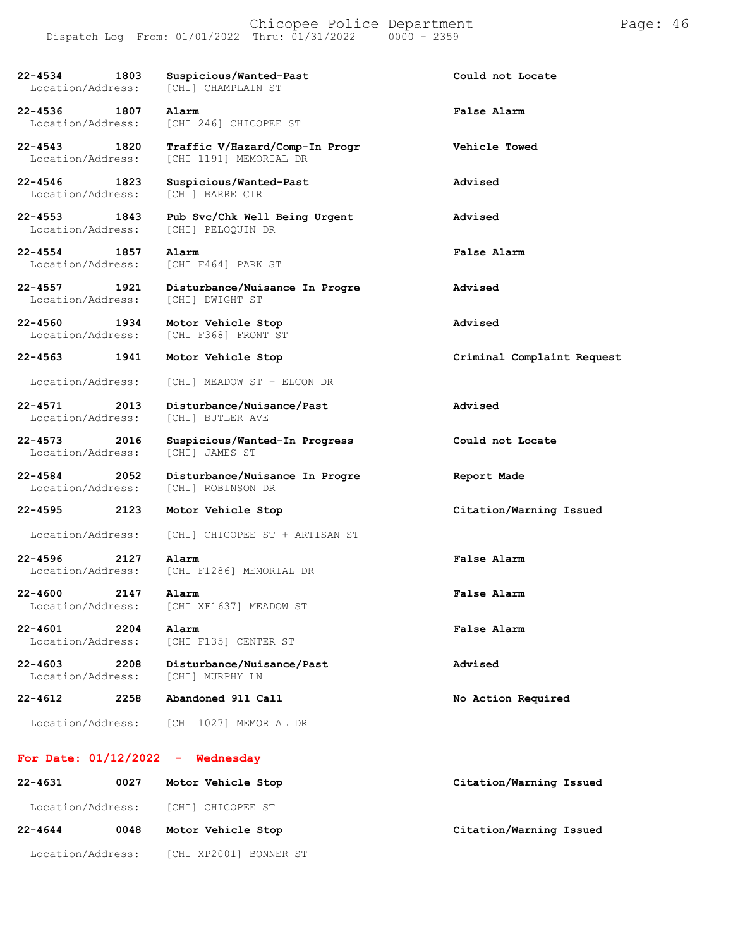| $22 - 4534$<br>1803<br>Location/Address: | Suspicious/Wanted-Past<br>[CHI] CHAMPLAIN ST             | Could not Locate           |
|------------------------------------------|----------------------------------------------------------|----------------------------|
| 22-4536 1807<br>Location/Address:        | Alarm<br>[CHI 246] CHICOPEE ST                           | False Alarm                |
| 22-4543 1820<br>Location/Address:        | Traffic V/Hazard/Comp-In Progr<br>[CHI 1191] MEMORIAL DR | Vehicle Towed              |
| 22-4546 1823<br>Location/Address:        | Suspicious/Wanted-Past<br>[CHI] BARRE CIR                | Advised                    |
| 22-4553 1843<br>Location/Address:        | Pub Svc/Chk Well Being Urgent<br>[CHI] PELOQUIN DR       | Advised                    |
| 22-4554 1857<br>Location/Address:        | Alarm<br>[CHI F464] PARK ST                              | False Alarm                |
| 22-4557 1921<br>Location/Address:        | Disturbance/Nuisance In Progre<br>[CHI] DWIGHT ST        | Advised                    |
| 22-4560 1934<br>Location/Address:        | Motor Vehicle Stop<br>[CHI F368] FRONT ST                | Advised                    |
| 22-4563 1941                             | Motor Vehicle Stop                                       | Criminal Complaint Request |
| Location/Address:                        | [CHI] MEADOW ST + ELCON DR                               |                            |
| 22-4571 2013<br>Location/Address:        | Disturbance/Nuisance/Past<br>[CHI] BUTLER AVE            | Advised                    |
| 22-4573 2016<br>Location/Address:        | Suspicious/Wanted-In Progress<br>[CHI] JAMES ST          | Could not Locate           |
| 22-4584<br>2052<br>Location/Address:     | Disturbance/Nuisance In Progre<br>[CHI] ROBINSON DR      | Report Made                |
| 22-4595<br>2123                          | Motor Vehicle Stop                                       | Citation/Warning Issued    |
| Location/Address:                        | [CHI] CHICOPEE ST + ARTISAN ST                           |                            |
| $22 - 4596$<br>2127<br>Location/Address: | Alarm<br>[CHI F1286] MEMORIAL DR                         | False Alarm                |
| $22 - 4600$<br>2147<br>Location/Address: | Alarm<br>[CHI XF1637] MEADOW ST                          | False Alarm                |
| $22 - 4601$<br>2204<br>Location/Address: | Alarm<br>[CHI F135] CENTER ST                            | False Alarm                |
| $22 - 4603$<br>2208<br>Location/Address: | Disturbance/Nuisance/Past<br>[CHI] MURPHY LN             | Advised                    |
| $22 - 4612$<br>2258                      | Abandoned 911 Call                                       | No Action Required         |
| Location/Address:                        | [CHI 1027] MEMORIAL DR                                   |                            |
| For Date: $01/12/2022 -$ Wednesday       |                                                          |                            |
| 22-4631<br>0027                          | Motor Vehicle Stop                                       | Citation/Warning Issued    |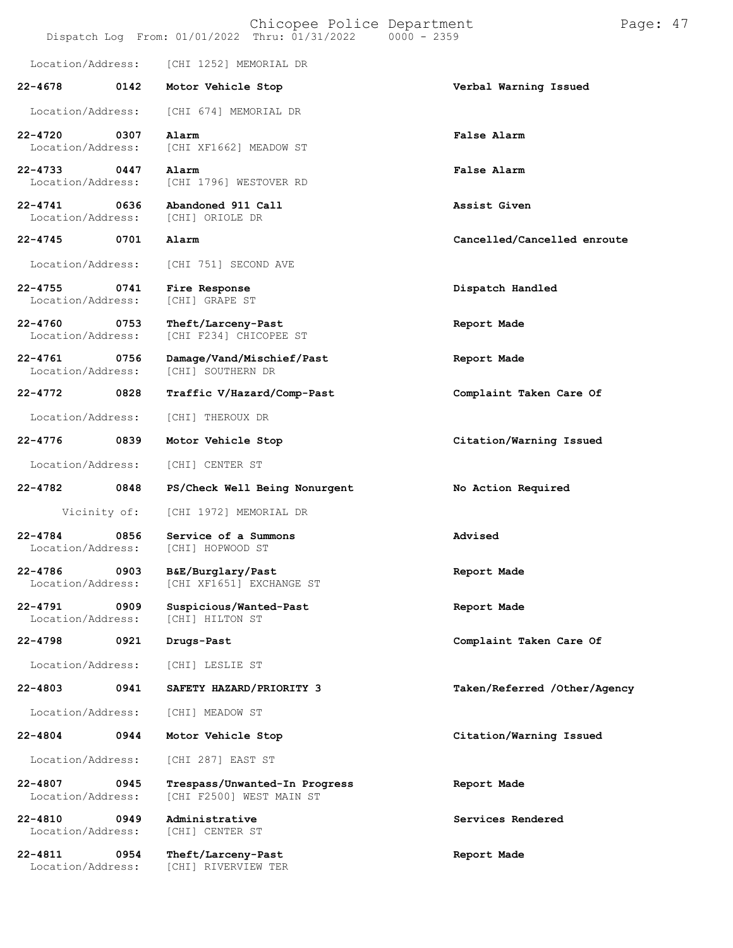|                                  |              | Chicopee Police Department<br>Dispatch Log From: 01/01/2022 Thru: 01/31/2022   0000 - 2359 | Pa                           |
|----------------------------------|--------------|--------------------------------------------------------------------------------------------|------------------------------|
| Location/Address:                |              | [CHI 1252] MEMORIAL DR                                                                     |                              |
| $22 - 4678$                      | 0142         | Motor Vehicle Stop                                                                         | Verbal Warning Issued        |
| Location/Address:                |              | [CHI 674] MEMORIAL DR                                                                      |                              |
| $22 - 4720$<br>Location/Address: | 0307         | Alarm<br>[CHI XF1662] MEADOW ST                                                            | False Alarm                  |
| 22-4733<br>Location/Address:     | 0447         | Alarm<br>[CHI 1796] WESTOVER RD                                                            | False Alarm                  |
| $22 - 4741$<br>Location/Address: | 0636         | Abandoned 911 Call<br>[CHI] ORIOLE DR                                                      | Assist Given                 |
| $22 - 4745$                      | 0701         | Alarm                                                                                      | Cancelled/Cancelled enroute  |
| Location/Address:                |              | [CHI 751] SECOND AVE                                                                       |                              |
| $22 - 4755$<br>Location/Address: | 0741         | Fire Response<br>[CHI] GRAPE ST                                                            | Dispatch Handled             |
| $22 - 4760$<br>Location/Address: | 0753         | Theft/Larceny-Past<br>[CHI F234] CHICOPEE ST                                               | Report Made                  |
| $22 - 4761$<br>Location/Address: | 0756         | Damage/Vand/Mischief/Past<br>[CHI] SOUTHERN DR                                             | Report Made                  |
| $22 - 4772$                      | 0828         | Traffic V/Hazard/Comp-Past                                                                 | Complaint Taken Care Of      |
| Location/Address:                |              | [CHI] THEROUX DR                                                                           |                              |
| 22-4776                          | 0839         | Motor Vehicle Stop                                                                         | Citation/Warning Issued      |
| Location/Address:                |              | [CHI] CENTER ST                                                                            |                              |
| 22-4782                          | 0848         | PS/Check Well Being Nonurgent                                                              | No Action Required           |
|                                  | Vicinity of: | [CHI 1972] MEMORIAL DR                                                                     |                              |
| $22 - 4784$                      | 0856         | Service of a Summons<br>Location/Address: [CHI] HOPWOOD ST                                 | Advised                      |
| $22 - 4786$<br>Location/Address: | 0903         | B&E/Burglary/Past<br>[CHI XF1651] EXCHANGE ST                                              | Report Made                  |
| $22 - 4791$<br>Location/Address: | 0909         | Suspicious/Wanted-Past<br>[CHI] HILTON ST                                                  | Report Made                  |
| 22-4798                          | 0921         | Drugs-Past                                                                                 | Complaint Taken Care Of      |
| Location/Address:                |              | [CHI] LESLIE ST                                                                            |                              |
| $22 - 4803$                      | 0941         | SAFETY HAZARD/PRIORITY 3                                                                   | Taken/Referred /Other/Agency |
| Location/Address:                |              | [CHI] MEADOW ST                                                                            |                              |
| $22 - 4804$                      | 0944         | Motor Vehicle Stop                                                                         | Citation/Warning Issued      |
| Location/Address:                |              | [CHI 287] EAST ST                                                                          |                              |
| $22 - 4807$<br>Location/Address: | 0945         | Trespass/Unwanted-In Progress<br>[CHI F2500] WEST MAIN ST                                  | Report Made                  |

**22-4810 0949 Administrative Services Rendered** Location/Address: [CHI] CENTER ST

**22-4811 0954 Theft/Larceny-Past Report Made** Location/Address: [CHI] RIVERVIEW TER

ge: 47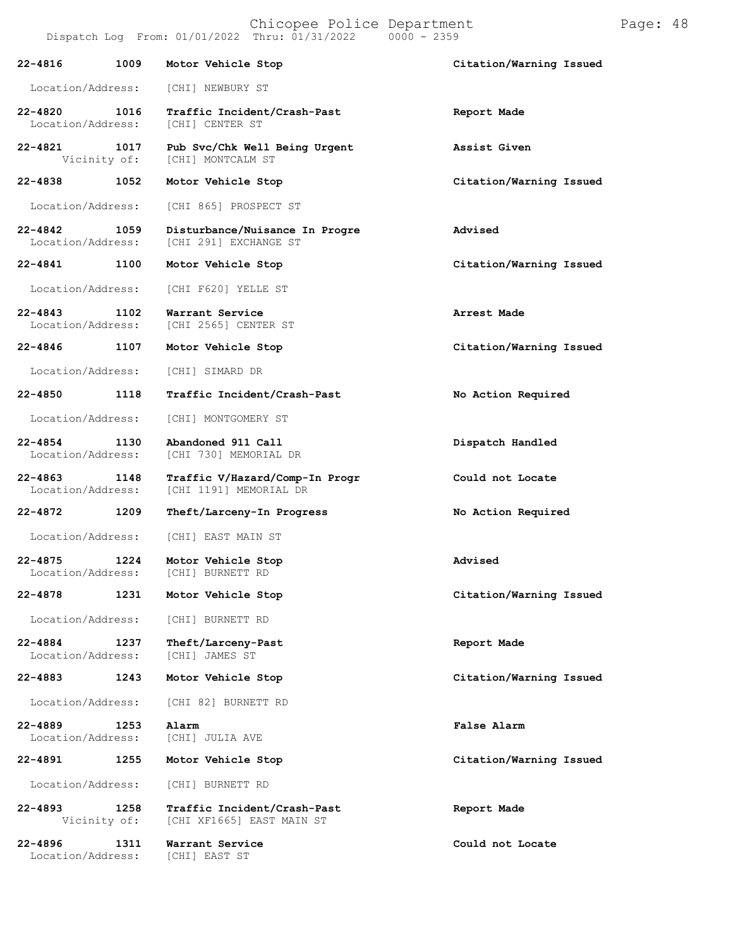| 22-4816                           | 1009 | Motor Vehicle Stop                                       | Citation/Warning Issued |
|-----------------------------------|------|----------------------------------------------------------|-------------------------|
| Location/Address:                 |      | [CHI] NEWBURY ST                                         |                         |
| $22 - 4820$<br>Location/Address:  | 1016 | Traffic Incident/Crash-Past<br>[CHI] CENTER ST           | Report Made             |
| 22-4821<br>Vicinity of:           | 1017 | Pub Svc/Chk Well Being Urgent<br>[CHI] MONTCALM ST       | Assist Given            |
| $22 - 4838$                       | 1052 | Motor Vehicle Stop                                       | Citation/Warning Issued |
| Location/Address:                 |      | [CHI 865] PROSPECT ST                                    |                         |
| 22-4842<br>Location/Address:      | 1059 | Disturbance/Nuisance In Progre<br>[CHI 291] EXCHANGE ST  | Advised                 |
| 22-4841 1100                      |      | Motor Vehicle Stop                                       | Citation/Warning Issued |
| Location/Address:                 |      | [CHI F620] YELLE ST                                      |                         |
| $22 - 4843$<br>Location/Address:  | 1102 | Warrant Service<br>[CHI 2565] CENTER ST                  | Arrest Made             |
| 22-4846                           | 1107 | Motor Vehicle Stop                                       | Citation/Warning Issued |
| Location/Address:                 |      | [CHI] SIMARD DR                                          |                         |
| 22-4850                           | 1118 | Traffic Incident/Crash-Past                              | No Action Required      |
| Location/Address:                 |      | [CHI] MONTGOMERY ST                                      |                         |
| 22-4854<br>Location/Address:      | 1130 | Abandoned 911 Call<br>[CHI 730] MEMORIAL DR              | Dispatch Handled        |
| 22-4863 1148<br>Location/Address: |      | Traffic V/Hazard/Comp-In Progr<br>[CHI 1191] MEMORIAL DR | Could not Locate        |
| $22 - 4872$                       | 1209 | Theft/Larceny-In Progress                                | No Action Required      |
| Location/Address:                 |      | [CHI] EAST MAIN ST                                       |                         |
| 22-4875<br>Location/Address:      | 1224 | Motor Vehicle Stop<br>[CHI] BURNETT RD                   | Advised                 |
| 22-4878                           | 1231 | Motor Vehicle Stop                                       | Citation/Warning Issued |
| Location/Address:                 |      | [CHI] BURNETT RD                                         |                         |
| 22-4884<br>Location/Address:      | 1237 | Theft/Larceny-Past<br>[CHI] JAMES ST                     | Report Made             |
| $22 - 4883$                       | 1243 | Motor Vehicle Stop                                       | Citation/Warning Issued |
| Location/Address:                 |      | [CHI 82] BURNETT RD                                      |                         |
| 22-4889<br>Location/Address:      | 1253 | Alarm<br>[CHI] JULIA AVE                                 | False Alarm             |
| 22-4891                           | 1255 | Motor Vehicle Stop                                       | Citation/Warning Issued |
| Location/Address:                 |      | [CHI] BURNETT RD                                         |                         |
| 22-4893<br>Vicinity of:           | 1258 | Traffic Incident/Crash-Past<br>[CHI XF1665] EAST MAIN ST | Report Made             |
| 22-4896<br>Location/Address:      | 1311 | Warrant Service<br>[CHI] EAST ST                         | Could not Locate        |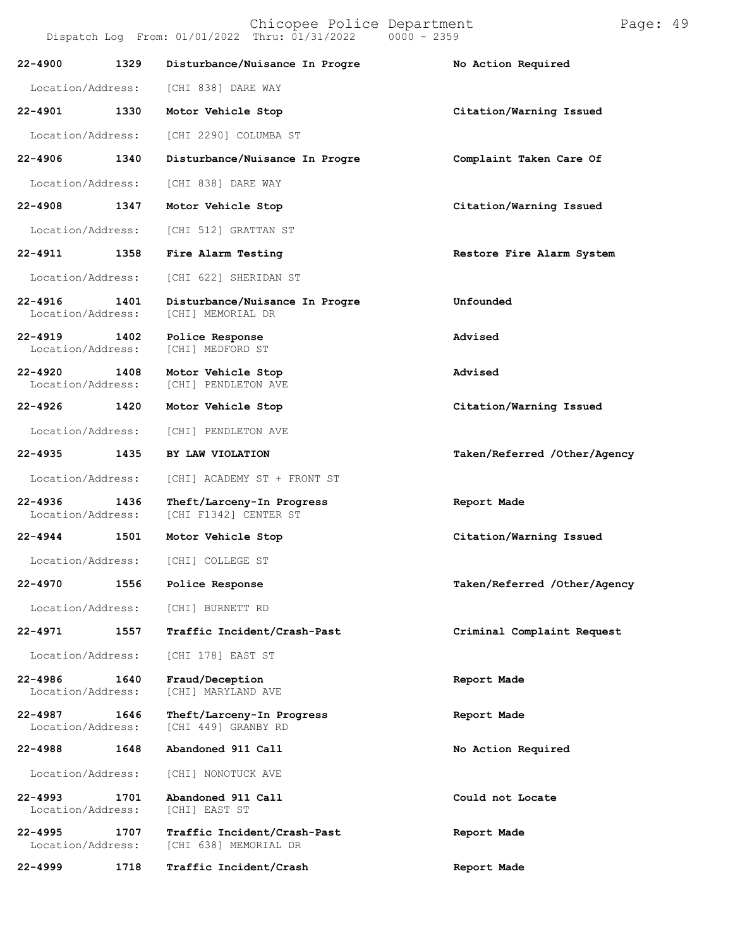| Dispatch Log From: 01/01/2022 Thru: 01/31/2022 |  |  |  |  |  | $0000 - 2359$ |  |
|------------------------------------------------|--|--|--|--|--|---------------|--|
|------------------------------------------------|--|--|--|--|--|---------------|--|

| $22 - 4900$                      | 1329 | Disturbance/Nuisance In Progre                       | No Action Required           |
|----------------------------------|------|------------------------------------------------------|------------------------------|
| Location/Address:                |      | [CHI 838] DARE WAY                                   |                              |
| $22 - 4901$                      | 1330 | Motor Vehicle Stop                                   | Citation/Warning Issued      |
| Location/Address:                |      | [CHI 2290] COLUMBA ST                                |                              |
| 22-4906                          | 1340 | Disturbance/Nuisance In Progre                       | Complaint Taken Care Of      |
| Location/Address:                |      | [CHI 838] DARE WAY                                   |                              |
| $22 - 4908$                      | 1347 | Motor Vehicle Stop                                   | Citation/Warning Issued      |
| Location/Address:                |      | [CHI 512] GRATTAN ST                                 |                              |
| 22-4911                          | 1358 | Fire Alarm Testing                                   | Restore Fire Alarm System    |
| Location/Address:                |      | [CHI 622] SHERIDAN ST                                |                              |
| 22-4916<br>Location/Address:     | 1401 | Disturbance/Nuisance In Progre<br>[CHI] MEMORIAL DR  | Unfounded                    |
| $22 - 4919$<br>Location/Address: | 1402 | Police Response<br>[CHI] MEDFORD ST                  | Advised                      |
| $22 - 4920$<br>Location/Address: | 1408 | Motor Vehicle Stop<br>[CHI] PENDLETON AVE            | Advised                      |
| 22-4926                          | 1420 | Motor Vehicle Stop                                   | Citation/Warning Issued      |
| Location/Address:                |      | [CHI] PENDLETON AVE                                  |                              |
| $22 - 4935$                      | 1435 | BY LAW VIOLATION                                     | Taken/Referred /Other/Agency |
| Location/Address:                |      | [CHI] ACADEMY ST + FRONT ST                          |                              |
| $22 - 4936$<br>Location/Address: | 1436 | Theft/Larceny-In Progress<br>[CHI F1342] CENTER ST   | Report Made                  |
| 22-4944                          | 1501 | Motor Vehicle Stop                                   | Citation/Warning Issued      |
| Location/Address:                |      | [CHI] COLLEGE ST                                     |                              |
| 22-4970                          | 1556 | Police Response                                      | Taken/Referred /Other/Agency |
|                                  |      | Location/Address: [CHI] BURNETT RD                   |                              |
| 22-4971                          | 1557 | Traffic Incident/Crash-Past                          | Criminal Complaint Request   |
| Location/Address:                |      | [CHI 178] EAST ST                                    |                              |
| 22-4986<br>Location/Address:     | 1640 | Fraud/Deception<br>[CHI] MARYLAND AVE                | Report Made                  |
| 22-4987<br>Location/Address:     | 1646 | Theft/Larceny-In Progress<br>[CHI 449] GRANBY RD     | Report Made                  |
| 22-4988                          | 1648 | Abandoned 911 Call                                   | No Action Required           |
| Location/Address:                |      | [CHI] NONOTUCK AVE                                   |                              |
| 22-4993<br>Location/Address:     | 1701 | Abandoned 911 Call<br>[CHI] EAST ST                  | Could not Locate             |
| $22 - 4995$<br>Location/Address: | 1707 | Traffic Incident/Crash-Past<br>[CHI 638] MEMORIAL DR | Report Made                  |
| 22-4999                          | 1718 | Traffic Incident/Crash                               | Report Made                  |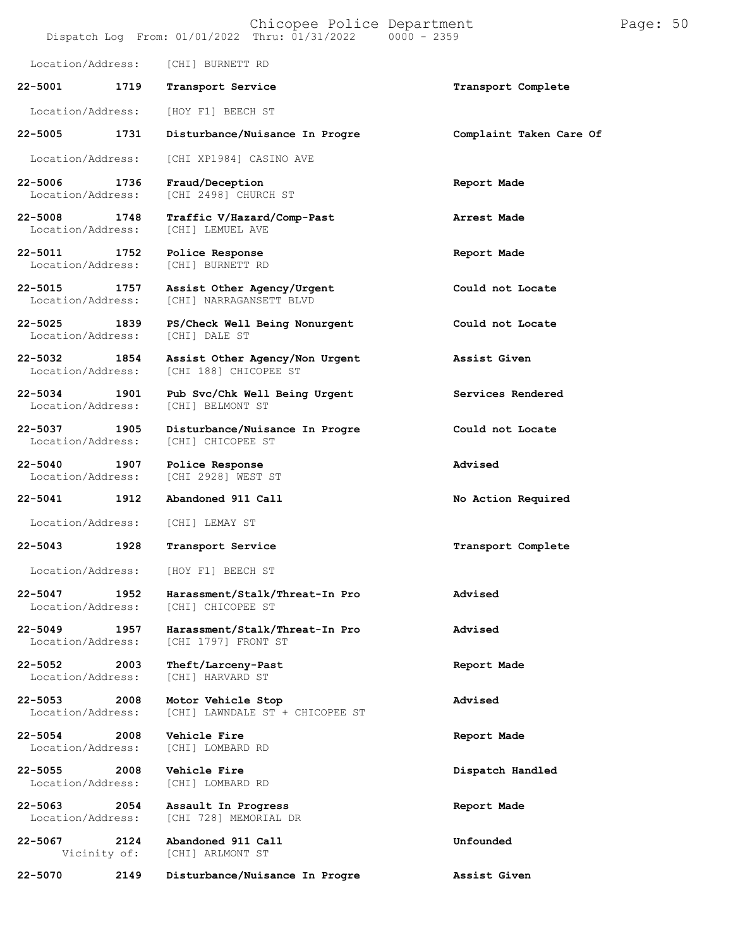# Chicopee Police Department Page: 50  $Dispatch Log From: 01/01/2022 Thru: 01/31/2022$ Location/Address: [CHI] BURNETT RD **22-5001 1719 Transport Service Transport Complete** Location/Address: [HOY F1] BEECH ST **22-5005 1731 Disturbance/Nuisance In Progre Complaint Taken Care Of** Location/Address: [CHI XP1984] CASINO AVE **22-5006 1736 Fraud/Deception Report Made** [CHI 2498] CHURCH ST **22-5008 1748 Traffic V/Hazard/Comp-Past Arrest Made** [CHI] LEMUEL AVE **22-5011 1752 Police Response Report Made** Location/Address: **22-5015 1757 Assist Other Agency/Urgent Could not Locate** [CHI] NARRAGANSETT BLVD **22-5025 1839 PS/Check Well Being Nonurgent Could not Locate** Location/Address: **22-5032 1854 Assist Other Agency/Non Urgent Assist Given** [CHI 188] CHICOPEE ST **22-5034 1901 Pub Svc/Chk Well Being Urgent Services Rendered** Location/Address: [CHI] BELMONT ST **22-5037 1905 Disturbance/Nuisance In Progre Could not Locate** Location/Address: **22-5040 1907 Police Response Advised** [CHI 2928] WEST ST **22-5041 1912 Abandoned 911 Call No Action Required** Location/Address: [CHI] LEMAY ST **22-5043 1928 Transport Service Transport Complete** Location/Address: [HOY F1] BEECH ST **22-5047 1952 Harassment/Stalk/Threat-In Pro Advised** [CHI] CHICOPEE ST **22-5049 1957 Harassment/Stalk/Threat-In Pro Advised** [CHI 1797] FRONT ST **22-5052 2003 Theft/Larceny-Past Report Made** Location/Address: [CHI] HARVARD ST **22-5053 2008 Motor Vehicle Stop Advised** [CHI] LAWNDALE ST + CHICOPEE ST **22-5054 2008 Vehicle Fire Report Made** Location/Address: [CHI] LOMBARD RD **22-5055 2008 Vehicle Fire Dispatch Handled** Location/Address: **22-5063 2054 Assault In Progress Report Made** [CHI 728] MEMORIAL DR **22-5067 2124 Abandoned 911 Call Unfounded** [CHI] ARLMONT ST **22-5070 2149 Disturbance/Nuisance In Progre Assist Given**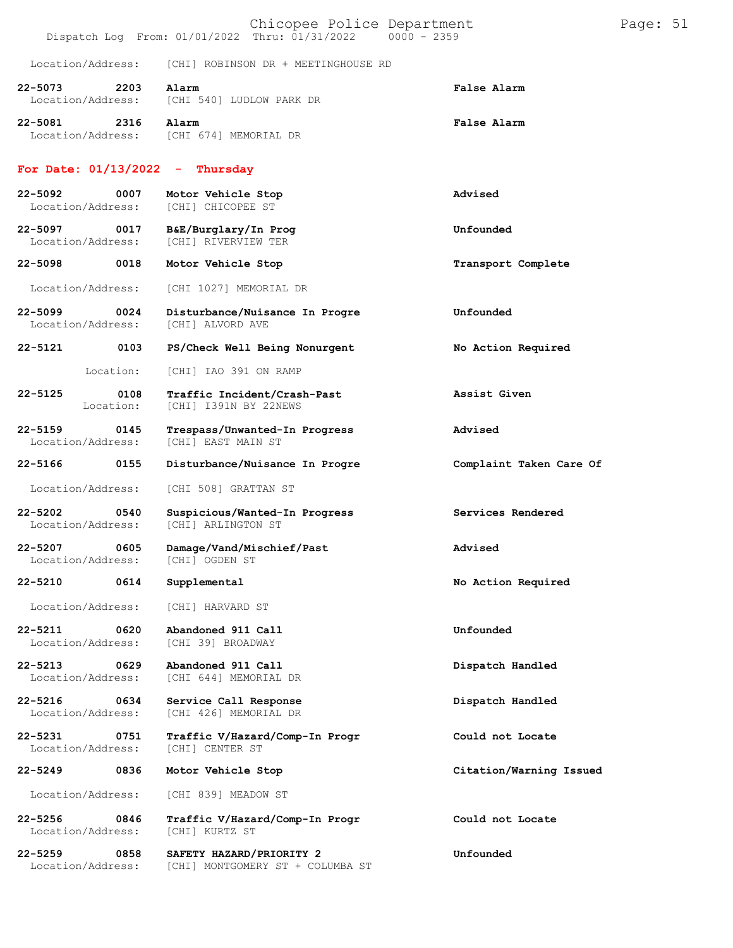|                                  |      | Chicopee Police Department<br>Dispatch Log From: 01/01/2022 Thru: 01/31/2022 0000 - 2359 |                         | Page: 51 |  |
|----------------------------------|------|------------------------------------------------------------------------------------------|-------------------------|----------|--|
| Location/Address:                |      | [CHI] ROBINSON DR + MEETINGHOUSE RD                                                      |                         |          |  |
| 22-5073<br>Location/Address:     | 2203 | Alarm<br>[CHI 540] LUDLOW PARK DR                                                        | False Alarm             |          |  |
| 22-5081                          | 2316 | Alarm<br>Location/Address: [CHI 674] MEMORIAL DR                                         | False Alarm             |          |  |
| For Date: $01/13/2022 -$         |      | Thursday                                                                                 |                         |          |  |
| 22-5092<br>Location/Address:     | 0007 | Motor Vehicle Stop<br>[CHI] CHICOPEE ST                                                  | Advised                 |          |  |
| 22-5097<br>Location/Address:     | 0017 | B&E/Burglary/In Prog<br>[CHI] RIVERVIEW TER                                              | Unfounded               |          |  |
| 22-5098                          | 0018 | Motor Vehicle Stop                                                                       | Transport Complete      |          |  |
| Location/Address:                |      | [CHI 1027] MEMORIAL DR                                                                   |                         |          |  |
| $22 - 5099$<br>Location/Address: | 0024 | Disturbance/Nuisance In Progre<br>[CHI] ALVORD AVE                                       | Unfounded               |          |  |
| 22-5121                          | 0103 | PS/Check Well Being Nonurgent                                                            | No Action Required      |          |  |
| Location:                        |      | [CHI] IAO 391 ON RAMP                                                                    |                         |          |  |
| 22-5125<br>Location:             | 0108 | Traffic Incident/Crash-Past<br>[CHI] I391N BY 22NEWS                                     | Assist Given            |          |  |
| $22 - 5159$<br>Location/Address: | 0145 | Trespass/Unwanted-In Progress<br>[CHI] EAST MAIN ST                                      | Advised                 |          |  |
| 22-5166                          | 0155 | Disturbance/Nuisance In Progre                                                           | Complaint Taken Care Of |          |  |
| Location/Address:                |      | [CHI 508] GRATTAN ST                                                                     |                         |          |  |
| $22 - 5202$<br>Location/Address: | 0540 | Suspicious/Wanted-In Progress<br>[CHI] ARLINGTON ST                                      | Services Rendered       |          |  |
| 22-5207<br>Location/Address:     | 0605 | Damage/Vand/Mischief/Past<br>[CHI] OGDEN ST                                              | Advised                 |          |  |
| 22-5210                          | 0614 | Supplemental                                                                             | No Action Required      |          |  |
| Location/Address:                |      | [CHI] HARVARD ST                                                                         |                         |          |  |
| $22 - 5211$<br>Location/Address: | 0620 | Abandoned 911 Call<br>[CHI 39] BROADWAY                                                  | Unfounded               |          |  |
| $22 - 5213$<br>Location/Address: | 0629 | Abandoned 911 Call<br>[CHI 644] MEMORIAL DR                                              | Dispatch Handled        |          |  |
| 22-5216<br>Location/Address:     | 0634 | Service Call Response<br>[CHI 426] MEMORIAL DR                                           | Dispatch Handled        |          |  |
| $22 - 5231$<br>Location/Address: | 0751 | Traffic V/Hazard/Comp-In Progr<br>[CHI] CENTER ST                                        | Could not Locate        |          |  |
| $22 - 5249$                      | 0836 | Motor Vehicle Stop                                                                       | Citation/Warning Issued |          |  |
| Location/Address:                |      | [CHI 839] MEADOW ST                                                                      |                         |          |  |
| $22 - 5256$<br>Location/Address: | 0846 | Traffic V/Hazard/Comp-In Progr<br>[CHI] KURTZ ST                                         | Could not Locate        |          |  |
| $22 - 5259$<br>Location/Address: | 0858 | SAFETY HAZARD/PRIORITY 2<br>[CHI] MONTGOMERY ST + COLUMBA ST                             | Unfounded               |          |  |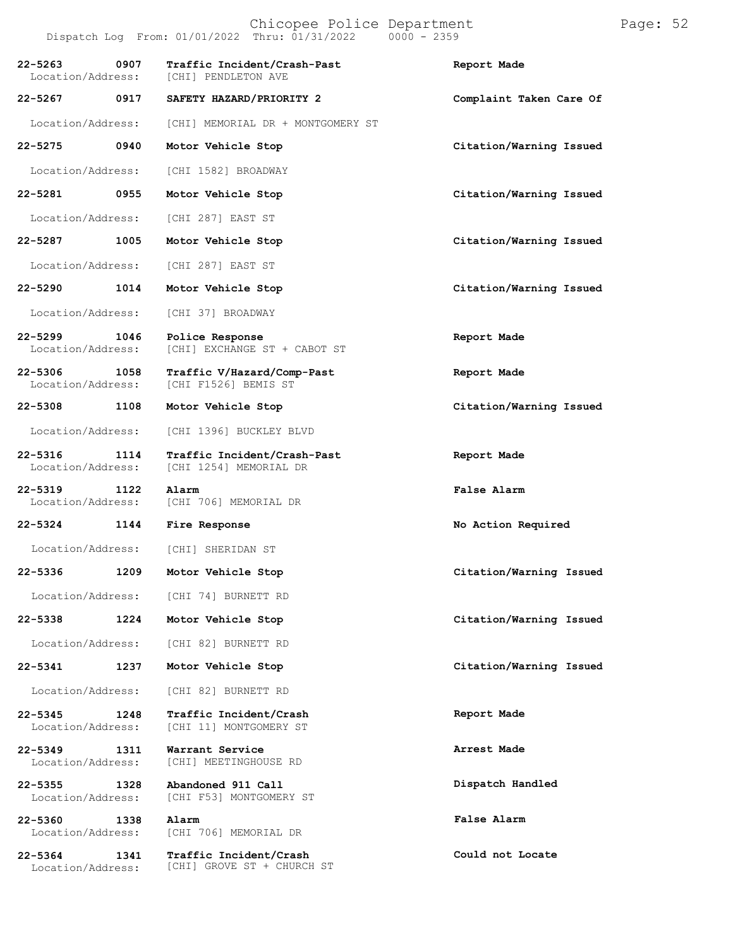**22-5275 0940 Motor Vehicle Stop Citation/Warning Issued**

Location/Address: [CHI 1582] BROADWAY

**22-5281 0955 Motor Vehicle Stop Citation/Warning Issued**

Location/Address: [CHI 287] EAST ST

**22-5287 1005 Motor Vehicle Stop Citation/Warning Issued**

Location/Address: [CHI 287] EAST ST

- 
- 

**22-5319 1122 Alarm False Alarm**

Location/Address:

**22-5336 1209**

Location/Address:

**22-5338 1224**

Location/Address:

**22-5341 1237**

Location/Address:

**22-5345 1248** Location/Address:

**22-5349 1311** Location/Address:

**22-5355 1328**

Location/Address:

**22-5360 1338** Location/Address:

**22-5364 1341** Location/Address:

**22-5290 1014 Motor Vehicle Stop Citation/Warning Issued** Location/Address: [CHI 37] BROADWAY **22-5299 1046 Police Response Report Made** [CHI] EXCHANGE ST + CABOT ST

Location/Address: [CHI] MEMORIAL DR + MONTGOMERY ST

**22-5306 1058 Traffic V/Hazard/Comp-Past Report Made** [CHI F1526] BEMIS ST

Location/Address: [CHI 1396] BUCKLEY BLVD

**22-5316 1114 Traffic Incident/Crash-Past Report Made** [CHI 1254] MEMORIAL DR

Location/Address: [CHI 706] MEMORIAL DR

**22-5324 1144 Fire Response No Action Required**

[CHI] SHERIDAN ST

[CHI 74] BURNETT RD

[CHI 82] BURNETT RD

[CHI 82] BURNETT RD

**Traffic Incident/Crash** [CHI 11] MONTGOMERY ST

**Warrant Service** [CHI] MEETINGHOUSE RD

**Abandoned 911 Call** [CHI F53] MONTGOMERY ST

**Alarm** [CHI 706] MEMORIAL DR

**Traffic Incident/Crash** [CHI] GROVE ST + CHURCH ST

**22-5308 1108 Motor Vehicle Stop Citation/Warning Issued**

**Motor Vehicle Stop Citation/Warning Issued**

**Motor Vehicle Stop Citation/Warning Issued**

**Motor Vehicle Stop Citation/Warning Issued**

**Report Made**

**Arrest Made**

**Dispatch Handled**

**False Alarm**

**Could not Locate**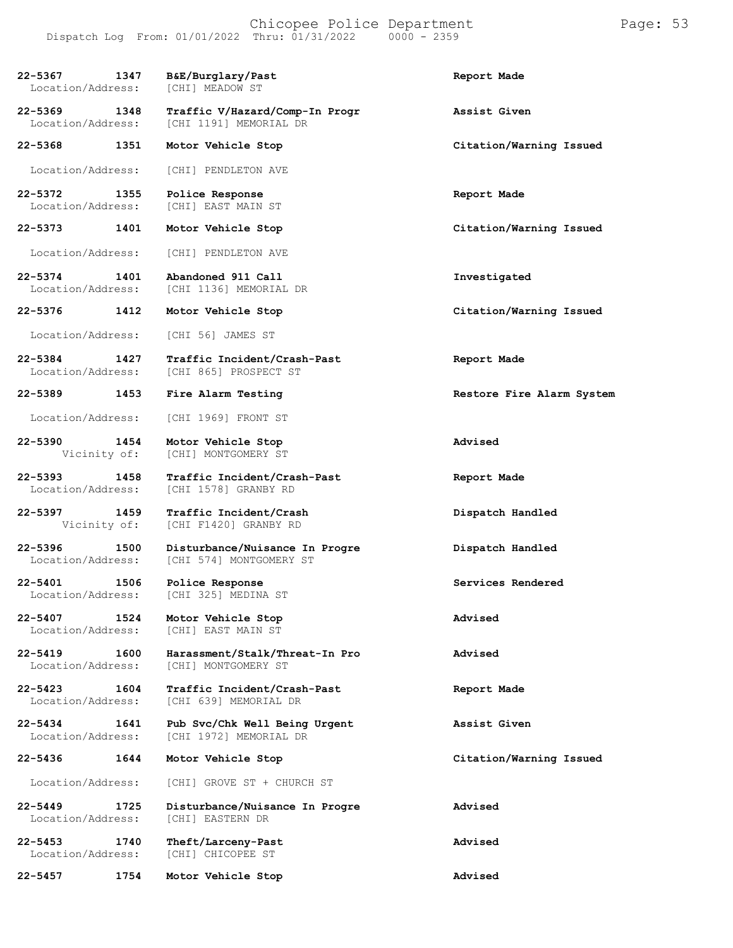Chicopee Police Department Page: 53 Dispatch Log From:  $01/01/2022$  Thru:  $01/31/2022$ 

**22-5367 1347 B&E/Burglary/Past Report Made** Location/Address: **22-5369 1348 Traffic V/Hazard/Comp-In Progr Assist Given** [CHI 1191] MEMORIAL DR **22-5368 1351 Motor Vehicle Stop Citation/Warning Issued** Location/Address: [CHI] PENDLETON AVE **22-5372 1355 Police Response Report Made** [CHI] EAST MAIN ST **22-5373 1401 Motor Vehicle Stop Citation/Warning Issued** Location/Address: [CHI] PENDLETON AVE **22-5374 1401 Abandoned 911 Call Investigated** [CHI 1136] MEMORIAL DR **22-5376 1412 Motor Vehicle Stop Citation/Warning Issued** Location/Address: [CHI 56] JAMES ST **22-5384 1427 Traffic Incident/Crash-Past Report Made** [CHI 865] PROSPECT ST **22-5389 1453 Fire Alarm Testing Restore Fire Alarm System** Location/Address: [CHI 1969] FRONT ST **22-5390 1454 Motor Vehicle Stop Advised** [CHI] MONTGOMERY ST **22-5393 1458 Traffic Incident/Crash-Past Report Made** [CHI 1578] GRANBY RD **22-5397 1459 Traffic Incident/Crash Dispatch Handled** [CHI F1420] GRANBY RD **22-5396 1500 Disturbance/Nuisance In Progre Dispatch Handled** [CHI 574] MONTGOMERY ST **22-5401 1506 Police Response Services Rendered** [CHI 325] MEDINA ST **22-5407 1524 Motor Vehicle Stop Advised** [CHI] EAST MAIN ST **22-5419 1600 Harassment/Stalk/Threat-In Pro Advised** [CHI] MONTGOMERY ST **22-5423 1604 Traffic Incident/Crash-Past Report Made** [CHI 639] MEMORIAL DR **22-5434 1641 Pub Svc/Chk Well Being Urgent Assist Given** [CHI 1972] MEMORIAL DR **22-5436 1644 Motor Vehicle Stop Citation/Warning Issued** Location/Address: [CHI] GROVE ST + CHURCH ST **22-5449 1725 Disturbance/Nuisance In Progre Advised** [CHI] EASTERN DR **22-5453 1740 Theft/Larceny-Past Advised** [CHI] CHICOPEE ST **22-5457 1754 Motor Vehicle Stop Advised**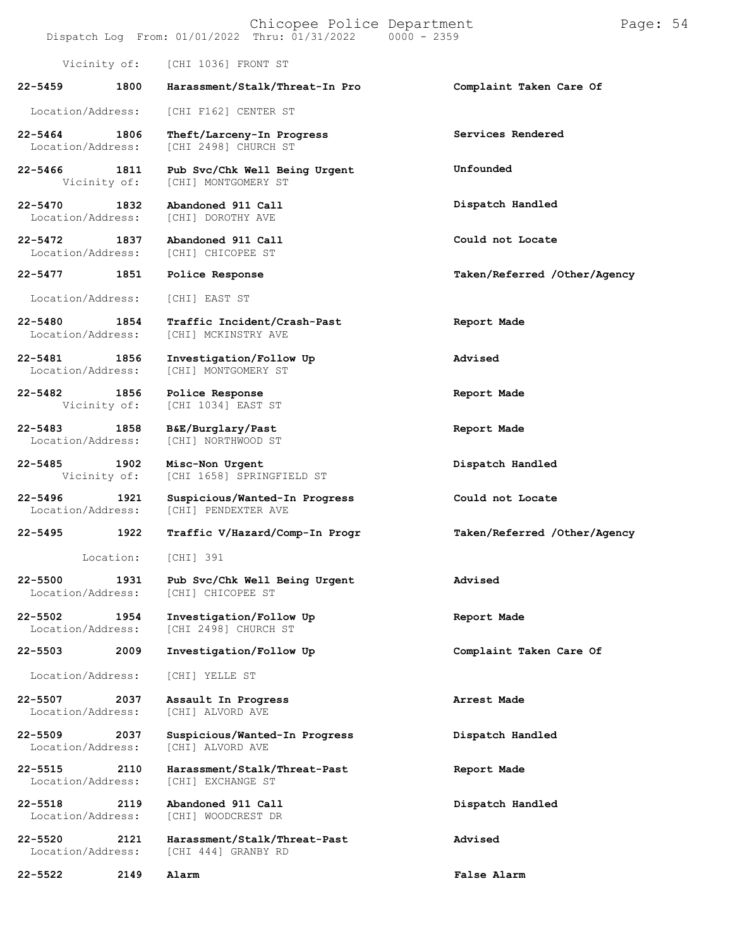|             |                           | Chicopee Police Department<br>Dispatch Log From: 01/01/2022 Thru: 01/31/2022 | $0000 - 2359$                | Page: 54 |
|-------------|---------------------------|------------------------------------------------------------------------------|------------------------------|----------|
|             | Vicinity of:              | [CHI 1036] FRONT ST                                                          |                              |          |
| 22-5459     | 1800                      | Harassment/Stalk/Threat-In Pro                                               | Complaint Taken Care Of      |          |
|             | Location/Address:         | [CHI F162] CENTER ST                                                         |                              |          |
| 22-5464     | 1806<br>Location/Address: | Theft/Larceny-In Progress<br>[CHI 2498] CHURCH ST                            | Services Rendered            |          |
| $22 - 5466$ | 1811<br>Vicinity of:      | Pub Svc/Chk Well Being Urgent<br>[CHI] MONTGOMERY ST                         | Unfounded                    |          |
| 22-5470     | 1832<br>Location/Address: | Abandoned 911 Call<br>[CHI] DOROTHY AVE                                      | Dispatch Handled             |          |
| $22 - 5472$ | 1837<br>Location/Address: | Abandoned 911 Call<br>[CHI] CHICOPEE ST                                      | Could not Locate             |          |
| 22-5477     | 1851                      | Police Response                                                              | Taken/Referred /Other/Agency |          |
|             | Location/Address:         | [CHI] EAST ST                                                                |                              |          |
| 22-5480     | 1854<br>Location/Address: | Traffic Incident/Crash-Past<br>[CHI] MCKINSTRY AVE                           | Report Made                  |          |
| 22-5481     | 1856<br>Location/Address: | Investigation/Follow Up<br>[CHI] MONTGOMERY ST                               | Advised                      |          |
| 22-5482     | 1856<br>Vicinity of:      | Police Response<br>[CHI 1034] EAST ST                                        | Report Made                  |          |
| $22 - 5483$ | 1858<br>Location/Address: | B&E/Burglary/Past<br>[CHI] NORTHWOOD ST                                      | Report Made                  |          |
| 22-5485     | 1902<br>Vicinity of:      | Misc-Non Urgent<br>[CHI 1658] SPRINGFIELD ST                                 | Dispatch Handled             |          |
| $22 - 5496$ | 1921<br>Location/Address: | Suspicious/Wanted-In Progress<br>[CHI] PENDEXTER AVE                         | Could not Locate             |          |
| $22 - 5495$ | 1922                      | Traffic V/Hazard/Comp-In Progr                                               | Taken/Referred /Other/Agency |          |
|             | Location:                 | [CHI] 391                                                                    |                              |          |
| 22-5500     | 1931<br>Location/Address: | Pub Svc/Chk Well Being Urgent<br>[CHI] CHICOPEE ST                           | Advised                      |          |
| 22-5502     | 1954<br>Location/Address: | Investigation/Follow Up<br>[CHI 2498] CHURCH ST                              | Report Made                  |          |
| $22 - 5503$ | 2009                      | Investigation/Follow Up                                                      | Complaint Taken Care Of      |          |
|             | Location/Address:         | [CHI] YELLE ST                                                               |                              |          |
| $22 - 5507$ | 2037<br>Location/Address: | Assault In Progress<br>[CHI] ALVORD AVE                                      | Arrest Made                  |          |
| $22 - 5509$ | 2037<br>Location/Address: | Suspicious/Wanted-In Progress<br>[CHI] ALVORD AVE                            | Dispatch Handled             |          |
| 22-5515     | 2110<br>Location/Address: | Harassment/Stalk/Threat-Past<br>[CHI] EXCHANGE ST                            | Report Made                  |          |
| $22 - 5518$ | 2119<br>Location/Address: | Abandoned 911 Call<br>[CHI] WOODCREST DR                                     | Dispatch Handled             |          |
| 22-5520     | 2121<br>Location/Address: | Harassment/Stalk/Threat-Past<br>[CHI 444] GRANBY RD                          | Advised                      |          |
| 22-5522     | 2149                      | Alarm                                                                        | <b>False Alarm</b>           |          |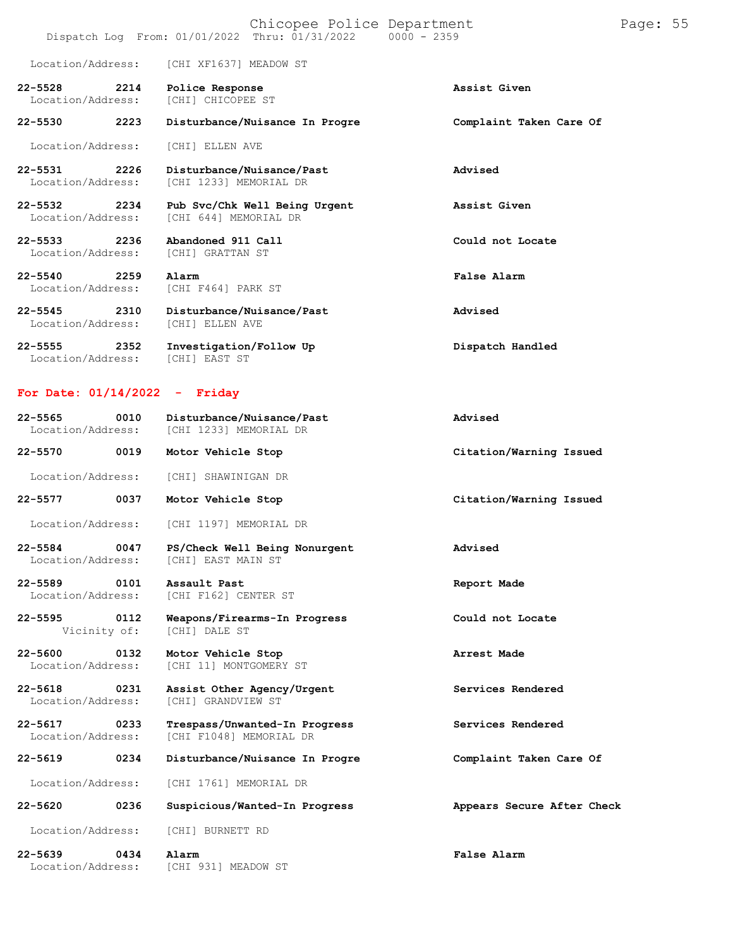|                                          |      | Chicopee Police Department<br>Dispatch Log From: 01/01/2022 Thru: 01/31/2022 0000 - 2359 |                         | Page: 55 |  |
|------------------------------------------|------|------------------------------------------------------------------------------------------|-------------------------|----------|--|
|                                          |      | Location/Address: [CHI XF1637] MEADOW ST                                                 |                         |          |  |
| $22 - 5528$<br>Location/Address:         | 2214 | Police Response<br>[CHI] CHICOPEE ST                                                     | Assist Given            |          |  |
| $22 - 5530$                              | 2223 | Disturbance/Nuisance In Progre                                                           | Complaint Taken Care Of |          |  |
| Location/Address:                        |      | [CHI] ELLEN AVE                                                                          |                         |          |  |
| $22 - 5531$<br>Location/Address:         | 2226 | Disturbance/Nuisance/Past<br>[CHI 1233] MEMORIAL DR                                      | Advised                 |          |  |
| $22 - 5532$<br>Location/Address:         | 2234 | Pub Svc/Chk Well Being Urgent<br>[CHI 644] MEMORIAL DR                                   | Assist Given            |          |  |
| $22 - 5533$<br>Location/Address:         | 2236 | Abandoned 911 Call<br>[CHI] GRATTAN ST                                                   | Could not Locate        |          |  |
| 2259<br>$22 - 5540$<br>Location/Address: |      | Alarm<br>[CHI F464] PARK ST                                                              | False Alarm             |          |  |
| $22 - 5545$<br>2310<br>Location/Address: |      | Disturbance/Nuisance/Past<br>[CHI] ELLEN AVE                                             | Advised                 |          |  |

**22-5555 2352 Investigation/Follow Up Dispatch Handled** Location/Address: [CHI] EAST ST

## **For Date: 01/14/2022 - Friday**

| 0010<br>$22 - 5565$<br>Location/Address: | Disturbance/Nuisance/Past<br>[CHI 1233] MEMORIAL DR      | Advised                    |
|------------------------------------------|----------------------------------------------------------|----------------------------|
| $22 - 5570$<br>0019                      | Motor Vehicle Stop                                       | Citation/Warning Issued    |
| Location/Address:                        | [CHI] SHAWINIGAN DR                                      |                            |
| 22-5577<br>0037                          | Motor Vehicle Stop                                       | Citation/Warning Issued    |
| Location/Address:                        | [CHI 1197] MEMORIAL DR                                   |                            |
| 22-5584<br>0047<br>Location/Address:     | PS/Check Well Being Nonurgent<br>[CHI] EAST MAIN ST      | Advised                    |
| 22-5589<br>0101<br>Location/Address:     | Assault Past<br>[CHI F162] CENTER ST                     | Report Made                |
| $22 - 5595$<br>0112<br>Vicinity of:      | Weapons/Firearms-In Progress<br>[CHI] DALE ST            | Could not Locate           |
| $22 - 5600$<br>0132<br>Location/Address: | Motor Vehicle Stop<br>[CHI 11] MONTGOMERY ST             | Arrest Made                |
| 22-5618 0231<br>Location/Address:        | Assist Other Agency/Urgent<br>[CHI] GRANDVIEW ST         | Services Rendered          |
| 22-5617<br>0233<br>Location/Address:     | Trespass/Unwanted-In Progress<br>[CHI F1048] MEMORIAL DR | Services Rendered          |
| 0234<br>22-5619                          | Disturbance/Nuisance In Progre                           | Complaint Taken Care Of    |
| Location/Address:                        | [CHI 1761] MEMORIAL DR                                   |                            |
| 0236<br>$22 - 5620$                      | Suspicious/Wanted-In Progress                            | Appears Secure After Check |
| Location/Address:                        | [CHI] BURNETT RD                                         |                            |
| $22 - 5639$<br>0434<br>Location/Address: | Alarm<br>[CHI 931] MEADOW ST                             | False Alarm                |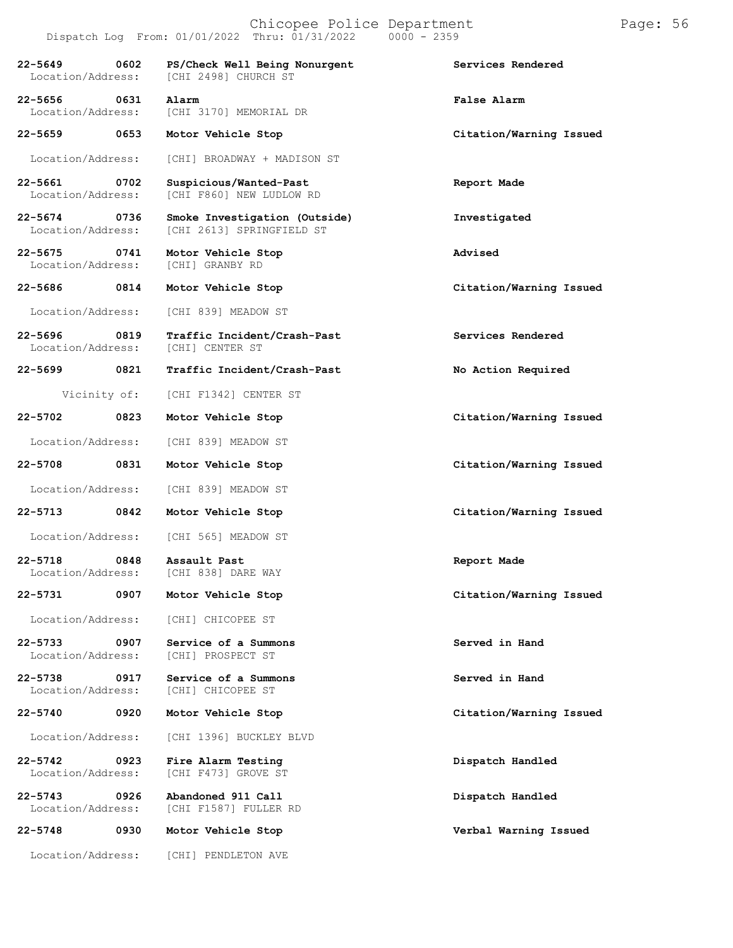| 22-5649 0602<br>Location/Address:    | PS/Check Well Being Nonurgent<br>[CHI 2498] CHURCH ST      | Services Rendered       |
|--------------------------------------|------------------------------------------------------------|-------------------------|
| 22-5656 0631                         | Alarm<br>Location/Address: [CHI 3170] MEMORIAL DR          | False Alarm             |
|                                      | 22-5659 0653 Motor Vehicle Stop                            | Citation/Warning Issued |
| Location/Address:                    | [CHI] BROADWAY + MADISON ST                                |                         |
| 22-5661 0702<br>Location/Address:    | Suspicious/Wanted-Past<br>[CHI F860] NEW LUDLOW RD         | Report Made             |
| 22-5674 0736<br>Location/Address:    | Smoke Investigation (Outside)<br>[CHI 2613] SPRINGFIELD ST | Investigated            |
| 22-5675<br>0741<br>Location/Address: | Motor Vehicle Stop<br>[CHI] GRANBY RD                      | Advised                 |
| 22-5686 0814                         | Motor Vehicle Stop                                         | Citation/Warning Issued |
|                                      | Location/Address: [CHI 839] MEADOW ST                      |                         |
| 0819<br>22-5696<br>Location/Address: | Traffic Incident/Crash-Past<br>[CHI] CENTER ST             | Services Rendered       |
| 22-5699 0821                         | Traffic Incident/Crash-Past                                | No Action Required      |
|                                      | Vicinity of: [CHI F1342] CENTER ST                         |                         |
| 22-5702<br>$\sim$ 0823               | Motor Vehicle Stop                                         | Citation/Warning Issued |
|                                      | Location/Address: [CHI 839] MEADOW ST                      |                         |
| 0831<br>22-5708                      | Motor Vehicle Stop                                         | Citation/Warning Issued |
| Location/Address:                    | [CHI 839] MEADOW ST                                        |                         |
| 0842<br>22-5713                      | Motor Vehicle Stop                                         | Citation/Warning Issued |
| Location/Address:                    | [CHI 565] MEADOW ST                                        |                         |
| 22-5718                              | 0848 Assault Past<br>Location/Address: [CHI 838] DARE WAY  | Report Made             |
| 22-5731<br>0907                      | Motor Vehicle Stop                                         | Citation/Warning Issued |
| Location/Address:                    | [CHI] CHICOPEE ST                                          |                         |
| 22-5733<br>0907<br>Location/Address: | Service of a Summons<br>[CHI] PROSPECT ST                  | Served in Hand          |
| 22-5738<br>0917<br>Location/Address: | Service of a Summons<br>[CHI] CHICOPEE ST                  | Served in Hand          |
| 22-5740<br>0920                      | Motor Vehicle Stop                                         | Citation/Warning Issued |
| Location/Address:                    | [CHI 1396] BUCKLEY BLVD                                    |                         |
| 22-5742<br>0923<br>Location/Address: | Fire Alarm Testing<br>[CHI F473] GROVE ST                  | Dispatch Handled        |
| 22-5743<br>0926<br>Location/Address: | Abandoned 911 Call<br>[CHI F1587] FULLER RD                | Dispatch Handled        |
| 22-5748<br>0930                      | Motor Vehicle Stop                                         | Verbal Warning Issued   |
| Location/Address:                    | [CHI] PENDLETON AVE                                        |                         |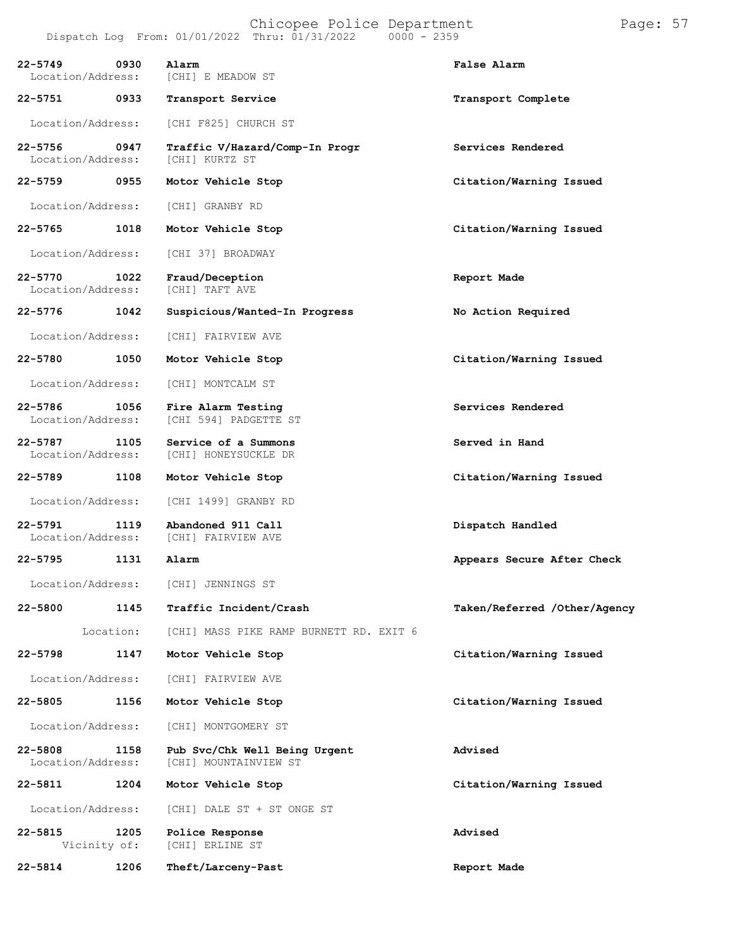| $22 - 5749$<br>Location/Address:  | 0930      | Alarm<br>[CHI] E MEADOW ST                             | False Alarm                  |
|-----------------------------------|-----------|--------------------------------------------------------|------------------------------|
| 22-5751 0933                      |           | Transport Service                                      | Transport Complete           |
| Location/Address:                 |           | [CHI F825] CHURCH ST                                   |                              |
| 22-5756 0947<br>Location/Address: |           | Traffic V/Hazard/Comp-In Progr<br>[CHI] KURTZ ST       | Services Rendered            |
| 22-5759 0955                      |           | Motor Vehicle Stop                                     | Citation/Warning Issued      |
| Location/Address:                 |           | [CHI] GRANBY RD                                        |                              |
| 22-5765                           | 1018      | Motor Vehicle Stop                                     | Citation/Warning Issued      |
| Location/Address:                 |           | [CHI 37] BROADWAY                                      |                              |
| 22-5770<br>Location/Address:      | 1022      | Fraud/Deception<br>[CHI] TAFT AVE                      | Report Made                  |
| 22-5776                           | 1042      | Suspicious/Wanted-In Progress                          | No Action Required           |
| Location/Address:                 |           | [CHI] FAIRVIEW AVE                                     |                              |
| 22-5780                           | 1050      | Motor Vehicle Stop                                     | Citation/Warning Issued      |
| Location/Address:                 |           | [CHI] MONTCALM ST                                      |                              |
| 22-5786 1056<br>Location/Address: |           | Fire Alarm Testing<br>[CHI 594] PADGETTE ST            | Services Rendered            |
| 22-5787<br>Location/Address:      | 1105      | Service of a Summons<br>[CHI] HONEYSUCKLE DR           | Served in Hand               |
| 22-5789                           | 1108      | Motor Vehicle Stop                                     | Citation/Warning Issued      |
| Location/Address:                 |           | [CHI 1499] GRANBY RD                                   |                              |
| $22 - 5791$<br>Location/Address:  | 1119      | Abandoned 911 Call<br>[CHI] FAIRVIEW AVE               | Dispatch Handled             |
| 22-5795 1131                      |           | Alarm                                                  | Appears Secure After Check   |
| Location/Address:                 |           | [CHI] JENNINGS ST                                      |                              |
| $22 - 5800$                       | 1145      | Traffic Incident/Crash                                 | Taken/Referred /Other/Agency |
|                                   | Location: | [CHI] MASS PIKE RAMP BURNETT RD. EXIT 6                |                              |
| $22 - 5798$                       | 1147      | Motor Vehicle Stop                                     | Citation/Warning Issued      |
| Location/Address:                 |           | [CHI] FAIRVIEW AVE                                     |                              |
| 22-5805                           | 1156      | Motor Vehicle Stop                                     | Citation/Warning Issued      |
| Location/Address:                 |           | [CHI] MONTGOMERY ST                                    |                              |
| 22-5808<br>Location/Address:      | 1158      | Pub Svc/Chk Well Being Urgent<br>[CHI] MOUNTAINVIEW ST | Advised                      |
| 22-5811                           | 1204      | Motor Vehicle Stop                                     | Citation/Warning Issued      |
| Location/Address:                 |           | [CHI] DALE ST + ST ONGE ST                             |                              |
| $22 - 5815$<br>Vicinity of:       | 1205      | Police Response<br>[CHI] ERLINE ST                     | Advised                      |
| 22-5814                           | 1206      | Theft/Larceny-Past                                     | Report Made                  |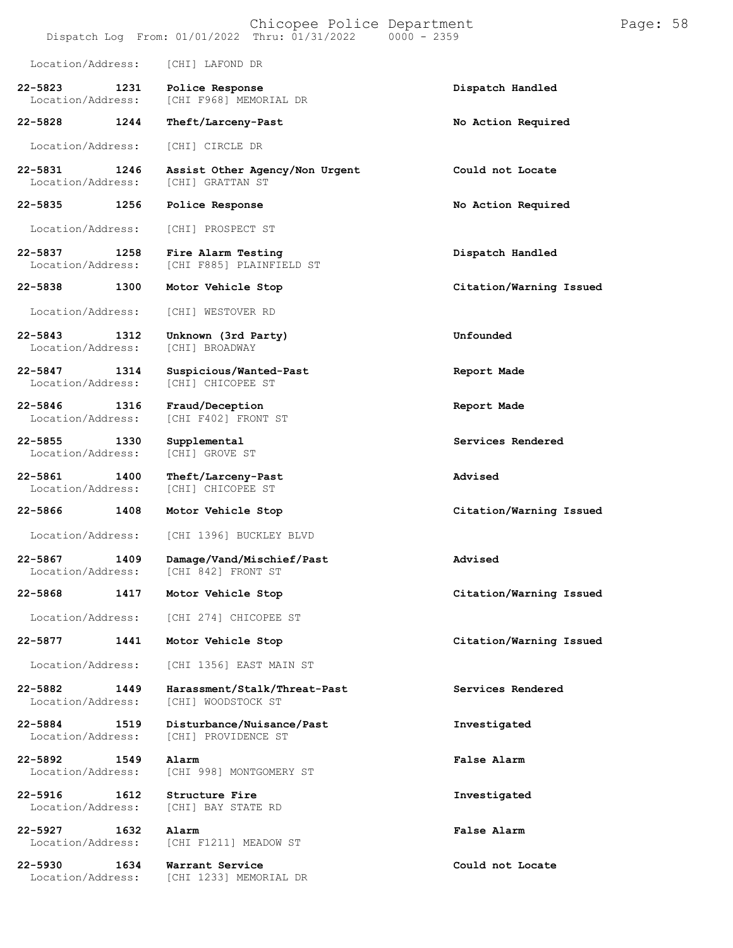|                                      |      |                                                  | Chicopee Police Department<br>Dispatch Log From: 01/01/2022 Thru: 01/31/2022 | $0000 - 2359$ |                         | Page: 58 |  |
|--------------------------------------|------|--------------------------------------------------|------------------------------------------------------------------------------|---------------|-------------------------|----------|--|
| Location/Address:                    |      | [CHI] LAFOND DR                                  |                                                                              |               |                         |          |  |
| $22 - 5823$<br>Location/Address:     | 1231 | Police Response<br>[CHI F968] MEMORIAL DR        |                                                                              |               | Dispatch Handled        |          |  |
| 22-5828                              | 1244 | Theft/Larceny-Past                               |                                                                              |               | No Action Required      |          |  |
| Location/Address:                    |      | [CHI] CIRCLE DR                                  |                                                                              |               |                         |          |  |
| 22-5831<br>Location/Address:         | 1246 | [CHI] GRATTAN ST                                 | Assist Other Agency/Non Urgent                                               |               | Could not Locate        |          |  |
| 22-5835                              | 1256 | Police Response                                  |                                                                              |               | No Action Required      |          |  |
| Location/Address:                    |      | [CHI] PROSPECT ST                                |                                                                              |               |                         |          |  |
| 22-5837<br>Location/Address:         | 1258 | Fire Alarm Testing<br>[CHI F885] PLAINFIELD ST   |                                                                              |               | Dispatch Handled        |          |  |
| 22-5838                              | 1300 | Motor Vehicle Stop                               |                                                                              |               | Citation/Warning Issued |          |  |
| Location/Address:                    |      | [CHI] WESTOVER RD                                |                                                                              |               |                         |          |  |
| $22 - 5843$<br>Location/Address:     | 1312 | Unknown (3rd Party)<br>[CHI] BROADWAY            |                                                                              |               | Unfounded               |          |  |
| 22-5847<br>Location/Address:         | 1314 | Suspicious/Wanted-Past<br>[CHI] CHICOPEE ST      |                                                                              |               | Report Made             |          |  |
| 22-5846<br>1316<br>Location/Address: |      | Fraud/Deception<br>[CHI F402] FRONT ST           |                                                                              |               | Report Made             |          |  |
| $22 - 5855$<br>Location/Address:     | 1330 | Supplemental<br>[CHI] GROVE ST                   |                                                                              |               | Services Rendered       |          |  |
| 22-5861<br>Location/Address:         | 1400 | Theft/Larceny-Past<br>[CHI] CHICOPEE ST          |                                                                              |               | Advised                 |          |  |
| 22-5866                              | 1408 | Motor Vehicle Stop                               |                                                                              |               | Citation/Warning Issued |          |  |
| Location/Address:                    |      | [CHI 1396] BUCKLEY BLVD                          |                                                                              |               |                         |          |  |
| 22-5867<br>Location/Address:         | 1409 | Damage/Vand/Mischief/Past<br>[CHI 842] FRONT ST  |                                                                              |               | Advised                 |          |  |
| 22-5868                              | 1417 | Motor Vehicle Stop                               |                                                                              |               | Citation/Warning Issued |          |  |
| Location/Address:                    |      | [CHI 274] CHICOPEE ST                            |                                                                              |               |                         |          |  |
| 22-5877                              | 1441 | Motor Vehicle Stop                               |                                                                              |               | Citation/Warning Issued |          |  |
| Location/Address:                    |      | [CHI 1356] EAST MAIN ST                          |                                                                              |               |                         |          |  |
| 22-5882<br>Location/Address:         | 1449 | [CHI] WOODSTOCK ST                               | Harassment/Stalk/Threat-Past                                                 |               | Services Rendered       |          |  |
| 22-5884<br>Location/Address:         | 1519 | Disturbance/Nuisance/Past<br>[CHI] PROVIDENCE ST |                                                                              |               | Investigated            |          |  |
| 22-5892<br>Location/Address:         | 1549 | Alarm<br>[CHI 998] MONTGOMERY ST                 |                                                                              |               | False Alarm             |          |  |
| $22 - 5916$<br>Location/Address:     | 1612 | Structure Fire<br>[CHI] BAY STATE RD             |                                                                              |               | Investigated            |          |  |
| 22-5927<br>Location/Address:         | 1632 | Alarm<br>[CHI F1211] MEADOW ST                   |                                                                              |               | False Alarm             |          |  |
| 22-5930<br>Location/Address:         | 1634 | Warrant Service<br>[CHI 1233] MEMORIAL DR        |                                                                              |               | Could not Locate        |          |  |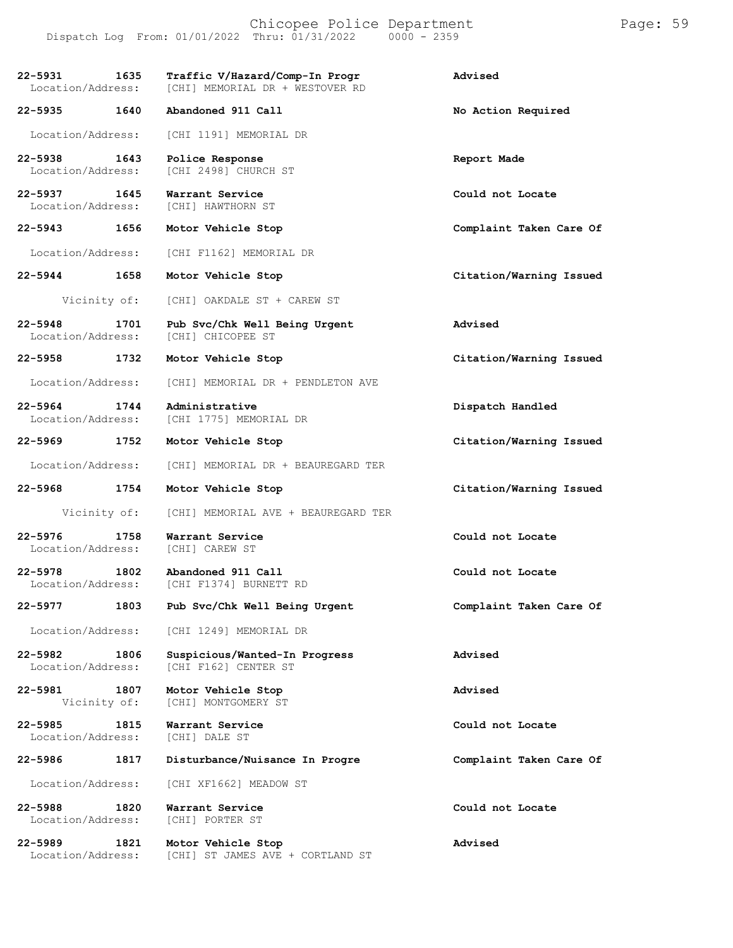Chicopee Police Department Page: 59 Dispatch Log From:  $01/01/2022$  Thru:  $01/31/2022$ 

**22-5931 1635 Traffic V/Hazard/Comp-In Progr Advised** [CHI] MEMORIAL DR + WESTOVER RD **22-5935 1640 Abandoned 911 Call No Action Required** Location/Address: [CHI 1191] MEMORIAL DR **22-5938 1643 Police Response Report Made** [CHI 2498] CHURCH ST **22-5937 1645 Warrant Service Could not Locate** Location/Address: **22-5943 1656 Motor Vehicle Stop Complaint Taken Care Of** Location/Address: [CHI F1162] MEMORIAL DR **22-5944 1658 Motor Vehicle Stop Citation/Warning Issued** Vicinity of: [CHI] OAKDALE ST + CAREW ST **22-5948 1701 Pub Svc/Chk Well Being Urgent Advised** Location/Address: **22-5958 1732 Motor Vehicle Stop Citation/Warning Issued** Location/Address: [CHI] MEMORIAL DR + PENDLETON AVE **22-5964 1744 Administrative Dispatch Handled** [CHI 1775] MEMORIAL DR **22-5969 1752 Motor Vehicle Stop Citation/Warning Issued** Location/Address: [CHI] MEMORIAL DR + BEAUREGARD TER **22-5968 1754 Motor Vehicle Stop Citation/Warning Issued** Vicinity of: [CHI] MEMORIAL AVE + BEAUREGARD TER **22-5976 1758 Warrant Service Could not Locate Could not Locate Could not Locate** Location/Address: **22-5978 1802 Abandoned 911 Call Could not Locate** [CHI F1374] BURNETT RD **22-5977 1803 Pub Svc/Chk Well Being Urgent Complaint Taken Care Of** Location/Address: [CHI 1249] MEMORIAL DR **22-5982 1806 Suspicious/Wanted-In Progress Advised** [CHI F162] CENTER ST **22-5981 1807 Motor Vehicle Stop Advised** [CHI] MONTGOMERY ST **22-5985 1815 Warrant Service Could not Locate** Location/Address: **22-5986 1817 Disturbance/Nuisance In Progre Complaint Taken Care Of** Location/Address: [CHI XF1662] MEADOW ST **22-5988 1820 Warrant Service Could not Locate** Location/Address: **22-5989 1821 Motor Vehicle Stop Advised** [CHI] ST JAMES AVE + CORTLAND ST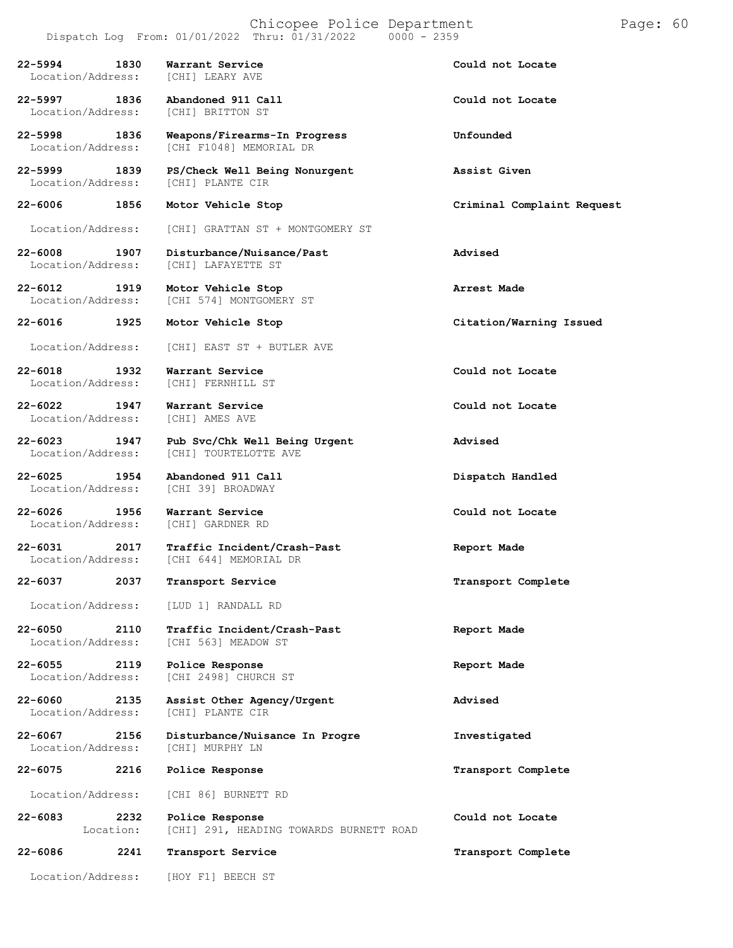## Chicopee Police Department Page: 60 Dispatch Log From:  $01/01/2022$  Thru:  $01/31/2022$

**22-5994 1830 Warrant Service Could not Locate** Location/Address: **22-5997 1836 Abandoned 911 Call Could not Locate** Location/Address: **22-5998 1836 Weapons/Firearms-In Progress Unfounded** [CHI F1048] MEMORIAL DR **22-5999 1839 PS/Check Well Being Nonurgent Assist Given** Location/Address: **22-6006 1856 Motor Vehicle Stop Criminal Complaint Request** Location/Address: [CHI] GRATTAN ST + MONTGOMERY ST **22-6008 1907 Disturbance/Nuisance/Past Advised** Location/Address: [CHI] LAFAYETTE ST **22-6012 1919 Motor Vehicle Stop Arrest Made** [CHI 574] MONTGOMERY ST **22-6016 1925 Motor Vehicle Stop Citation/Warning Issued** Location/Address: [CHI] EAST ST + BUTLER AVE **22-6018 1932 Warrant Service Could not Locate** [CHI] FERNHILL ST **22-6022 1947 Warrant Service Could not Locate** Location/Address: **22-6023 1947 Pub Svc/Chk Well Being Urgent Advised** [CHI] TOURTELOTTE AVE **22-6025 1954 Abandoned 911 Call Dispatch Handled** Location/Address: **22-6026 1956 Warrant Service Could not Locate** Location/Address: **22-6031 2017 Traffic Incident/Crash-Past Report Made** [CHI 644] MEMORIAL DR **22-6037 2037 Transport Service Transport Complete** Location/Address: [LUD 1] RANDALL RD **22-6050 2110 Traffic Incident/Crash-Past Report Made** [CHI 563] MEADOW ST **22-6055 2119 Police Response Report Made** [CHI 2498] CHURCH ST **22-6060 2135 Assist Other Agency/Urgent Advised** [CHI] PLANTE CIR **22-6067 2156 Disturbance/Nuisance In Progre Investigated** Location/Address: **22-6075 2216 Police Response Transport Complete** Location/Address: [CHI 86] BURNETT RD **22-6083 2232 Police Response Could not Locate 22-6086** Location: **2241** [CHI] 291, HEADING TOWARDS BURNETT ROAD **Transport Service Transport Complete** Location/Address: [HOY F1] BEECH ST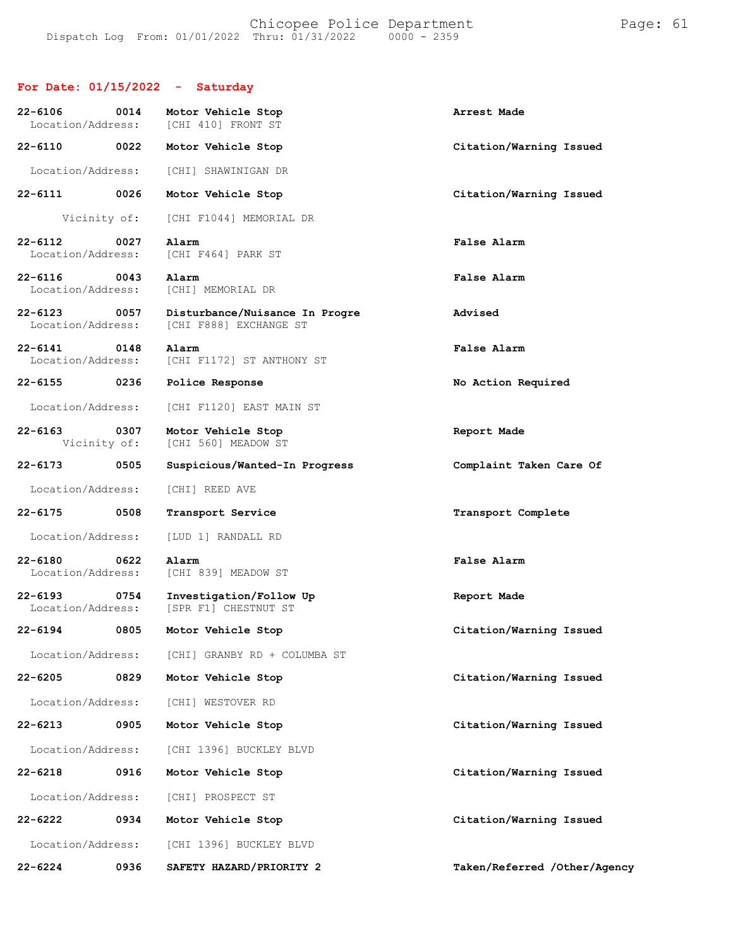## **For Date: 01/15/2022 - Saturday**

| $22 - 6106$<br>Location/Address: | 0014 | Motor Vehicle Stop<br>[CHI 410] FRONT ST                 | Arrest Made                  |
|----------------------------------|------|----------------------------------------------------------|------------------------------|
| $22 - 6110$                      | 0022 | Motor Vehicle Stop                                       | Citation/Warning Issued      |
| Location/Address:                |      | [CHI] SHAWINIGAN DR                                      |                              |
| $22 - 6111$                      | 0026 | Motor Vehicle Stop                                       | Citation/Warning Issued      |
| Vicinity of:                     |      | [CHI F1044] MEMORIAL DR                                  |                              |
| $22 - 6112$<br>Location/Address: | 0027 | Alarm<br>[CHI F464] PARK ST                              | False Alarm                  |
| $22 - 6116$<br>Location/Address: | 0043 | Alarm<br>[CHI] MEMORIAL DR                               | False Alarm                  |
| $22 - 6123$<br>Location/Address: | 0057 | Disturbance/Nuisance In Progre<br>[CHI F888] EXCHANGE ST | Advised                      |
| $22 - 6141$<br>Location/Address: | 0148 | Alarm<br>[CHI F1172] ST ANTHONY ST                       | False Alarm                  |
| $22 - 6155$                      | 0236 | Police Response                                          | No Action Required           |
| Location/Address:                |      | [CHI F1120] EAST MAIN ST                                 |                              |
| $22 - 6163$<br>Vicinity of:      | 0307 | Motor Vehicle Stop<br>[CHI 560] MEADOW ST                | Report Made                  |
| $22 - 6173$                      | 0505 | Suspicious/Wanted-In Progress                            | Complaint Taken Care Of      |
| Location/Address:                |      | [CHI] REED AVE                                           |                              |
| $22 - 6175$                      | 0508 | Transport Service                                        | Transport Complete           |
| Location/Address:                |      | [LUD 1] RANDALL RD                                       |                              |
| $22 - 6180$<br>Location/Address: | 0622 | Alarm<br>[CHI 839] MEADOW ST                             | False Alarm                  |
| $22 - 6193$<br>Location/Address: | 0754 | Investigation/Follow Up<br>[SPR F1] CHESTNUT ST          | Report Made                  |
| $22 - 6194$                      | 0805 | Motor Vehicle Stop                                       | Citation/Warning Issued      |
| Location/Address:                |      | [CHI] GRANBY RD + COLUMBA ST                             |                              |
| $22 - 6205$                      | 0829 | Motor Vehicle Stop                                       | Citation/Warning Issued      |
| Location/Address:                |      | [CHI] WESTOVER RD                                        |                              |
| $22 - 6213$                      | 0905 | Motor Vehicle Stop                                       | Citation/Warning Issued      |
| Location/Address:                |      | [CHI 1396] BUCKLEY BLVD                                  |                              |
| $22 - 6218$                      | 0916 | Motor Vehicle Stop                                       | Citation/Warning Issued      |
| Location/Address:                |      | [CHI] PROSPECT ST                                        |                              |
| 22-6222                          | 0934 | Motor Vehicle Stop                                       | Citation/Warning Issued      |
| Location/Address:                |      | [CHI 1396] BUCKLEY BLVD                                  |                              |
| $22 - 6224$                      | 0936 | SAFETY HAZARD/PRIORITY 2                                 | Taken/Referred /Other/Agency |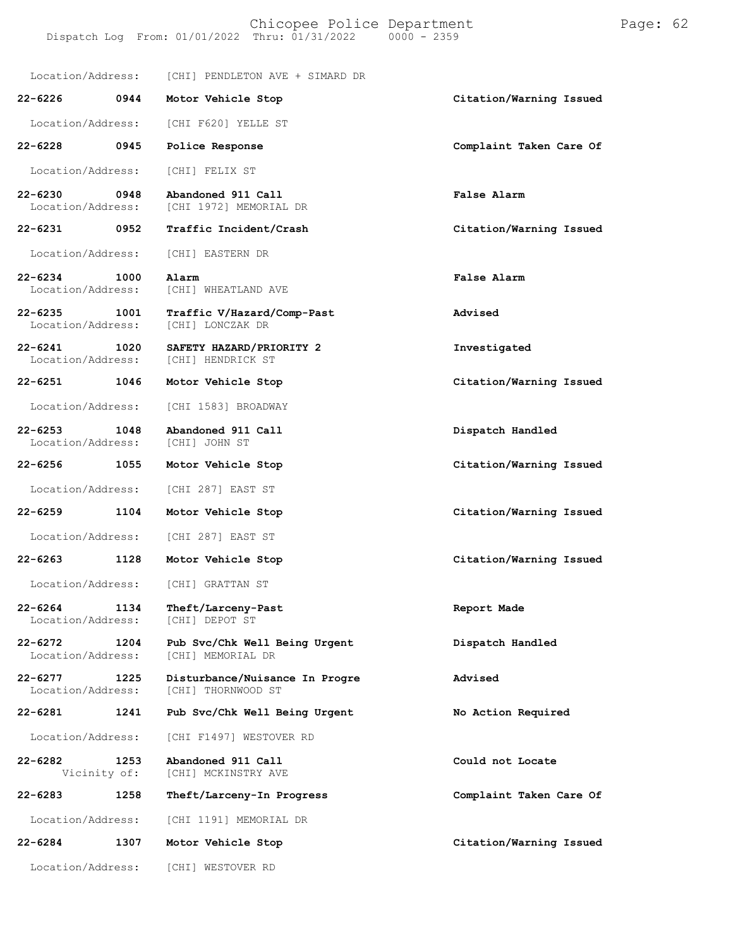Location/Address: [CHI] PENDLETON AVE + SIMARD DR **22-6226 0944 Motor Vehicle Stop Citation/Warning Issued** Location/Address: [CHI F620] YELLE ST **22-6228 0945 Police Response Complaint Taken Care Of** Location/Address: [CHI] FELIX ST **22-6230 0948 Abandoned 911 Call False Alarm** [CHI 1972] MEMORIAL DR **22-6231 0952 Traffic Incident/Crash Citation/Warning Issued** Location/Address: [CHI] EASTERN DR **22-6234 1000 Alarm False Alarm** [CHI] WHEATLAND AVE **22-6235 1001 Traffic V/Hazard/Comp-Past Advised** Location/Address: **22-6241 1020 SAFETY HAZARD/PRIORITY 2 Investigated** Location/Address: [CHI] HENDRICK ST **22-6251 1046 Motor Vehicle Stop Citation/Warning Issued** Location/Address: [CHI 1583] BROADWAY **22-6253 1048 Abandoned 911 Call Dispatch Handled** Location/Address: **22-6256 1055 Motor Vehicle Stop Citation/Warning Issued** Location/Address: [CHI 287] EAST ST **22-6259 1104 Motor Vehicle Stop Citation/Warning Issued** Location/Address: [CHI 287] EAST ST **22-6263 1128 Motor Vehicle Stop Citation/Warning Issued** Location/Address: [CHI] GRATTAN ST **22-6264 1134 Theft/Larceny-Past Report Made** Location/Address: **22-6272 1204 Pub Svc/Chk Well Being Urgent Dispatch Handled** [CHI] MEMORIAL DR **22-6277 1225 Disturbance/Nuisance In Progre Advised** [CHI] THORNWOOD ST **22-6281 1241 Pub Svc/Chk Well Being Urgent No Action Required** Location/Address: [CHI F1497] WESTOVER RD **22-6282 1253 Abandoned 911 Call Could not Locate** Vicinity of: [CHI] MCKINSTRY AVE **22-6283 1258 Theft/Larceny-In Progress Complaint Taken Care Of** Location/Address: [CHI 1191] MEMORIAL DR **22-6284 1307 Motor Vehicle Stop Citation/Warning Issued**

Location/Address: [CHI] WESTOVER RD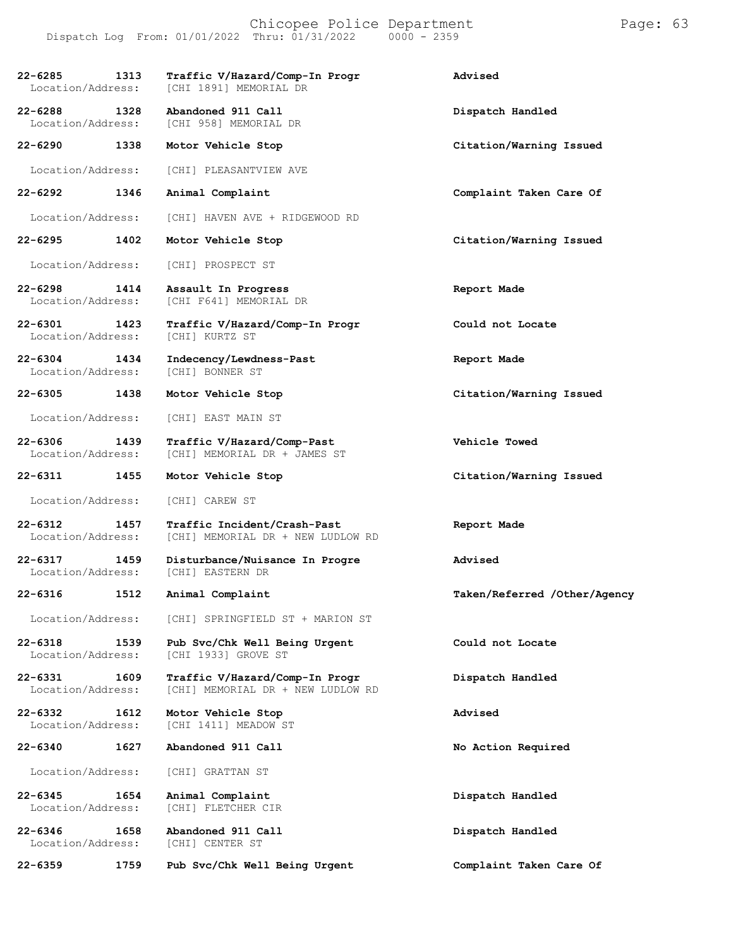| $22 - 6285$<br>Location/Address: | 1313 | Traffic V/Hazard/Comp-In Progr<br>[CHI 1891] MEMORIAL DR            | Advised                      |
|----------------------------------|------|---------------------------------------------------------------------|------------------------------|
| $22 - 6288$<br>Location/Address: | 1328 | Abandoned 911 Call<br>[CHI 958] MEMORIAL DR                         | Dispatch Handled             |
| 22-6290                          | 1338 | Motor Vehicle Stop                                                  | Citation/Warning Issued      |
| Location/Address:                |      | [CHI] PLEASANTVIEW AVE                                              |                              |
| 22-6292                          | 1346 | Animal Complaint                                                    | Complaint Taken Care Of      |
| Location/Address:                |      | [CHI] HAVEN AVE + RIDGEWOOD RD                                      |                              |
| $22 - 6295$                      | 1402 | Motor Vehicle Stop                                                  | Citation/Warning Issued      |
| Location/Address:                |      | [CHI] PROSPECT ST                                                   |                              |
| 22-6298<br>Location/Address:     | 1414 | Assault In Progress<br>[CHI F641] MEMORIAL DR                       | Report Made                  |
| 22-6301<br>Location/Address:     | 1423 | Traffic V/Hazard/Comp-In Progr<br>[CHI] KURTZ ST                    | Could not Locate             |
| $22 - 6304$<br>Location/Address: | 1434 | Indecency/Lewdness-Past<br>[CHI] BONNER ST                          | Report Made                  |
| 22-6305                          | 1438 | Motor Vehicle Stop                                                  | Citation/Warning Issued      |
| Location/Address:                |      | [CHI] EAST MAIN ST                                                  |                              |
| $22 - 6306$<br>Location/Address: | 1439 | Traffic V/Hazard/Comp-Past<br>[CHI] MEMORIAL DR + JAMES ST          | Vehicle Towed                |
| 22-6311                          | 1455 | Motor Vehicle Stop                                                  | Citation/Warning Issued      |
| Location/Address:                |      | [CHI] CAREW ST                                                      |                              |
| $22 - 6312$<br>Location/Address: | 1457 | Traffic Incident/Crash-Past<br>[CHI] MEMORIAL DR + NEW LUDLOW RD    | Report Made                  |
| $22 - 6317$<br>Location/Address: | 1459 | Disturbance/Nuisance In Progre<br>[CHI] EASTERN DR                  | Advised                      |
| 22-6316                          | 1512 | Animal Complaint                                                    | Taken/Referred /Other/Agency |
| Location/Address:                |      | [CHI] SPRINGFIELD ST + MARION ST                                    |                              |
| $22 - 6318$<br>Location/Address: | 1539 | Pub Svc/Chk Well Being Urgent<br>[CHI 1933] GROVE ST                | Could not Locate             |
| 22-6331<br>Location/Address:     | 1609 | Traffic V/Hazard/Comp-In Progr<br>[CHI] MEMORIAL DR + NEW LUDLOW RD | Dispatch Handled             |
| $22 - 6332$<br>Location/Address: | 1612 | Motor Vehicle Stop<br>[CHI 1411] MEADOW ST                          | Advised                      |
| $22 - 6340$                      | 1627 | Abandoned 911 Call                                                  | No Action Required           |
| Location/Address:                |      | [CHI] GRATTAN ST                                                    |                              |
| 22-6345<br>Location/Address:     | 1654 | Animal Complaint<br>[CHI] FLETCHER CIR                              | Dispatch Handled             |
| $22 - 6346$<br>Location/Address: | 1658 | Abandoned 911 Call<br>[CHI] CENTER ST                               | Dispatch Handled             |
| $22 - 6359$                      | 1759 | Pub Svc/Chk Well Being Urgent                                       | Complaint Taken Care Of      |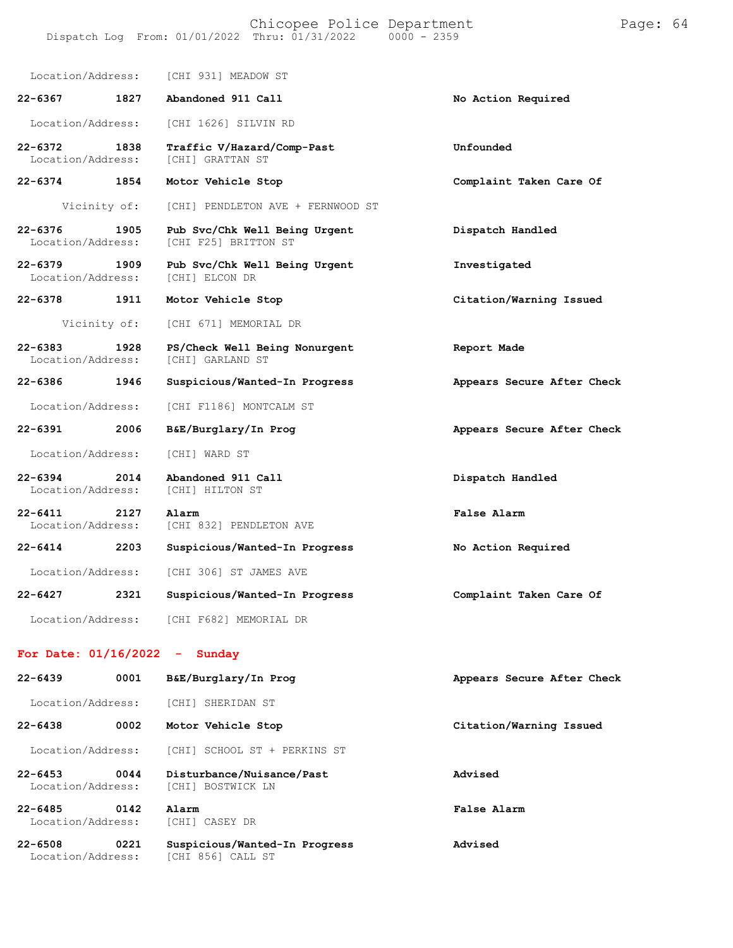| Location/Address:                                                                                |      | [CHI 931] MEADOW ST                                   |                            |
|--------------------------------------------------------------------------------------------------|------|-------------------------------------------------------|----------------------------|
| $22 - 6367$                                                                                      | 1827 | Abandoned 911 Call                                    | No Action Required         |
| Location/Address:                                                                                |      | [CHI 1626] SILVIN RD                                  |                            |
| $22 - 6372$<br>Location/Address:                                                                 | 1838 | Traffic V/Hazard/Comp-Past<br>[CHI] GRATTAN ST        | Unfounded                  |
| $22 - 6374$                                                                                      | 1854 | Motor Vehicle Stop                                    | Complaint Taken Care Of    |
| Vicinity of:                                                                                     |      | [CHI] PENDLETON AVE + FERNWOOD ST                     |                            |
| $22 - 6376$<br>Location/Address:                                                                 | 1905 | Pub Svc/Chk Well Being Urgent<br>[CHI F25] BRITTON ST | Dispatch Handled           |
| $22 - 6379$<br>Location/Address:                                                                 | 1909 | Pub Svc/Chk Well Being Urgent<br>[CHI] ELCON DR       | Investigated               |
| $22 - 6378$                                                                                      | 1911 | Motor Vehicle Stop                                    | Citation/Warning Issued    |
| Vicinity of:                                                                                     |      | [CHI 671] MEMORIAL DR                                 |                            |
| $22 - 6383$<br>Location/Address:                                                                 | 1928 | PS/Check Well Being Nonurgent<br>[CHI] GARLAND ST     | Report Made                |
| 22-6386                                                                                          | 1946 | Suspicious/Wanted-In Progress                         | Appears Secure After Check |
| Location/Address:                                                                                |      | [CHI F1186] MONTCALM ST                               |                            |
| $22 - 6391$                                                                                      | 2006 | B&E/Burglary/In Prog                                  | Appears Secure After Check |
| Location/Address:                                                                                |      | [CHI] WARD ST                                         |                            |
| $22 - 6394$<br>Location/Address:                                                                 | 2014 | Abandoned 911 Call<br>[CHI] HILTON ST                 | Dispatch Handled           |
| $22 - 6411$<br>Location/Address:                                                                 | 2127 | Alarm<br>[CHI 832] PENDLETON AVE                      | False Alarm                |
| $22 - 6414$                                                                                      | 2203 | Suspicious/Wanted-In Progress                         | No Action Required         |
| Location/Address:                                                                                |      | [CHI 306] ST JAMES AVE                                |                            |
| $22 - 6427$                                                                                      | 2321 | Suspicious/Wanted-In Progress                         | Complaint Taken Care Of    |
| Location/Address:                                                                                |      | [CHI F682] MEMORIAL DR                                |                            |
| $E_{\text{max}}$ $D_{\text{max}}$ $\theta$ $\theta$ $\theta$ $\theta$ $\theta$ $\theta$ $\theta$ |      | ومراقب ومرواتهم                                       |                            |

## **For Date: 01/16/2022 - Sunday**

| $22 - 6439$                      | 0001 | B&E/Burglary/In Prog                               | Appears Secure After Check |
|----------------------------------|------|----------------------------------------------------|----------------------------|
| Location/Address:                |      | [CHI] SHERIDAN ST                                  |                            |
| $22 - 6438$                      | 0002 | Motor Vehicle Stop                                 | Citation/Warning Issued    |
| Location/Address:                |      | [CHI] SCHOOL ST + PERKINS ST                       |                            |
| $22 - 6453$<br>Location/Address: | 0044 | Disturbance/Nuisance/Past<br>[CHI] BOSTWICK LN     | Advised                    |
| $22 - 6485$<br>Location/Address: | 0142 | Alarm<br>[CHI] CASEY DR                            | False Alarm                |
| $22 - 6508$<br>Location/Address: | 0221 | Suspicious/Wanted-In Progress<br>[CHI 856] CALL ST | Advised                    |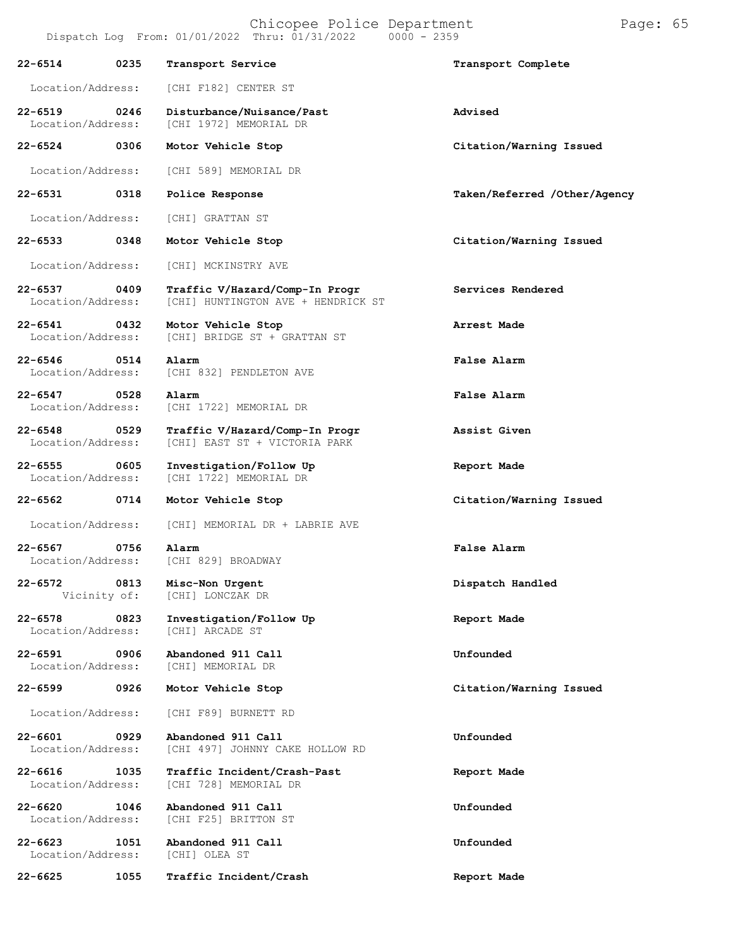|                                  |      | Dispatch Log From: 01/01/2022 Thru: 01/31/2022<br>$0000 - 2359$      |                              |
|----------------------------------|------|----------------------------------------------------------------------|------------------------------|
| $22 - 6514$                      | 0235 | Transport Service                                                    | Transport Complete           |
| Location/Address:                |      | [CHI F182] CENTER ST                                                 |                              |
| $22 - 6519$<br>Location/Address: | 0246 | Disturbance/Nuisance/Past<br>[CHI 1972] MEMORIAL DR                  | Advised                      |
| 22-6524                          | 0306 | Motor Vehicle Stop                                                   | Citation/Warning Issued      |
| Location/Address:                |      | [CHI 589] MEMORIAL DR                                                |                              |
| $22 - 6531$                      | 0318 | Police Response                                                      | Taken/Referred /Other/Agency |
| Location/Address:                |      | [CHI] GRATTAN ST                                                     |                              |
| $22 - 6533$                      | 0348 | Motor Vehicle Stop                                                   | Citation/Warning Issued      |
| Location/Address:                |      | [CHI] MCKINSTRY AVE                                                  |                              |
| $22 - 6537$<br>Location/Address: | 0409 | Traffic V/Hazard/Comp-In Progr<br>[CHI] HUNTINGTON AVE + HENDRICK ST | Services Rendered            |
| $22 - 6541$<br>Location/Address: | 0432 | Motor Vehicle Stop<br>[CHI] BRIDGE ST + GRATTAN ST                   | Arrest Made                  |
| $22 - 6546$<br>Location/Address: | 0514 | Alarm<br>[CHI 832] PENDLETON AVE                                     | False Alarm                  |
| $22 - 6547$<br>Location/Address: | 0528 | Alarm<br>[CHI 1722] MEMORIAL DR                                      | False Alarm                  |
| $22 - 6548$<br>Location/Address: | 0529 | Traffic V/Hazard/Comp-In Progr<br>[CHI] EAST ST + VICTORIA PARK      | Assist Given                 |
| $22 - 6555$<br>Location/Address: | 0605 | Investigation/Follow Up<br>[CHI 1722] MEMORIAL DR                    | Report Made                  |
| $22 - 6562$                      | 0714 | Motor Vehicle Stop                                                   | Citation/Warning Issued      |
| Location/Address:                |      | [CHI] MEMORIAL DR + LABRIE AVE                                       |                              |
| $22 - 6567$<br>Location/Address: | 0756 | Alarm<br>[CHI 829] BROADWAY                                          | False Alarm                  |
| 22-6572<br>Vicinity of:          | 0813 | Misc-Non Urgent<br>[CHI] LONCZAK DR                                  | Dispatch Handled             |
| $22 - 6578$<br>Location/Address: | 0823 | Investigation/Follow Up<br>[CHI] ARCADE ST                           | Report Made                  |
| 22-6591<br>Location/Address:     | 0906 | Abandoned 911 Call<br>[CHI] MEMORIAL DR                              | Unfounded                    |
| 22-6599                          | 0926 | Motor Vehicle Stop                                                   | Citation/Warning Issued      |
| Location/Address:                |      | [CHI F89] BURNETT RD                                                 |                              |
| 22-6601<br>Location/Address:     | 0929 | Abandoned 911 Call<br>[CHI 497] JOHNNY CAKE HOLLOW RD                | Unfounded                    |
| $22 - 6616$<br>Location/Address: | 1035 | Traffic Incident/Crash-Past<br>[CHI 728] MEMORIAL DR                 | Report Made                  |
| $22 - 6620$<br>Location/Address: | 1046 | Abandoned 911 Call<br>[CHI F25] BRITTON ST                           | Unfounded                    |
| $22 - 6623$<br>Location/Address: | 1051 | Abandoned 911 Call<br>[CHI] OLEA ST                                  | Unfounded                    |
| 22-6625                          | 1055 | Traffic Incident/Crash                                               | Report Made                  |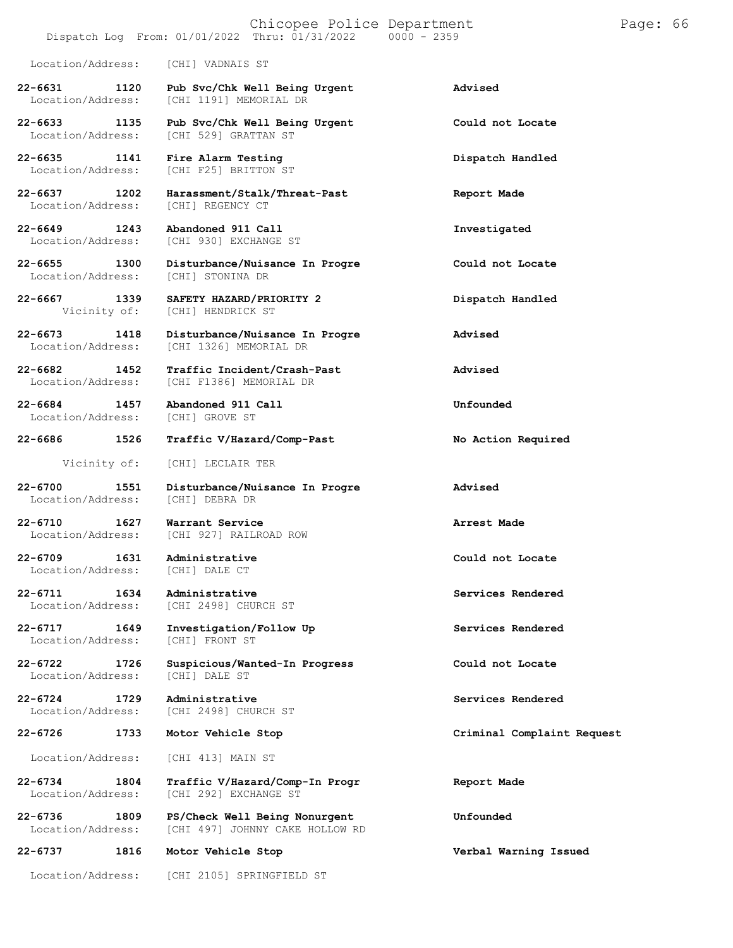## Dispatch Log From:  $01/01/2022$  Thru:  $01/31/2022$

Location/Address: [CHI] VADNAIS ST

**22-6631 1120 Pub Svc/Chk Well Being Urgent Advised** [CHI 1191] MEMORIAL DR

**22-6633 1135 Pub Svc/Chk Well Being Urgent Could not Locate**

**22-6635 1141 Fire Alarm Testing Dispatch Handled**

Location/Address:

**22-6649 1243 Abandoned 911 Call Investigated**

**22-6684 1457 Abandoned 911 Call Unfounded** Location/Address:

Location/Address:

**22-6709 1631 Administrative Could not Locate** Location/Address:

Location/Address:

Location/Address:

**22-6737 1816 Motor Vehicle Stop Verbal Warning Issued**

[CHI 529] GRATTAN ST

[CHI F25] BRITTON ST

**22-6637 1202 Harassment/Stalk/Threat-Past Report Made**

[CHI 930] EXCHANGE ST

**22-6655 1300 Disturbance/Nuisance In Progre Could not Locate** Location/Address: [CHI] STONINA DR

**22-6667 1339 SAFETY HAZARD/PRIORITY 2 Dispatch Handled** [CHI] HENDRICK ST

**22-6673 1418 Disturbance/Nuisance In Progre Advised** [CHI 1326] MEMORIAL DR

**22-6682 1452 Traffic Incident/Crash-Past Advised** [CHI F1386] MEMORIAL DR

**22-6686 1526 Traffic V/Hazard/Comp-Past No Action Required**

Vicinity of: [CHI] LECLAIR TER

**22-6700 1551 Disturbance/Nuisance In Progre Advised**

**22-6710 1627 Warrant Service Arrest Made** [CHI 927] RAILROAD ROW

**22-6711 1634 Administrative Services Rendered** [CHI 2498] CHURCH ST

**22-6717 1649 Investigation/Follow Up Services Rendered**

**22-6722 1726 Suspicious/Wanted-In Progress Could not Locate**

**22-6724 1729 Administrative Services Rendered** [CHI 2498] CHURCH ST

Location/Address: [CHI 413] MAIN ST

**22-6734 1804 Traffic V/Hazard/Comp-In Progr Report Made** [CHI 292] EXCHANGE ST

**22-6736 1809 PS/Check Well Being Nonurgent Unfounded** [CHI 497] JOHNNY CAKE HOLLOW RD

Location/Address: [CHI 2105] SPRINGFIELD ST

**22-6726 1733 Motor Vehicle Stop Criminal Complaint Request**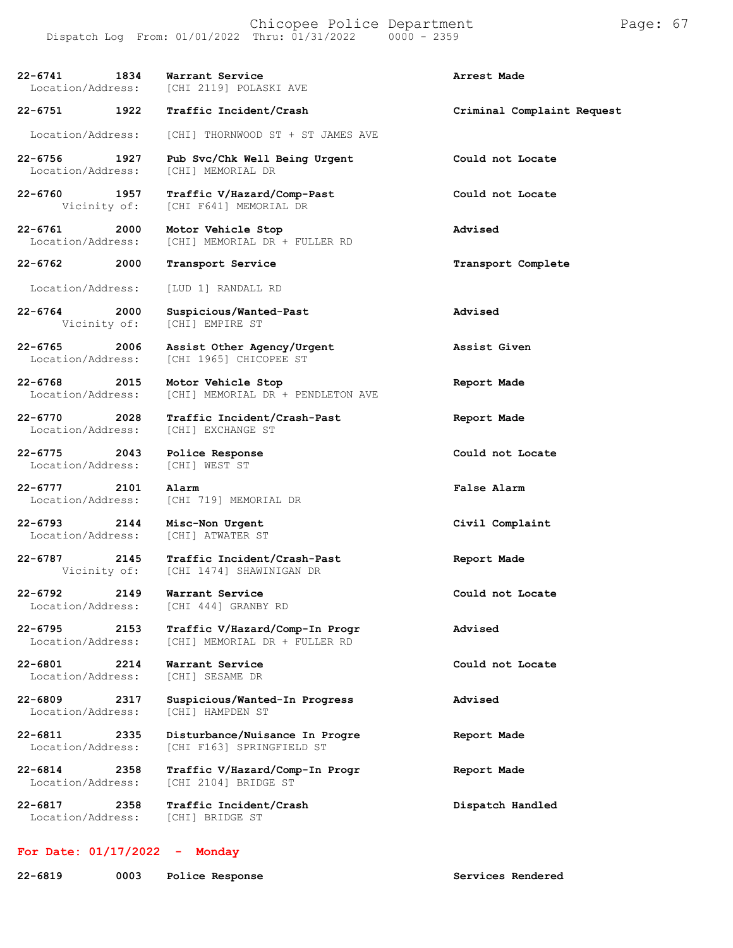Chicopee Police Department Page: 67 Dispatch Log From:  $01/01/2022$  Thru:  $01/31/2022$ 

**22-6741 1834 Warrant Service Arrest Made** [CHI 2119] POLASKI AVE **22-6751 1922 Traffic Incident/Crash Criminal Complaint Request** Location/Address: [CHI] THORNWOOD ST + ST JAMES AVE **22-6756 1927 Pub Svc/Chk Well Being Urgent Could not Locate** Location/Address: **22-6760 1957 Traffic V/Hazard/Comp-Past Could not Locate** [CHI F641] MEMORIAL DR **22-6761 2000 Motor Vehicle Stop Advised** [CHI] MEMORIAL DR + FULLER RD **22-6762 2000 Transport Service Transport Complete** Location/Address: [LUD 1] RANDALL RD **22-6764 2000 Suspicious/Wanted-Past Advised** [CHI] EMPIRE ST **22-6765 2006 Assist Other Agency/Urgent Assist Given** [CHI 1965] CHICOPEE ST **22-6768 2015 Motor Vehicle Stop Report Made** [CHI] MEMORIAL DR + PENDLETON AVE **22-6770 2028 Traffic Incident/Crash-Past Report Made** Location/Address: **22-6775 2043 Police Response Could not Locate** Location/Address: **22-6777 2101 Alarm False Alarm** Location/Address: [CHI 719] MEMORIAL DR **22-6793 2144 Misc-Non Urgent Civil Complaint** Location/Address: **22-6787 2145 Traffic Incident/Crash-Past Report Made** [CHI 1474] SHAWINIGAN DR **22-6792 2149 Warrant Service Could not Locate** [CHI 444] GRANBY RD **22-6795 2153 Traffic V/Hazard/Comp-In Progr Advised** Location/Address: [CHI] MEMORIAL DR + FULLER RD **22-6801 2214 Warrant Service Could not Locate** Location/Address: **22-6809 2317 Suspicious/Wanted-In Progress Advised** [CHI] HAMPDEN ST **22-6811 2335 Disturbance/Nuisance In Progre Report Made** [CHI F163] SPRINGFIELD ST **22-6814 2358 Traffic V/Hazard/Comp-In Progr Report Made** [CHI 2104] BRIDGE ST **22-6817 2358 Traffic Incident/Crash Dispatch Handled** Location/Address:

## **For Date: 01/17/2022 - Monday**

**22-6819 0003 Police Response Services Rendered**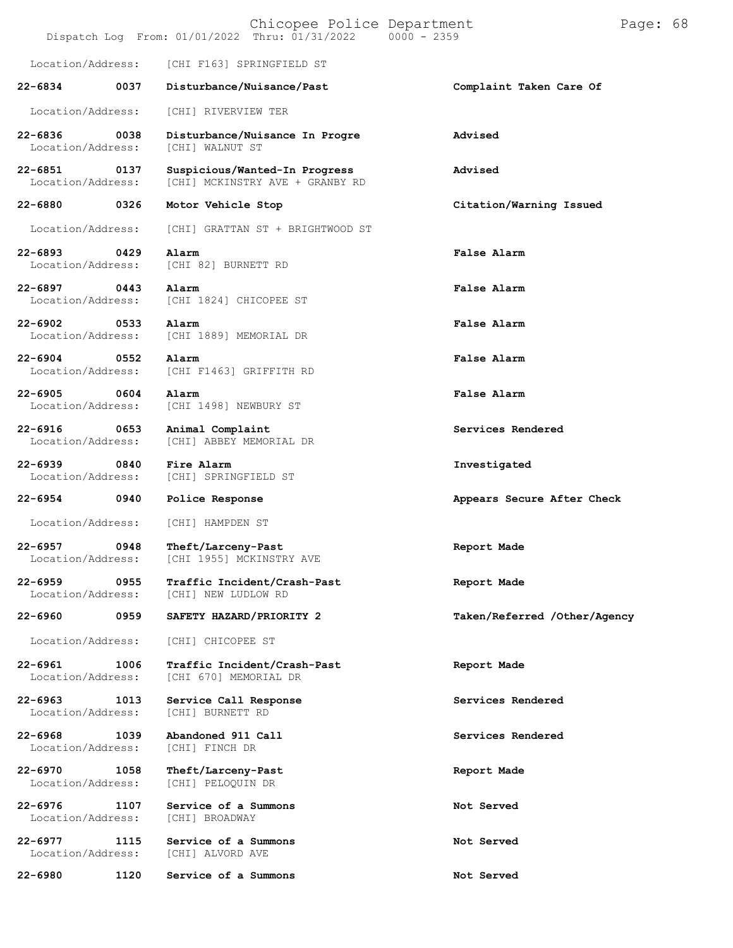|                                  |      | Chicopee Police Department<br>Dispatch Log From: 01/01/2022 Thru: 01/31/2022 0000 - 2359 |                              | Page: 68 |  |
|----------------------------------|------|------------------------------------------------------------------------------------------|------------------------------|----------|--|
| Location/Address:                |      | [CHI F163] SPRINGFIELD ST                                                                |                              |          |  |
| $22 - 6834$                      | 0037 | Disturbance/Nuisance/Past                                                                | Complaint Taken Care Of      |          |  |
| Location/Address:                |      | [CHI] RIVERVIEW TER                                                                      |                              |          |  |
| $22 - 6836$<br>Location/Address: | 0038 | Disturbance/Nuisance In Progre<br><b>[CHI] WALNUT ST</b>                                 | Advised                      |          |  |
| $22 - 6851$<br>Location/Address: | 0137 | Suspicious/Wanted-In Progress<br>[CHI] MCKINSTRY AVE + GRANBY RD                         | Advised                      |          |  |
| $22 - 6880$                      | 0326 | Motor Vehicle Stop                                                                       | Citation/Warning Issued      |          |  |
| Location/Address:                |      | [CHI] GRATTAN ST + BRIGHTWOOD ST                                                         |                              |          |  |
| $22 - 6893$<br>Location/Address: | 0429 | Alarm<br>[CHI 82] BURNETT RD                                                             | False Alarm                  |          |  |
| $22 - 6897$<br>Location/Address: | 0443 | Alarm<br>[CHI 1824] CHICOPEE ST                                                          | False Alarm                  |          |  |
| $22 - 6902$<br>Location/Address: | 0533 | Alarm<br>[CHI 1889] MEMORIAL DR                                                          | False Alarm                  |          |  |
| $22 - 6904$<br>Location/Address: | 0552 | Alarm<br>[CHI F1463] GRIFFITH RD                                                         | False Alarm                  |          |  |
| $22 - 6905$<br>Location/Address: | 0604 | Alarm<br>[CHI 1498] NEWBURY ST                                                           | False Alarm                  |          |  |
| $22 - 6916$<br>Location/Address: | 0653 | Animal Complaint<br>[CHI] ABBEY MEMORIAL DR                                              | Services Rendered            |          |  |
| $22 - 6939$<br>Location/Address: | 0840 | Fire Alarm<br>[CHI] SPRINGFIELD ST                                                       | Investigated                 |          |  |
| 22-6954                          | 0940 | Police Response                                                                          | Appears Secure After Check   |          |  |
| Location/Address:                |      | [CHI] HAMPDEN ST                                                                         |                              |          |  |
| $22 - 6957$<br>Location/Address: | 0948 | Theft/Larceny-Past<br>[CHI 1955] MCKINSTRY AVE                                           | Report Made                  |          |  |
| $22 - 6959$<br>Location/Address: | 0955 | Traffic Incident/Crash-Past<br>[CHI] NEW LUDLOW RD                                       | Report Made                  |          |  |
| $22 - 6960$                      | 0959 | SAFETY HAZARD/PRIORITY 2                                                                 | Taken/Referred /Other/Agency |          |  |
| Location/Address:                |      | [CHI] CHICOPEE ST                                                                        |                              |          |  |
| $22 - 6961$<br>Location/Address: | 1006 | Traffic Incident/Crash-Past<br>[CHI 670] MEMORIAL DR                                     | Report Made                  |          |  |
| 22-6963<br>Location/Address:     | 1013 | Service Call Response<br>[CHI] BURNETT RD                                                | Services Rendered            |          |  |
| $22 - 6968$<br>Location/Address: | 1039 | Abandoned 911 Call<br>[CHI] FINCH DR                                                     | Services Rendered            |          |  |
| 22-6970<br>Location/Address:     | 1058 | Theft/Larceny-Past<br>[CHI] PELOQUIN DR                                                  | Report Made                  |          |  |
| $22 - 6976$<br>Location/Address: | 1107 | Service of a Summons<br>[CHI] BROADWAY                                                   | Not Served                   |          |  |
| $22 - 6977$<br>Location/Address: | 1115 | Service of a Summons<br>[CHI] ALVORD AVE                                                 | Not Served                   |          |  |
| $22 - 6980$                      | 1120 | Service of a Summons                                                                     | Not Served                   |          |  |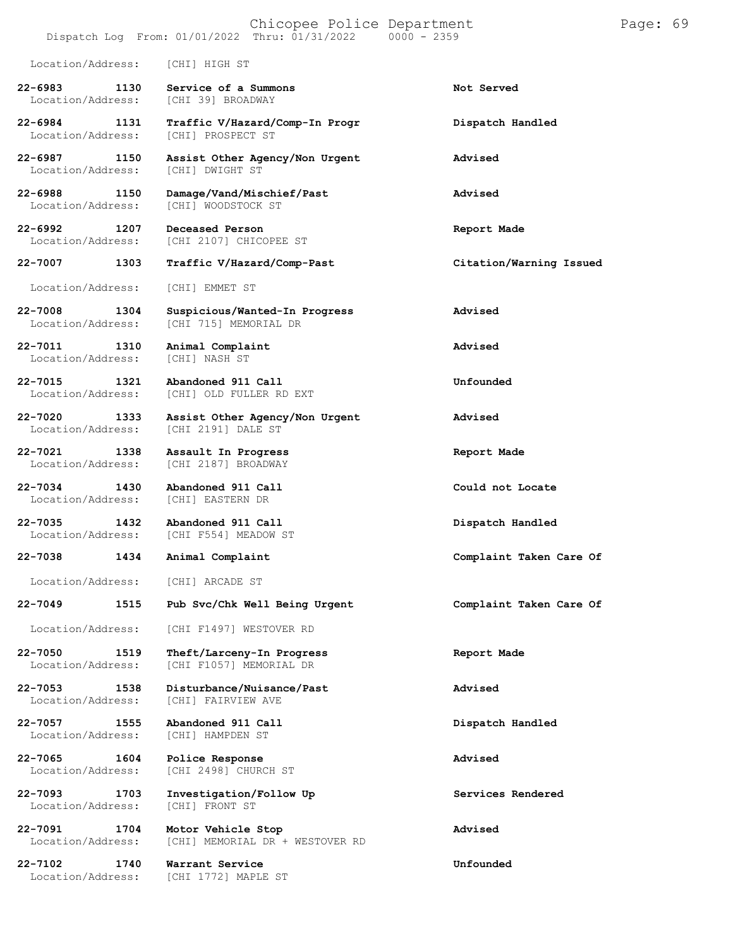## Chicopee Police Department Page: 69 Dispatch Log From:  $01/01/2022$  Thru:  $01/31/2022$ Location/Address: [CHI] HIGH ST

**22-6983 1130 Service of a Summons Not Served** Location/Address:

**22-6984 1131 Traffic V/Hazard/Comp-In Progr Dispatch Handled** Location/Address:

Location/Address:

**22-7015 1321 Abandoned 911 Call Unfounded**

Location/Address:

**22-7034 1430 Abandoned 911 Call Could not Locate** Location/Address:

**22-7038 1434 Animal Complaint Complaint Taken Care Of**

Location/Address: [CHI] ARCADE ST

**22-7049 1515 Pub Svc/Chk Well Being Urgent Complaint Taken Care Of**

**22-7057 1555 Abandoned 911 Call Dispatch Handled**

Location/Address:

**22-7102 1740 Warrant Service Unfounded**

**22-6987 1150 Assist Other Agency/Non Urgent Advised** Location/Address: [CHI] DWIGHT ST **22-6988 1150 Damage/Vand/Mischief/Past Advised** [CHI] WOODSTOCK ST

**22-6992 1207 Deceased Person Report Made** [CHI 2107] CHICOPEE ST

**22-7007 1303 Traffic V/Hazard/Comp-Past Citation/Warning Issued**

Location/Address: [CHI] EMMET ST

**22-7008 1304 Suspicious/Wanted-In Progress Advised** [CHI 715] MEMORIAL DR

**22-7011 1310 Animal Complaint Advised**

Location/Address: [CHI] OLD FULLER RD EXT

**22-7020 1333 Assist Other Agency/Non Urgent Advised**

**22-7021 1338 Assault In Progress Report Made** [CHI 2187] BROADWAY

**22-7035 1432 Abandoned 911 Call Dispatch Handled** [CHI F554] MEADOW ST

Location/Address: [CHI F1497] WESTOVER RD

**22-7050 1519 Theft/Larceny-In Progress Report Made** [CHI F1057] MEMORIAL DR

**22-7053 1538 Disturbance/Nuisance/Past Advised** [CHI] FAIRVIEW AVE

Location/Address: [CHI] HAMPDEN ST

**22-7065 1604 Police Response Advised** [CHI 2498] CHURCH ST

**22-7093 1703 Investigation/Follow Up Services Rendered**

**22-7091 1704 Motor Vehicle Stop Advised** [CHI] MEMORIAL DR + WESTOVER RD

[CHI 1772] MAPLE ST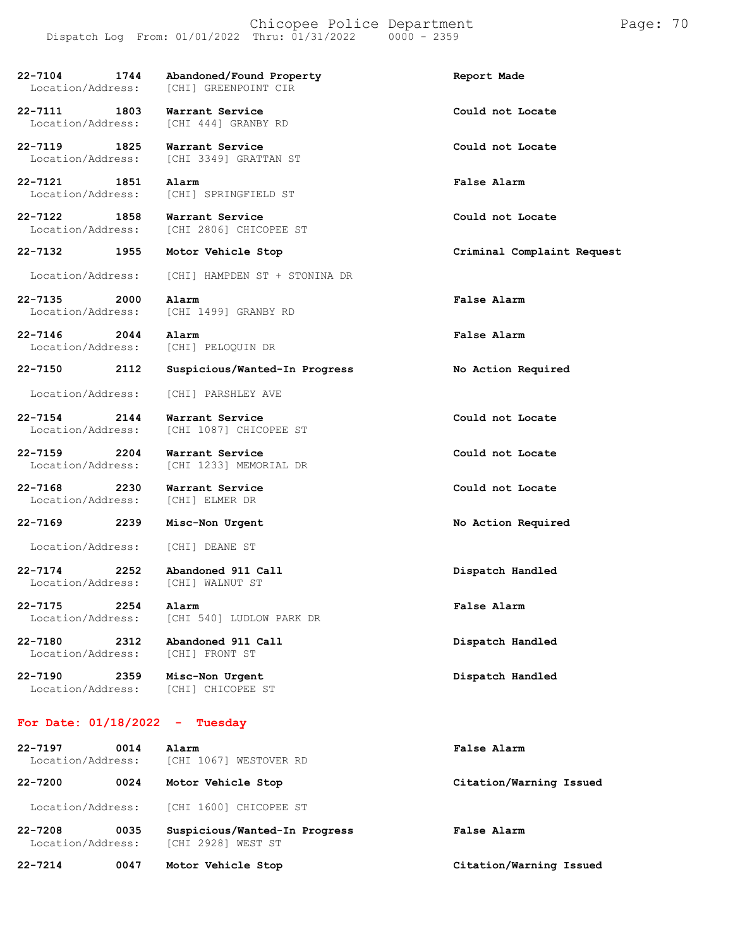### Chicopee Police Department Page: 70 Dispatch Log From: 01/01/2022 Thru: 01/31/2022 0000 - 2359

**22-7132 1955 Motor Vehicle Stop Criminal Complaint Request**

**22-7104 1744 Abandoned/Found Property Report Made** [CHI] GREENPOINT CIR **22-7111 1803 Warrant Service Could not Locate** Location/Address: [CHI 444] GRANBY RD **22-7119 1825 Warrant Service Could not Locate** Location/Address: [CHI 3349] GRATTAN ST **22-7121 1851 Alarm False Alarm** Location/Address: [CHI] SPRINGFIELD ST **22-7122 1858 Warrant Service Could not Locate**

Location/Address: [CHI 2806] CHICOPEE ST

Location/Address: [CHI] HAMPDEN ST + STONINA DR

**22-7135 2000 Alarm False Alarm** Location/Address: [CHI 1499] GRANBY RD

Location/Address: [CHI] PELOQUIN DR

**22-7146 2044 Alarm False Alarm**

Location/Address: [CHI] PARSHLEY AVE

**22-7154 2144 Warrant Service Could not Locate**

**22-7159 2204 Warrant Service Could not Locate**

**22-7168 2230 Warrant Service Could not Locate** Location/Address:

[CHI 1087] CHICOPEE ST

[CHI 1233] MEMORIAL DR

Location/Address: [CHI] DEANE ST

**22-7174 2252 Abandoned 911 Call Dispatch Handled** Location/Address:

**22-7175 2254 Alarm False Alarm**

Location/Address:

**22-7180 2312 Abandoned 911 Call Dispatch Handled**

[CHI 540] LUDLOW PARK DR

**22-7190 2359 Misc-Non Urgent Dispatch Handled**

Location/Address: [CHI] CHICOPEE ST

## **For Date: 01/18/2022 - Tuesday**

| $22 - 7197$<br>0014<br>Location/Address: |      | Alarm<br>[CHI 1067] WESTOVER RD                     | False Alarm             |
|------------------------------------------|------|-----------------------------------------------------|-------------------------|
| $22 - 7200$                              | 0024 | Motor Vehicle Stop                                  | Citation/Warning Issued |
| Location/Address:                        |      | [CHI 1600] CHICOPEE ST                              |                         |
| $22 - 7208$<br>Location/Address:         | 0035 | Suspicious/Wanted-In Progress<br>[CHI 2928] WEST ST | <b>False Alarm</b>      |
| $22 - 7214$                              | 0047 | Motor Vehicle Stop                                  | Citation/Warning Issued |

**22-7150 2112 Suspicious/Wanted-In Progress No Action Required**

**22-7169 2239 Misc-Non Urgent No Action Required**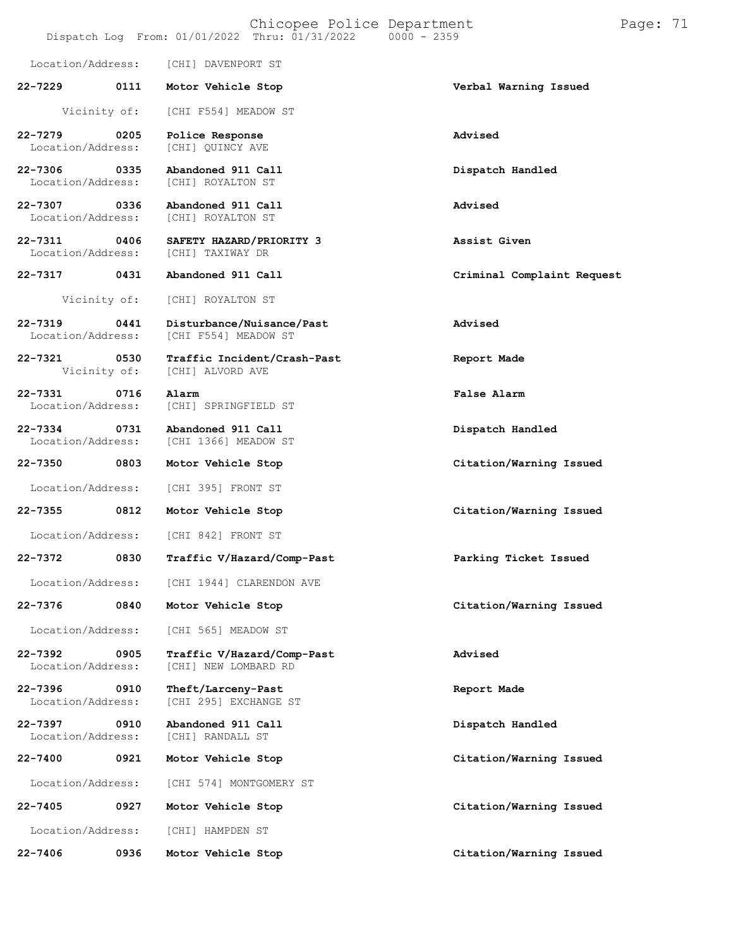|                                   |              | Location/Address: [CHI] DAVENPORT ST                         |                            |
|-----------------------------------|--------------|--------------------------------------------------------------|----------------------------|
| 22-7229                           |              | 0111 Motor Vehicle Stop                                      | Verbal Warning Issued      |
|                                   | Vicinity of: | [CHI F554] MEADOW ST                                         |                            |
| 22-7279 0205<br>Location/Address: |              | Police Response<br>[CHI] QUINCY AVE                          | Advised                    |
| 22-7306 0335<br>Location/Address: |              | Abandoned 911 Call<br>[CHI] ROYALTON ST                      | Dispatch Handled           |
| 22-7307 0336<br>Location/Address: |              | Abandoned 911 Call<br>[CHI] ROYALTON ST                      | Advised                    |
| 22-7311 0406<br>Location/Address: |              | SAFETY HAZARD/PRIORITY 3<br>[CHI] TAXIWAY DR                 | Assist Given               |
| 22-7317                           | 0431         | Abandoned 911 Call                                           | Criminal Complaint Request |
|                                   | Vicinity of: | [CHI] ROYALTON ST                                            |                            |
| 22-7319 0441<br>Location/Address: |              | Disturbance/Nuisance/Past<br>[CHI F554] MEADOW ST            | Advised                    |
| 22-7321                           | 0530         | Traffic Incident/Crash-Past<br>Vicinity of: [CHI] ALVORD AVE | Report Made                |
| 22-7331 0716<br>Location/Address: |              | Alarm<br>[CHI] SPRINGFIELD ST                                | False Alarm                |
| 22-7334<br>Location/Address:      | 0731         | Abandoned 911 Call<br>[CHI 1366] MEADOW ST                   | Dispatch Handled           |
| 22-7350                           | 0803         | Motor Vehicle Stop                                           | Citation/Warning Issued    |
| Location/Address:                 |              | [CHI 395] FRONT ST                                           |                            |
| 22-7355                           | 0812         | Motor Vehicle Stop                                           | Citation/Warning Issued    |
| Location/Address:                 |              | [CHI 842] FRONT ST                                           |                            |
| 22-7372                           | 0830         | Traffic V/Hazard/Comp-Past                                   | Parking Ticket Issued      |
| Location/Address:                 |              | [CHI 1944] CLARENDON AVE                                     |                            |
| $22 - 7376$                       | 0840         | Motor Vehicle Stop                                           | Citation/Warning Issued    |
| Location/Address:                 |              | [CHI 565] MEADOW ST                                          |                            |
| 22-7392<br>Location/Address:      | 0905         | Traffic V/Hazard/Comp-Past<br>[CHI] NEW LOMBARD RD           | Advised                    |
| 22-7396<br>Location/Address:      | 0910         | Theft/Larceny-Past<br>[CHI 295] EXCHANGE ST                  | Report Made                |
| $22 - 7397$<br>Location/Address:  | 0910         | Abandoned 911 Call<br>[CHI] RANDALL ST                       | Dispatch Handled           |
| $22 - 7400$                       | 0921         | Motor Vehicle Stop                                           | Citation/Warning Issued    |
| Location/Address:                 |              | [CHI 574] MONTGOMERY ST                                      |                            |
| $22 - 7405$                       | 0927         | Motor Vehicle Stop                                           | Citation/Warning Issued    |
| Location/Address:                 |              | [CHI] HAMPDEN ST                                             |                            |
| $22 - 7406$                       | 0936         | Motor Vehicle Stop                                           | Citation/Warning Issued    |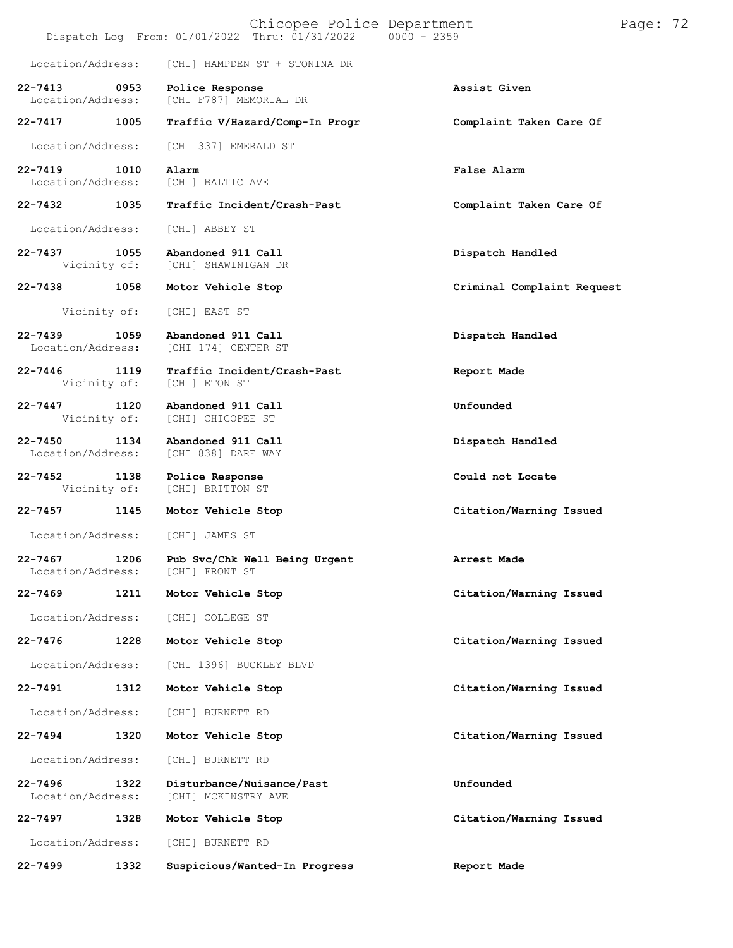|                                                 |      | Chicopee Police Department<br>Dispatch Log From: 01/01/2022 Thru: 01/31/2022   0000 - 2359 |                            | Page: 72 |  |
|-------------------------------------------------|------|--------------------------------------------------------------------------------------------|----------------------------|----------|--|
| Location/Address:                               |      | [CHI] HAMPDEN ST + STONINA DR                                                              |                            |          |  |
| $22 - 7413$<br>$\sim$ 0953<br>Location/Address: |      | Police Response<br>[CHI F787] MEMORIAL DR                                                  | Assist Given               |          |  |
| 22-7417 1005                                    |      | Traffic V/Hazard/Comp-In Progr                                                             | Complaint Taken Care Of    |          |  |
| Location/Address:                               |      | [CHI 337] EMERALD ST                                                                       |                            |          |  |
| $22 - 7419$<br>Location/Address:                | 1010 | Alarm<br>[CHI] BALTIC AVE                                                                  | False Alarm                |          |  |
| 22-7432                                         | 1035 | Traffic Incident/Crash-Past                                                                | Complaint Taken Care Of    |          |  |
| Location/Address:                               |      | [CHI] ABBEY ST                                                                             |                            |          |  |
| 22-7437<br>Vicinity of:                         | 1055 | Abandoned 911 Call<br>[CHI] SHAWINIGAN DR                                                  | Dispatch Handled           |          |  |
| 22-7438                                         | 1058 | Motor Vehicle Stop                                                                         | Criminal Complaint Request |          |  |
| Vicinity of:                                    |      | [CHI] EAST ST                                                                              |                            |          |  |
| $22 - 7439$<br>Location/Address:                | 1059 | Abandoned 911 Call<br>[CHI 174] CENTER ST                                                  | Dispatch Handled           |          |  |
| 22-7446<br>Vicinity of:                         | 1119 | Traffic Incident/Crash-Past<br>[CHI] ETON ST                                               | Report Made                |          |  |
| $22 - 7447$<br>Vicinity of:                     | 1120 | Abandoned 911 Call<br>[CHI] CHICOPEE ST                                                    | Unfounded                  |          |  |
| $22 - 7450$<br>Location/Address:                | 1134 | Abandoned 911 Call<br>[CHI 838] DARE WAY                                                   | Dispatch Handled           |          |  |
| 22-7452 1138<br>Vicinity of:                    |      | Police Response<br>[CHI] BRITTON ST                                                        | Could not Locate           |          |  |
| $22 - 7457$                                     | 1145 | Motor Vehicle Stop                                                                         | Citation/Warning Issued    |          |  |
| Location/Address:                               |      | [CHI] JAMES ST                                                                             |                            |          |  |
| $22 - 7467$<br>Location/Address:                | 1206 | Pub Svc/Chk Well Being Urgent<br>[CHI] FRONT ST                                            | Arrest Made                |          |  |
| $22 - 7469$                                     | 1211 | Motor Vehicle Stop                                                                         | Citation/Warning Issued    |          |  |
| Location/Address:                               |      | [CHI] COLLEGE ST                                                                           |                            |          |  |
| $22 - 7476$                                     | 1228 | Motor Vehicle Stop                                                                         | Citation/Warning Issued    |          |  |
| Location/Address:                               |      | [CHI 1396] BUCKLEY BLVD                                                                    |                            |          |  |
| 22-7491                                         | 1312 | Motor Vehicle Stop                                                                         | Citation/Warning Issued    |          |  |
| Location/Address:                               |      | [CHI] BURNETT RD                                                                           |                            |          |  |
| $22 - 7494$                                     | 1320 | Motor Vehicle Stop                                                                         | Citation/Warning Issued    |          |  |
| Location/Address:                               |      | [CHI] BURNETT RD                                                                           |                            |          |  |
| $22 - 7496$<br>Location/Address:                | 1322 | Disturbance/Nuisance/Past<br>[CHI] MCKINSTRY AVE                                           | Unfounded                  |          |  |
| 22-7497                                         | 1328 | Motor Vehicle Stop                                                                         | Citation/Warning Issued    |          |  |
| Location/Address:                               |      | [CHI] BURNETT RD                                                                           |                            |          |  |
| 22-7499                                         | 1332 | Suspicious/Wanted-In Progress                                                              | Report Made                |          |  |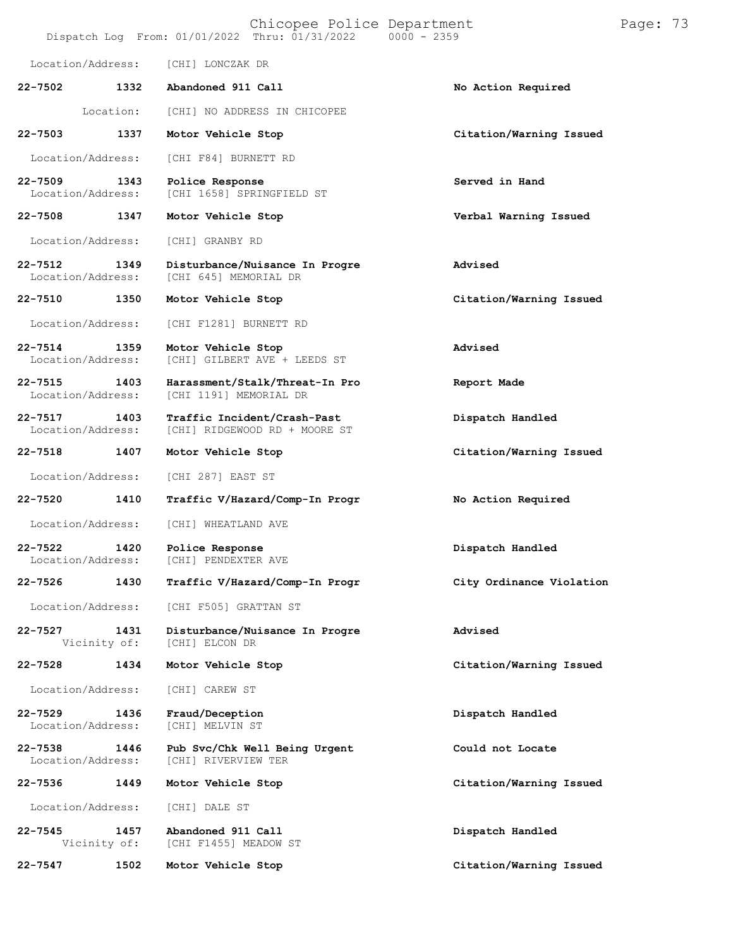|             |                           | Chicopee Police Department<br>Dispatch Log From: 01/01/2022 Thru: 01/31/2022 0000 - 2359 |                          | Page: 73 |  |
|-------------|---------------------------|------------------------------------------------------------------------------------------|--------------------------|----------|--|
|             | Location/Address:         | [CHI] LONCZAK DR                                                                         |                          |          |  |
| 22-7502     | 1332                      | Abandoned 911 Call                                                                       | No Action Required       |          |  |
|             | Location:                 | [CHI] NO ADDRESS IN CHICOPEE                                                             |                          |          |  |
| $22 - 7503$ | 1337                      | Motor Vehicle Stop                                                                       | Citation/Warning Issued  |          |  |
|             | Location/Address:         | [CHI F84] BURNETT RD                                                                     |                          |          |  |
| $22 - 7509$ | 1343<br>Location/Address: | Police Response<br>[CHI 1658] SPRINGFIELD ST                                             | Served in Hand           |          |  |
| 22-7508     | 1347                      | Motor Vehicle Stop                                                                       | Verbal Warning Issued    |          |  |
|             | Location/Address:         | [CHI] GRANBY RD                                                                          |                          |          |  |
| $22 - 7512$ | 1349<br>Location/Address: | Disturbance/Nuisance In Progre<br>[CHI 645] MEMORIAL DR                                  | Advised                  |          |  |
| 22-7510     | 1350                      | Motor Vehicle Stop                                                                       | Citation/Warning Issued  |          |  |
|             | Location/Address:         | [CHI F1281] BURNETT RD                                                                   |                          |          |  |
| $22 - 7514$ | 1359<br>Location/Address: | Motor Vehicle Stop<br>[CHI] GILBERT AVE + LEEDS ST                                       | Advised                  |          |  |
| $22 - 7515$ | 1403<br>Location/Address: | Harassment/Stalk/Threat-In Pro<br>[CHI 1191] MEMORIAL DR                                 | Report Made              |          |  |
| $22 - 7517$ | 1403<br>Location/Address: | Traffic Incident/Crash-Past<br>[CHI] RIDGEWOOD RD + MOORE ST                             | Dispatch Handled         |          |  |
| 22-7518     | 1407                      | Motor Vehicle Stop                                                                       | Citation/Warning Issued  |          |  |
|             | Location/Address:         | [CHI 287] EAST ST                                                                        |                          |          |  |
| $22 - 7520$ | 1410                      | Traffic V/Hazard/Comp-In Progr                                                           | No Action Required       |          |  |
|             | Location/Address:         | [CHI] WHEATLAND AVE                                                                      |                          |          |  |
| $22 - 7522$ | 1420<br>Location/Address: | Police Response<br>[CHI] PENDEXTER AVE                                                   | Dispatch Handled         |          |  |
| $22 - 7526$ | 1430                      | Traffic V/Hazard/Comp-In Progr                                                           | City Ordinance Violation |          |  |
|             | Location/Address:         | [CHI F505] GRATTAN ST                                                                    |                          |          |  |
| $22 - 7527$ | 1431<br>Vicinity of:      | Disturbance/Nuisance In Progre<br>[CHI] ELCON DR                                         | Advised                  |          |  |
| $22 - 7528$ | 1434                      | Motor Vehicle Stop                                                                       | Citation/Warning Issued  |          |  |
|             | Location/Address:         | [CHI] CAREW ST                                                                           |                          |          |  |
| $22 - 7529$ | 1436<br>Location/Address: | Fraud/Deception<br>[CHI] MELVIN ST                                                       | Dispatch Handled         |          |  |
| $22 - 7538$ | 1446<br>Location/Address: | Pub Svc/Chk Well Being Urgent<br>[CHI] RIVERVIEW TER                                     | Could not Locate         |          |  |
| $22 - 7536$ | 1449                      | Motor Vehicle Stop                                                                       | Citation/Warning Issued  |          |  |
|             | Location/Address:         | [CHI] DALE ST                                                                            |                          |          |  |
| $22 - 7545$ | 1457<br>Vicinity of:      | Abandoned 911 Call<br>[CHI F1455] MEADOW ST                                              | Dispatch Handled         |          |  |
| 22-7547     | 1502                      | Motor Vehicle Stop                                                                       | Citation/Warning Issued  |          |  |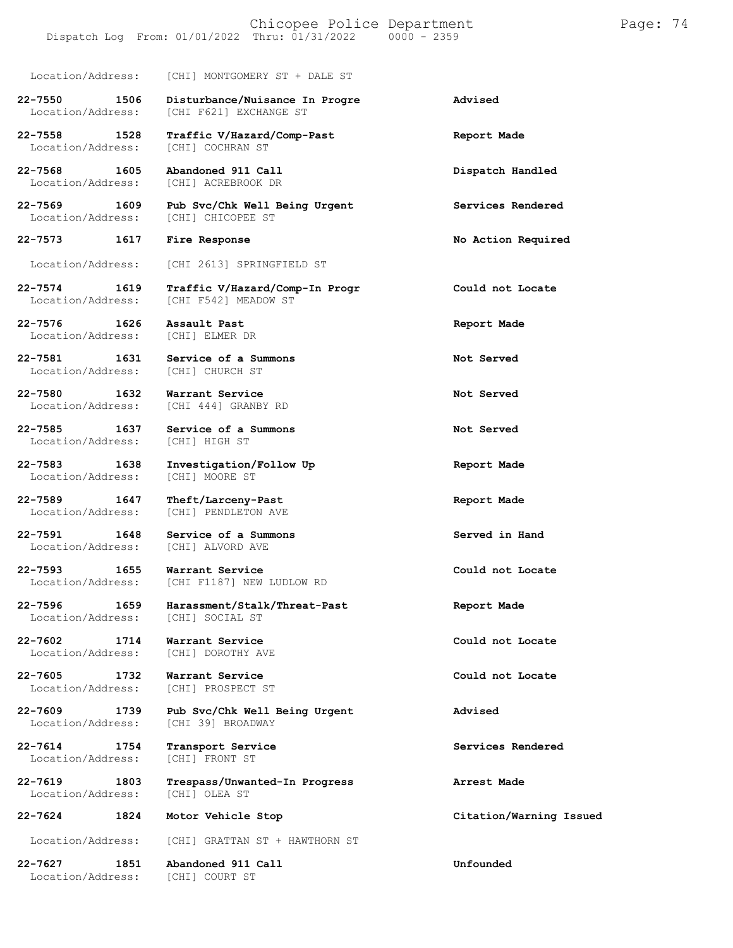Location/Address: [CHI] MONTGOMERY ST + DALE ST

- **22-7550 1506 Disturbance/Nuisance In Progre Advised** [CHI F621] EXCHANGE ST
- **22-7558 1528 Traffic V/Hazard/Comp-Past Report Made** Location/Address: [CHI] COCHRAN ST

**22-7576 1626 Assault Past Report Made** Location/Address:

Location/Address:

Location/Address:

Location/Address:

**22-7589 1647 Theft/Larceny-Past Report Made**

Location/Address:

Location/Address:

**22-7602 1714 Warrant Service Could not Locate** Location/Address:

**22-7605 1732 Warrant Service Could not Locate** Location/Address:

**22-7614 1754 Transport Service Services Rendered** Location/Address:

Location/Address:

Location/Address:

**22-7568 1605 Abandoned 911 Call Dispatch Handled** [CHI] ACREBROOK DR

**22-7569 1609 Pub Svc/Chk Well Being Urgent Services Rendered** Location/Address: [CHI] CHICOPEE ST

**22-7573 1617 Fire Response No Action Required**

Location/Address: [CHI 2613] SPRINGFIELD ST

- **22-7574 1619 Traffic V/Hazard/Comp-In Progr Could not Locate** [CHI F542] MEADOW ST
	-

**22-7581 1631 Service of a Summons Not Served**

**22-7580 1632 Warrant Service Not Served** [CHI 444] GRANBY RD

**22-7585 1637 Service of a Summons Not Served**

**22-7583 1638 Investigation/Follow Up Report Made**

[CHI] PENDLETON AVE

**22-7591 1648 Service of a Summons Served in Hand**

**22-7593 1655 Warrant Service Could not Locate** Location/Address: [CHI F1187] NEW LUDLOW RD

**22-7596 1659 Harassment/Stalk/Threat-Past Report Made**

**22-7609 1739 Pub Svc/Chk Well Being Urgent Advised** [CHI 39] BROADWAY

**22-7619 1803 Trespass/Unwanted-In Progress Arrest Made**

Location/Address: [CHI] GRATTAN ST + HAWTHORN ST

**22-7627 1851 Abandoned 911 Call Unfounded**

**22-7624 1824 Motor Vehicle Stop Citation/Warning Issued**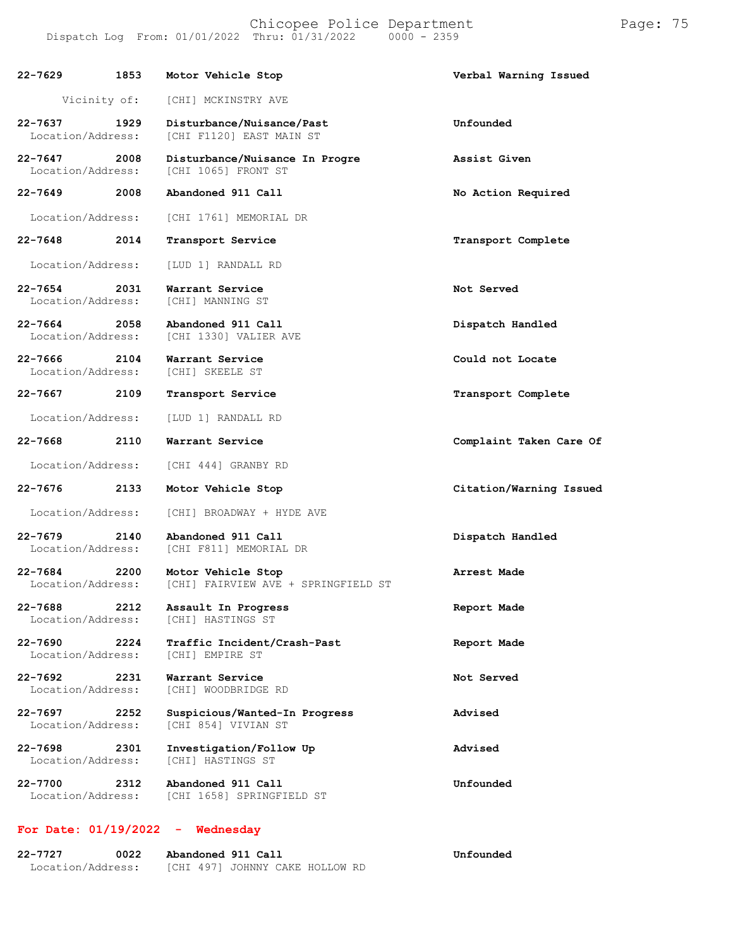| 22-7629                                  | 1853 | Motor Vehicle Stop                                        | Verbal Warning Issued   |
|------------------------------------------|------|-----------------------------------------------------------|-------------------------|
| Vicinity of:                             |      | [CHI] MCKINSTRY AVE                                       |                         |
| 22-7637<br>Location/Address:             | 1929 | Disturbance/Nuisance/Past<br>[CHI F1120] EAST MAIN ST     | Unfounded               |
| 22-7647<br>2008<br>Location/Address:     |      | Disturbance/Nuisance In Progre<br>[CHI 1065] FRONT ST     | Assist Given            |
| 22-7649 2008                             |      | Abandoned 911 Call                                        | No Action Required      |
| Location/Address:                        |      | [CHI 1761] MEMORIAL DR                                    |                         |
| 22-7648                                  | 2014 | Transport Service                                         | Transport Complete      |
| Location/Address:                        |      | [LUD 1] RANDALL RD                                        |                         |
| 22-7654<br>2031<br>Location/Address:     |      | Warrant Service<br>[CHI] MANNING ST                       | Not Served              |
| 22-7664<br>2058<br>Location/Address:     |      | Abandoned 911 Call<br>[CHI 1330] VALIER AVE               | Dispatch Handled        |
| $22 - 7666$<br>2104<br>Location/Address: |      | Warrant Service<br>[CHI] SKEELE ST                        | Could not Locate        |
| 22-7667 2109                             |      | Transport Service                                         | Transport Complete      |
| Location/Address:                        |      | [LUD 1] RANDALL RD                                        |                         |
| 22-7668                                  | 2110 | Warrant Service                                           | Complaint Taken Care Of |
| Location/Address:                        |      | [CHI 444] GRANBY RD                                       |                         |
| $22 - 7676$                              | 2133 | Motor Vehicle Stop                                        | Citation/Warning Issued |
| Location/Address:                        |      | [CHI] BROADWAY + HYDE AVE                                 |                         |
| 22-7679<br>Location/Address:             | 2140 | Abandoned 911 Call<br>[CHI F811] MEMORIAL DR              | Dispatch Handled        |
| 22-7684<br>2200<br>Location/Address:     |      | Motor Vehicle Stop<br>[CHI] FAIRVIEW AVE + SPRINGFIELD ST | Arrest Made             |
| 22-7688<br>Location/Address:             | 2212 | Assault In Progress<br>[CHI] HASTINGS ST                  | Report Made             |
| 22-7690<br>Location/Address:             | 2224 | Traffic Incident/Crash-Past<br>[CHI] EMPIRE ST            | Report Made             |
| 22-7692<br>Location/Address:             | 2231 | Warrant Service<br>[CHI] WOODBRIDGE RD                    | Not Served              |
| 22-7697<br>Location/Address:             | 2252 | Suspicious/Wanted-In Progress<br>[CHI 854] VIVIAN ST      | Advised                 |
| 22-7698<br>Location/Address:             | 2301 | Investigation/Follow Up<br>[CHI] HASTINGS ST              | Advised                 |
| $22 - 7700$<br>Location/Address:         | 2312 | Abandoned 911 Call<br>[CHI 1658] SPRINGFIELD ST           | Unfounded               |

#### **For Date: 01/19/2022 - Wednesday**

| 22-7727           | 0022 | Abandoned 911 Call |  |                                 | Unfounded |
|-------------------|------|--------------------|--|---------------------------------|-----------|
| Location/Address: |      |                    |  | [CHI 497] JOHNNY CAKE HOLLOW RD |           |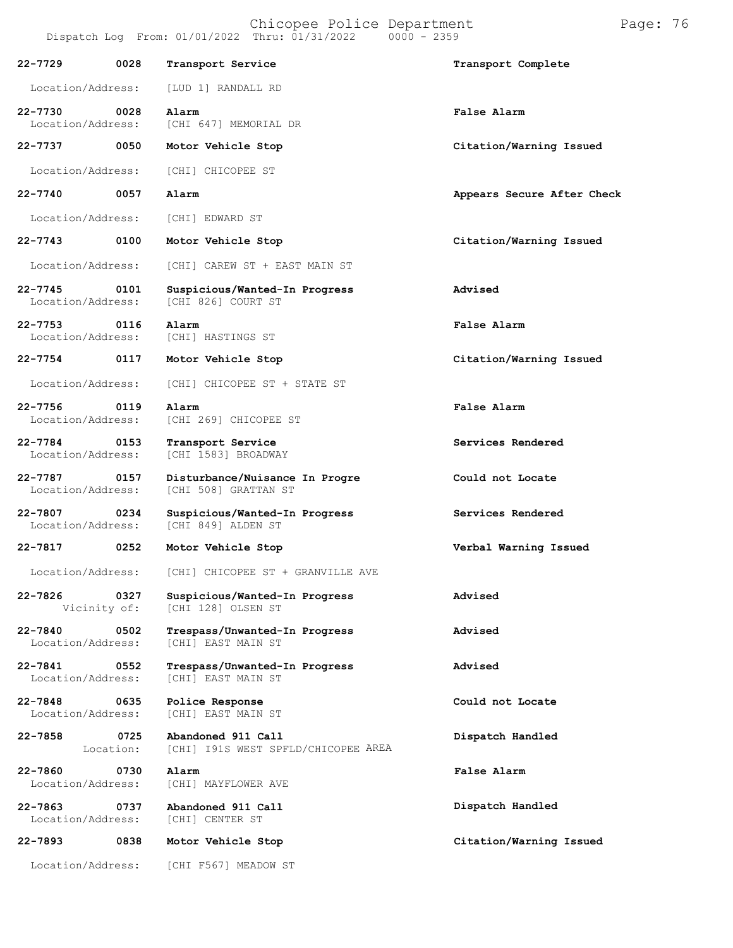|                                   |                      | Chicopee Police Department<br>Dispatch Log From: 01/01/2022 Thru: 01/31/2022 0000 - 2359 | Page: 76                   |
|-----------------------------------|----------------------|------------------------------------------------------------------------------------------|----------------------------|
| 22-7729                           | 0028                 | Transport Service                                                                        | Transport Complete         |
| Location/Address:                 |                      | [LUD 1] RANDALL RD                                                                       |                            |
| 22-7730<br>Location/Address:      | $\sim$ 0028          | Alarm<br>[CHI 647] MEMORIAL DR                                                           | False Alarm                |
| 22-7737                           | 0050                 | Motor Vehicle Stop                                                                       | Citation/Warning Issued    |
| Location/Address:                 |                      | [CHI] CHICOPEE ST                                                                        |                            |
| 22-7740                           | 0057                 | Alarm                                                                                    | Appears Secure After Check |
| Location/Address:                 |                      | [CHI] EDWARD ST                                                                          |                            |
| 22-7743                           | 0100                 | Motor Vehicle Stop                                                                       | Citation/Warning Issued    |
| Location/Address:                 |                      | [CHI] CAREW ST + EAST MAIN ST                                                            |                            |
| 22-7745<br>Location/Address:      | 0101                 | Suspicious/Wanted-In Progress<br>[CHI 826] COURT ST                                      | Advised                    |
| 22-7753 0116<br>Location/Address: |                      | Alarm<br>[CHI] HASTINGS ST                                                               | False Alarm                |
| 22-7754                           | 0117                 | Motor Vehicle Stop                                                                       | Citation/Warning Issued    |
| Location/Address:                 |                      | [CHI] CHICOPEE ST + STATE ST                                                             |                            |
| 22-7756<br>Location/Address:      | 0119                 | Alarm<br>[CHI 269] CHICOPEE ST                                                           | False Alarm                |
| 22-7784<br>Location/Address:      | 0153                 | Transport Service<br>[CHI 1583] BROADWAY                                                 | Services Rendered          |
| 22-7787 0157<br>Location/Address: |                      | Disturbance/Nuisance In Progre<br>[CHI 508] GRATTAN ST                                   | Could not Locate           |
| 22-7807<br>Location/Address:      | 0234                 | Suspicious/Wanted-In Progress<br>[CHI 849] ALDEN ST                                      | Services Rendered          |
| 22-7817                           | 0252                 | Motor Vehicle Stop                                                                       | Verbal Warning Issued      |
| Location/Address:                 |                      | [CHI] CHICOPEE ST + GRANVILLE AVE                                                        |                            |
| 22-7826                           | 0327<br>Vicinity of: | Suspicious/Wanted-In Progress<br>[CHI 128] OLSEN ST                                      | Advised                    |
| 22-7840<br>Location/Address:      | 0502                 | Trespass/Unwanted-In Progress<br>[CHI] EAST MAIN ST                                      | Advised                    |
| 22-7841<br>Location/Address:      | 0552                 | Trespass/Unwanted-In Progress<br>[CHI] EAST MAIN ST                                      | Advised                    |
| 22-7848<br>Location/Address:      | 0635                 | Police Response<br>[CHI] EAST MAIN ST                                                    | Could not Locate           |
| 22-7858                           | 0725<br>Location:    | Abandoned 911 Call<br>[CHI] I91S WEST SPFLD/CHICOPEE AREA                                | Dispatch Handled           |
| 22-7860<br>Location/Address:      | 0730                 | Alarm<br>[CHI] MAYFLOWER AVE                                                             | False Alarm                |
| 22-7863<br>Location/Address:      | 0737                 | Abandoned 911 Call<br>[CHI] CENTER ST                                                    | Dispatch Handled           |
| 22-7893                           | 0838                 | Motor Vehicle Stop                                                                       | Citation/Warning Issued    |

Location/Address: [CHI F567] MEADOW ST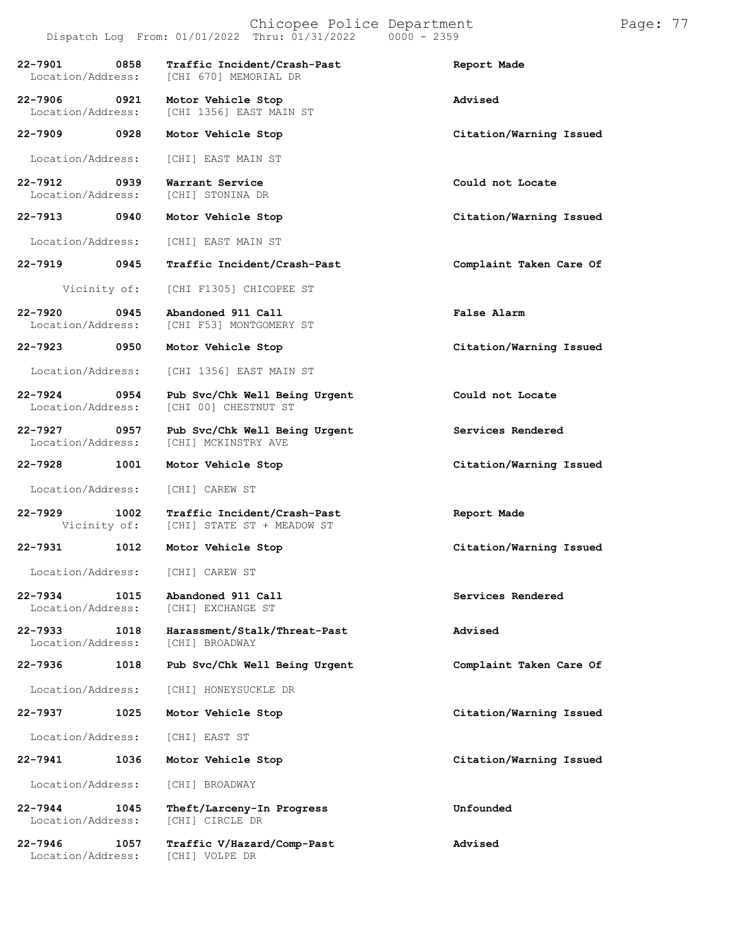|                                                                    | Dispatch Log From: $01/01/2022$ Thru: $01/31/2022$ 0000 - 2359                       |                         |
|--------------------------------------------------------------------|--------------------------------------------------------------------------------------|-------------------------|
|                                                                    | 22-7901 0858 Traffic Incident/Crash-Past<br>Location/Address: [CHI 670] MEMORIAL DR  | Report Made             |
|                                                                    | 22-7906 0921 Motor Vehicle Stop<br>Location/Address: [CHI 1356] EAST MAIN ST         | <b>Advised</b>          |
|                                                                    | 22-7909 0928 Motor Vehicle Stop                                                      | Citation/Warning Issued |
|                                                                    | Location/Address: [CHI] EAST MAIN ST                                                 |                         |
| 22-7912 0939 Warrant Service<br>Location/Address: [CHI] STONINA DR |                                                                                      | Could not Locate        |
|                                                                    | 22-7913 0940 Motor Vehicle Stop                                                      | Citation/Warning Issued |
|                                                                    | Location/Address: [CHI] EAST MAIN ST                                                 |                         |
|                                                                    | 22-7919 0945 Traffic Incident/Crash-Past                                             | Complaint Taken Care Of |
|                                                                    | Vicinity of: [CHI F1305] CHICOPEE ST                                                 |                         |
|                                                                    | 22-7920 0945 Abandoned 911 Call<br>Location/Address: [CHI F53] MONTGOMERY ST         | False Alarm             |
|                                                                    | 22-7923 0950 Motor Vehicle Stop                                                      | Citation/Warning Issued |
|                                                                    | Location/Address: [CHI 1356] EAST MAIN ST                                            |                         |
|                                                                    | 22-7924 0954 Pub Svc/Chk Well Being Urgent<br>Location/Address: [CHI 00] CHESTNUT ST | Could not Locate        |
|                                                                    | 22-7927 0957 Pub Svc/Chk Well Being Urgent<br>Location/Address: [CHI] MCKINSTRY AVE  | Services Rendered       |
|                                                                    | 22-7928 1001 Motor Vehicle Stop                                                      | Citation/Warning Issued |
| Location/Address: [CHI] CAREW ST                                   |                                                                                      |                         |
|                                                                    | 22-7929 1002 Traffic Incident/Crash-Past<br>Vicinity of: [CHI] STATE ST + MEADOW ST  | Report Made             |
|                                                                    | 22-7931 1012 Motor Vehicle Stop                                                      | Citation/Warning Issued |
| Location/Address: [CHI] CAREW ST                                   |                                                                                      |                         |
| 22-7934<br>1015<br>Location/Address:                               | Abandoned 911 Call<br>[CHI] EXCHANGE ST                                              | Services Rendered       |
| 22-7933<br>1018<br>Location/Address:                               | Harassment/Stalk/Threat-Past<br>[CHI] BROADWAY                                       | Advised                 |
| 22-7936<br>1018                                                    | Pub Svc/Chk Well Being Urgent                                                        | Complaint Taken Care Of |
| Location/Address:                                                  | [CHI] HONEYSUCKLE DR                                                                 |                         |
| 22-7937<br>1025                                                    | Motor Vehicle Stop                                                                   | Citation/Warning Issued |
| Location/Address:                                                  | [CHI] EAST ST                                                                        |                         |
| 22-7941<br>1036                                                    | Motor Vehicle Stop                                                                   | Citation/Warning Issued |
| Location/Address:                                                  | [CHI] BROADWAY                                                                       |                         |
| 22-7944<br>1045<br>Location/Address:                               | Theft/Larceny-In Progress<br>[CHI] CIRCLE DR                                         | Unfounded               |
| 22-7946<br>1057                                                    | Traffic V/Hazard/Comp-Past                                                           | Advised                 |
|                                                                    |                                                                                      |                         |

Location/Address: [CHI] VOLPE DR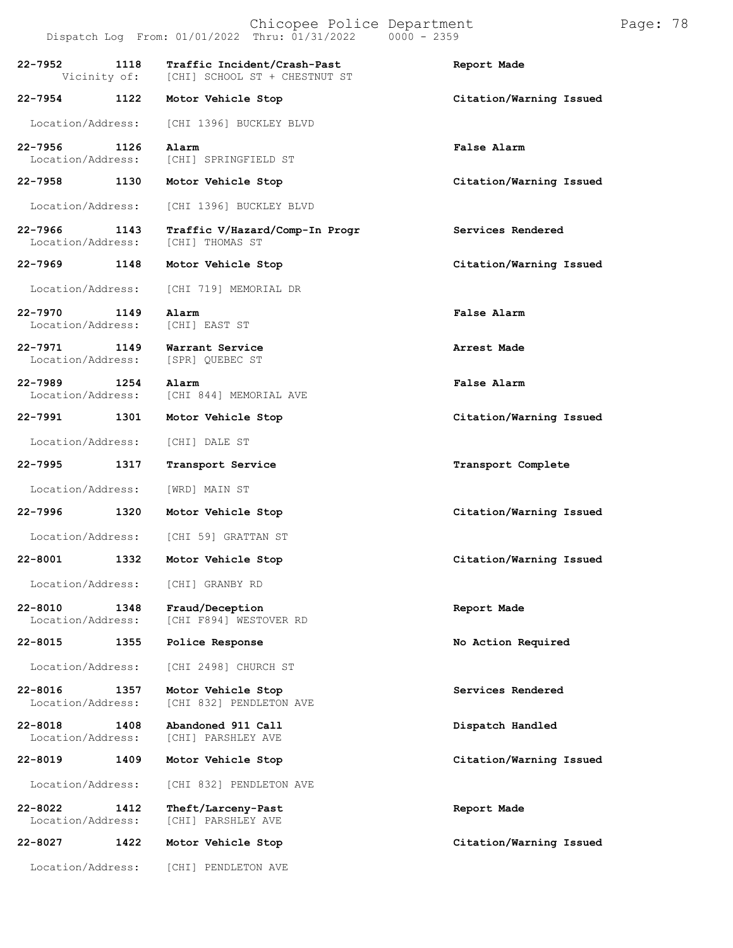|                                          |      | Chicopee Police Department<br>Dispatch Log From: 01/01/2022 Thru: 01/31/2022<br>$0000 - 2359$ |                         | Page: 78 |  |
|------------------------------------------|------|-----------------------------------------------------------------------------------------------|-------------------------|----------|--|
| $22 - 7952$<br>Vicinity of:              | 1118 | Traffic Incident/Crash-Past<br>[CHI] SCHOOL ST + CHESTNUT ST                                  | Report Made             |          |  |
| 22-7954                                  | 1122 | Motor Vehicle Stop                                                                            | Citation/Warning Issued |          |  |
| Location/Address:                        |      | [CHI 1396] BUCKLEY BLVD                                                                       |                         |          |  |
| $22 - 7956$<br>Location/Address:         | 1126 | Alarm<br>[CHI] SPRINGFIELD ST                                                                 | False Alarm             |          |  |
| $22 - 7958$                              | 1130 | Motor Vehicle Stop                                                                            | Citation/Warning Issued |          |  |
| Location/Address:                        |      | [CHI 1396] BUCKLEY BLVD                                                                       |                         |          |  |
| $22 - 7966$<br>Location/Address:         | 1143 | Traffic V/Hazard/Comp-In Progr<br>[CHI] THOMAS ST                                             | Services Rendered       |          |  |
| 22-7969                                  | 1148 | Motor Vehicle Stop                                                                            | Citation/Warning Issued |          |  |
| Location/Address:                        |      | [CHI 719] MEMORIAL DR                                                                         |                         |          |  |
| $22 - 7970$<br>Location/Address:         | 1149 | Alarm<br>[CHI] EAST ST                                                                        | False Alarm             |          |  |
| 22-7971<br>Location/Address:             | 1149 | Warrant Service<br>[SPR] QUEBEC ST                                                            | Arrest Made             |          |  |
| $22 - 7989$<br>1254<br>Location/Address: |      | Alarm<br>[CHI 844] MEMORIAL AVE                                                               | False Alarm             |          |  |
| 22-7991                                  | 1301 | Motor Vehicle Stop                                                                            | Citation/Warning Issued |          |  |
| Location/Address:                        |      | [CHI] DALE ST                                                                                 |                         |          |  |
| 22-7995                                  | 1317 | Transport Service                                                                             | Transport Complete      |          |  |
| Location/Address:                        |      | [WRD] MAIN ST                                                                                 |                         |          |  |
| 22-7996                                  | 1320 | Motor Vehicle Stop                                                                            | Citation/Warning Issued |          |  |
| Location/Address:                        |      | [CHI 59] GRATTAN ST                                                                           |                         |          |  |
| 22-8001                                  | 1332 | Motor Vehicle Stop                                                                            | Citation/Warning Issued |          |  |
| Location/Address:                        |      | [CHI] GRANBY RD                                                                               |                         |          |  |
| $22 - 8010$<br>Location/Address:         | 1348 | Fraud/Deception<br>[CHI F894] WESTOVER RD                                                     | Report Made             |          |  |
| 22-8015                                  | 1355 | Police Response                                                                               | No Action Required      |          |  |
| Location/Address:                        |      | [CHI 2498] CHURCH ST                                                                          |                         |          |  |
| $22 - 8016$<br>Location/Address:         | 1357 | Motor Vehicle Stop<br>[CHI 832] PENDLETON AVE                                                 | Services Rendered       |          |  |
| $22 - 8018$<br>Location/Address:         | 1408 | Abandoned 911 Call<br>[CHI] PARSHLEY AVE                                                      | Dispatch Handled        |          |  |
| 22-8019                                  | 1409 | Motor Vehicle Stop                                                                            | Citation/Warning Issued |          |  |
| Location/Address:                        |      | [CHI 832] PENDLETON AVE                                                                       |                         |          |  |
| $22 - 8022$<br>Location/Address:         | 1412 | Theft/Larceny-Past<br>[CHI] PARSHLEY AVE                                                      | Report Made             |          |  |
| 22-8027                                  | 1422 | Motor Vehicle Stop                                                                            | Citation/Warning Issued |          |  |
| Location/Address:                        |      | [CHI] PENDLETON AVE                                                                           |                         |          |  |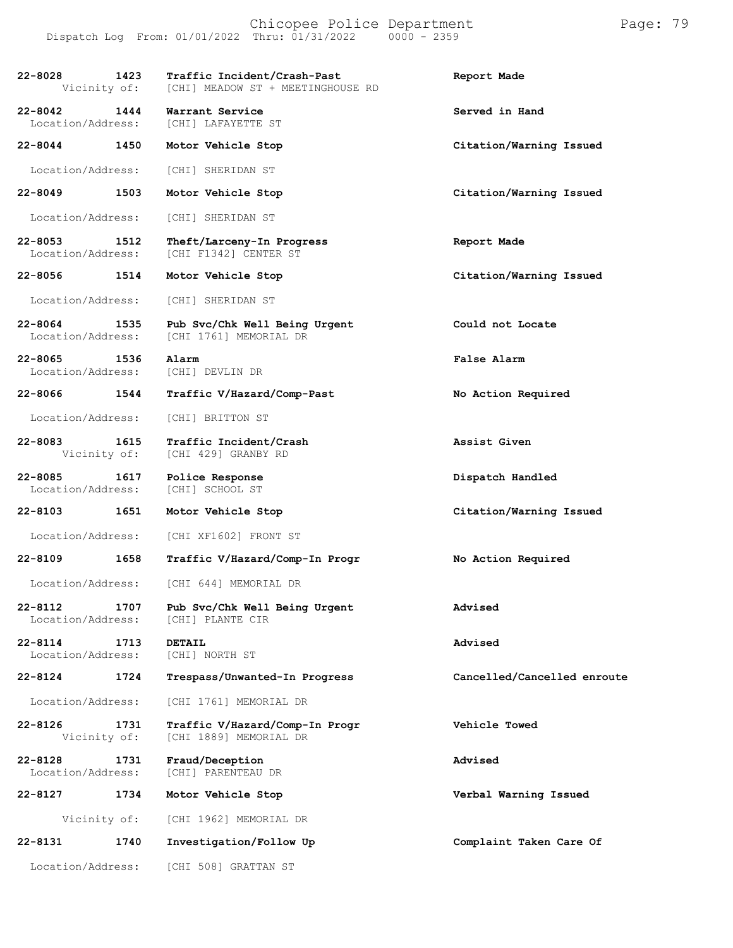| $22 - 8028$<br>Vicinity of:      | 1423 | Traffic Incident/Crash-Past<br>[CHI] MEADOW ST + MEETINGHOUSE RD | Report Made                 |
|----------------------------------|------|------------------------------------------------------------------|-----------------------------|
| 22-8042<br>Location/Address:     | 1444 | Warrant Service<br>[CHI] LAFAYETTE ST                            | Served in Hand              |
| 22-8044                          | 1450 | Motor Vehicle Stop                                               | Citation/Warning Issued     |
| Location/Address:                |      | [CHI] SHERIDAN ST                                                |                             |
| $22 - 8049$                      | 1503 | Motor Vehicle Stop                                               | Citation/Warning Issued     |
| Location/Address:                |      | [CHI] SHERIDAN ST                                                |                             |
| $22 - 8053$<br>Location/Address: | 1512 | Theft/Larceny-In Progress<br>[CHI F1342] CENTER ST               | Report Made                 |
| 22-8056                          | 1514 | Motor Vehicle Stop                                               | Citation/Warning Issued     |
| Location/Address:                |      | [CHI] SHERIDAN ST                                                |                             |
| $22 - 8064$<br>Location/Address: | 1535 | Pub Svc/Chk Well Being Urgent<br>[CHI 1761] MEMORIAL DR          | Could not Locate            |
| $22 - 8065$<br>Location/Address: | 1536 | Alarm<br>[CHI] DEVLIN DR                                         | False Alarm                 |
| 22-8066 1544                     |      | Traffic V/Hazard/Comp-Past                                       | No Action Required          |
| Location/Address:                |      | [CHI] BRITTON ST                                                 |                             |
| $22 - 8083$<br>Vicinity of:      | 1615 | Traffic Incident/Crash<br>[CHI 429] GRANBY RD                    | Assist Given                |
| $22 - 8085$<br>Location/Address: | 1617 | Police Response<br>[CHI] SCHOOL ST                               | Dispatch Handled            |
| 22-8103                          | 1651 | Motor Vehicle Stop                                               | Citation/Warning Issued     |
| Location/Address:                |      | [CHI XF1602] FRONT ST                                            |                             |
| 22-8109                          | 1658 | Traffic V/Hazard/Comp-In Progr                                   | No Action Required          |
| Location/Address:                |      | [CHI 644] MEMORIAL DR                                            |                             |
| 22-8112<br>Location/Address:     | 1707 | Pub Svc/Chk Well Being Urgent<br>[CHI] PLANTE CIR                | Advised                     |
| $22 - 8114$<br>Location/Address: | 1713 | DETAIL<br>[CHI] NORTH ST                                         | Advised                     |
| 22-8124                          | 1724 | Trespass/Unwanted-In Progress                                    | Cancelled/Cancelled enroute |
| Location/Address:                |      | [CHI 1761] MEMORIAL DR                                           |                             |
| $22 - 8126$<br>Vicinity of:      | 1731 | Traffic V/Hazard/Comp-In Progr<br>[CHI 1889] MEMORIAL DR         | Vehicle Towed               |
| $22 - 8128$<br>Location/Address: | 1731 | Fraud/Deception<br>[CHI] PARENTEAU DR                            | Advised                     |
| 22-8127                          | 1734 | Motor Vehicle Stop                                               | Verbal Warning Issued       |
| Vicinity of:                     |      | [CHI 1962] MEMORIAL DR                                           |                             |
| 22-8131                          | 1740 | Investigation/Follow Up                                          | Complaint Taken Care Of     |
| Location/Address:                |      | [CHI 508] GRATTAN ST                                             |                             |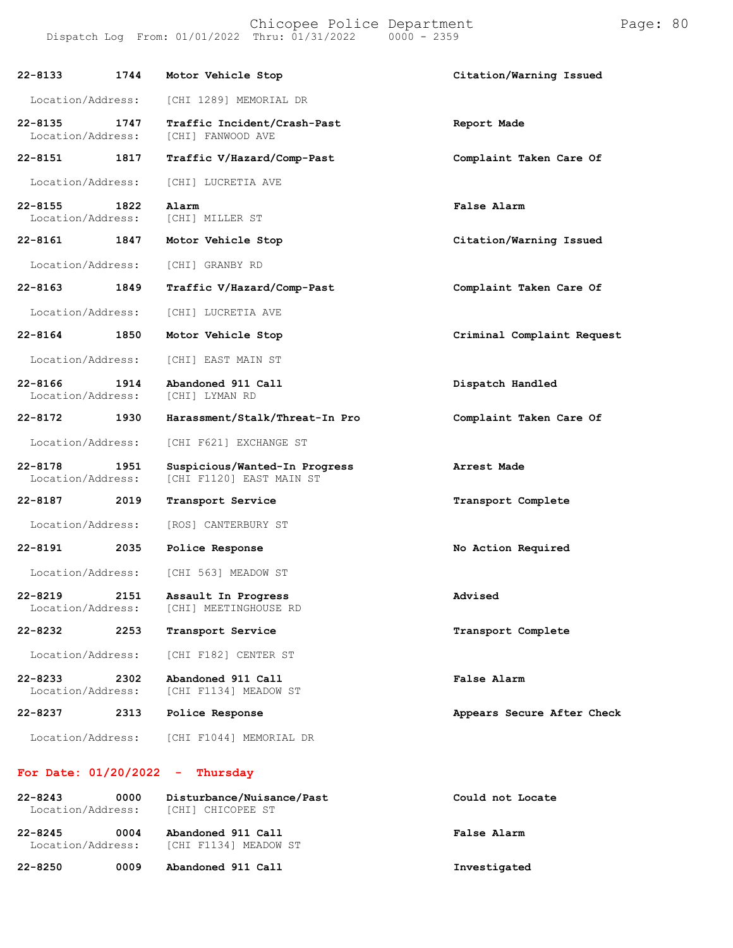| $22 - 8133$                      | 1744 | Motor Vehicle Stop                                        | Citation/Warning Issued    |
|----------------------------------|------|-----------------------------------------------------------|----------------------------|
| Location/Address:                |      | [CHI 1289] MEMORIAL DR                                    |                            |
| $22 - 8135$<br>Location/Address: | 1747 | Traffic Incident/Crash-Past<br>[CHI] FANWOOD AVE          | Report Made                |
| 22-8151                          | 1817 | Traffic V/Hazard/Comp-Past                                | Complaint Taken Care Of    |
| Location/Address:                |      | [CHI] LUCRETIA AVE                                        |                            |
| 22-8155<br>Location/Address:     | 1822 | Alarm<br>[CHI] MILLER ST                                  | False Alarm                |
| 22-8161                          | 1847 | Motor Vehicle Stop                                        | Citation/Warning Issued    |
| Location/Address:                |      | [CHI] GRANBY RD                                           |                            |
| 22-8163                          | 1849 | Traffic V/Hazard/Comp-Past                                | Complaint Taken Care Of    |
| Location/Address:                |      | [CHI] LUCRETIA AVE                                        |                            |
| 22-8164                          | 1850 | Motor Vehicle Stop                                        | Criminal Complaint Request |
| Location/Address:                |      | [CHI] EAST MAIN ST                                        |                            |
| $22 - 8166$<br>Location/Address: | 1914 | Abandoned 911 Call<br>[CHI] LYMAN RD                      | Dispatch Handled           |
|                                  |      |                                                           |                            |
| 22-8172                          | 1930 | Harassment/Stalk/Threat-In Pro                            | Complaint Taken Care Of    |
| Location/Address:                |      | [CHI F621] EXCHANGE ST                                    |                            |
| $22 - 8178$<br>Location/Address: | 1951 | Suspicious/Wanted-In Progress<br>[CHI F1120] EAST MAIN ST | Arrest Made                |
| 22-8187                          | 2019 | Transport Service                                         | Transport Complete         |
| Location/Address:                |      | [ROS] CANTERBURY ST                                       |                            |
| 22-8191                          | 2035 | Police Response                                           | No Action Required         |
| Location/Address:                |      | [CHI 563] MEADOW ST                                       |                            |
| $22 - 8219$<br>Location/Address: | 2151 | Assault In Progress<br>[CHI] MEETINGHOUSE RD              | Advised                    |
| 22-8232                          | 2253 | Transport Service                                         | Transport Complete         |
| Location/Address:                |      | [CHI F182] CENTER ST                                      |                            |
| $22 - 8233$<br>Location/Address: | 2302 | Abandoned 911 Call<br>[CHI F1134] MEADOW ST               | False Alarm                |
| 22-8237                          | 2313 | Police Response                                           | Appears Secure After Check |

#### **For Date: 01/20/2022 - Thursday**

| $22 - 8243$<br>Location/Address: | 0000 | Disturbance/Nuisance/Past<br>[CHI] CHICOPEE ST                | Could not Locate |
|----------------------------------|------|---------------------------------------------------------------|------------------|
| 22-8245                          | 0004 | Abandoned 911 Call<br>Location/Address: [CHI F1134] MEADOW ST | False Alarm      |
| 22-8250                          | 0009 | Abandoned 911 Call                                            | Investigated     |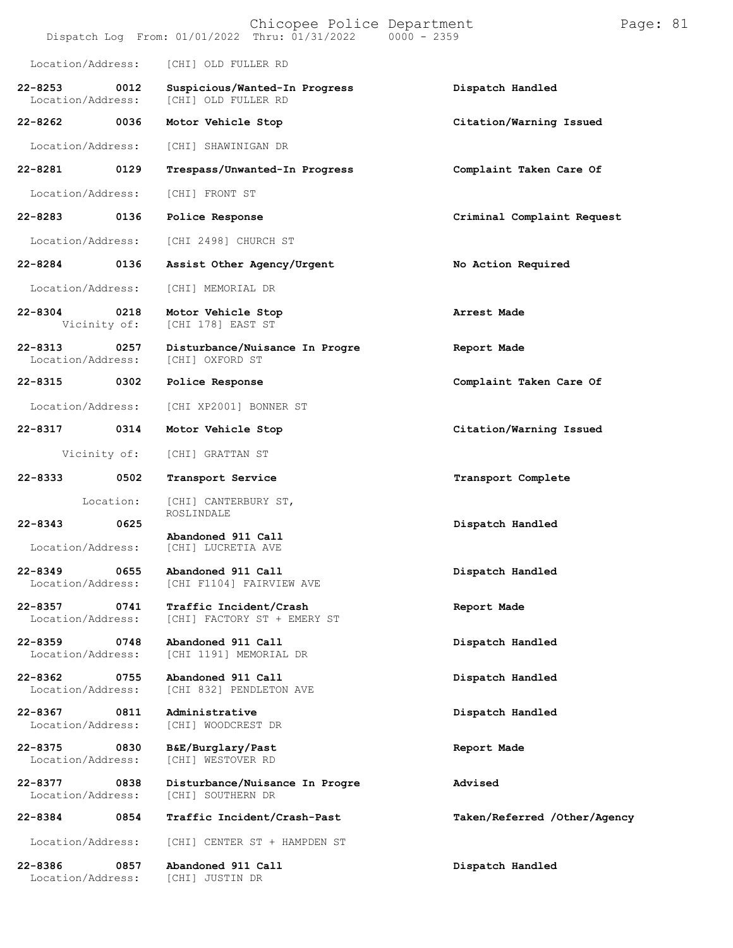|                                  |           | Chicopee Police Department<br>Dispatch Log From: 01/01/2022 Thru: 01/31/2022 0000 - 2359 | Page: 81                     |
|----------------------------------|-----------|------------------------------------------------------------------------------------------|------------------------------|
| Location/Address:                |           | [CHI] OLD FULLER RD                                                                      |                              |
| $22 - 8253$<br>Location/Address: | 0012      | Suspicious/Wanted-In Progress<br>[CHI] OLD FULLER RD                                     | Dispatch Handled             |
| 22-8262                          | 0036      | Motor Vehicle Stop                                                                       | Citation/Warning Issued      |
| Location/Address:                |           | [CHI] SHAWINIGAN DR                                                                      |                              |
| 22-8281                          | 0129      | Trespass/Unwanted-In Progress                                                            | Complaint Taken Care Of      |
| Location/Address:                |           | [CHI] FRONT ST                                                                           |                              |
| 22-8283                          | 0136      | Police Response                                                                          | Criminal Complaint Request   |
| Location/Address:                |           | [CHI 2498] CHURCH ST                                                                     |                              |
| 22-8284                          | 0136      | Assist Other Agency/Urgent                                                               | No Action Required           |
| Location/Address:                |           | [CHI] MEMORIAL DR                                                                        |                              |
| $22 - 8304$<br>Vicinity of:      | 0218      | Motor Vehicle Stop<br>[CHI 178] EAST ST                                                  | Arrest Made                  |
| $22 - 8313$<br>Location/Address: | 0257      | Disturbance/Nuisance In Progre<br>[CHI] OXFORD ST                                        | Report Made                  |
| 22-8315                          | 0302      | Police Response                                                                          | Complaint Taken Care Of      |
| Location/Address:                |           | [CHI XP2001] BONNER ST                                                                   |                              |
| $22 - 8317$                      | 0314      | Motor Vehicle Stop                                                                       | Citation/Warning Issued      |
| Vicinity of:                     |           | [CHI] GRATTAN ST                                                                         |                              |
| 22-8333                          | 0502      | Transport Service                                                                        | Transport Complete           |
|                                  | Location: | [CHI] CANTERBURY ST,<br>ROSLINDALE                                                       |                              |
| $22 - 8343$                      | 0625      | Abandoned 911 Call                                                                       | Dispatch Handled             |
| Location/Address:                |           | [CHI] LUCRETIA AVE                                                                       |                              |
| $22 - 8349$<br>Location/Address: | 0655      | Abandoned 911 Call<br>[CHI F1104] FAIRVIEW AVE                                           | Dispatch Handled             |
| $22 - 8357$<br>Location/Address: | 0741      | Traffic Incident/Crash<br>[CHI] FACTORY ST + EMERY ST                                    | Report Made                  |
| 22-8359<br>Location/Address:     | 0748      | Abandoned 911 Call<br>[CHI 1191] MEMORIAL DR                                             | Dispatch Handled             |
| $22 - 8362$<br>Location/Address: | 0755      | Abandoned 911 Call<br>[CHI 832] PENDLETON AVE                                            | Dispatch Handled             |
| 22-8367<br>Location/Address:     | 0811      | Administrative<br>[CHI] WOODCREST DR                                                     | Dispatch Handled             |
| $22 - 8375$<br>Location/Address: | 0830      | B&E/Burglary/Past<br>[CHI] WESTOVER RD                                                   | Report Made                  |
| $22 - 8377$<br>Location/Address: | 0838      | Disturbance/Nuisance In Progre<br>[CHI] SOUTHERN DR                                      | Advised                      |
| 22-8384                          | 0854      | Traffic Incident/Crash-Past                                                              | Taken/Referred /Other/Agency |
| Location/Address:                |           | [CHI] CENTER ST + HAMPDEN ST                                                             |                              |
| 22-8386<br>Location/Address:     | 0857      | Abandoned 911 Call<br>[CHI] JUSTIN DR                                                    | Dispatch Handled             |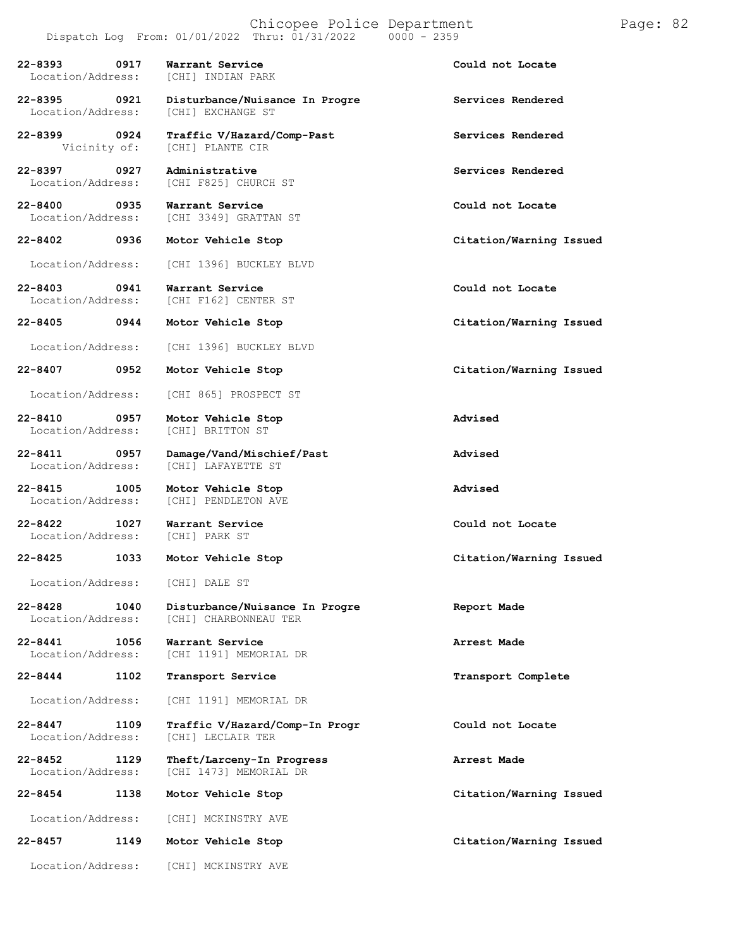**22-8393 0917 Warrant Service Could not Locate** Location/Address: **22-8395 0921 Disturbance/Nuisance In Progre Services Rendered** Location/Address: **22-8399 0924 Traffic V/Hazard/Comp-Past Services Rendered** [CHI] PLANTE CIR **22-8397 0927 Administrative Services Rendered** [CHI F825] CHURCH ST **22-8400 0935 Warrant Service Could not Locate** [CHI 3349] GRATTAN ST **22-8402 0936 Motor Vehicle Stop Citation/Warning Issued** Location/Address: [CHI 1396] BUCKLEY BLVD **22-8403 0941 Warrant Service Could not Locate** [CHI F162] CENTER ST **22-8405 0944 Motor Vehicle Stop Citation/Warning Issued** Location/Address: [CHI 1396] BUCKLEY BLVD **22-8407 0952 Motor Vehicle Stop Citation/Warning Issued** Location/Address: [CHI 865] PROSPECT ST **22-8410 0957 Motor Vehicle Stop Advised** Location/Address: **22-8411 0957 Damage/Vand/Mischief/Past Advised** Location/Address: [CHI] LAFAYETTE ST **22-8415 1005 Motor Vehicle Stop Advised** [CHI] PENDLETON AVE **22-8422 1027 Warrant Service Could not Locate** Location/Address: **22-8425 1033 Motor Vehicle Stop Citation/Warning Issued** Location/Address: [CHI] DALE ST **22-8428 1040 Disturbance/Nuisance In Progre Report Made** Location/Address: [CHI] CHARBONNEAU TER **22-8441 1056 Warrant Service Arrest Made** [CHI 1191] MEMORIAL DR **22-8444 1102 Transport Service Transport Complete** Location/Address: [CHI 1191] MEMORIAL DR **22-8447 1109 Traffic V/Hazard/Comp-In Progr Could not Locate** Location/Address: **22-8452 1129 Theft/Larceny-In Progress Arrest Made** [CHI 1473] MEMORIAL DR **22-8454 1138 Motor Vehicle Stop Citation/Warning Issued** Location/Address: [CHI] MCKINSTRY AVE **22-8457 1149 Motor Vehicle Stop Citation/Warning Issued** Location/Address: [CHI] MCKINSTRY AVE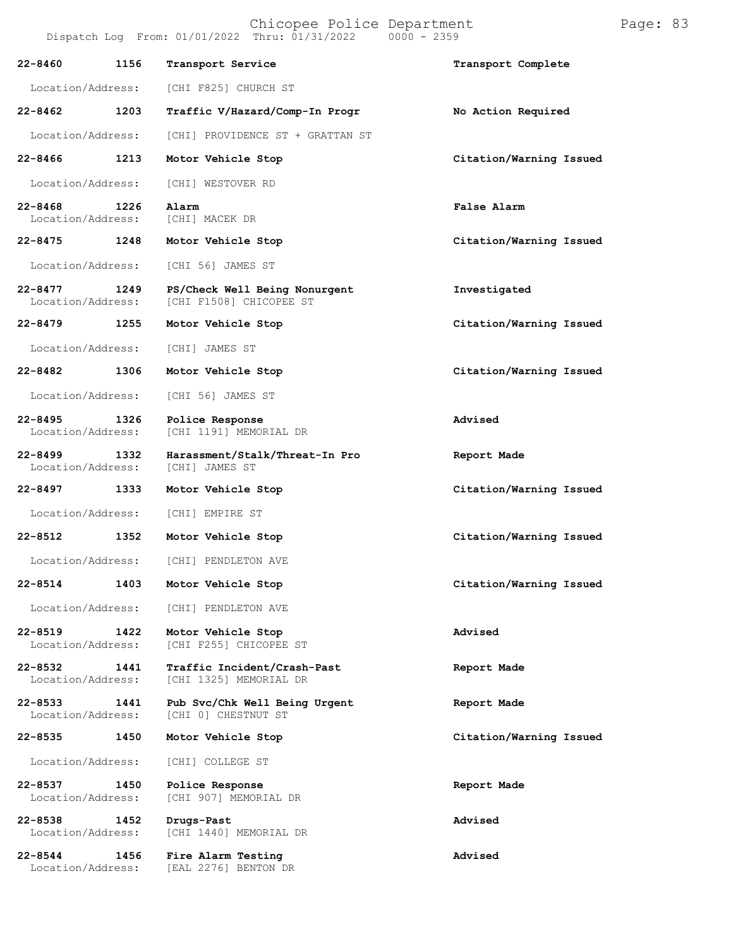| 22-8460                      | 1156 | Transport Service                                        | Transport Complete      |
|------------------------------|------|----------------------------------------------------------|-------------------------|
| Location/Address:            |      | [CHI F825] CHURCH ST                                     |                         |
| 22-8462                      | 1203 | Traffic V/Hazard/Comp-In Progr                           | No Action Required      |
| Location/Address:            |      | [CHI] PROVIDENCE ST + GRATTAN ST                         |                         |
| 22-8466                      | 1213 | Motor Vehicle Stop                                       | Citation/Warning Issued |
| Location/Address:            |      | [CHI] WESTOVER RD                                        |                         |
| 22-8468<br>Location/Address: | 1226 | Alarm<br>[CHI] MACEK DR                                  | False Alarm             |
| 22-8475 1248                 |      | Motor Vehicle Stop                                       | Citation/Warning Issued |
| Location/Address:            |      | [CHI 56] JAMES ST                                        |                         |
| 22-8477<br>Location/Address: | 1249 | PS/Check Well Being Nonurgent<br>[CHI F1508] CHICOPEE ST | Investigated            |
| 22-8479                      | 1255 | Motor Vehicle Stop                                       | Citation/Warning Issued |
| Location/Address:            |      | [CHI] JAMES ST                                           |                         |
| 22-8482 1306                 |      | Motor Vehicle Stop                                       | Citation/Warning Issued |
| Location/Address:            |      | [CHI 56] JAMES ST                                        |                         |
| 22-8495<br>Location/Address: | 1326 | Police Response<br>[CHI 1191] MEMORIAL DR                | Advised                 |
| 22-8499<br>Location/Address: | 1332 | Harassment/Stalk/Threat-In Pro<br>[CHI] JAMES ST         | Report Made             |
| 22-8497                      | 1333 | Motor Vehicle Stop                                       | Citation/Warning Issued |
| Location/Address:            |      | [CHI] EMPIRE ST                                          |                         |
| 22-8512                      | 1352 | Motor Vehicle Stop                                       | Citation/Warning Issued |
|                              |      | Location/Address: [CHI] PENDLETON AVE                    |                         |
|                              |      | 22-8514 1403 Motor Vehicle Stop                          | Citation/Warning Issued |
|                              |      | Location/Address: [CHI] PENDLETON AVE                    |                         |
| 22-8519<br>Location/Address: | 1422 | Motor Vehicle Stop<br>[CHI F255] CHICOPEE ST             | Advised                 |
| 22-8532<br>Location/Address: | 1441 | Traffic Incident/Crash-Past<br>[CHI 1325] MEMORIAL DR    | Report Made             |
| 22-8533<br>Location/Address: | 1441 | Pub Svc/Chk Well Being Urgent<br>[CHI 0] CHESTNUT ST     | Report Made             |
| 22-8535 2014                 | 1450 | Motor Vehicle Stop                                       | Citation/Warning Issued |
| Location/Address:            |      | [CHI] COLLEGE ST                                         |                         |
| 22-8537<br>Location/Address: | 1450 | Police Response<br>[CHI 907] MEMORIAL DR                 | Report Made             |
| 22-8538<br>Location/Address: | 1452 | Drugs-Past<br>[CHI 1440] MEMORIAL DR                     | Advised                 |
| 22-8544                      | 1456 | Fire Alarm Testing                                       | Advised                 |

Location/Address: [EAL 2276] BENTON DR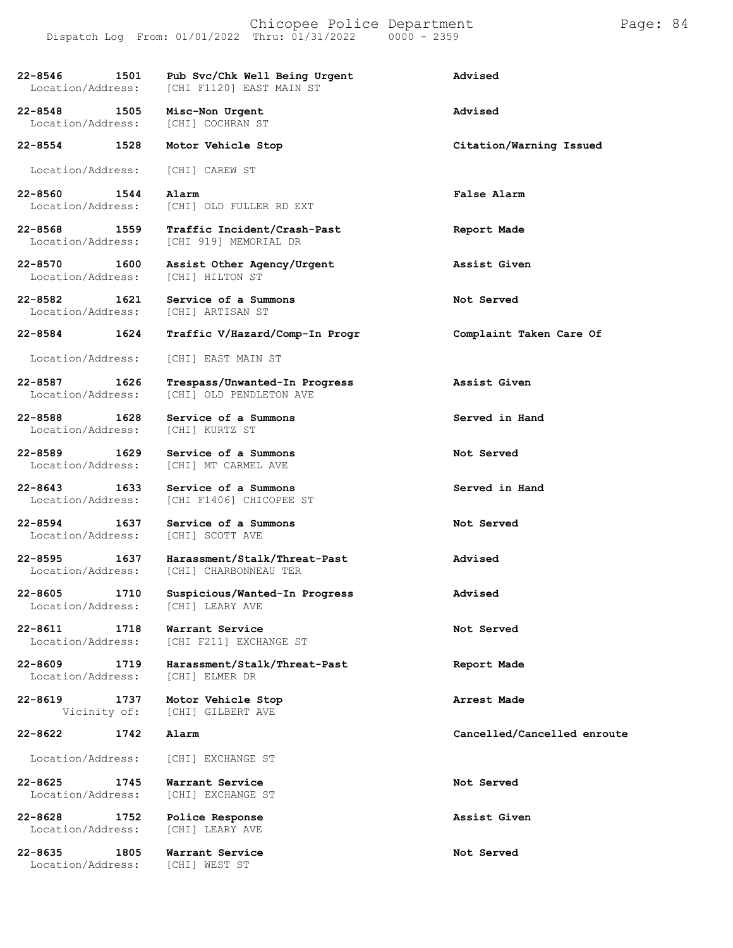| 22-8546<br>1501<br>Location/Address:     | Pub Svc/Chk Well Being Urgent<br>[CHI F1120] EAST MAIN ST | Advised                     |
|------------------------------------------|-----------------------------------------------------------|-----------------------------|
| 22-8548<br>1505<br>Location/Address:     | Misc-Non Urgent<br>[CHI] COCHRAN ST                       | Advised                     |
| 22-8554<br>1528                          | Motor Vehicle Stop                                        | Citation/Warning Issued     |
| Location/Address:                        | [CHI] CAREW ST                                            |                             |
| 22-8560<br>1544<br>Location/Address:     | Alarm<br>[CHI] OLD FULLER RD EXT                          | False Alarm                 |
| 22-8568<br>1559<br>Location/Address:     | Traffic Incident/Crash-Past<br>[CHI 919] MEMORIAL DR      | Report Made                 |
| $22 - 8570$<br>1600<br>Location/Address: | Assist Other Agency/Urgent<br>[CHI] HILTON ST             | Assist Given                |
| 22-8582<br>1621<br>Location/Address:     | Service of a Summons<br>[CHI] ARTISAN ST                  | Not Served                  |
| 22-8584<br>1624                          | Traffic V/Hazard/Comp-In Progr                            | Complaint Taken Care Of     |
| Location/Address:                        | [CHI] EAST MAIN ST                                        |                             |
| 22-8587<br>1626<br>Location/Address:     | Trespass/Unwanted-In Progress<br>[CHI] OLD PENDLETON AVE  | Assist Given                |
| 22-8588 1628<br>Location/Address:        | Service of a Summons<br>[CHI] KURTZ ST                    | Served in Hand              |
| 22-8589<br>1629<br>Location/Address:     | Service of a Summons<br>[CHI] MT CARMEL AVE               | Not Served                  |
| 22-8643 1633<br>Location/Address:        | Service of a Summons<br>[CHI F1406] CHICOPEE ST           | Served in Hand              |
| $22 - 8594$<br>1637<br>Location/Address: | Service of a Summons<br>[CHI] SCOTT AVE                   | Not Served                  |
| $22 - 8595$<br>1637<br>Location/Address: | Harassment/Stalk/Threat-Past<br>[CHI] CHARBONNEAU TER     | Advised                     |
| 22-8605 1710<br>Location/Address:        | Suspicious/Wanted-In Progress<br>[CHI] LEARY AVE          | Advised                     |
| 22-8611<br>1718<br>Location/Address:     | Warrant Service<br>[CHI F211] EXCHANGE ST                 | Not Served                  |
| $22 - 8609$<br>1719<br>Location/Address: | Harassment/Stalk/Threat-Past<br>[CHI] ELMER DR            | Report Made                 |
| 22-8619<br>1737<br>Vicinity of:          | Motor Vehicle Stop<br>[CHI] GILBERT AVE                   | Arrest Made                 |
| 22-8622<br>1742                          | Alarm                                                     | Cancelled/Cancelled enroute |
| Location/Address:                        | [CHI] EXCHANGE ST                                         |                             |
| 22-8625<br>1745<br>Location/Address:     | Warrant Service<br>[CHI] EXCHANGE ST                      | Not Served                  |
| $22 - 8628$<br>1752<br>Location/Address: | Police Response<br>[CHI] LEARY AVE                        | Assist Given                |
| 22-8635<br>1805<br>Location/Address:     | Warrant Service<br>[CHI] WEST ST                          | Not Served                  |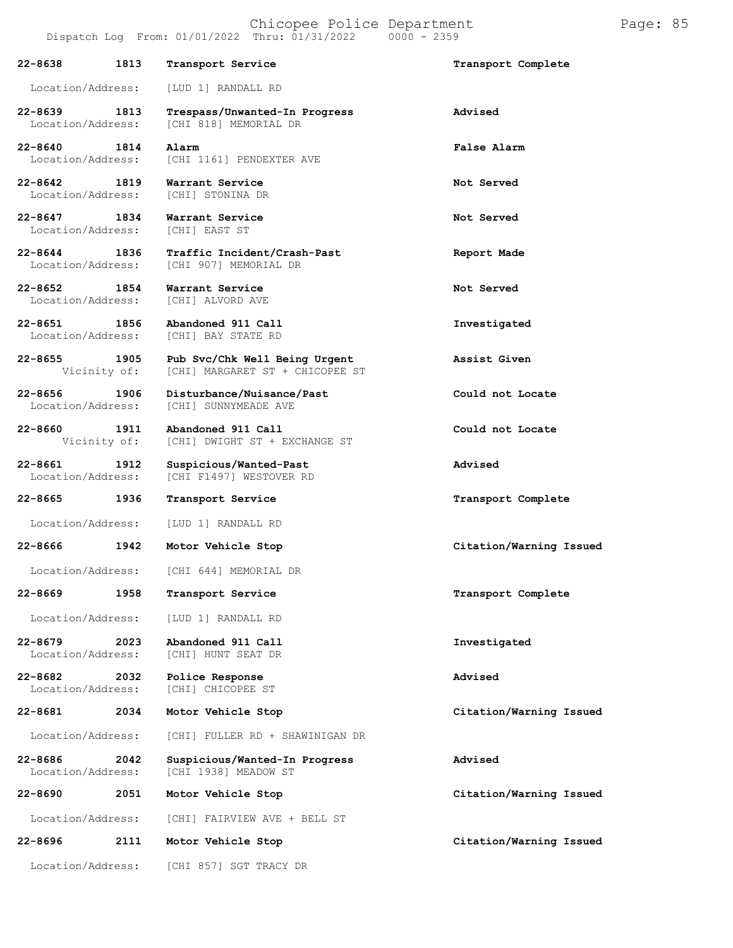|                                   |      | Dispatch Log From: 01/01/2022 Thru: 01/31/2022                                | $0000 - 2359$           |
|-----------------------------------|------|-------------------------------------------------------------------------------|-------------------------|
| 22-8638                           | 1813 | Transport Service                                                             | Transport Complete      |
| Location/Address:                 |      | [LUD 1] RANDALL RD                                                            |                         |
| 22-8639 1813<br>Location/Address: |      | Trespass/Unwanted-In Progress<br>[CHI 818] MEMORIAL DR                        | Advised                 |
| 22-8640 1814                      |      | Alarm<br>Location/Address: [CHI 1161] PENDEXTER AVE                           | False Alarm             |
| 22-8642 1819                      |      | Warrant Service<br>Location/Address: [CHI] STONINA DR                         | Not Served              |
| 22-8647 1834                      |      | Warrant Service<br>Location/Address: [CHI] EAST ST                            | Not Served              |
| 22-8644 1836                      |      | Traffic Incident/Crash-Past<br>Location/Address: [CHI 907] MEMORIAL DR        | Report Made             |
| 22-8652 1854<br>Location/Address: |      | Warrant Service<br>[CHI] ALVORD AVE                                           | Not Served              |
| 22-8651 1856<br>Location/Address: |      | Abandoned 911 Call<br>[CHI] BAY STATE RD                                      | Investigated            |
| 22-8655 1905                      |      | Pub Svc/Chk Well Being Urgent<br>Vicinity of: [CHI] MARGARET ST + CHICOPEE ST | Assist Given            |
| 22-8656 1906<br>Location/Address: |      | Disturbance/Nuisance/Past<br>[CHI] SUNNYMEADE AVE                             | Could not Locate        |
| 22-8660<br>Vicinity of:           | 1911 | Abandoned 911 Call<br>[CHI] DWIGHT ST + EXCHANGE ST                           | Could not Locate        |
| 22-8661 1912<br>Location/Address: |      | Suspicious/Wanted-Past<br>[CHI F1497] WESTOVER RD                             | Advised                 |
| 22-8665 1936                      |      | Transport Service                                                             | Transport Complete      |
|                                   |      | Location/Address: [LUD 1] RANDALL RD                                          |                         |
|                                   |      | 22-8666 1942 Motor Vehicle Stop                                               | Citation/Warning Issued |
|                                   |      | Location/Address: [CHI 644] MEMORIAL DR                                       |                         |
| 22-8669                           | 1958 | Transport Service                                                             | Transport Complete      |
| Location/Address:                 |      | [LUD 1] RANDALL RD                                                            |                         |
| $22 - 8679$<br>Location/Address:  | 2023 | Abandoned 911 Call<br>[CHI] HUNT SEAT DR                                      | Investigated            |
| $22 - 8682$<br>Location/Address:  | 2032 | Police Response<br>[CHI] CHICOPEE ST                                          | Advised                 |
| 22-8681                           | 2034 | Motor Vehicle Stop                                                            | Citation/Warning Issued |
| Location/Address:                 |      | [CHI] FULLER RD + SHAWINIGAN DR                                               |                         |
| 22-8686<br>Location/Address:      | 2042 | Suspicious/Wanted-In Progress<br>[CHI 1938] MEADOW ST                         | Advised                 |
| 22-8690                           | 2051 | Motor Vehicle Stop                                                            | Citation/Warning Issued |
| Location/Address:                 |      | [CHI] FAIRVIEW AVE + BELL ST                                                  |                         |
| $22 - 8696$                       | 2111 | Motor Vehicle Stop                                                            | Citation/Warning Issued |
| Location/Address:                 |      | [CHI 857] SGT TRACY DR                                                        |                         |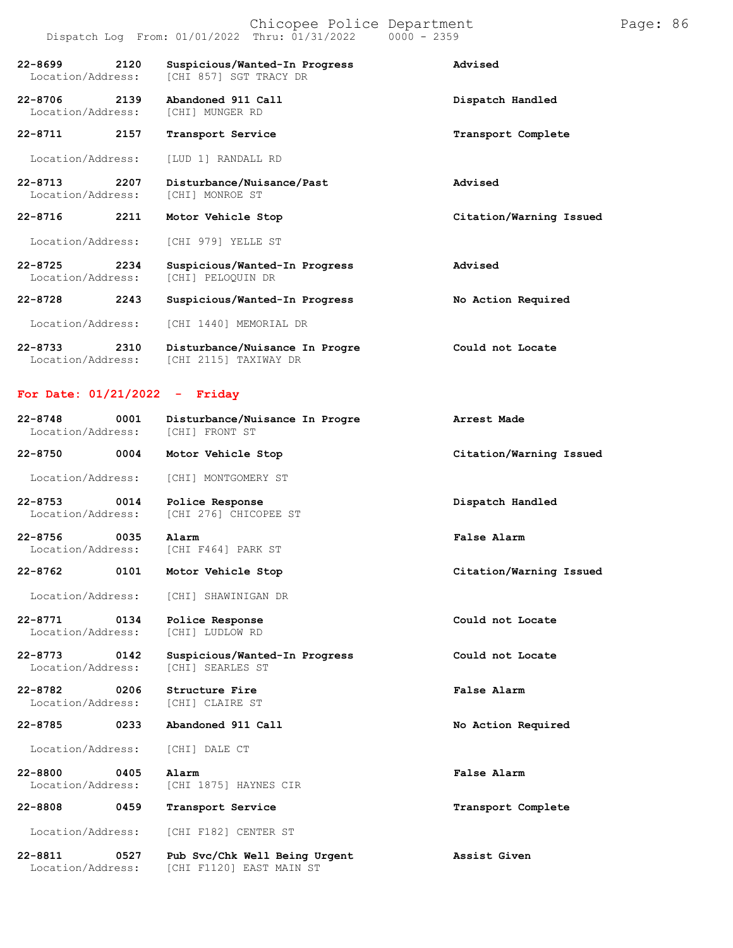#### Chicopee Police Department Page: 86 Dispatch Log From: 01/01/2022 Thru: 01/31/2022 0000 - 2359

| 22-8699<br>Location/Address:     | 2120 | Suspicious/Wanted-In Progress<br>[CHI 857] SGT TRACY DR | Advised                 |
|----------------------------------|------|---------------------------------------------------------|-------------------------|
| 22-8706<br>Location/Address:     | 2139 | Abandoned 911 Call<br>[CHI] MUNGER RD                   | Dispatch Handled        |
| $22 - 8711$                      | 2157 | Transport Service                                       | Transport Complete      |
| Location/Address:                |      | [LUD 1] RANDALL RD                                      |                         |
| $22 - 8713$<br>Location/Address: | 2207 | Disturbance/Nuisance/Past<br>[CHI] MONROE ST            | Advised                 |
| $22 - 8716$                      | 2211 | Motor Vehicle Stop                                      | Citation/Warning Issued |
| Location/Address:                |      | <b>ICHI 9791 YELLE ST</b>                               |                         |
| $22 - 8725$<br>Location/Address: | 2234 | Suspicious/Wanted-In Progress<br>[CHI] PELOQUIN DR      | Advised                 |
| $22 - 8728$                      | 2243 | Suspicious/Wanted-In Progress                           | No Action Required      |
| Location/Address:                |      | ICHI 14401 MEMORIAL DR                                  |                         |
| $22 - 8733$<br>Location/Address: | 2310 | Disturbance/Nuisance In Progre<br>[CHI 2115] TAXIWAY DR | Could not Locate        |

### **For Date: 01/21/2022 - Friday**

Location/Address: [CHI F1120] EAST MAIN ST

| $22 - 8748$<br>Location/Address:  | 0001 | Disturbance/Nuisance In Progre<br>[CHI] FRONT ST  | Arrest Made             |
|-----------------------------------|------|---------------------------------------------------|-------------------------|
| 22-8750 0004                      |      | Motor Vehicle Stop                                | Citation/Warning Issued |
| Location/Address:                 |      | [CHI] MONTGOMERY ST                               |                         |
| 22-8753 0014<br>Location/Address: |      | Police Response<br>[CHI 276] CHICOPEE ST          | Dispatch Handled        |
| 22-8756 0035<br>Location/Address: |      | Alarm<br>[CHI F464] PARK ST                       | False Alarm             |
| 22-8762 0101                      |      | Motor Vehicle Stop                                | Citation/Warning Issued |
| Location/Address:                 |      | [CHI] SHAWINIGAN DR                               |                         |
| 22-8771 0134<br>Location/Address: |      | Police Response<br>[CHI] LUDLOW RD                | Could not Locate        |
| 22-8773 0142<br>Location/Address: |      | Suspicious/Wanted-In Progress<br>[CHI] SEARLES ST | Could not Locate        |
| 22-8782 0206<br>Location/Address: |      | Structure Fire<br>[CHI] CLAIRE ST                 | False Alarm             |
| 22-8785                           | 0233 | Abandoned 911 Call                                | No Action Required      |
| Location/Address:                 |      | [CHI] DALE CT                                     |                         |
| $22 - 8800$<br>Location/Address:  | 0405 | Alarm<br>[CHI 1875] HAYNES CIR                    | False Alarm             |
| 22-8808                           | 0459 | Transport Service                                 | Transport Complete      |
| Location/Address:                 |      | [CHI F182] CENTER ST                              |                         |
| $22 - 8811$                       | 0527 | Pub Svc/Chk Well Being Urgent                     | Assist Given            |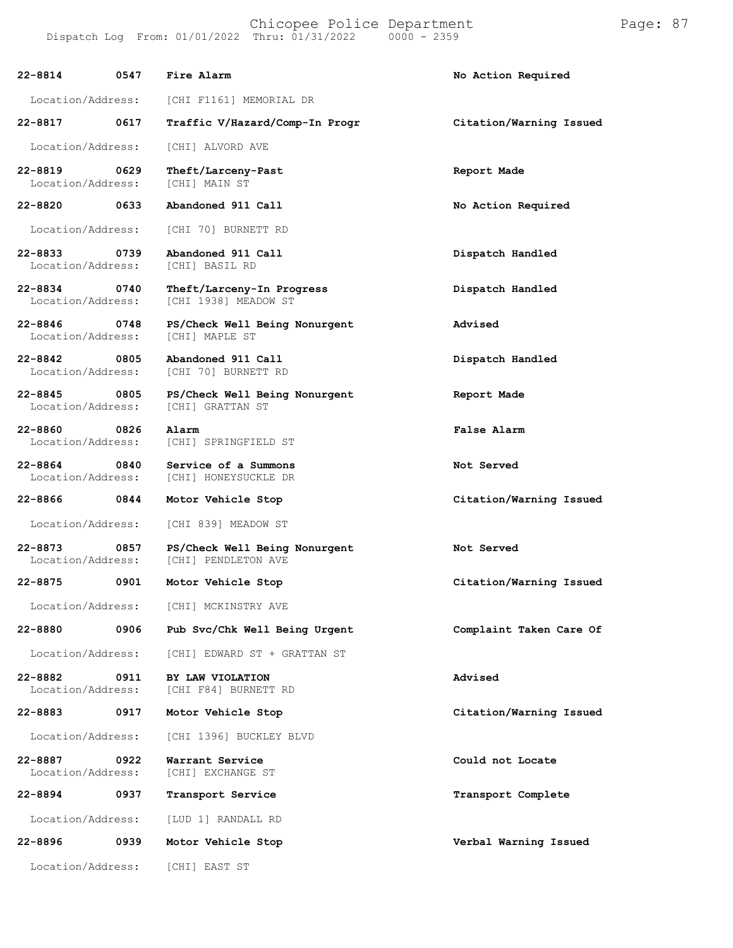[CHI 1938] MEADOW ST

[CHI 70] BURNETT RD

[CHI] SPRINGFIELD ST

[CHI] HONEYSUCKLE DR

[CHI] PENDLETON AVE

[CHI F84] BURNETT RD

[CHI] EXCHANGE ST

Location/Address: [CHI] GRATTAN ST

#### **22-8814 0547 Fire Alarm No Action Required**

Location/Address: [CHI F1161] MEMORIAL DR

#### **22-8817 0617 Traffic V/Hazard/Comp-In Progr Citation/Warning Issued**

Location/Address: [CHI] ALVORD AVE

**22-8819 0629 Theft/Larceny-Past Report Made** Location/Address:

**22-8820 0633 Abandoned 911 Call No Action Required**

Location/Address: [CHI 70] BURNETT RD

**22-8833 0739 Abandoned 911 Call Dispatch Handled** Location/Address:

**22-8834 0740 Theft/Larceny-In Progress Dispatch Handled**

**22-8846 0748 PS/Check Well Being Nonurgent Advised** Location/Address:

**22-8842 0805 Abandoned 911 Call Dispatch Handled**

**22-8845 0805 PS/Check Well Being Nonurgent Report Made**

**22-8860 0826 Alarm False Alarm**

**22-8864 0840 Service of a Summons Not Served**

**22-8866 0844 Motor Vehicle Stop Citation/Warning Issued**

Location/Address: [CHI 839] MEADOW ST

**22-8873 0857 PS/Check Well Being Nonurgent Not Served**

Location/Address: [CHI] MCKINSTRY AVE

Location/Address: [CHI] EDWARD ST + GRATTAN ST

**22-8882 0911 BY LAW VIOLATION Advised**

Location/Address: [CHI 1396] BUCKLEY BLVD

**22-8887 0922 Warrant Service Could not Locate**

Location/Address: [LUD 1] RANDALL RD

**22-8896 0939 Motor Vehicle Stop Verbal Warning Issued** Location/Address: [CHI] EAST ST

**22-8875 0901 Motor Vehicle Stop Citation/Warning Issued**

**22-8880 0906 Pub Svc/Chk Well Being Urgent Complaint Taken Care Of**

**22-8883 0917 Motor Vehicle Stop Citation/Warning Issued**

**22-8894 0937 Transport Service Transport Complete**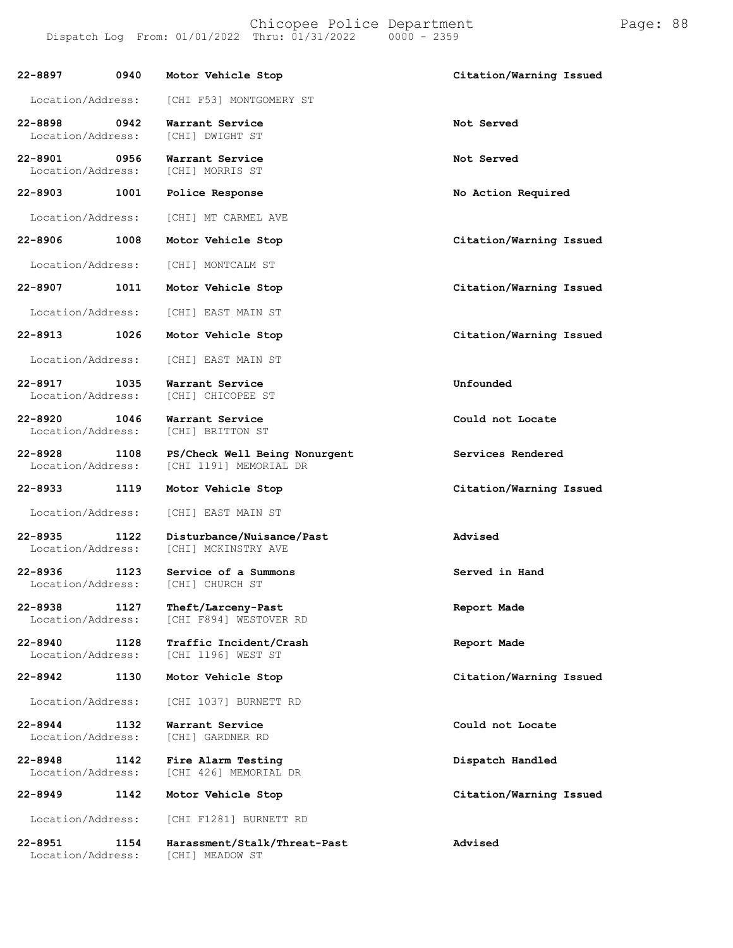| 22-8897                                  | 0940 | Motor Vehicle Stop                                      | Citation/Warning Issued |
|------------------------------------------|------|---------------------------------------------------------|-------------------------|
| Location/Address:                        |      | [CHI F53] MONTGOMERY ST                                 |                         |
| 22-8898<br>Location/Address:             | 0942 | Warrant Service<br>[CHI] DWIGHT ST                      | Not Served              |
| 22-8901 0956<br>Location/Address:        |      | Warrant Service<br>[CHI] MORRIS ST                      | Not Served              |
| $22 - 8903$                              | 1001 | Police Response                                         | No Action Required      |
| Location/Address:                        |      | [CHI] MT CARMEL AVE                                     |                         |
| 22-8906                                  | 1008 | Motor Vehicle Stop                                      | Citation/Warning Issued |
| Location/Address:                        |      | [CHI] MONTCALM ST                                       |                         |
| 22-8907                                  | 1011 | Motor Vehicle Stop                                      | Citation/Warning Issued |
| Location/Address:                        |      | [CHI] EAST MAIN ST                                      |                         |
| $22 - 8913$                              | 1026 | Motor Vehicle Stop                                      | Citation/Warning Issued |
| Location/Address:                        |      | [CHI] EAST MAIN ST                                      |                         |
| 22-8917<br>Location/Address:             | 1035 | Warrant Service<br>[CHI] CHICOPEE ST                    | Unfounded               |
| 22-8920<br>Location/Address:             | 1046 | Warrant Service<br>[CHI] BRITTON ST                     | Could not Locate        |
| 22-8928<br>Location/Address:             | 1108 | PS/Check Well Being Nonurgent<br>[CHI 1191] MEMORIAL DR | Services Rendered       |
| 22-8933                                  | 1119 | Motor Vehicle Stop                                      | Citation/Warning Issued |
| Location/Address:                        |      | [CHI] EAST MAIN ST                                      |                         |
| $22 - 8935$<br>Location/Address:         | 1122 | Disturbance/Nuisance/Past<br>[CHI] MCKINSTRY AVE        | Advised                 |
| $22 - 8936$<br>1123<br>Location/Address: |      | Service of a Summons<br>[CHI] CHURCH ST                 | Served in Hand          |
| 22-8938<br>Location/Address:             | 1127 | Theft/Larceny-Past<br>[CHI F894] WESTOVER RD            | Report Made             |
| $22 - 8940$<br>Location/Address:         | 1128 | Traffic Incident/Crash<br>[CHI 1196] WEST ST            | Report Made             |
| $22 - 8942$                              | 1130 | Motor Vehicle Stop                                      | Citation/Warning Issued |
| Location/Address:                        |      | [CHI 1037] BURNETT RD                                   |                         |
| $22 - 8944$<br>Location/Address:         | 1132 | Warrant Service<br>[CHI] GARDNER RD                     | Could not Locate        |
| $22 - 8948$<br>Location/Address:         | 1142 | Fire Alarm Testing<br>[CHI 426] MEMORIAL DR             | Dispatch Handled        |
| $22 - 8949$                              | 1142 | Motor Vehicle Stop                                      | Citation/Warning Issued |
| Location/Address:                        |      | [CHI F1281] BURNETT RD                                  |                         |
| $22 - 8951$<br>Location/Address:         | 1154 | Harassment/Stalk/Threat-Past<br>[CHI] MEADOW ST         | Advised                 |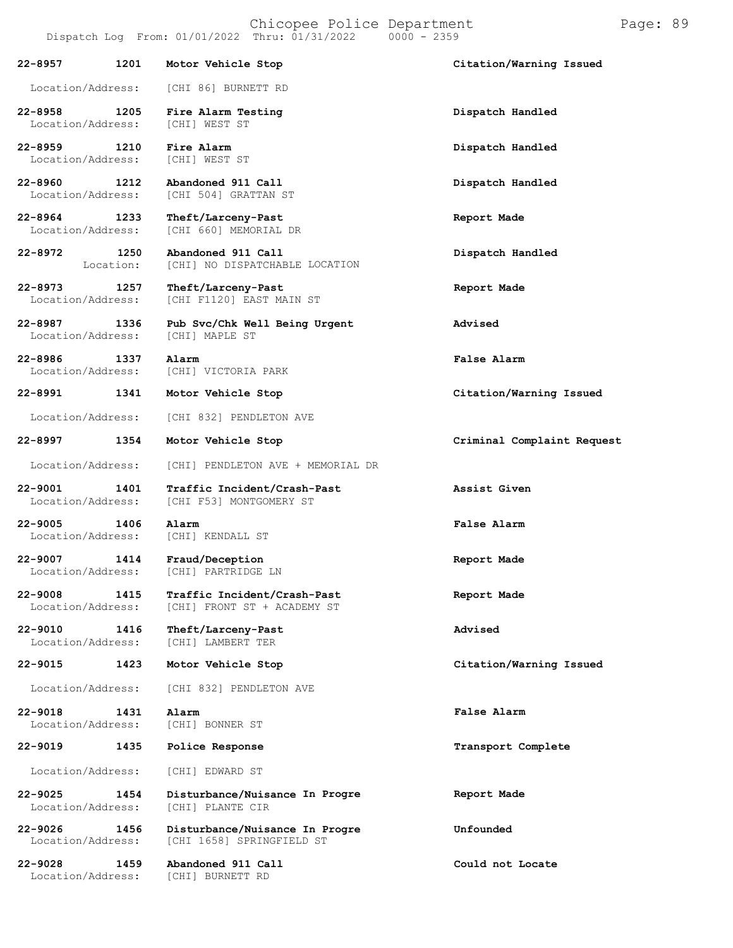**22-8957 1201 Motor Vehicle Stop Citation/Warning Issued**

[CHI 504] GRATTAN ST

[CHI 660] MEMORIAL DR

[CHI F1120] EAST MAIN ST

[CHI] NO DISPATCHABLE LOCATION

**Abandoned 911 Call**

[CHI] VICTORIA PARK

[CHI F53] MONTGOMERY ST

[CHI] FRONT ST + ACADEMY ST

[CHI] PARTRIDGE LN

Location/Address: [CHI] LAMBERT TER

Location/Address: [CHI 86] BURNETT RD

**22-8958 1205 Fire Alarm Testing Dispatch Handled** Location/Address:

**22-8959 1210 Fire Alarm Dispatch Handled** Location/Address:

**22-8960 1212 Abandoned 911 Call Dispatch Handled**

**22-8964 1233 Theft/Larceny-Past Report Made**

**22-8972 1250** Location:

**22-8973 1257 Theft/Larceny-Past Report Made**

**22-8987 1336 Pub Svc/Chk Well Being Urgent Advised** Location/Address:

**22-8986 1337 Alarm False Alarm**

**22-8991 1341 Motor Vehicle Stop Citation/Warning Issued**

Location/Address: [CHI 832] PENDLETON AVE

**22-8997 1354 Motor Vehicle Stop Criminal Complaint Request**

Location/Address: [CHI] PENDLETON AVE + MEMORIAL DR

**22-9001 1401 Traffic Incident/Crash-Past Assist Given**

**22-9005 1406 Alarm False Alarm** Location/Address: [CHI] KENDALL ST

**22-9007 1414 Fraud/Deception Report Made**

**22-9008 1415 Traffic Incident/Crash-Past Report Made**

**22-9010 1416 Theft/Larceny-Past**

Location/Address: [CHI 832] PENDLETON AVE

**22-9018 1431 Alarm**

[CHI] BONNER ST **22-9019 1435 Police Response Transport Complete** Location/Address: [CHI] EDWARD ST

**22-9025 1454 Disturbance/Nuisance** Location/Address: [CHI] PLANTE CIR

**22-9026 1456 Disturbance/Nuisance In Progre Unfounded** Location/Address: [CHI 1658] SPRINGFIELD ST

**22-9028 1459 Abandoned 911 Call Could not Locate** [CHI] BURNETT RD

**Dispatch Handled**

**Advised**

**22-9015 1423 Motor Vehicle Stop Citation/Warning Issued**

**False Alarm**

**In Progre Report Made**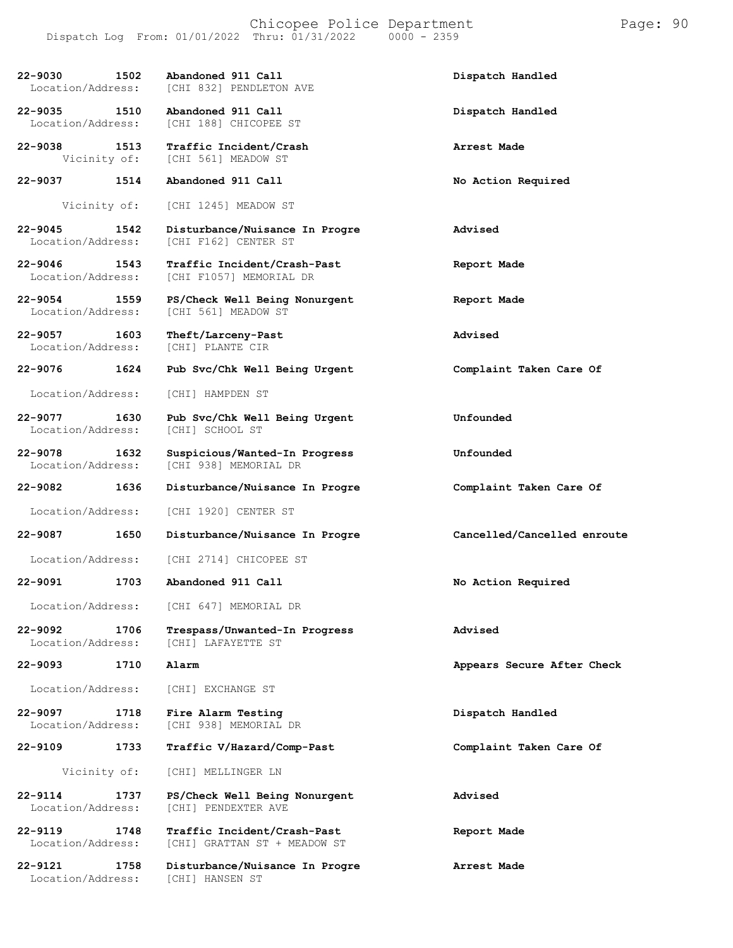| 22-9030 1502        | Abandoned 911 Call                                     | Dispatch Handled            |
|---------------------|--------------------------------------------------------|-----------------------------|
| Location/Address:   | [CHI 832] PENDLETON AVE                                |                             |
| 22-9035<br>1510     | Abandoned 911 Call                                     | Dispatch Handled            |
| Location/Address:   | [CHI 188] CHICOPEE ST                                  |                             |
| 22-9038 1513        | Traffic Incident/Crash                                 | Arrest Made                 |
| Vicinity of:        | [CHI 561] MEADOW ST                                    |                             |
| 22-9037 1514        | Abandoned 911 Call                                     | No Action Required          |
|                     |                                                        |                             |
| Vicinity of:        | [CHI 1245] MEADOW ST                                   |                             |
| 22-9045 1542        | Disturbance/Nuisance In Progre                         | Advised                     |
| Location/Address:   | [CHI F162] CENTER ST                                   |                             |
| 22-9046 1543        | Traffic Incident/Crash-Past                            | Report Made                 |
| Location/Address:   | [CHI F1057] MEMORIAL DR                                |                             |
| 22-9054 1559        | PS/Check Well Being Nonurgent                          | Report Made                 |
| Location/Address:   | [CHI 561] MEADOW ST                                    |                             |
| 1603<br>22-9057     | Theft/Larceny-Past                                     | Advised                     |
| Location/Address:   | [CHI] PLANTE CIR                                       |                             |
| $22 - 9076$<br>1624 | Pub Svc/Chk Well Being Urgent                          | Complaint Taken Care Of     |
|                     |                                                        |                             |
| Location/Address:   | [CHI] HAMPDEN ST                                       |                             |
| 22-9077 1630        | Pub Svc/Chk Well Being Urgent                          | Unfounded                   |
| Location/Address:   | [CHI] SCHOOL ST                                        |                             |
| $22 - 9078$<br>1632 |                                                        | Unfounded                   |
| Location/Address:   | Suspicious/Wanted-In Progress<br>[CHI 938] MEMORIAL DR |                             |
|                     |                                                        |                             |
|                     |                                                        |                             |
| 22-9082 1636        | Disturbance/Nuisance In Progre                         | Complaint Taken Care Of     |
| Location/Address:   | [CHI 1920] CENTER ST                                   |                             |
| 1650<br>22-9087     |                                                        | Cancelled/Cancelled enroute |
|                     | Disturbance/Nuisance In Progre                         |                             |
| Location/Address:   | [CHI 2714] CHICOPEE ST                                 |                             |
| 1703<br>22-9091     | Abandoned 911 Call                                     | No Action Required          |
|                     |                                                        |                             |
| Location/Address:   | [CHI 647] MEMORIAL DR                                  |                             |
| 22-9092<br>1706     | Trespass/Unwanted-In Progress                          | Advised                     |
| Location/Address:   | [CHI] LAFAYETTE ST                                     |                             |
| $22 - 9093$<br>1710 | Alarm                                                  | Appears Secure After Check  |
|                     |                                                        |                             |
| Location/Address:   | [CHI] EXCHANGE ST                                      |                             |
| $22 - 9097$<br>1718 | Fire Alarm Testing                                     | Dispatch Handled            |
| Location/Address:   | [CHI 938] MEMORIAL DR                                  |                             |
| 22-9109<br>1733     | Traffic V/Hazard/Comp-Past                             | Complaint Taken Care Of     |
|                     |                                                        |                             |
| Vicinity of:        | [CHI] MELLINGER LN                                     |                             |
| $22 - 9114$<br>1737 | PS/Check Well Being Nonurgent                          | Advised                     |
| Location/Address:   | [CHI] PENDEXTER AVE                                    |                             |
| $22 - 9119$<br>1748 | Traffic Incident/Crash-Past                            | Report Made                 |
| Location/Address:   | [CHI] GRATTAN ST + MEADOW ST                           |                             |
| 1758<br>22-9121     | Disturbance/Nuisance In Progre                         | Arrest Made                 |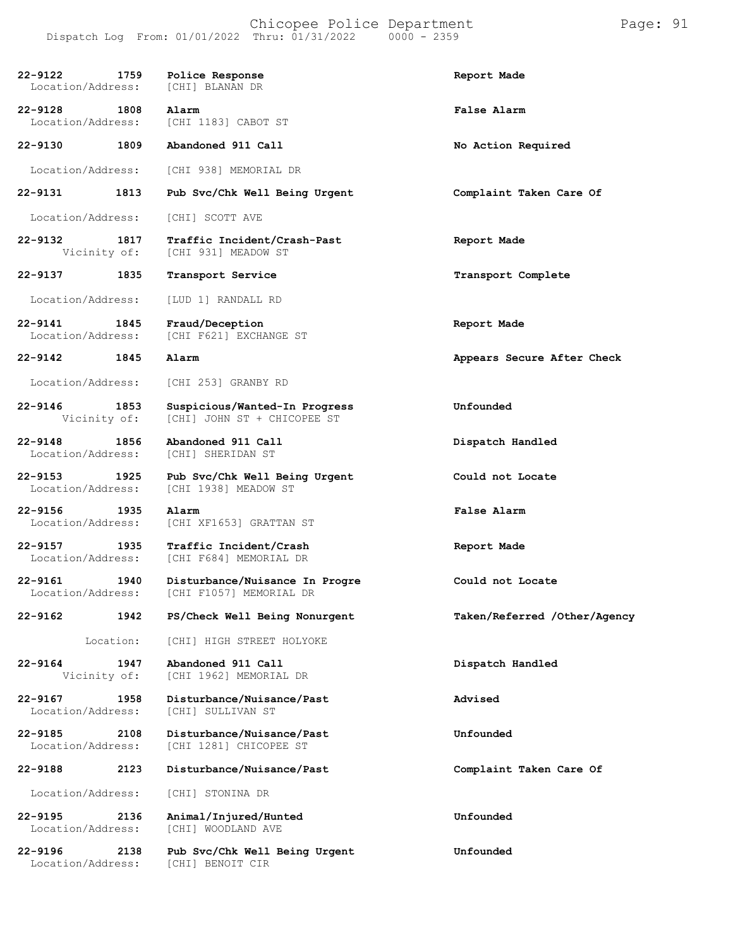| 22-9122 1759<br>Location/Address: |           | Police Response<br>[CHI] BLANAN DR                           | Report Made                  |
|-----------------------------------|-----------|--------------------------------------------------------------|------------------------------|
| 22-9128 1808<br>Location/Address: |           | Alarm<br>[CHI 1183] CABOT ST                                 | <b>False Alarm</b>           |
| $22 - 9130$                       | 1809      | Abandoned 911 Call                                           | No Action Required           |
| Location/Address:                 |           | [CHI 938] MEMORIAL DR                                        |                              |
| 22-9131                           | 1813      | Pub Svc/Chk Well Being Urgent                                | Complaint Taken Care Of      |
| Location/Address:                 |           | [CHI] SCOTT AVE                                              |                              |
| 22-9132 1817<br>Vicinity of:      |           | Traffic Incident/Crash-Past<br>[CHI 931] MEADOW ST           | Report Made                  |
| 22-9137                           | 1835      | Transport Service                                            | Transport Complete           |
| Location/Address:                 |           | [LUD 1] RANDALL RD                                           |                              |
| 22-9141 1845<br>Location/Address: |           | Fraud/Deception<br>[CHI F621] EXCHANGE ST                    | Report Made                  |
| 22-9142 1845                      |           | Alarm                                                        | Appears Secure After Check   |
| Location/Address:                 |           | [CHI 253] GRANBY RD                                          |                              |
| 22-9146 1853<br>Vicinity of:      |           | Suspicious/Wanted-In Progress<br>[CHI] JOHN ST + CHICOPEE ST | Unfounded                    |
| $22 - 9148$<br>Location/Address:  | 1856      | Abandoned 911 Call<br>[CHI] SHERIDAN ST                      | Dispatch Handled             |
| 22-9153 1925<br>Location/Address: |           | Pub Svc/Chk Well Being Urgent<br>[CHI 1938] MEADOW ST        | Could not Locate             |
| 22-9156 1935<br>Location/Address: |           | Alarm<br>[CHI XF1653] GRATTAN ST                             | False Alarm                  |
| 22-9157 1935<br>Location/Address: |           | Traffic Incident/Crash<br>[CHI F684] MEMORIAL DR             | Report Made                  |
| $22 - 9161$<br>Location/Address:  | 1940      | Disturbance/Nuisance In Progre<br>[CHI F1057] MEMORIAL DR    | Could not Locate             |
| 22-9162                           | 1942      | PS/Check Well Being Nonurgent                                | Taken/Referred /Other/Agency |
|                                   | Location: | [CHI] HIGH STREET HOLYOKE                                    |                              |
| $22 - 9164$<br>Vicinity of:       | 1947      | Abandoned 911 Call<br>[CHI 1962] MEMORIAL DR                 | Dispatch Handled             |
| $22 - 9167$<br>Location/Address:  | 1958      | Disturbance/Nuisance/Past<br>[CHI] SULLIVAN ST               | Advised                      |
| 22-9185<br>Location/Address:      | 2108      | Disturbance/Nuisance/Past<br>[CHI 1281] CHICOPEE ST          | Unfounded                    |
| 22-9188                           | 2123      | Disturbance/Nuisance/Past                                    | Complaint Taken Care Of      |
| Location/Address:                 |           | [CHI] STONINA DR                                             |                              |
| 22-9195<br>Location/Address:      | 2136      | Animal/Injured/Hunted<br>[CHI] WOODLAND AVE                  | Unfounded                    |
| $22 - 9196$<br>Location/Address:  | 2138      | Pub Svc/Chk Well Being Urgent<br>[CHI] BENOIT CIR            | Unfounded                    |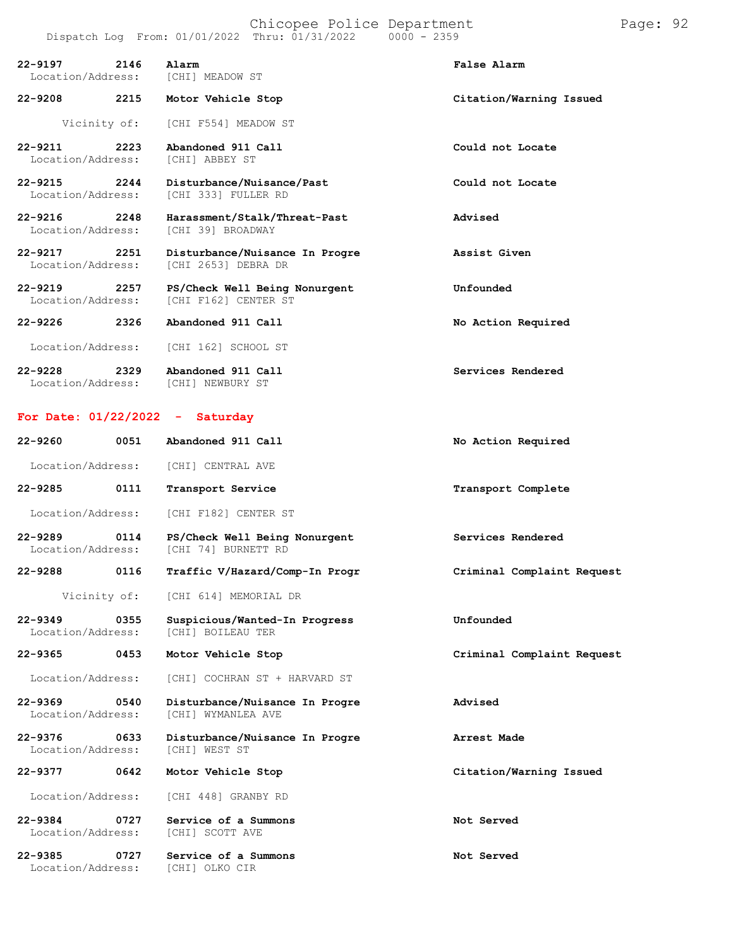| 22-9197 2146<br>Location/Address:     |      | Alarm<br>[CHI] MEADOW ST                              | False Alarm             |
|---------------------------------------|------|-------------------------------------------------------|-------------------------|
| 22-9208 2215                          |      | Motor Vehicle Stop                                    | Citation/Warning Issued |
|                                       |      | Vicinity of: [CHI F554] MEADOW ST                     |                         |
| $22 - 9211$ 2223<br>Location/Address: |      | Abandoned 911 Call<br>[CHI] ABBEY ST                  | Could not Locate        |
| $22 - 9215$ 2244<br>Location/Address: |      | Disturbance/Nuisance/Past<br>[CHI 333] FULLER RD      | Could not Locate        |
| 22-9216 2248<br>Location/Address:     |      | Harassment/Stalk/Threat-Past<br>[CHI 39] BROADWAY     | Advised                 |
| 22-9217 2251<br>Location/Address:     |      | Disturbance/Nuisance In Progre<br>[CHI 2653] DEBRA DR | Assist Given            |
| 22-9219 2257<br>Location/Address:     |      | PS/Check Well Being Nonurgent<br>[CHI F162] CENTER ST | Unfounded               |
| $22 - 9226$                           | 2326 | Abandoned 911 Call                                    | No Action Required      |
| Location/Address:                     |      | [CHI 162] SCHOOL ST                                   |                         |

**22-9228 2329 Abandoned 911 Call Services Rendered** Location/Address: [CHI] NEWBURY ST

#### **For Date: 01/22/2022 - Saturday**

| $22 - 9260$                      | 0051         | Abandoned 911 Call                                   | No Action Required         |
|----------------------------------|--------------|------------------------------------------------------|----------------------------|
| Location/Address:                |              | [CHI] CENTRAL AVE                                    |                            |
| 22-9285                          | 0111         | Transport Service                                    | Transport Complete         |
| Location/Address:                |              | [CHI F182] CENTER ST                                 |                            |
| $22 - 9289$<br>Location/Address: | 0114         | PS/Check Well Being Nonurgent<br>[CHI 74] BURNETT RD | Services Rendered          |
| 22-9288 0116                     |              | Traffic V/Hazard/Comp-In Progr                       | Criminal Complaint Request |
|                                  | Vicinity of: | [CHI 614] MEMORIAL DR                                |                            |
| $22 - 9349$<br>Location/Address: | 0355         | Suspicious/Wanted-In Progress<br>[CHI] BOILEAU TER   | Unfounded                  |
| $22 - 9365$                      | 0453         | Motor Vehicle Stop                                   | Criminal Complaint Request |
| Location/Address:                |              | [CHI] COCHRAN ST + HARVARD ST                        |                            |
| $22 - 9369$<br>Location/Address: | 0540         | Disturbance/Nuisance In Progre<br>[CHI] WYMANLEA AVE | Advised                    |
| $22 - 9376$<br>Location/Address: | 0633         | Disturbance/Nuisance In Progre<br>[CHI] WEST ST      | Arrest Made                |
| 22-9377                          | 0642         | Motor Vehicle Stop                                   | Citation/Warning Issued    |
| Location/Address:                |              | [CHI 448] GRANBY RD                                  |                            |
| $22 - 9384$<br>Location/Address: | 0727         | Service of a Summons<br>[CHI] SCOTT AVE              | Not Served                 |
| 22-9385<br>Location/Address:     | 0727         | Service of a Summons<br>[CHI] OLKO CIR               | Not Served                 |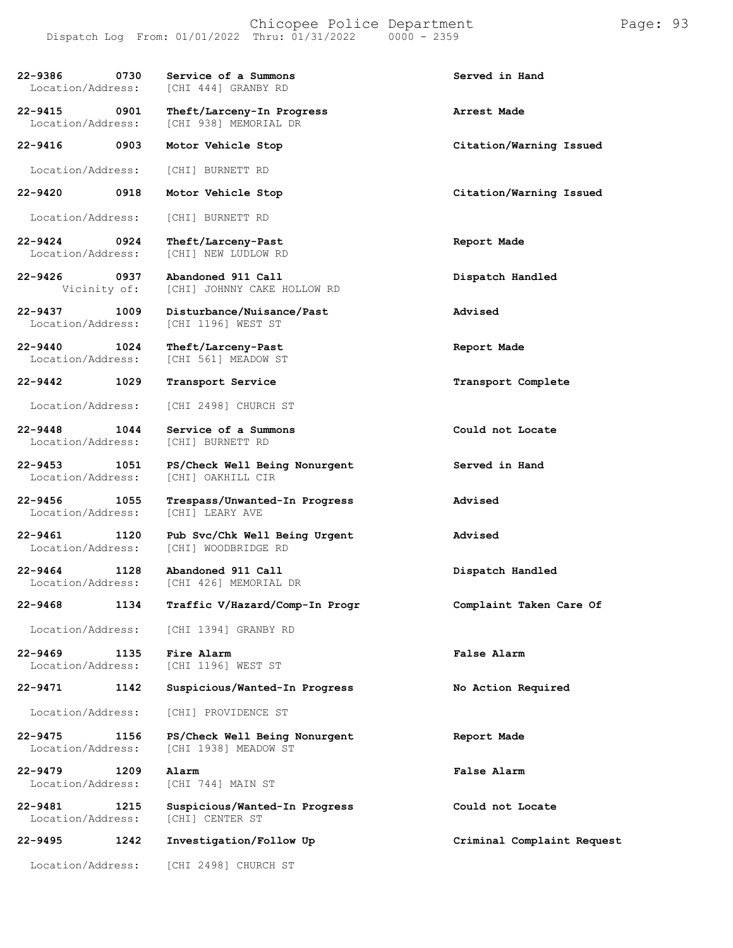#### Chicopee Police Department Page: 93 Dispatch Log From: 01/01/2022 Thru: 01/31/2022 0000 - 2359

| 22-9386<br>Location/Address:          | 0730 | Service of a Summons<br>[CHI 444] GRANBY RD           | Served in Hand             |
|---------------------------------------|------|-------------------------------------------------------|----------------------------|
| 22-9415 0901<br>Location/Address:     |      | Theft/Larceny-In Progress<br>[CHI 938] MEMORIAL DR    | Arrest Made                |
| $22 - 9416$                           | 0903 | Motor Vehicle Stop                                    | Citation/Warning Issued    |
| Location/Address:                     |      | [CHI] BURNETT RD                                      |                            |
| 22-9420                               | 0918 | Motor Vehicle Stop                                    | Citation/Warning Issued    |
| Location/Address:                     |      | [CHI] BURNETT RD                                      |                            |
| 22-9424 0924<br>Location/Address:     |      | Theft/Larceny-Past<br>[CHI] NEW LUDLOW RD             | Report Made                |
| 22-9426<br>Vicinity of:               | 0937 | Abandoned 911 Call<br>[CHI] JOHNNY CAKE HOLLOW RD     | Dispatch Handled           |
| 22-9437<br>Location/Address:          | 1009 | Disturbance/Nuisance/Past<br>[CHI 1196] WEST ST       | Advised                    |
| 22-9440<br>Location/Address:          | 1024 | Theft/Larceny-Past<br>[CHI 561] MEADOW ST             | Report Made                |
| 22-9442                               | 1029 | Transport Service                                     | Transport Complete         |
| Location/Address:                     |      | [CHI 2498] CHURCH ST                                  |                            |
| 22-9448 1044<br>Location/Address:     |      | Service of a Summons<br>[CHI] BURNETT RD              | Could not Locate           |
| 22-9453<br>Location/Address:          | 1051 | PS/Check Well Being Nonurgent<br>[CHI] OAKHILL CIR    | Served in Hand             |
| 22-9456 1055<br>Location/Address:     |      | Trespass/Unwanted-In Progress<br>[CHI] LEARY AVE      | Advised                    |
| 22-9461<br>Location/Address:          | 1120 | Pub Svc/Chk Well Being Urgent<br>[CHI] WOODBRIDGE RD  | Advised                    |
| $22 - 9464$ 1128<br>Location/Address: |      | Abandoned 911 Call<br>[CHI 426] MEMORIAL DR           | Dispatch Handled           |
| 22-9468                               | 1134 | Traffic V/Hazard/Comp-In Progr                        | Complaint Taken Care Of    |
| Location/Address:                     |      | [CHI 1394] GRANBY RD                                  |                            |
| $22 - 9469$<br>Location/Address:      | 1135 | Fire Alarm<br>[CHI 1196] WEST ST                      | False Alarm                |
| 22-9471                               | 1142 | Suspicious/Wanted-In Progress                         | No Action Required         |
| Location/Address:                     |      | [CHI] PROVIDENCE ST                                   |                            |
| 22-9475<br>Location/Address:          | 1156 | PS/Check Well Being Nonurgent<br>[CHI 1938] MEADOW ST | Report Made                |
| 22-9479<br>Location/Address:          | 1209 | Alarm<br>[CHI 744] MAIN ST                            | False Alarm                |
| 22-9481<br>Location/Address:          | 1215 | Suspicious/Wanted-In Progress<br>[CHI] CENTER ST      | Could not Locate           |
| $22 - 9495$                           | 1242 | Investigation/Follow Up                               | Criminal Complaint Request |
| Location/Address:                     |      | [CHI 2498] CHURCH ST                                  |                            |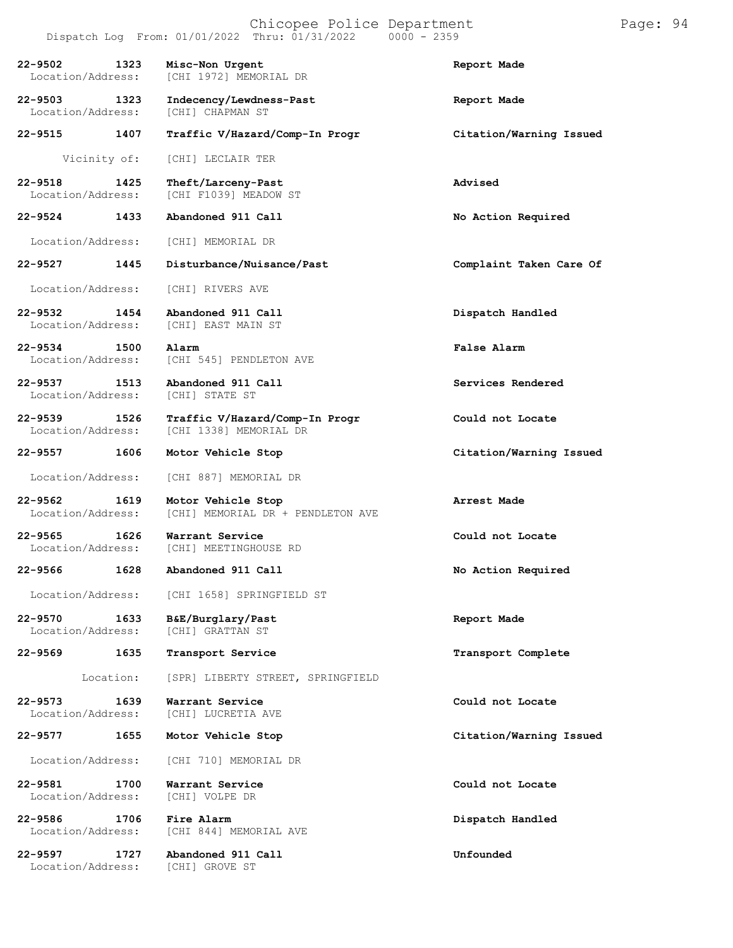|                                          | Dispatch Log From: 01/01/2022 Thru: 01/31/2022           | $0000 - 2359$           |
|------------------------------------------|----------------------------------------------------------|-------------------------|
| $22 - 9502$<br>1323<br>Location/Address: | Misc-Non Urgent<br>[CHI 1972] MEMORIAL DR                | Report Made             |
| $22 - 9503$<br>1323<br>Location/Address: | Indecency/Lewdness-Past<br>[CHI] CHAPMAN ST              | Report Made             |
| $22 - 9515$<br>1407                      | Traffic V/Hazard/Comp-In Progr                           | Citation/Warning Issued |
| Vicinity of:                             | [CHI] LECLAIR TER                                        |                         |
| $22 - 9518$<br>1425<br>Location/Address: | Theft/Larceny-Past<br>[CHI F1039] MEADOW ST              | Advised                 |
| 1433<br>22-9524                          | Abandoned 911 Call                                       | No Action Required      |
| Location/Address:                        | [CHI] MEMORIAL DR                                        |                         |
| 22-9527<br>1445                          | Disturbance/Nuisance/Past                                | Complaint Taken Care Of |
| Location/Address:                        | [CHI] RIVERS AVE                                         |                         |
| 22-9532<br>1454<br>Location/Address:     | Abandoned 911 Call<br>[CHI] EAST MAIN ST                 | Dispatch Handled        |
| $22 - 9534$<br>1500<br>Location/Address: | Alarm<br>[CHI 545] PENDLETON AVE                         | False Alarm             |
| 22-9537<br>1513<br>Location/Address:     | Abandoned 911 Call<br>[CHI] STATE ST                     | Services Rendered       |
| 22-9539<br>1526<br>Location/Address:     | Traffic V/Hazard/Comp-In Progr<br>[CHI 1338] MEMORIAL DR | Could not Locate        |
| 22-9557<br>1606                          | Motor Vehicle Stop                                       | Citation/Warning Issued |
| Location/Address:                        | [CHI 887] MEMORIAL DR                                    |                         |
| 22-9562<br>1619<br>Location/Address:     | Motor Vehicle Stop<br>[CHI] MEMORIAL DR + PENDLETON AVE  | Arrest Made             |
| $22 - 9565$<br>1626<br>Location/Address: | Warrant Service<br>[CHI] MEETINGHOUSE RD                 | Could not Locate        |
| 22-9566 1628                             | Abandoned 911 Call                                       | No Action Required      |
|                                          | Location/Address: [CHI 1658] SPRINGFIELD ST              |                         |
| $22 - 9570$<br>1633<br>Location/Address: | B&E/Burglary/Past<br>[CHI] GRATTAN ST                    | Report Made             |
| 1635<br>22-9569                          | Transport Service                                        | Transport Complete      |
| Location:                                | [SPR] LIBERTY STREET, SPRINGFIELD                        |                         |
| 22-9573<br>1639<br>Location/Address:     | Warrant Service<br>[CHI] LUCRETIA AVE                    | Could not Locate        |
| 22-9577<br>1655                          | Motor Vehicle Stop                                       | Citation/Warning Issued |
| Location/Address:                        | [CHI 710] MEMORIAL DR                                    |                         |
| $22 - 9581$<br>1700<br>Location/Address: | Warrant Service<br>[CHI] VOLPE DR                        | Could not Locate        |
| 22-9586<br>1706<br>Location/Address:     | Fire Alarm<br>[CHI 844] MEMORIAL AVE                     | Dispatch Handled        |
| 22-9597<br>1727<br>Location/Address:     | Abandoned 911 Call<br>[CHI] GROVE ST                     | Unfounded               |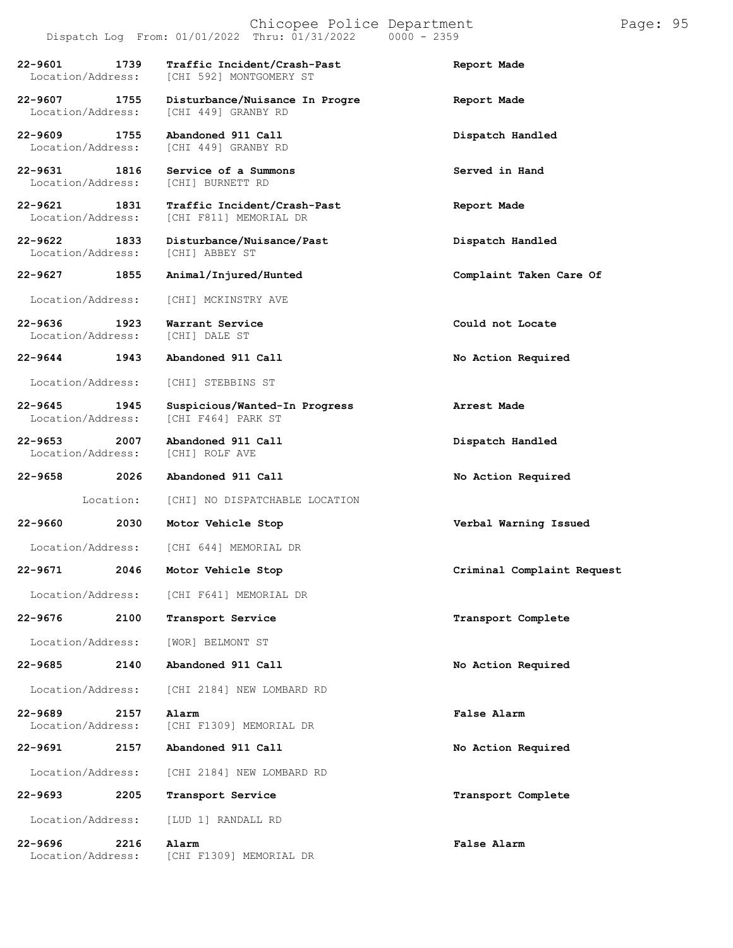|                                          | Dispatch Log From: 01/01/2022 Thru: 01/31/2022         | $0000 - 2359$              |
|------------------------------------------|--------------------------------------------------------|----------------------------|
| 1739<br>22-9601<br>Location/Address:     | Traffic Incident/Crash-Past<br>[CHI 592] MONTGOMERY ST | Report Made                |
| 22-9607 1755<br>Location/Address:        | Disturbance/Nuisance In Progre<br>[CHI 449] GRANBY RD  | Report Made                |
| 22-9609<br>1755<br>Location/Address:     | Abandoned 911 Call<br>[CHI 449] GRANBY RD              | Dispatch Handled           |
| 22-9631 1816<br>Location/Address:        | Service of a Summons<br>[CHI] BURNETT RD               | Served in Hand             |
| 1831<br>22-9621<br>Location/Address:     | Traffic Incident/Crash-Past<br>[CHI F811] MEMORIAL DR  | Report Made                |
| 22-9622 1833<br>Location/Address:        | Disturbance/Nuisance/Past<br>[CHI] ABBEY ST            | Dispatch Handled           |
| 22-9627<br>1855                          | Animal/Injured/Hunted                                  | Complaint Taken Care Of    |
| Location/Address:                        | [CHI] MCKINSTRY AVE                                    |                            |
| 22-9636 1923<br>Location/Address:        | Warrant Service<br>[CHI] DALE ST                       | Could not Locate           |
| 22-9644 1943                             | Abandoned 911 Call                                     | No Action Required         |
| Location/Address:                        | [CHI] STEBBINS ST                                      |                            |
| 22-9645 1945<br>Location/Address:        | Suspicious/Wanted-In Progress<br>[CHI F464] PARK ST    | Arrest Made                |
| 22-9653 2007<br>Location/Address:        | Abandoned 911 Call<br>[CHI] ROLF AVE                   | Dispatch Handled           |
| 2026<br>22-9658                          | Abandoned 911 Call                                     | No Action Required         |
| Location:                                | [CHI] NO DISPATCHABLE LOCATION                         |                            |
| 22-9660<br>2030                          | Motor Vehicle Stop                                     | Verbal Warning Issued      |
|                                          | Location/Address: [CHI 644] MEMORIAL DR                |                            |
| 22-9671<br>2046                          | Motor Vehicle Stop                                     | Criminal Complaint Request |
|                                          | Location/Address: [CHI F641] MEMORIAL DR               |                            |
| $22 - 9676$<br>2100                      | Transport Service                                      | Transport Complete         |
| Location/Address:                        | [WOR] BELMONT ST                                       |                            |
| 22-9685<br>2140                          | Abandoned 911 Call                                     | No Action Required         |
| Location/Address:                        | [CHI 2184] NEW LOMBARD RD                              |                            |
| 2157<br>$22 - 9689$<br>Location/Address: | Alarm<br>[CHI F1309] MEMORIAL DR                       | False Alarm                |
| 22-9691<br>2157                          | Abandoned 911 Call                                     | No Action Required         |
| Location/Address:                        | [CHI 2184] NEW LOMBARD RD                              |                            |
| 22-9693<br>2205                          | Transport Service                                      | Transport Complete         |
| Location/Address:                        | [LUD 1] RANDALL RD                                     |                            |
| 22-9696<br>2216                          | Alarm                                                  | False Alarm                |

Location/Address: [CHI F1309] MEMORIAL DR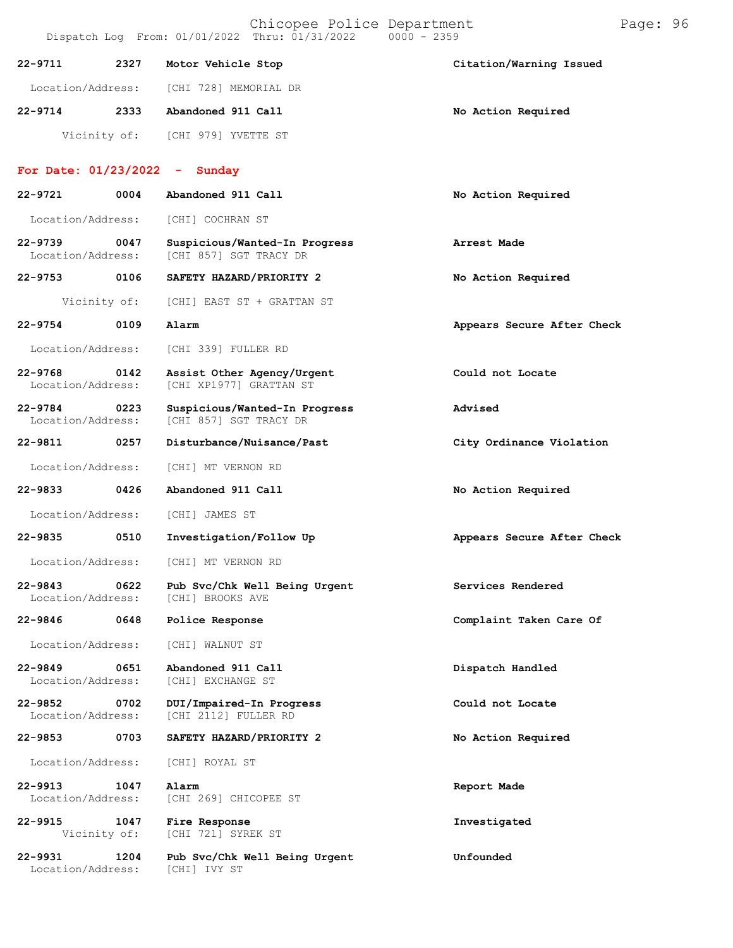|                                  |      | Chicopee Police Department<br>Dispatch Log From: 01/01/2022 Thru: 01/31/2022 | $0000 - 2359$              | Page: 96 |  |
|----------------------------------|------|------------------------------------------------------------------------------|----------------------------|----------|--|
| 22-9711                          | 2327 | Motor Vehicle Stop                                                           | Citation/Warning Issued    |          |  |
| Location/Address:                |      | [CHI 728] MEMORIAL DR                                                        |                            |          |  |
| $22 - 9714$                      | 2333 | Abandoned 911 Call                                                           | No Action Required         |          |  |
| Vicinity of:                     |      | [CHI 979] YVETTE ST                                                          |                            |          |  |
| For Date: $01/23/2022 -$ Sunday  |      |                                                                              |                            |          |  |
| $22 - 9721$                      | 0004 | Abandoned 911 Call                                                           | No Action Required         |          |  |
| Location/Address:                |      | [CHI] COCHRAN ST                                                             |                            |          |  |
| $22 - 9739$<br>Location/Address: | 0047 | Suspicious/Wanted-In Progress<br>[CHI 857] SGT TRACY DR                      | Arrest Made                |          |  |
| $22 - 9753$                      | 0106 | SAFETY HAZARD/PRIORITY 2                                                     | No Action Required         |          |  |
| Vicinity of:                     |      | [CHI] EAST ST + GRATTAN ST                                                   |                            |          |  |
| $22 - 9754$                      | 0109 | Alarm                                                                        | Appears Secure After Check |          |  |
| Location/Address:                |      | [CHI 339] FULLER RD                                                          |                            |          |  |
| $22 - 9768$<br>Location/Address: | 0142 | Assist Other Agency/Urgent<br>[CHI XP1977] GRATTAN ST                        | Could not Locate           |          |  |
| $22 - 9784$<br>Location/Address: | 0223 | Suspicious/Wanted-In Progress<br>[CHI 857] SGT TRACY DR                      | Advised                    |          |  |
| 22-9811                          | 0257 | Disturbance/Nuisance/Past                                                    | City Ordinance Violation   |          |  |
| Location/Address:                |      | [CHI] MT VERNON RD                                                           |                            |          |  |
| 22-9833                          | 0426 | Abandoned 911 Call                                                           | No Action Required         |          |  |
| Location/Address:                |      | [CHI] JAMES ST                                                               |                            |          |  |
| $22 - 9835$                      | 0510 | Investigation/Follow Up                                                      | Appears Secure After Check |          |  |
| Location/Address:                |      | [CHI] MT VERNON RD                                                           |                            |          |  |
| 22-9843<br>Location/Address:     | 0622 | Pub Svc/Chk Well Being Urgent<br>[CHI] BROOKS AVE                            | Services Rendered          |          |  |
| 22-9846                          | 0648 | Police Response                                                              | Complaint Taken Care Of    |          |  |
| Location/Address:                |      | [CHI] WALNUT ST                                                              |                            |          |  |
| $22 - 9849$<br>Location/Address: | 0651 | Abandoned 911 Call<br>[CHI] EXCHANGE ST                                      | Dispatch Handled           |          |  |
| 22-9852<br>Location/Address:     | 0702 | DUI/Impaired-In Progress<br>[CHI 2112] FULLER RD                             | Could not Locate           |          |  |
| 22-9853                          | 0703 | SAFETY HAZARD/PRIORITY 2                                                     | No Action Required         |          |  |
| Location/Address:                |      | [CHI] ROYAL ST                                                               |                            |          |  |
| 22-9913<br>Location/Address:     | 1047 | Alarm<br>[CHI 269] CHICOPEE ST                                               | Report Made                |          |  |
| 22-9915<br>Vicinity of:          | 1047 | Fire Response<br>[CHI 721] SYREK ST                                          | Investigated               |          |  |
| $22 - 9931$<br>Location/Address: | 1204 | Pub Svc/Chk Well Being Urgent<br>[CHI] IVY ST                                | Unfounded                  |          |  |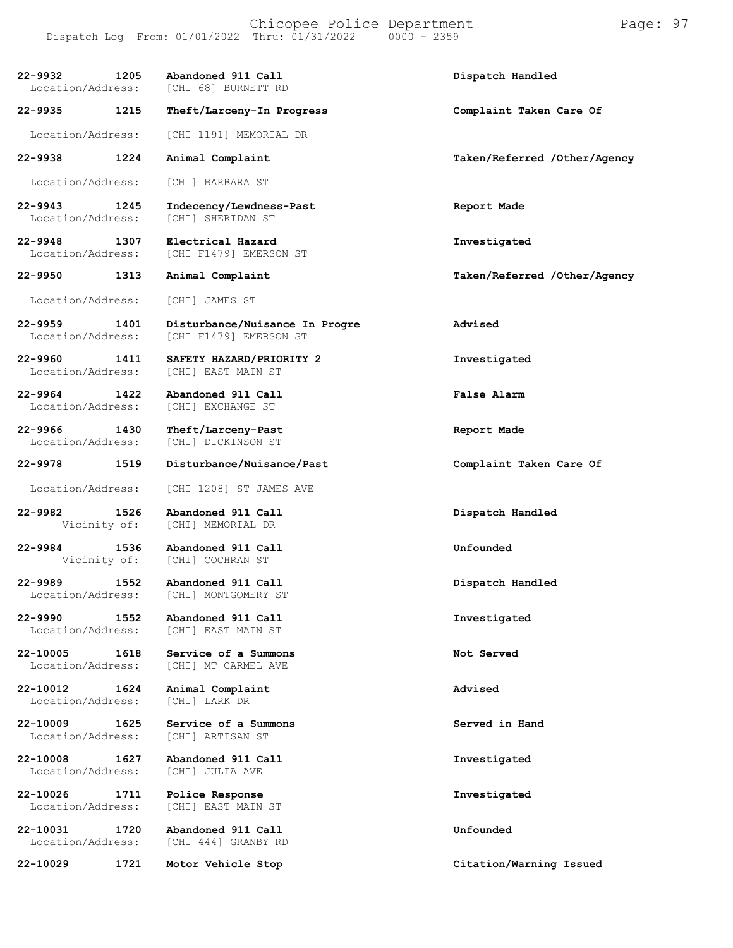| 22–9932<br>1205<br>Location/Address:     | Abandoned 911 Call<br>[CHI 68] BURNETT RD                | Dispatch Handled             |
|------------------------------------------|----------------------------------------------------------|------------------------------|
| 22-9935<br>1215                          | Theft/Larceny-In Progress                                | Complaint Taken Care Of      |
| Location/Address:                        | [CHI 1191] MEMORIAL DR                                   |                              |
| 1224<br>22-9938                          | Animal Complaint                                         | Taken/Referred /Other/Agency |
| Location/Address:                        | [CHI] BARBARA ST                                         |                              |
| $22 - 9943$<br>1245<br>Location/Address: | Indecency/Lewdness-Past<br>[CHI] SHERIDAN ST             | Report Made                  |
| 22-9948<br>1307<br>Location/Address:     | Electrical Hazard<br>[CHI F1479] EMERSON ST              | Investigated                 |
| 22-9950<br>1313                          | Animal Complaint                                         | Taken/Referred /Other/Agency |
| Location/Address:                        | [CHI] JAMES ST                                           |                              |
| $22 - 9959$<br>1401<br>Location/Address: | Disturbance/Nuisance In Progre<br>[CHI F1479] EMERSON ST | Advised                      |
| 22-9960<br>1411<br>Location/Address:     | SAFETY HAZARD/PRIORITY 2<br>[CHI] EAST MAIN ST           | Investigated                 |
| $22 - 9964$<br>1422<br>Location/Address: | Abandoned 911 Call<br>[CHI] EXCHANGE ST                  | False Alarm                  |
| 22-9966<br>1430<br>Location/Address:     | Theft/Larceny-Past<br>[CHI] DICKINSON ST                 | Report Made                  |
| $22 - 9978$<br>1519                      | Disturbance/Nuisance/Past                                | Complaint Taken Care Of      |
| Location/Address:                        | [CHI 1208] ST JAMES AVE                                  |                              |
| 22-9982<br>1526<br>Vicinity of:          | Abandoned 911 Call<br>[CHI] MEMORIAL DR                  | Dispatch Handled             |
| 22-9984<br>1536<br>Vicinity of:          | Abandoned 911 Call<br>[CHI] COCHRAN ST                   | Unfounded                    |
| 1552<br>22-9989<br>Location/Address:     | Abandoned 911 Call<br>[CHI] MONTGOMERY ST                | Dispatch Handled             |
| 22-9990<br>1552<br>Location/Address:     | Abandoned 911 Call<br>[CHI] EAST MAIN ST                 | Investigated                 |
| 22-10005<br>1618<br>Location/Address:    | Service of a Summons<br>[CHI] MT CARMEL AVE              | Not Served                   |
| 22-10012<br>1624<br>Location/Address:    | Animal Complaint<br>[CHI] LARK DR                        | Advised                      |
| 22-10009<br>1625<br>Location/Address:    | Service of a Summons<br>[CHI] ARTISAN ST                 | Served in Hand               |
| 22-10008<br>1627<br>Location/Address:    | Abandoned 911 Call<br>[CHI] JULIA AVE                    | Investigated                 |
| 22-10026<br>1711<br>Location/Address:    | Police Response<br>[CHI] EAST MAIN ST                    | Investigated                 |
| 22-10031<br>1720<br>Location/Address:    | Abandoned 911 Call<br>[CHI 444] GRANBY RD                | Unfounded                    |
| 22-10029<br>1721                         | Motor Vehicle Stop                                       | Citation/Warning Issued      |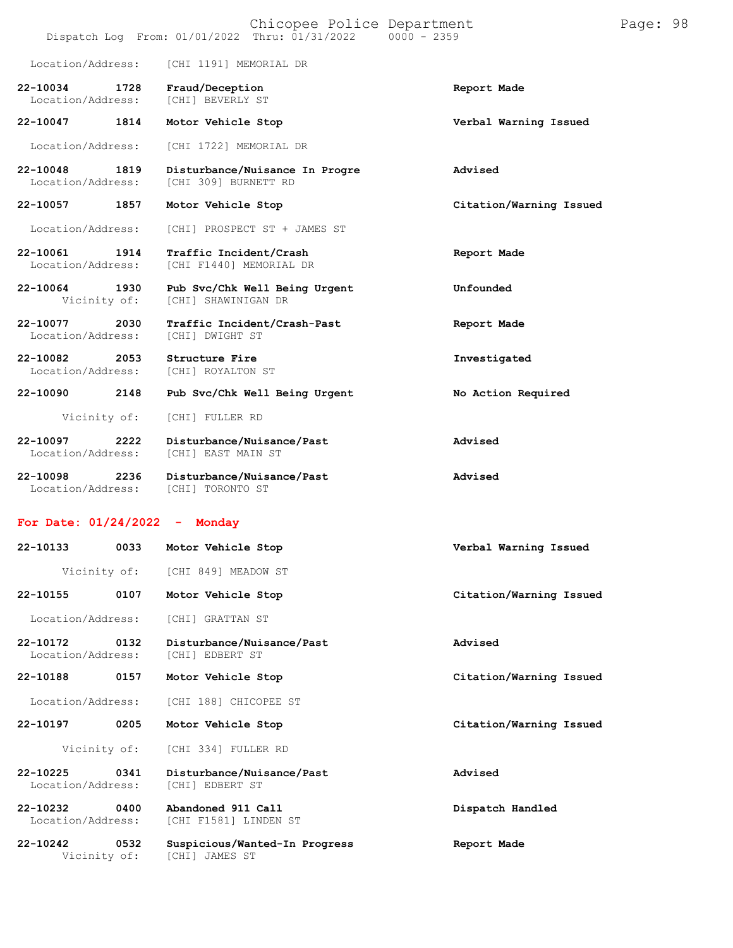|                                                        | Dispatch Log From: 01/01/2022 Thru: 01/31/2022<br>$0000 - 2359$ |                         |
|--------------------------------------------------------|-----------------------------------------------------------------|-------------------------|
| Location/Address:                                      | [CHI 1191] MEMORIAL DR                                          |                         |
| 22-10034<br>1728<br>Location/Address:                  | Fraud/Deception<br><b>[CHI] BEVERLY ST</b>                      | Report Made             |
| 22-10047<br>1814                                       | Motor Vehicle Stop                                              | Verbal Warning Issued   |
| Location/Address:                                      | [CHI 1722] MEMORIAL DR                                          |                         |
| 22-10048 1819<br>Location/Address:                     | Disturbance/Nuisance In Progre<br>[CHI 309] BURNETT RD          | Advised                 |
| 22-10057 1857                                          | Motor Vehicle Stop                                              | Citation/Warning Issued |
| Location/Address:                                      | [CHI] PROSPECT ST + JAMES ST                                    |                         |
| 22-10061 1914<br>Location/Address:                     | Traffic Incident/Crash<br>[CHI F1440] MEMORIAL DR               | Report Made             |
| 22-10064 1930<br>Vicinity of:                          | Pub Svc/Chk Well Being Urgent<br>[CHI] SHAWINIGAN DR            | Unfounded               |
| 22-10077 2030<br>Location/Address:                     | Traffic Incident/Crash-Past<br>[CHI] DWIGHT ST                  | Report Made             |
| 22-10082<br>2053<br>Location/Address:                  | Structure Fire<br>[CHI] ROYALTON ST                             | Investigated            |
| 22-10090<br>2148                                       | Pub Svc/Chk Well Being Urgent                                   | No Action Required      |
| Vicinity of:                                           | [CHI] FULLER RD                                                 |                         |
| 22-10097<br>2222<br>Location/Address:                  | Disturbance/Nuisance/Past<br>[CHI] EAST MAIN ST                 | Advised                 |
| 2236<br>22-10098<br>Location/Address: [CHI] TORONTO ST | Disturbance/Nuisance/Past                                       | Advised                 |
| For Date: $01/24/2022 -$                               | Monday                                                          |                         |
| 22-10133 0033 Motor Vehicle Stop                       |                                                                 | Verbal Warning Issued   |
|                                                        | Vicinity of: [CHI 849] MEADOW ST                                |                         |
| 22-10155<br>0107                                       | Motor Vehicle Stop                                              | Citation/Warning Issued |
| Location/Address:                                      | [CHI] GRATTAN ST                                                |                         |
| 22-10172<br>0132<br>Location/Address:                  | Disturbance/Nuisance/Past<br>[CHI] EDBERT ST                    | Advised                 |
| 22-10188<br>0157                                       | Motor Vehicle Stop                                              | Citation/Warning Issued |
| Location/Address:                                      | [CHI 188] CHICOPEE ST                                           |                         |
| 22-10197<br>0205                                       | Motor Vehicle Stop                                              | Citation/Warning Issued |
| Vicinity of:                                           | [CHI 334] FULLER RD                                             |                         |
| 22-10225<br>0341<br>Location/Address:                  | Disturbance/Nuisance/Past<br>[CHI] EDBERT ST                    | Advised                 |
| 22-10232<br>0400<br>Location/Address:                  | Abandoned 911 Call<br>[CHI F1581] LINDEN ST                     | Dispatch Handled        |
| 22-10242<br>0532<br>Vicinity of:                       | Suspicious/Wanted-In Progress<br>[CHI] JAMES ST                 | Report Made             |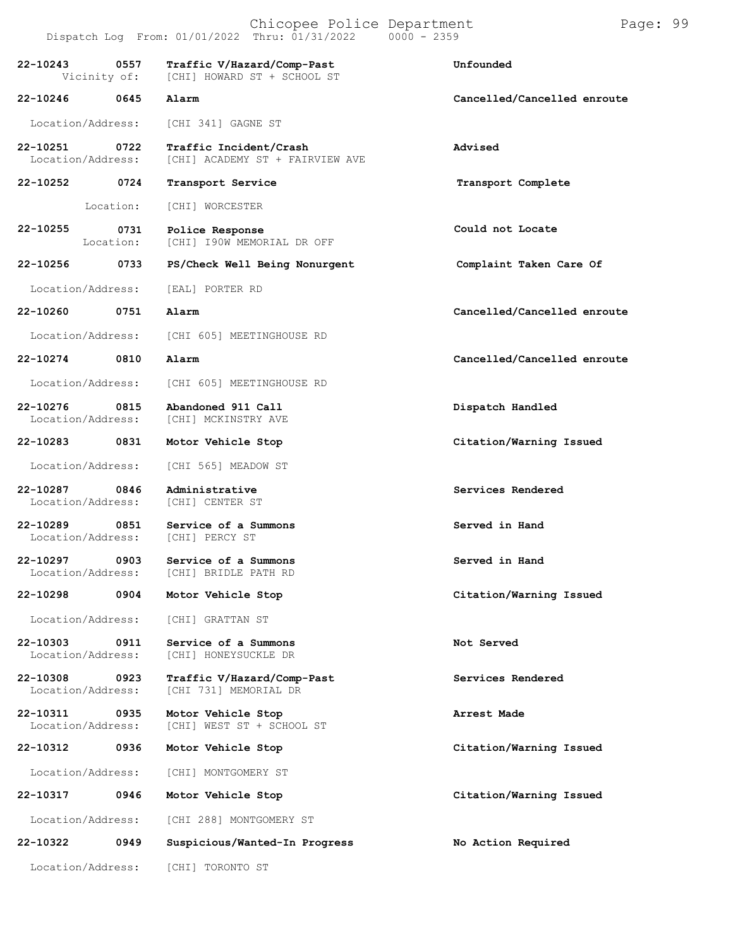| 22-10243<br>Vicinity of:      | 0557              | Traffic V/Hazard/Comp-Past<br>[CHI] HOWARD ST + SCHOOL ST | Unfounded                   |
|-------------------------------|-------------------|-----------------------------------------------------------|-----------------------------|
| 22-10246                      | 0645              | Alarm                                                     | Cancelled/Cancelled enroute |
| Location/Address:             |                   | [CHI 341] GAGNE ST                                        |                             |
| 22-10251<br>Location/Address: | 0722              | Traffic Incident/Crash<br>[CHI] ACADEMY ST + FAIRVIEW AVE | Advised                     |
| 22-10252                      | 0724              | Transport Service                                         | Transport Complete          |
|                               | Location:         | [CHI] WORCESTER                                           |                             |
| 22-10255                      | 0731<br>Location: | Police Response<br>[CHI] I90W MEMORIAL DR OFF             | Could not Locate            |
| 22-10256                      | 0733              | PS/Check Well Being Nonurgent                             | Complaint Taken Care Of     |
| Location/Address:             |                   | [EAL] PORTER RD                                           |                             |
| 22-10260                      | 0751              | Alarm                                                     | Cancelled/Cancelled enroute |
| Location/Address:             |                   | [CHI 605] MEETINGHOUSE RD                                 |                             |
| 22-10274                      | 0810              | Alarm                                                     | Cancelled/Cancelled enroute |
| Location/Address:             |                   | [CHI 605] MEETINGHOUSE RD                                 |                             |
| 22-10276<br>Location/Address: | 0815              | Abandoned 911 Call<br>[CHI] MCKINSTRY AVE                 | Dispatch Handled            |
| 22-10283                      | 0831              | Motor Vehicle Stop                                        | Citation/Warning Issued     |
| Location/Address:             |                   | [CHI 565] MEADOW ST                                       |                             |
| 22-10287<br>Location/Address: | 0846              | Administrative<br>[CHI] CENTER ST                         | Services Rendered           |
| 22-10289<br>Location/Address: | 0851              | Service of a Summons<br>[CHI] PERCY ST                    | Served in Hand              |
| 22-10297<br>Location/Address: | 0903              | Service of a Summons<br>[CHI] BRIDLE PATH RD              | Served in Hand              |
| 22-10298                      | 0904              | Motor Vehicle Stop                                        | Citation/Warning Issued     |
| Location/Address:             |                   | [CHI] GRATTAN ST                                          |                             |
| 22-10303<br>Location/Address: | 0911              | Service of a Summons<br>[CHI] HONEYSUCKLE DR              | Not Served                  |
| 22-10308<br>Location/Address: | 0923              | Traffic V/Hazard/Comp-Past<br>[CHI 731] MEMORIAL DR       | Services Rendered           |
| 22-10311<br>Location/Address: | 0935              | Motor Vehicle Stop<br>[CHI] WEST ST + SCHOOL ST           | Arrest Made                 |
| 22-10312                      | 0936              | Motor Vehicle Stop                                        | Citation/Warning Issued     |
| Location/Address:             |                   | [CHI] MONTGOMERY ST                                       |                             |
| 22-10317                      | 0946              | Motor Vehicle Stop                                        | Citation/Warning Issued     |
| Location/Address:             |                   | [CHI 288] MONTGOMERY ST                                   |                             |
| 22-10322                      | 0949              | Suspicious/Wanted-In Progress                             | No Action Required          |
| Location/Address:             |                   | [CHI] TORONTO ST                                          |                             |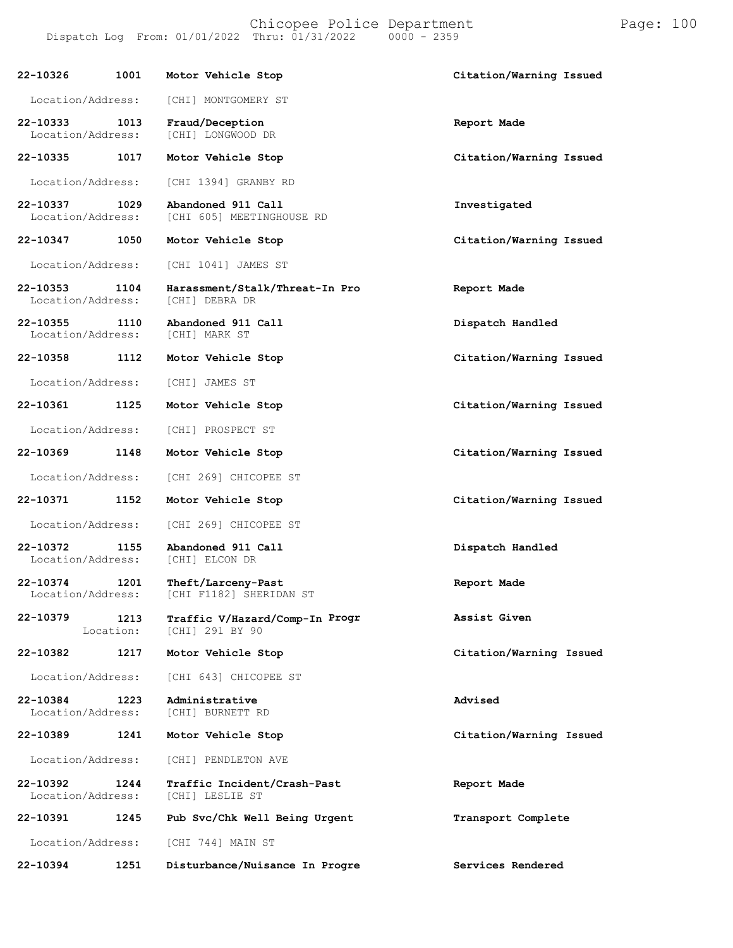**22-10326 1001 Motor Vehicle Stop Citation/Warning Issued** Location/Address: [CHI] MONTGOMERY ST **22-10333 1013 Fraud/Deception Report Made** Location/Address: [CHI] LONGWOOD DR **22-10335 1017 Motor Vehicle Stop Citation/Warning Issued** Location/Address: [CHI 1394] GRANBY RD **22-10337 1029 Abandoned 911 Call Investigated** [CHI 605] MEETINGHOUSE RD **22-10347 1050 Motor Vehicle Stop Citation/Warning Issued** Location/Address: [CHI 1041] JAMES ST **22-10353 1104 Harassment/Stalk/Threat-In Pro Report Made** Location/Address: **22-10355 1110 Abandoned 911 Call Dispatch Handled** Location/Address: **22-10358 1112 Motor Vehicle Stop Citation/Warning Issued** Location/Address: [CHI] JAMES ST **22-10361 1125 Motor Vehicle Stop Citation/Warning Issued** Location/Address: [CHI] PROSPECT ST **22-10369 1148 Motor Vehicle Stop Citation/Warning Issued** Location/Address: [CHI 269] CHICOPEE ST **22-10371 1152 Motor Vehicle Stop Citation/Warning Issued** Location/Address: [CHI 269] CHICOPEE ST **22-10372 1155 Abandoned 911 Call Dispatch Handled** Location/Address: **22-10374 1201 Theft/Larceny-Past Report Made** [CHI F1182] SHERIDAN ST **22-10379 1213** Location: **Traffic V/Hazard/Comp-In** [CHI] 291 BY 90 **Progr Assist Given 22-10382 1217 Motor Vehicle Stop Citation/Warning Issued** Location/Address: [CHI 643] CHICOPEE ST **22-10384 1223 Administrative Advised** Location/Address: **22-10389 1241 Motor Vehicle Stop Citation/Warning Issued** Location/Address: [CHI] PENDLETON AVE **22-10392 1244 Traffic Incident/Crash-Past Report Made** Location/Address: **22-10391 1245 Pub Svc/Chk Well Being Urgent Transport Complete** Location/Address: [CHI 744] MAIN ST

**22-10394 1251 Disturbance/Nuisance In Progre Services Rendered**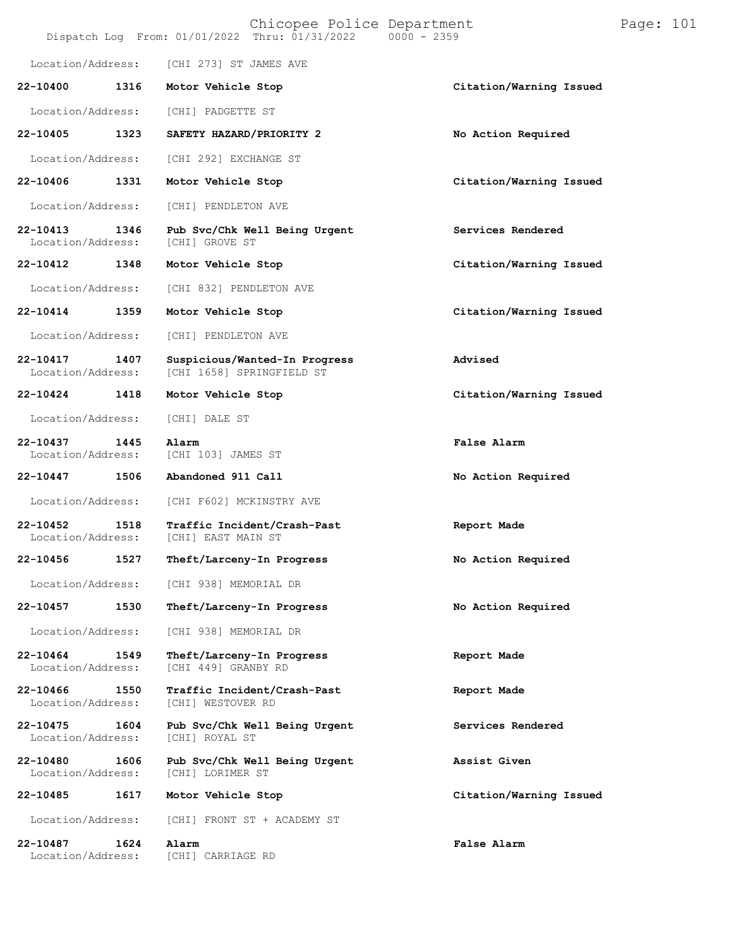|                               |      | Chicopee Police Department<br>Dispatch Log From: 01/01/2022 Thru: 01/31/2022 | $0000 - 2359$           | Page: $101$ |  |
|-------------------------------|------|------------------------------------------------------------------------------|-------------------------|-------------|--|
| Location/Address:             |      | [CHI 273] ST JAMES AVE                                                       |                         |             |  |
| 22-10400                      | 1316 | Motor Vehicle Stop                                                           | Citation/Warning Issued |             |  |
| Location/Address:             |      | [CHI] PADGETTE ST                                                            |                         |             |  |
| 22-10405                      | 1323 | SAFETY HAZARD/PRIORITY 2                                                     | No Action Required      |             |  |
| Location/Address:             |      | [CHI 292] EXCHANGE ST                                                        |                         |             |  |
| 22-10406                      | 1331 | Motor Vehicle Stop                                                           | Citation/Warning Issued |             |  |
| Location/Address:             |      | [CHI] PENDLETON AVE                                                          |                         |             |  |
| 22-10413<br>Location/Address: | 1346 | Pub Svc/Chk Well Being Urgent<br>[CHI] GROVE ST                              | Services Rendered       |             |  |
| 22-10412                      | 1348 | Motor Vehicle Stop                                                           | Citation/Warning Issued |             |  |
| Location/Address:             |      | [CHI 832] PENDLETON AVE                                                      |                         |             |  |
| $22 - 10414$                  | 1359 | Motor Vehicle Stop                                                           | Citation/Warning Issued |             |  |
| Location/Address:             |      | [CHI] PENDLETON AVE                                                          |                         |             |  |
| 22-10417<br>Location/Address: | 1407 | Suspicious/Wanted-In Progress<br>[CHI 1658] SPRINGFIELD ST                   | Advised                 |             |  |
| 22-10424                      | 1418 | Motor Vehicle Stop                                                           | Citation/Warning Issued |             |  |
| Location/Address:             |      | [CHI] DALE ST                                                                |                         |             |  |
| 22-10437<br>Location/Address: | 1445 | Alarm<br>[CHI 103] JAMES ST                                                  | False Alarm             |             |  |
| 22-10447                      | 1506 | Abandoned 911 Call                                                           | No Action Required      |             |  |
| Location/Address:             |      | [CHI F602] MCKINSTRY AVE                                                     |                         |             |  |
| 22-10452<br>Location/Address: | 1518 | Traffic Incident/Crash-Past<br>[CHI] EAST MAIN ST                            | Report Made             |             |  |
| 22-10456                      | 1527 | Theft/Larceny-In Progress                                                    | No Action Required      |             |  |
| Location/Address:             |      | [CHI 938] MEMORIAL DR                                                        |                         |             |  |
| 22-10457                      | 1530 | Theft/Larceny-In Progress                                                    | No Action Required      |             |  |
| Location/Address:             |      | [CHI 938] MEMORIAL DR                                                        |                         |             |  |
| 22-10464<br>Location/Address: | 1549 | Theft/Larceny-In Progress<br>[CHI 449] GRANBY RD                             | Report Made             |             |  |
| 22-10466<br>Location/Address: | 1550 | Traffic Incident/Crash-Past<br>[CHI] WESTOVER RD                             | Report Made             |             |  |
| 22-10475<br>Location/Address: | 1604 | Pub Svc/Chk Well Being Urgent<br>[CHI] ROYAL ST                              | Services Rendered       |             |  |
| 22-10480<br>Location/Address: | 1606 | Pub Svc/Chk Well Being Urgent<br>[CHI] LORIMER ST                            | Assist Given            |             |  |
| 22-10485                      | 1617 | Motor Vehicle Stop                                                           | Citation/Warning Issued |             |  |
| Location/Address:             |      | [CHI] FRONT ST + ACADEMY ST                                                  |                         |             |  |
| 22-10487<br>Location/Address: | 1624 | Alarm<br>[CHI] CARRIAGE RD                                                   | False Alarm             |             |  |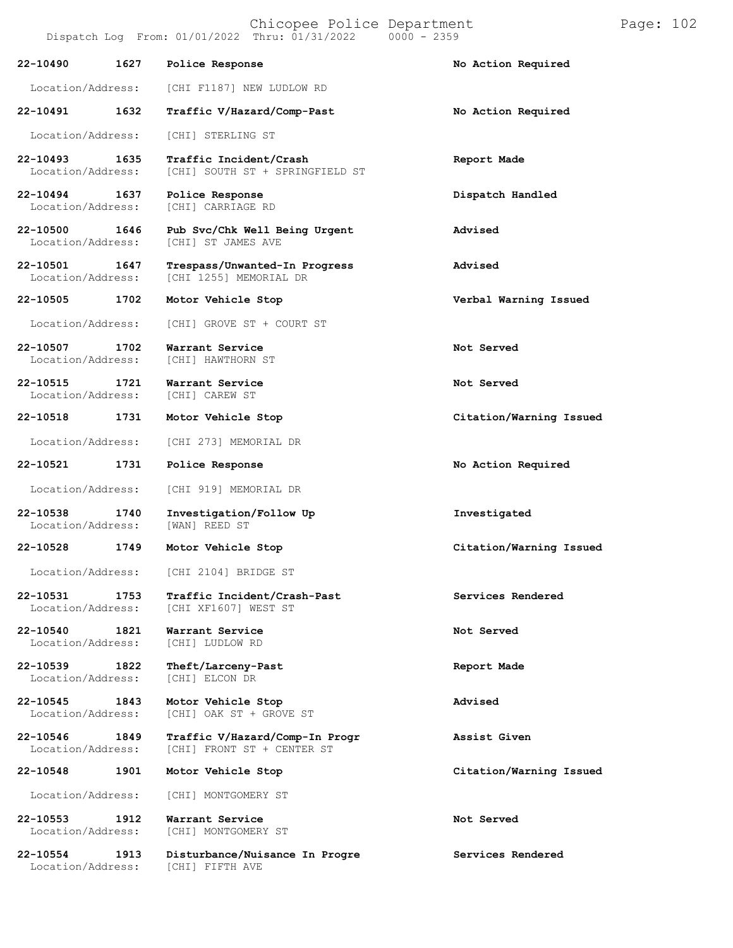Location/Address: [CHI F1187] NEW LUDLOW RD

# **22-10491 1632 Traffic V/Hazard/Comp-Past No Action Required**

Location/Address: [CHI] STERLING ST

**22-10493 1635 Traffic Incident/Crash Report Made** [CHI] SOUTH ST + SPRINGFIELD ST

**22-10494 1637 Police Response Dispatch Handled** Location/Address:

**22-10500 1646 Pub Svc/Chk Well Being Urgent Advised** [CHI] ST JAMES AVE

**22-10501 1647 Trespass/Unwanted-In Progress Advised** [CHI 1255] MEMORIAL DR

#### **22-10505 1702 Motor Vehicle Stop Verbal Warning Issued**

Location/Address: [CHI] GROVE ST + COURT ST

**22-10507 1702 Warrant Service Not Served** [CHI] HAWTHORN ST

**22-10515 1721 Warrant Service Not Served** Location/Address:

**22-10518 1731 Motor Vehicle Stop Citation/Warning Issued**

Location/Address: [CHI 273] MEMORIAL DR

#### **22-10521 1731 Police Response No Action Required**

Location/Address: [CHI 919] MEMORIAL DR

**22-10538 1740 Investigation/Follow Up Investigated** Location/Address:

**22-10528 1749 Motor Vehicle Stop Citation/Warning Issued**

Location/Address:

Location/Address: [CHI 2104] BRIDGE ST

**22-10531 1753 Traffic Incident/Crash-Past Services Rendered** [CHI XF1607] WEST ST

**22-10540 1821 Warrant Service Not Served** Location/Address:

**22-10539 1822 Theft/Larceny-Past Report Made**

**22-10545 1843 Motor Vehicle Stop Advised** Location/Address: [CHI] OAK ST + GROVE ST

**22-10546 1849 Traffic V/Hazard/Comp-In Progr Assist Given** [CHI] FRONT ST + CENTER ST

Location/Address: [CHI] MONTGOMERY ST

**22-10553 1912 Warrant Service Not Served** [CHI] MONTGOMERY ST

**22-10554 1913 Disturbance/Nuisance In Progre Services Rendered** Location/Address:

**22-10548 1901 Motor Vehicle Stop Citation/Warning Issued**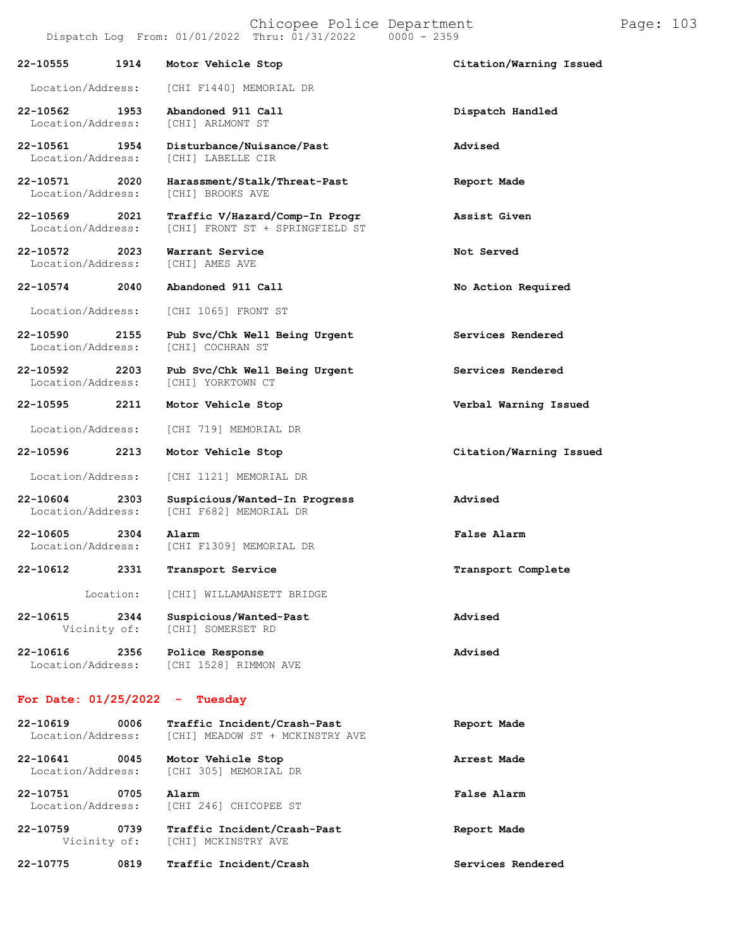|                                                |  |  | Chicopee Police Departmen |
|------------------------------------------------|--|--|---------------------------|
| Dispatch Log From: 01/01/2022 Thru: 01/31/2022 |  |  | 0000 - 2359               |

|                               |      | $D = D$                                |                         |
|-------------------------------|------|----------------------------------------|-------------------------|
| 22-10555                      | 1914 | Motor Vehicle Stop                     | Citation/Warning Issued |
| Location/Address:             |      | [CHI F1440] MEMORIAL DR                |                         |
| 22-10562<br>Location/Address: | 1953 | Abandoned 911 Call<br>[CHI] ARLMONT ST | Dispatch Handled        |
| 22-10561                      | 1954 | Disturbance/Nuisance/Past              | Advised                 |

Location/Address: [CHI 1065] FRONT ST

- **22-10590 2155 Pub Svc/Chk Well Being Urgent Services Rendered** Location/Address:
- **22-10592 2203 Pub Svc/Chk Well Being Urgent Services Rendered** Location/Address:

**22-10595 2211 Motor Vehicle Stop Verbal Warning Issued**

Location/Address: [CHI 719] MEMORIAL DR

**22-10596 2213 Motor Vehicle Stop Citation/Warning Issued**

Location/Address: [CHI 1121] MEMORIAL DR

- **22-10604 2303 Suspicious/Wanted-In Progress Advised** [CHI F682] MEMORIAL DR
- **22-10605 2304 Alarm False Alarm** [CHI F1309] MEMORIAL DR
- **22-10612 2331 Transport Service Transport Complete**

Location: [CHI] WILLAMANSETT BRIDGE

**22-10615 2344 Suspicious/Wanted-Past Advised** [CHI] SOMERSET RD

**22-10616 2356 Police Response Advised** [CHI 1528] RIMMON AVE

#### **For Date: 01/25/2022 - Tuesday**

| 22-10619<br>Location/Address: | 0006 | Traffic Incident/Crash-Past<br>[CHI] MEADOW ST + MCKINSTRY AVE | Report Made |
|-------------------------------|------|----------------------------------------------------------------|-------------|
| 22-10641<br>Location/Address: | 0045 | Motor Vehicle Stop<br>[CHI 305] MEMORIAL DR                    | Arrest Made |
| 22-10751<br>Location/Address: | 0705 | Alarm<br>[CHI 246] CHICOPEE ST                                 | False Alarm |
| 22-10759<br>Vicinity of:      | 0739 | Traffic Incident/Crash-Past<br>[CHI] MCKINSTRY AVE             | Report Made |

| 22-10574                      | 2040 | Abandoned 911 Call                                                | No Action Required |
|-------------------------------|------|-------------------------------------------------------------------|--------------------|
| 22-10572<br>Location/Address: | 2023 | Warrant Service<br>[CHI] AMES AVE                                 | Not Served         |
| 22-10569<br>Location/Address: | 2021 | Traffic V/Hazard/Comp-In Progr<br>[CHI] FRONT ST + SPRINGFIELD ST | Assist Given       |
| 22-10571<br>Location/Address: | 2020 | Harassment/Stalk/Threat-Past<br>[CHI] BROOKS AVE                  | Report Made        |
| 22-10561<br>Location/Address: | 1954 | Disturbance/Nuisance/Past<br>[CHI] LABELLE CIR                    | Advised            |
| 22-10562<br>Location/Address: | 1953 | Abandoned 911 Call<br>[CHI] ARLMONT ST                            | Dispatch Handled   |
|                               |      | LOCAtion/Address:   CHI FI440  MEMORIAL DR                        |                    |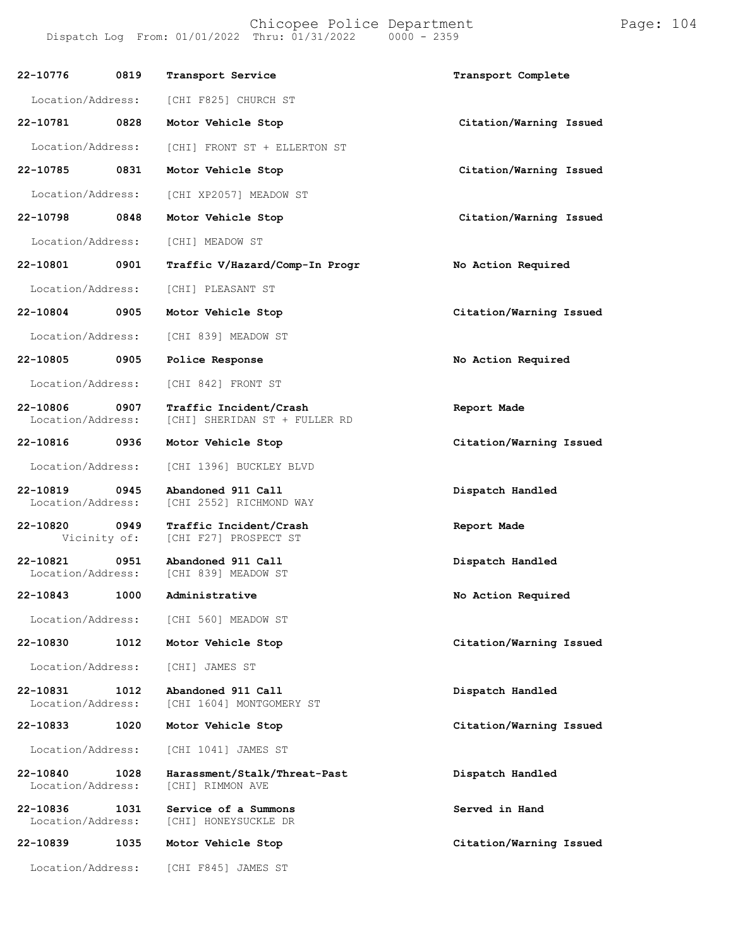Chicopee Police Department Page: 104 Dispatch Log From:  $01/01/2022$  Thru:  $01/31/2022$ **22-10776 0819 Transport Service Transport Complete** Location/Address: **22-10781 0828** Location/Address: **22-10785 0831** Location/Address: **22-10798 0848** Location/Address: **22-10801 0901 Traffic V/Hazard/Comp-In Progr No Action Required** Location/Address: [CHI] PLEASANT ST **22-10804 0905 Motor Vehicle Stop Citation/Warning Issued** Location/Address: [CHI 839] MEADOW ST **22-10805 0905 Police Response No Action Required** Location/Address: [CHI 842] FRONT ST **22-10806 0907 Traffic Incident/Crash Report Made** [CHI] SHERIDAN ST + FULLER RD **22-10816 0936 Motor Vehicle Stop Citation/Warning Issued** Location/Address: [CHI 1396] BUCKLEY BLVD **22-10819 0945 Abandoned 911 Call Dispatch Handled** [CHI 2552] RICHMOND WAY **22-10820 0949 Traffic Incident/Crash Report Made** [CHI F27] PROSPECT ST **22-10821 0951 Abandoned 911 Call Dispatch Handled** [CHI 839] MEADOW ST **22-10843 1000 Administrative No Action Required** Location/Address: [CHI 560] MEADOW ST **22-10830 1012 Motor Vehicle Stop Citation/Warning Issued** Location/Address: [CHI] JAMES ST **22-10831 1012 Abandoned 911 Call Dispatch Handled** [CHI 1604] MONTGOMERY ST **22-10833 1020 Motor Vehicle Stop Citation/Warning Issued** Location/Address: [CHI 1041] JAMES ST **22-10840 1028 Harassment/Stalk/Threat-Past Dispatch Handled** Location/Address: [CHI F825] CHURCH ST **Motor Vehicle Stop Citation/Warning Issued** [CHI] FRONT ST + ELLERTON ST **Motor Vehicle Stop Citation/Warning Issued** [CHI XP2057] MEADOW ST **Motor Vehicle Stop Citation/Warning Issued** [CHI] MEADOW ST

**22-10836 1031 Service of a Summons Served in Hand** [CHI] HONEYSUCKLE DR

**22-10839 1035 Motor Vehicle Stop Citation/Warning Issued**

Location/Address: [CHI F845] JAMES ST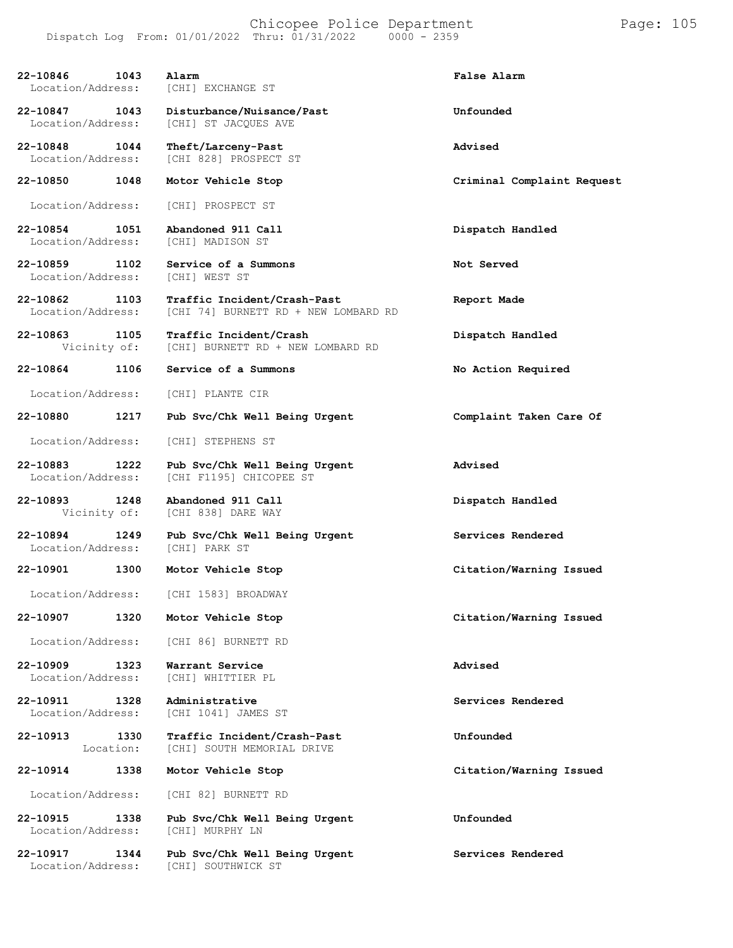| 22-10846<br>1043<br>Location/Address: | Alarm<br>[CHI] EXCHANGE ST                                               | False Alarm                |
|---------------------------------------|--------------------------------------------------------------------------|----------------------------|
| 22-10847 1043<br>Location/Address:    | Disturbance/Nuisance/Past<br>[CHI] ST JACQUES AVE                        | Unfounded                  |
| 22-10848 1044<br>Location/Address:    | Theft/Larceny-Past<br>[CHI 828] PROSPECT ST                              | Advised                    |
| 22-10850<br>1048                      | Motor Vehicle Stop                                                       | Criminal Complaint Request |
| Location/Address:                     | [CHI] PROSPECT ST                                                        |                            |
| 22-10854 1051<br>Location/Address:    | Abandoned 911 Call<br>[CHI] MADISON ST                                   | Dispatch Handled           |
| 22-10859 1102<br>Location/Address:    | Service of a Summons<br>[CHI] WEST ST                                    | Not Served                 |
| 22-10862<br>1103<br>Location/Address: | Traffic Incident/Crash-Past<br>[CHI 74] BURNETT RD + NEW LOMBARD RD      | Report Made                |
| 22-10863 1105                         | Traffic Incident/Crash<br>Vicinity of: [CHI] BURNETT RD + NEW LOMBARD RD | Dispatch Handled           |
| 22-10864<br>1106                      | Service of a Summons                                                     | No Action Required         |
| Location/Address:                     | [CHI] PLANTE CIR                                                         |                            |
| 22-10880<br>1217                      | Pub Svc/Chk Well Being Urgent                                            | Complaint Taken Care Of    |
| Location/Address:                     | [CHI] STEPHENS ST                                                        |                            |
| 22-10883<br>1222<br>Location/Address: | Pub Svc/Chk Well Being Urgent<br>[CHI F1195] CHICOPEE ST                 | Advised                    |
| 22-10893<br>1248                      | Abandoned 911 Call<br>Vicinity of: [CHI 838] DARE WAY                    | Dispatch Handled           |
| 22-10894<br>1249<br>Location/Address: | Pub Svc/Chk Well Being Urgent<br>[CHI] PARK ST                           | Services Rendered          |
| 22-10901 1300                         | Motor Vehicle Stop                                                       | Citation/Warning Issued    |
| Location/Address:                     | [CHI 1583] BROADWAY                                                      |                            |
| 22-10907<br>1320                      | Motor Vehicle Stop                                                       | Citation/Warning Issued    |
| Location/Address:                     | [CHI 86] BURNETT RD                                                      |                            |
| 22-10909<br>1323<br>Location/Address: | Warrant Service<br>[CHI] WHITTIER PL                                     | Advised                    |
| 22-10911<br>1328<br>Location/Address: | Administrative<br>[CHI 1041] JAMES ST                                    | Services Rendered          |
| 22-10913<br>1330<br>Location:         | Traffic Incident/Crash-Past<br>[CHI] SOUTH MEMORIAL DRIVE                | Unfounded                  |
| 22-10914<br>1338                      | Motor Vehicle Stop                                                       | Citation/Warning Issued    |
| Location/Address:                     | [CHI 82] BURNETT RD                                                      |                            |
| 22-10915<br>1338<br>Location/Address: | Pub Svc/Chk Well Being Urgent<br>[CHI] MURPHY LN                         | Unfounded                  |
| 22-10917<br>1344                      | Pub Svc/Chk Well Being Urgent                                            | Services Rendered          |

Location/Address: [CHI] SOUTHWICK ST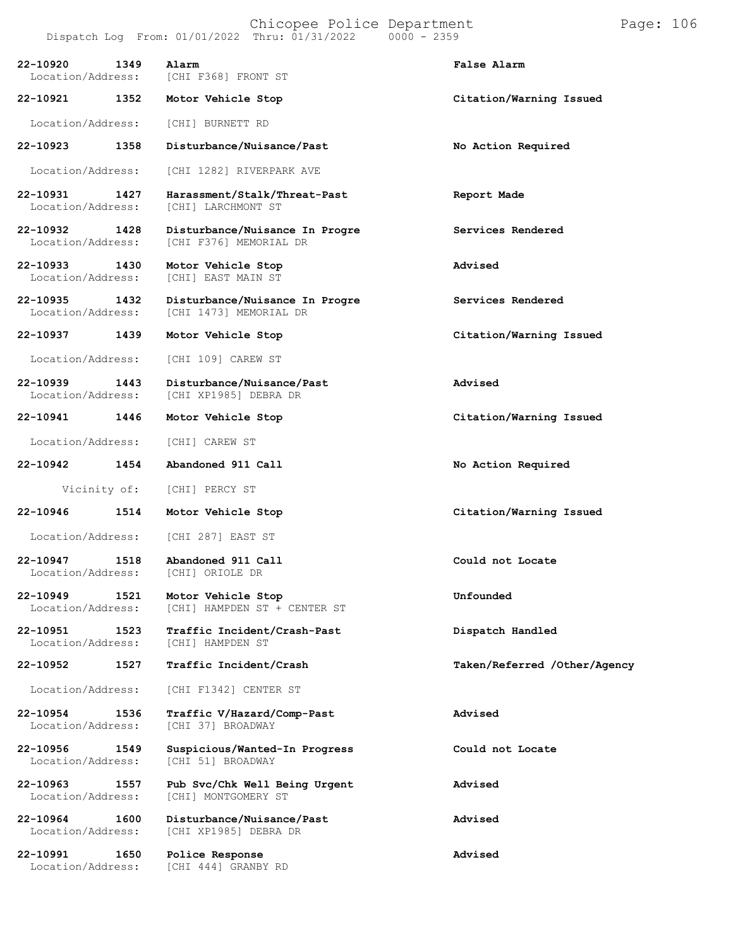**22-10920 1349 Alarm False Alarm** Location/Address: [CHI F368] FRONT ST **22-10921 1352 Motor Vehicle Stop Citation/Warning Issued** Location/Address: [CHI] BURNETT RD **22-10923 1358 Disturbance/Nuisance/Past No Action Required** Location/Address: [CHI 1282] RIVERPARK AVE **22-10931 1427 Harassment/Stalk/Threat-Past Report Made** [CHI] LARCHMONT ST **22-10932 1428 Disturbance/Nuisance In Progre Services Rendered** [CHI F376] MEMORIAL DR **22-10933 1430 Motor Vehicle Stop Advised** [CHI] EAST MAIN ST **22-10935 1432 Disturbance/Nuisance In Progre Services Rendered** [CHI 1473] MEMORIAL DR **22-10937 1439 Motor Vehicle Stop Citation/Warning Issued** Location/Address: [CHI 109] CAREW ST **22-10939 1443 Disturbance/Nuisance/Past Advised** [CHI XP1985] DEBRA DR **22-10941 1446 Motor Vehicle Stop Citation/Warning Issued** Location/Address: [CHI] CAREW ST **22-10942 1454 Abandoned 911 Call No Action Required** Vicinity of: [CHI] PERCY ST **22-10946 1514 Motor Vehicle Stop Citation/Warning Issued** Location/Address: [CHI 287] EAST ST **22-10947 1518 Abandoned 911 Call Could not Locate** Location/Address: **22-10949 1521 Motor Vehicle Stop Unfounded** [CHI] HAMPDEN ST + CENTER ST **22-10951 1523 Traffic Incident/Crash-Past Dispatch Handled** Location/Address: **22-10952 1527 Traffic Incident/Crash Taken/Referred /Other/Agency** Location/Address: [CHI F1342] CENTER ST **22-10954 1536 Traffic V/Hazard/Comp-Past Advised** Location/Address: **22-10956 1549 Suspicious/Wanted-In Progress Could not Locate** Location/Address: **22-10963 1557 Pub Svc/Chk Well Being Urgent Advised** [CHI] MONTGOMERY ST **22-10964 1600 Disturbance/Nuisance/Past Advised** [CHI XP1985] DEBRA DR **22-10991 1650 Police Response Advised**

[CHI 444] GRANBY RD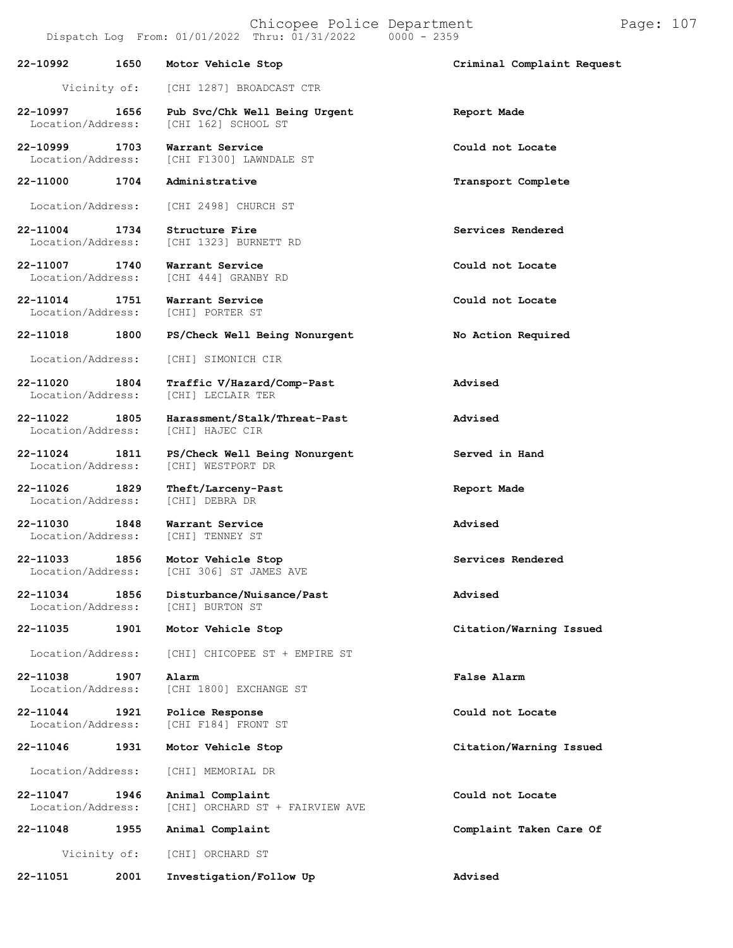| 22-10992                           | 1650         | Motor Vehicle Stop                                   | Criminal Complaint Request |
|------------------------------------|--------------|------------------------------------------------------|----------------------------|
|                                    | Vicinity of: | [CHI 1287] BROADCAST CTR                             |                            |
| 22-10997<br>Location/Address:      | 1656         | Pub Svc/Chk Well Being Urgent<br>[CHI 162] SCHOOL ST | Report Made                |
| 22-10999 1703<br>Location/Address: |              | Warrant Service<br>[CHI F1300] LAWNDALE ST           | Could not Locate           |
| 22-11000 1704                      |              | Administrative                                       | Transport Complete         |
| Location/Address:                  |              | [CHI 2498] CHURCH ST                                 |                            |
| 22-11004<br>Location/Address:      | 1734         | Structure Fire<br>[CHI 1323] BURNETT RD              | Services Rendered          |
| 22-11007 1740<br>Location/Address: |              | Warrant Service<br>[CHI 444] GRANBY RD               | Could not Locate           |
| 22-11014<br>Location/Address:      | 1751         | Warrant Service<br>[CHI] PORTER ST                   | Could not Locate           |
| 22-11018                           | 1800         | PS/Check Well Being Nonurgent                        | No Action Required         |
| Location/Address:                  |              | [CHI] SIMONICH CIR                                   |                            |
| 22-11020<br>Location/Address:      | 1804         | Traffic V/Hazard/Comp-Past<br>[CHI] LECLAIR TER      | Advised                    |
| 22-11022 1805<br>Location/Address: |              | Harassment/Stalk/Threat-Past<br>[CHI] HAJEC CIR      | Advised                    |
| 22-11024 1811<br>Location/Address: |              | PS/Check Well Being Nonurgent<br>[CHI] WESTPORT DR   | Served in Hand             |
| 22-11026 1829<br>Location/Address: |              | Theft/Larceny-Past<br>[CHI] DEBRA DR                 | Report Made                |
| 22-11030<br>Location/Address:      | 1848         | Warrant Service<br>[CHI] TENNEY ST                   | Advised                    |
| 22-11033<br>Location/Address:      | 1856         | Motor Vehicle Stop<br>[CHI 306] ST JAMES AVE         | Services Rendered          |
| 22-11034<br>Location/Address:      | 1856         | Disturbance/Nuisance/Past<br>[CHI] BURTON ST         | Advised                    |
| 22-11035                           | 1901         | Motor Vehicle Stop                                   | Citation/Warning Issued    |
| Location/Address:                  |              | [CHI] CHICOPEE ST + EMPIRE ST                        |                            |
| 22-11038<br>Location/Address:      | 1907         | Alarm<br>[CHI 1800] EXCHANGE ST                      | False Alarm                |
| 22-11044<br>Location/Address:      | 1921         | Police Response<br>[CHI F184] FRONT ST               | Could not Locate           |
| 22-11046                           | 1931         | Motor Vehicle Stop                                   | Citation/Warning Issued    |
| Location/Address:                  |              | [CHI] MEMORIAL DR                                    |                            |
| 22-11047<br>Location/Address:      | 1946         | Animal Complaint<br>[CHI] ORCHARD ST + FAIRVIEW AVE  | Could not Locate           |
| 22-11048                           | 1955         | Animal Complaint                                     | Complaint Taken Care Of    |
|                                    | Vicinity of: | [CHI] ORCHARD ST                                     |                            |
| 22-11051                           | 2001         | Investigation/Follow Up                              | Advised                    |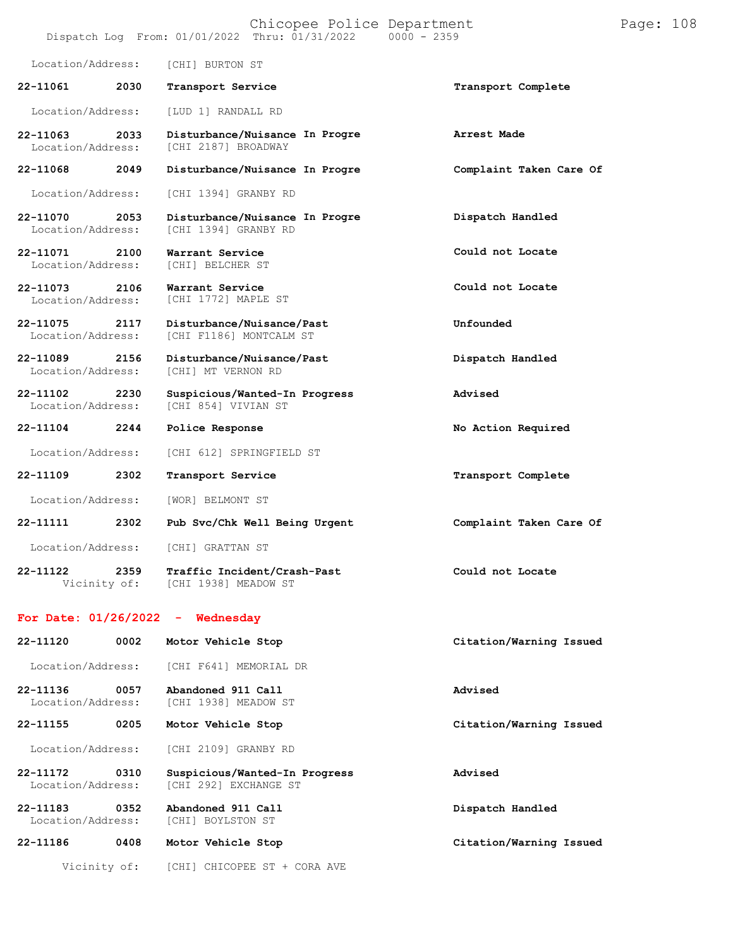|                               |      | Chicopee Police Department<br>Dispatch Log From: 01/01/2022 Thru: 01/31/2022 0000 - 2359 |                         | Page: 108 |  |
|-------------------------------|------|------------------------------------------------------------------------------------------|-------------------------|-----------|--|
| Location/Address:             |      | [CHI] BURTON ST                                                                          |                         |           |  |
| 22-11061                      | 2030 | Transport Service                                                                        | Transport Complete      |           |  |
| Location/Address:             |      | [LUD 1] RANDALL RD                                                                       |                         |           |  |
| 22-11063<br>Location/Address: | 2033 | Disturbance/Nuisance In Progre<br>[CHI 2187] BROADWAY                                    | Arrest Made             |           |  |
| 22-11068                      | 2049 | Disturbance/Nuisance In Progre                                                           | Complaint Taken Care Of |           |  |
| Location/Address:             |      | [CHI 1394] GRANBY RD                                                                     |                         |           |  |
| 22-11070<br>Location/Address: | 2053 | Disturbance/Nuisance In Progre<br>[CHI 1394] GRANBY RD                                   | Dispatch Handled        |           |  |
| 22-11071<br>Location/Address: | 2100 | Warrant Service<br>[CHI] BELCHER ST                                                      | Could not Locate        |           |  |
| 22-11073<br>Location/Address: | 2106 | Warrant Service<br>[CHI 1772] MAPLE ST                                                   | Could not Locate        |           |  |
| 22-11075<br>Location/Address: | 2117 | Disturbance/Nuisance/Past<br>[CHI F1186] MONTCALM ST                                     | Unfounded               |           |  |
| 22-11089<br>Location/Address: | 2156 | Disturbance/Nuisance/Past<br>[CHI] MT VERNON RD                                          | Dispatch Handled        |           |  |
| 22-11102<br>Location/Address: | 2230 | Suspicious/Wanted-In Progress<br>[CHI 854] VIVIAN ST                                     | Advised                 |           |  |
| 22-11104                      | 2244 | Police Response                                                                          | No Action Required      |           |  |
| Location/Address:             |      | [CHI 612] SPRINGFIELD ST                                                                 |                         |           |  |
| 22-11109                      | 2302 | Transport Service                                                                        | Transport Complete      |           |  |
| Location/Address:             |      | [WOR] BELMONT ST                                                                         |                         |           |  |
| 22-11111                      | 2302 | Pub Svc/Chk Well Being Urgent                                                            | Complaint Taken Care Of |           |  |
| Location/Address:             |      | [CHI] GRATTAN ST                                                                         |                         |           |  |
| 22-11122<br>Vicinity of:      | 2359 | Traffic Incident/Crash-Past<br>[CHI 1938] MEADOW ST                                      | Could not Locate        |           |  |
|                               |      | For Date: $01/26/2022 -$ Wednesday                                                       |                         |           |  |
| 22-11120                      | 0002 | Motor Vehicle Stop                                                                       | Citation/Warning Issued |           |  |
| Location/Address:             |      | [CHI F641] MEMORIAL DR                                                                   |                         |           |  |
| 22-11136<br>Location/Address: | 0057 | Abandoned 911 Call<br>[CHI 1938] MEADOW ST                                               | Advised                 |           |  |
| 22-11155                      | 0205 | Motor Vehicle Stop                                                                       | Citation/Warning Issued |           |  |
| Location/Address:             |      | [CHI 2109] GRANBY RD                                                                     |                         |           |  |
| 22-11172<br>Location/Address: | 0310 | Suspicious/Wanted-In Progress<br>[CHI 292] EXCHANGE ST                                   | Advised                 |           |  |
| 22-11183<br>Location/Address: | 0352 | Abandoned 911 Call<br>[CHI] BOYLSTON ST                                                  | Dispatch Handled        |           |  |
| 22-11186                      | 0408 | Motor Vehicle Stop                                                                       | Citation/Warning Issued |           |  |
| Vicinity of:                  |      | [CHI] CHICOPEE ST + CORA AVE                                                             |                         |           |  |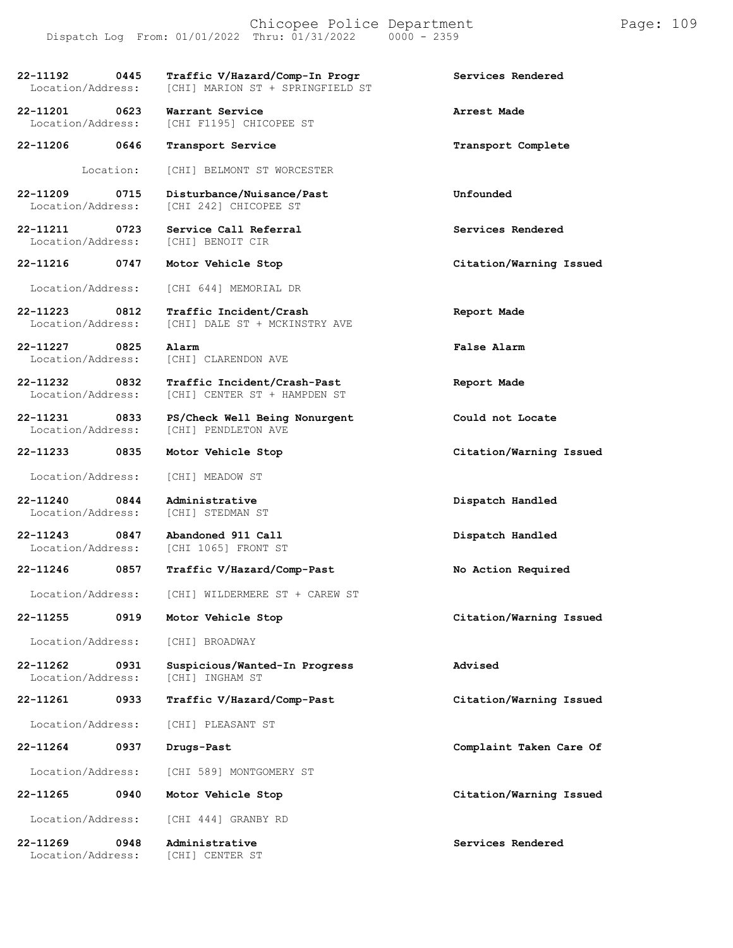| 22-11192<br>Location/Address:     | 0445      | Traffic V/Hazard/Comp-In Progr<br>[CHI] MARION ST + SPRINGFIELD ST | Services Rendered       |
|-----------------------------------|-----------|--------------------------------------------------------------------|-------------------------|
| 22-11201<br>Location/Address:     | 0623      | Warrant Service<br>[CHI F1195] CHICOPEE ST                         | Arrest Made             |
| 22-11206 0646                     |           | Transport Service                                                  | Transport Complete      |
|                                   | Location: | [CHI] BELMONT ST WORCESTER                                         |                         |
| $22 - 11209$<br>Location/Address: | 0715      | Disturbance/Nuisance/Past<br>[CHI 242] CHICOPEE ST                 | Unfounded               |
| 22-11211<br>Location/Address:     | 0723      | Service Call Referral<br>[CHI] BENOIT CIR                          | Services Rendered       |
| 22-11216 0747                     |           | Motor Vehicle Stop                                                 | Citation/Warning Issued |
| Location/Address:                 |           | [CHI 644] MEMORIAL DR                                              |                         |
| 22-11223<br>Location/Address:     | 0812      | Traffic Incident/Crash<br>[CHI] DALE ST + MCKINSTRY AVE            | Report Made             |
| $22 - 11227$<br>Location/Address: | 0825      | Alarm<br>[CHI] CLARENDON AVE                                       | False Alarm             |
| 22-11232<br>Location/Address:     | 0832      | Traffic Incident/Crash-Past<br>[CHI] CENTER ST + HAMPDEN ST        | Report Made             |
| 22-11231<br>Location/Address:     | 0833      | PS/Check Well Being Nonurgent<br>[CHI] PENDLETON AVE               | Could not Locate        |
| 22-11233                          | 0835      | Motor Vehicle Stop                                                 | Citation/Warning Issued |
| Location/Address:                 |           | [CHI] MEADOW ST                                                    |                         |
| 22-11240<br>Location/Address:     | 0844      | Administrative<br>[CHI] STEDMAN ST                                 | Dispatch Handled        |
| 22-11243<br>Location/Address:     | 0847      | Abandoned 911 Call<br>[CHI 1065] FRONT ST                          | Dispatch Handled        |
| 22-11246                          | 0857      | Traffic V/Hazard/Comp-Past                                         | No Action Required      |
| Location/Address:                 |           | [CHI] WILDERMERE ST + CAREW ST                                     |                         |
| $22 - 11255$                      | 0919      | Motor Vehicle Stop                                                 | Citation/Warning Issued |
| Location/Address:                 |           | [CHI] BROADWAY                                                     |                         |
| 22-11262<br>Location/Address:     | 0931      | Suspicious/Wanted-In Progress<br>[CHI] INGHAM ST                   | Advised                 |
| 22-11261                          | 0933      | Traffic V/Hazard/Comp-Past                                         | Citation/Warning Issued |
| Location/Address:                 |           | [CHI] PLEASANT ST                                                  |                         |
| 22-11264                          | 0937      | Drugs-Past                                                         | Complaint Taken Care Of |
| Location/Address:                 |           | [CHI 589] MONTGOMERY ST                                            |                         |
| 22-11265                          | 0940      | Motor Vehicle Stop                                                 | Citation/Warning Issued |
| Location/Address:                 |           | [CHI 444] GRANBY RD                                                |                         |
| 22-11269<br>Location/Address:     | 0948      | Administrative<br>[CHI] CENTER ST                                  | Services Rendered       |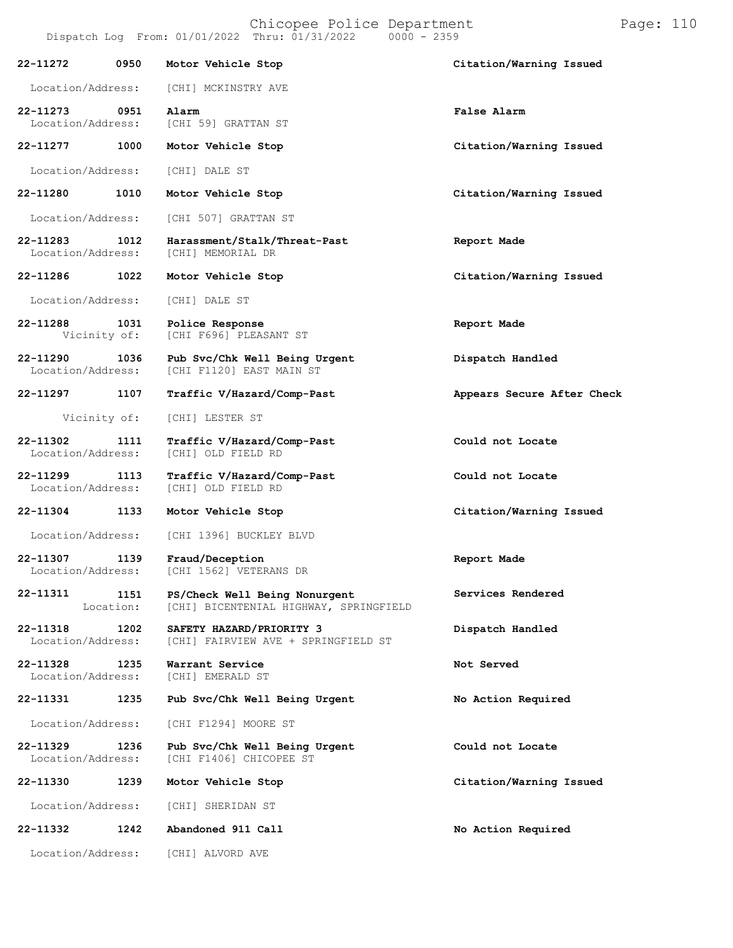| 22-11272                      | 0950              | Motor Vehicle Stop                                                      | Citation/Warning Issued    |
|-------------------------------|-------------------|-------------------------------------------------------------------------|----------------------------|
|                               |                   |                                                                         |                            |
| Location/Address:             |                   | [CHI] MCKINSTRY AVE                                                     |                            |
| 22-11273<br>Location/Address: | 0951              | Alarm<br>[CHI 59] GRATTAN ST                                            | False Alarm                |
| 22-11277                      | 1000              | Motor Vehicle Stop                                                      | Citation/Warning Issued    |
| Location/Address:             |                   | [CHI] DALE ST                                                           |                            |
| 22-11280                      | 1010              | Motor Vehicle Stop                                                      | Citation/Warning Issued    |
| Location/Address:             |                   | [CHI 507] GRATTAN ST                                                    |                            |
| 22-11283<br>Location/Address: | 1012              | Harassment/Stalk/Threat-Past<br>[CHI] MEMORIAL DR                       | Report Made                |
| 22-11286                      | 1022              | Motor Vehicle Stop                                                      | Citation/Warning Issued    |
| Location/Address:             |                   | [CHI] DALE ST                                                           |                            |
| 22-11288<br>Vicinity of:      | 1031              | Police Response<br>[CHI F696] PLEASANT ST                               | Report Made                |
| 22-11290<br>Location/Address: | 1036              | Pub Svc/Chk Well Being Urgent<br>[CHI F1120] EAST MAIN ST               | Dispatch Handled           |
| 22-11297                      | 1107              | Traffic V/Hazard/Comp-Past                                              | Appears Secure After Check |
| Vicinity of:                  |                   | [CHI] LESTER ST                                                         |                            |
| 22-11302<br>Location/Address: | 1111              | Traffic V/Hazard/Comp-Past<br>[CHI] OLD FIELD RD                        | Could not Locate           |
| 22-11299<br>Location/Address: | 1113              | Traffic V/Hazard/Comp-Past<br>[CHI] OLD FIELD RD                        | Could not Locate           |
| 22-11304                      | 1133              | Motor Vehicle Stop                                                      | Citation/Warning Issued    |
| Location/Address:             |                   | [CHI 1396] BUCKLEY BLVD                                                 |                            |
| 22-11307<br>Location/Address: | 1139              | Fraud/Deception<br>[CHI 1562] VETERANS DR                               | Report Made                |
| 22-11311                      | 1151<br>Location: | PS/Check Well Being Nonurgent<br>[CHI] BICENTENIAL HIGHWAY, SPRINGFIELD | Services Rendered          |
| 22-11318<br>Location/Address: | 1202              | SAFETY HAZARD/PRIORITY 3<br>[CHI] FAIRVIEW AVE + SPRINGFIELD ST         | Dispatch Handled           |
| 22-11328<br>Location/Address: | 1235              | Warrant Service<br>[CHI] EMERALD ST                                     | Not Served                 |
| 22-11331                      | 1235              | Pub Svc/Chk Well Being Urgent                                           | No Action Required         |
| Location/Address:             |                   | [CHI F1294] MOORE ST                                                    |                            |
| 22-11329<br>Location/Address: | 1236              | Pub Svc/Chk Well Being Urgent<br>[CHI F1406] CHICOPEE ST                | Could not Locate           |
| 22-11330                      | 1239              | Motor Vehicle Stop                                                      | Citation/Warning Issued    |
| Location/Address:             |                   | [CHI] SHERIDAN ST                                                       |                            |
| 22-11332                      | 1242              | Abandoned 911 Call                                                      | No Action Required         |
| Location/Address:             |                   | [CHI] ALVORD AVE                                                        |                            |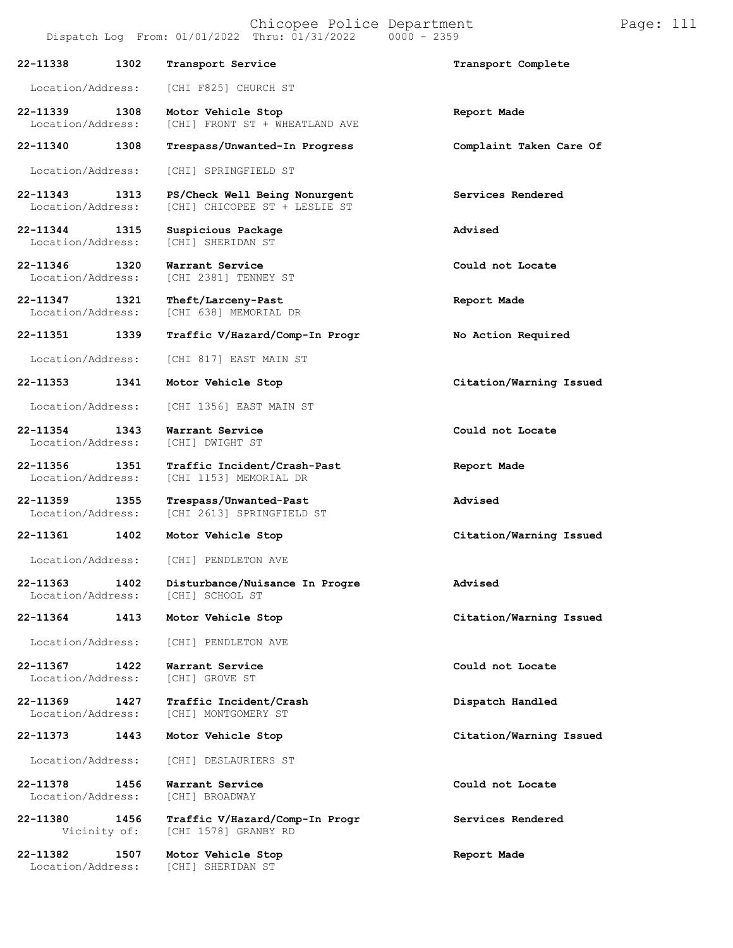| 22-11338                           | 1302 | Transport Service                                              | Transport Complete      |
|------------------------------------|------|----------------------------------------------------------------|-------------------------|
| Location/Address:                  |      | [CHI F825] CHURCH ST                                           |                         |
| 22-11339<br>Location/Address:      | 1308 | Motor Vehicle Stop<br>[CHI] FRONT ST + WHEATLAND AVE           | Report Made             |
| 22-11340                           | 1308 | Trespass/Unwanted-In Progress                                  | Complaint Taken Care Of |
| Location/Address:                  |      | [CHI] SPRINGFIELD ST                                           |                         |
| 22-11343<br>Location/Address:      | 1313 | PS/Check Well Being Nonurgent<br>[CHI] CHICOPEE ST + LESLIE ST | Services Rendered       |
| 22-11344<br>Location/Address:      | 1315 | Suspicious Package<br>[CHI] SHERIDAN ST                        | Advised                 |
| 22-11346 1320<br>Location/Address: |      | Warrant Service<br>[CHI 2381] TENNEY ST                        | Could not Locate        |
| 22-11347<br>Location/Address:      | 1321 | Theft/Larceny-Past<br>[CHI 638] MEMORIAL DR                    | Report Made             |
| 22-11351                           | 1339 | Traffic V/Hazard/Comp-In Progr                                 | No Action Required      |
| Location/Address:                  |      | [CHI 817] EAST MAIN ST                                         |                         |
| 22-11353                           | 1341 | Motor Vehicle Stop                                             | Citation/Warning Issued |
| Location/Address:                  |      | [CHI 1356] EAST MAIN ST                                        |                         |
| 22-11354<br>Location/Address:      | 1343 | Warrant Service<br>[CHI] DWIGHT ST                             | Could not Locate        |
| 22-11356 1351<br>Location/Address: |      | Traffic Incident/Crash-Past<br>[CHI 1153] MEMORIAL DR          | Report Made             |
| 22-11359<br>Location/Address:      | 1355 | Trespass/Unwanted-Past<br>[CHI 2613] SPRINGFIELD ST            | Advised                 |
| 22-11361                           | 1402 | Motor Vehicle Stop                                             | Citation/Warning Issued |
| Location/Address:                  |      | [CHI] PENDLETON AVE                                            |                         |
| 22-11363 1402<br>Location/Address: |      | Disturbance/Nuisance In Progre<br>[CHI] SCHOOL ST              | Advised                 |
| 22-11364                           | 1413 | Motor Vehicle Stop                                             | Citation/Warning Issued |
| Location/Address:                  |      | [CHI] PENDLETON AVE                                            |                         |
| 22-11367<br>Location/Address:      | 1422 | Warrant Service<br>[CHI] GROVE ST                              | Could not Locate        |
| 22-11369<br>Location/Address:      | 1427 | Traffic Incident/Crash<br>[CHI] MONTGOMERY ST                  | Dispatch Handled        |
| 22-11373                           | 1443 | Motor Vehicle Stop                                             | Citation/Warning Issued |
| Location/Address:                  |      | [CHI] DESLAURIERS ST                                           |                         |
| 22-11378<br>Location/Address:      | 1456 | Warrant Service<br>[CHI] BROADWAY                              | Could not Locate        |
| 22-11380<br>Vicinity of:           | 1456 | Traffic V/Hazard/Comp-In Progr<br>[CHI 1578] GRANBY RD         | Services Rendered       |
| 22-11382<br>Location/Address:      | 1507 | Motor Vehicle Stop<br>[CHI] SHERIDAN ST                        | Report Made             |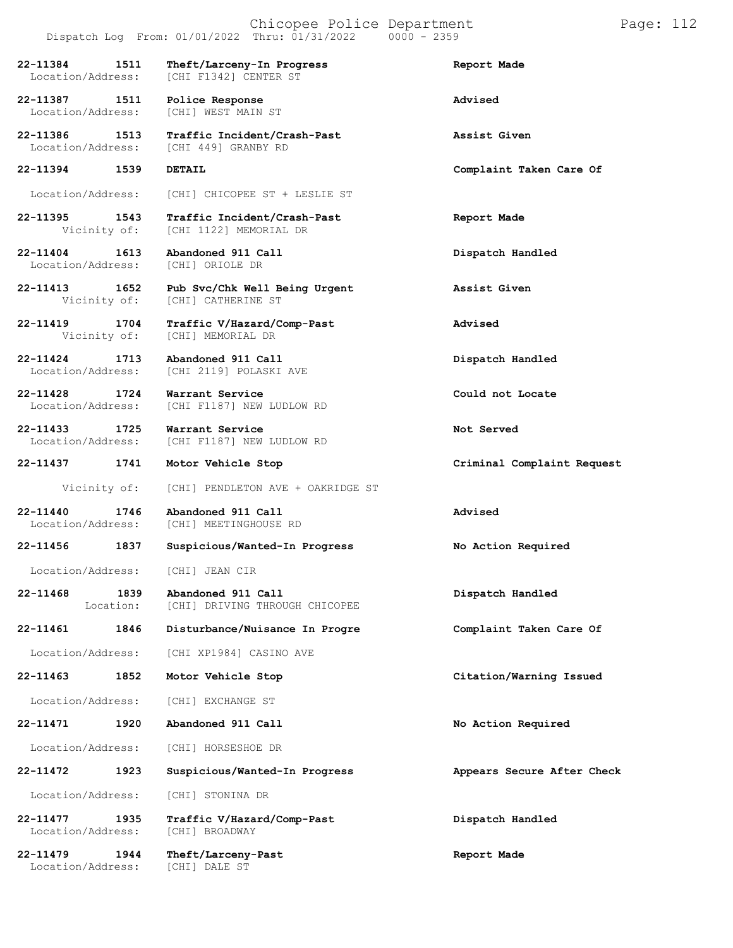|                                           | Dispatch Log From: $01/01/2022$ Thru: $01/31/2022$ 0000 - 2359 |                            |
|-------------------------------------------|----------------------------------------------------------------|----------------------------|
| 22-11384<br>1511<br>Location/Address:     | Theft/Larceny-In Progress<br>[CHI F1342] CENTER ST             | Report Made                |
| 22-11387 1511<br>Location/Address:        | Police Response<br>[CHI] WEST MAIN ST                          | Advised                    |
| 22-11386<br>1513<br>Location/Address:     | Traffic Incident/Crash-Past<br>[CHI 449] GRANBY RD             | Assist Given               |
| 22-11394 1539                             | DETAIL                                                         | Complaint Taken Care Of    |
| Location/Address:                         | [CHI] CHICOPEE ST + LESLIE ST                                  |                            |
| 22–11395 1543<br>Vicinity of:             | Traffic Incident/Crash-Past<br>[CHI 1122] MEMORIAL DR          | Report Made                |
| 22-11404<br>1613<br>Location/Address:     | Abandoned 911 Call<br>[CHI] ORIOLE DR                          | Dispatch Handled           |
| 22-11413 1652<br>Vicinity of:             | Pub Svc/Chk Well Being Urgent<br>[CHI] CATHERINE ST            | Assist Given               |
| 1704<br>22-11419<br>Vicinity of:          | Traffic V/Hazard/Comp-Past<br>[CHI] MEMORIAL DR                | Advised                    |
| $22 - 11424$<br>1713<br>Location/Address: | Abandoned 911 Call<br>[CHI 2119] POLASKI AVE                   | Dispatch Handled           |
| 22-11428<br>1724<br>Location/Address:     | Warrant Service<br>[CHI F1187] NEW LUDLOW RD                   | Could not Locate           |
| 22-11433<br>1725<br>Location/Address:     | Warrant Service<br>[CHI F1187] NEW LUDLOW RD                   | Not Served                 |
| 22-11437<br>1741                          | Motor Vehicle Stop                                             | Criminal Complaint Request |
| Vicinity of:                              | [CHI] PENDLETON AVE + OAKRIDGE ST                              |                            |
| 22-11440<br>1746<br>Location/Address:     | Abandoned 911 Call<br>[CHI] MEETINGHOUSE RD                    | Advised                    |
| 22-11456<br>1837                          | Suspicious/Wanted-In Progress                                  | No Action Required         |
| Location/Address: [CHI] JEAN CIR          |                                                                |                            |
| $22 - 11468$<br>1839<br>Location:         | Abandoned 911 Call<br>[CHI] DRIVING THROUGH CHICOPEE           | Dispatch Handled           |
| 22-11461<br>1846                          | Disturbance/Nuisance In Progre                                 | Complaint Taken Care Of    |
| Location/Address:                         | [CHI XP1984] CASINO AVE                                        |                            |
| 22-11463<br>1852                          | Motor Vehicle Stop                                             | Citation/Warning Issued    |
| Location/Address:                         | [CHI] EXCHANGE ST                                              |                            |
| 22-11471<br>1920                          | Abandoned 911 Call                                             | No Action Required         |
| Location/Address:                         | [CHI] HORSESHOE DR                                             |                            |
| 22-11472<br>1923                          | Suspicious/Wanted-In Progress                                  | Appears Secure After Check |
| Location/Address:                         | [CHI] STONINA DR                                               |                            |
| 22-11477<br>1935<br>Location/Address:     | Traffic V/Hazard/Comp-Past<br>[CHI] BROADWAY                   | Dispatch Handled           |
| 22-11479<br>1944                          | Theft/Larceny-Past                                             | Report Made                |

Location/Address: [CHI] DALE ST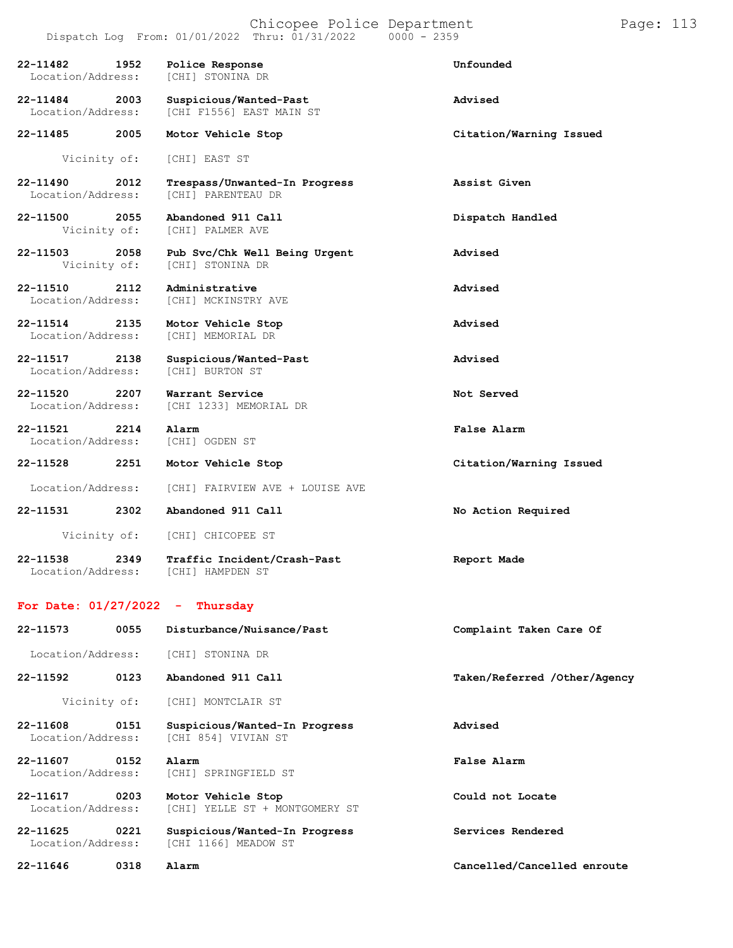|                                    |                      | Dispatch Log From: 01/01/2022 Thru: 01/31/2022<br>$0000 - 2359$ |                              |
|------------------------------------|----------------------|-----------------------------------------------------------------|------------------------------|
| 22-11482<br>Location/Address:      | 1952                 | Police Response<br>[CHI] STONINA DR                             | Unfounded                    |
| 22-11484<br>Location/Address:      | 2003                 | Suspicious/Wanted-Past<br>[CHI F1556] EAST MAIN ST              | Advised                      |
| 22-11485                           | 2005                 | Motor Vehicle Stop                                              | Citation/Warning Issued      |
|                                    | Vicinity of:         | [CHI] EAST ST                                                   |                              |
| 22-11490<br>Location/Address:      | 2012                 | Trespass/Unwanted-In Progress<br>[CHI] PARENTEAU DR             | Assist Given                 |
| 22-11500                           | 2055<br>Vicinity of: | Abandoned 911 Call<br>[CHI] PALMER AVE                          | Dispatch Handled             |
| 22-11503<br>Vicinity of:           | 2058                 | Pub Svc/Chk Well Being Urgent<br>[CHI] STONINA DR               | Advised                      |
| 22-11510<br>Location/Address:      | 2112                 | Administrative<br>[CHI] MCKINSTRY AVE                           | Advised                      |
| 22-11514 2135<br>Location/Address: |                      | Motor Vehicle Stop<br>[CHI] MEMORIAL DR                         | Advised                      |
| 22-11517<br>Location/Address:      | 2138                 | Suspicious/Wanted-Past<br>[CHI] BURTON ST                       | Advised                      |
| 22-11520<br>Location/Address:      | 2207                 | Warrant Service<br>[CHI 1233] MEMORIAL DR                       | Not Served                   |
| 22-11521<br>Location/Address:      | 2214                 | Alarm<br>[CHI] OGDEN ST                                         | False Alarm                  |
| 22-11528                           | 2251                 | Motor Vehicle Stop                                              | Citation/Warning Issued      |
| Location/Address:                  |                      | [CHI] FAIRVIEW AVE + LOUISE AVE                                 |                              |
| 22-11531                           | 2302                 | Abandoned 911 Call                                              | No Action Required           |
|                                    | Vicinity of:         | [CHI] CHICOPEE ST                                               |                              |
| 22-11538<br>Location/Address:      | 2349                 | Traffic Incident/Crash-Past<br>[CHI] HAMPDEN ST                 | Report Made                  |
| For Date: $01/27/2022 -$           |                      | Thursday                                                        |                              |
| 22-11573                           | 0055                 | Disturbance/Nuisance/Past                                       | Complaint Taken Care Of      |
| Location/Address:                  |                      | [CHI] STONINA DR                                                |                              |
| 22-11592                           | 0123                 | Abandoned 911 Call                                              | Taken/Referred /Other/Agency |
| Vicinity of:                       |                      | [CHI] MONTCLAIR ST                                              |                              |
| 22-11608<br>Location/Address:      | 0151                 | Suspicious/Wanted-In Progress<br>[CHI 854] VIVIAN ST            | Advised                      |
| 22-11607<br>Location/Address:      | 0152                 | Alarm<br>[CHI] SPRINGFIELD ST                                   | <b>False Alarm</b>           |
| 22-11617<br>Location/Address:      | 0203                 | Motor Vehicle Stop<br>[CHI] YELLE ST + MONTGOMERY ST            | Could not Locate             |
| 22-11625<br>Location/Address:      | 0221                 | Suspicious/Wanted-In Progress<br>[CHI 1166] MEADOW ST           | Services Rendered            |
| 22-11646                           | 0318                 | Alarm                                                           | Cancelled/Cancelled enroute  |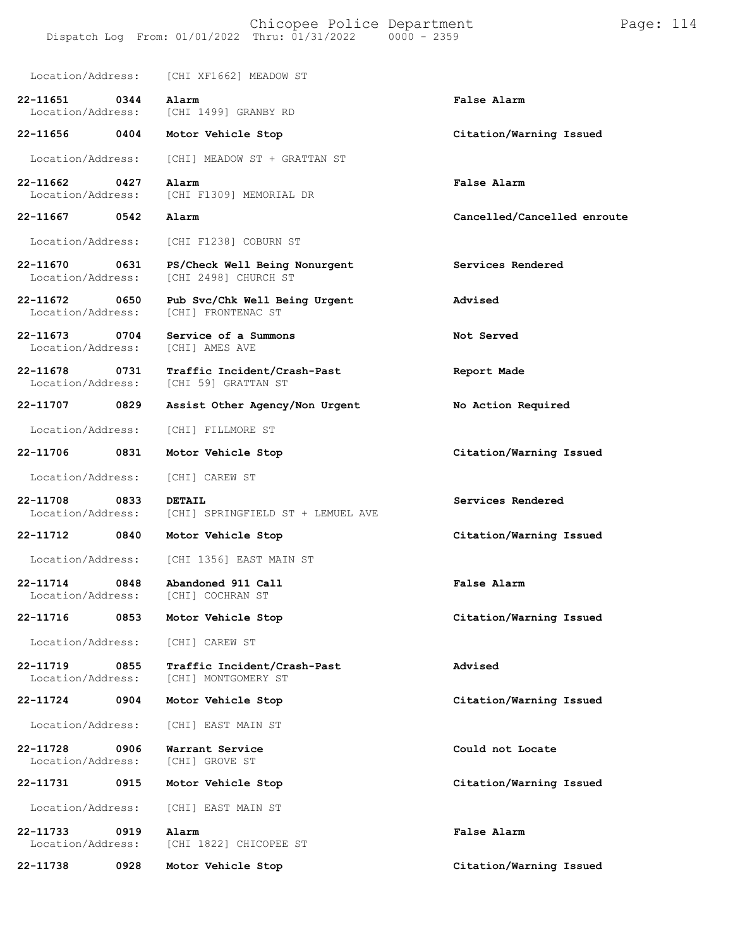|                                                    | Location/Address: [CHI XF1662] MEADOW ST              |                             |
|----------------------------------------------------|-------------------------------------------------------|-----------------------------|
| 22-11651<br>$\overline{0344}$<br>Location/Address: | Alarm<br>[CHI 1499] GRANBY RD                         | False Alarm                 |
| 22-11656<br>0404                                   | Motor Vehicle Stop                                    | Citation/Warning Issued     |
| Location/Address:                                  | [CHI] MEADOW ST + GRATTAN ST                          |                             |
| 22-11662<br>0427<br>Location/Address:              | Alarm<br>[CHI F1309] MEMORIAL DR                      | False Alarm                 |
| 22-11667 0542                                      | Alarm                                                 | Cancelled/Cancelled enroute |
| Location/Address:                                  | [CHI F1238] COBURN ST                                 |                             |
| 22-11670<br>0631<br>Location/Address:              | PS/Check Well Being Nonurgent<br>[CHI 2498] CHURCH ST | Services Rendered           |
| 22-11672 0650<br>Location/Address:                 | Pub Svc/Chk Well Being Urgent<br>[CHI] FRONTENAC ST   | Advised                     |
| 22-11673<br>$\overline{0704}$<br>Location/Address: | Service of a Summons<br>[CHI] AMES AVE                | Not Served                  |
| 22-11678<br>0731<br>Location/Address:              | Traffic Incident/Crash-Past<br>[CHI 59] GRATTAN ST    | Report Made                 |
| 22-11707<br>0829                                   | Assist Other Agency/Non Urgent                        | No Action Required          |
| Location/Address:                                  | [CHI] FILLMORE ST                                     |                             |
| 0831<br>22-11706                                   | Motor Vehicle Stop                                    | Citation/Warning Issued     |
| Location/Address:                                  | [CHI] CAREW ST                                        |                             |
| 22-11708<br>0833<br>Location/Address:              | <b>DETAIL</b><br>[CHI] SPRINGFIELD ST + LEMUEL AVE    | Services Rendered           |
| 22-11712<br>0840                                   | Motor Vehicle Stop                                    | Citation/Warning Issued     |
| Location/Address:                                  | [CHI 1356] EAST MAIN ST                               |                             |
| 22-11714<br>0848<br>Location/Address:              | Abandoned 911 Call<br>[CHI] COCHRAN ST                | False Alarm                 |
| 22-11716<br>0853                                   | Motor Vehicle Stop                                    | Citation/Warning Issued     |
| Location/Address:                                  | [CHI] CAREW ST                                        |                             |
| 22-11719<br>0855<br>Location/Address:              | Traffic Incident/Crash-Past<br>[CHI] MONTGOMERY ST    | Advised                     |
| 22-11724<br>0904                                   | Motor Vehicle Stop                                    | Citation/Warning Issued     |
| Location/Address:                                  | [CHI] EAST MAIN ST                                    |                             |
| 22-11728<br>0906<br>Location/Address:              | Warrant Service<br>[CHI] GROVE ST                     | Could not Locate            |
| 22-11731<br>0915                                   | Motor Vehicle Stop                                    | Citation/Warning Issued     |
| Location/Address:                                  | [CHI] EAST MAIN ST                                    |                             |
| 0919<br>22-11733<br>Location/Address:              | Alarm<br>[CHI 1822] CHICOPEE ST                       | False Alarm                 |
| 22-11738<br>0928                                   | Motor Vehicle Stop                                    | Citation/Warning Issued     |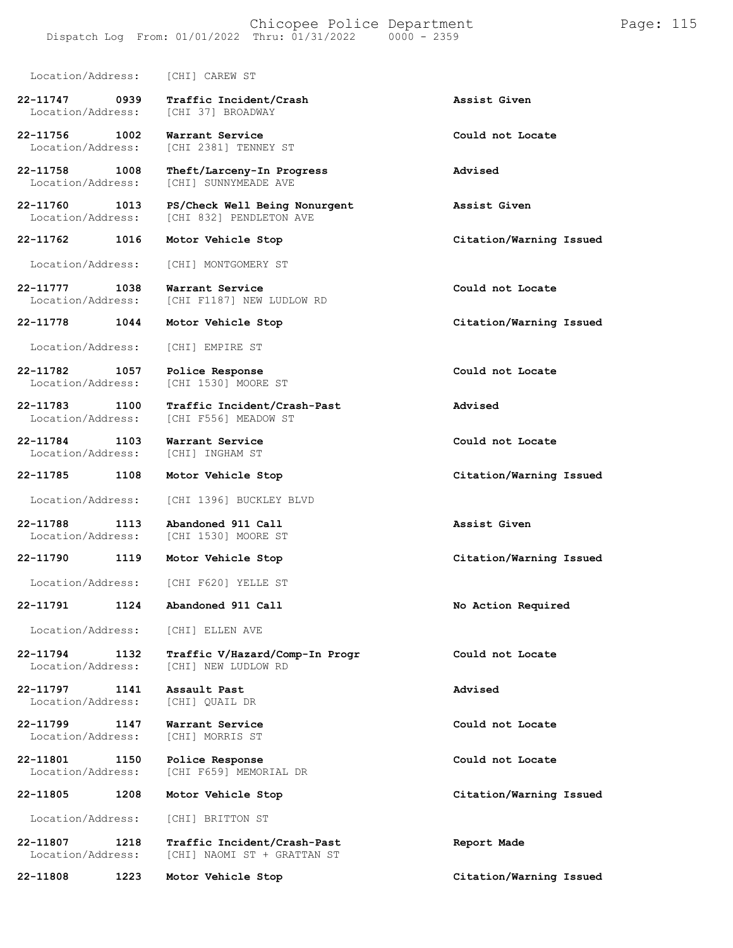#### Chicopee Police Department Page: 115 Dispatch Log From: 01/01/2022 Thru: 01/31/2022 0000 - 2359

| Location/Address:                     | [CHI] CAREW ST                                             |                         |
|---------------------------------------|------------------------------------------------------------|-------------------------|
| 22-11747<br>0939<br>Location/Address: | Traffic Incident/Crash<br>[CHI 37] BROADWAY                | Assist Given            |
| 22-11756<br>1002<br>Location/Address: | Warrant Service<br>[CHI 2381] TENNEY ST                    | Could not Locate        |
| 22-11758<br>1008<br>Location/Address: | Theft/Larceny-In Progress<br>[CHI] SUNNYMEADE AVE          | Advised                 |
| 22-11760<br>1013<br>Location/Address: | PS/Check Well Being Nonurgent<br>[CHI 832] PENDLETON AVE   | Assist Given            |
| 22-11762<br>1016                      | Motor Vehicle Stop                                         | Citation/Warning Issued |
| Location/Address:                     | [CHI] MONTGOMERY ST                                        |                         |
| 22-11777<br>1038<br>Location/Address: | Warrant Service<br>[CHI F1187] NEW LUDLOW RD               | Could not Locate        |
| 22-11778<br>1044                      | Motor Vehicle Stop                                         | Citation/Warning Issued |
| Location/Address:                     | [CHI] EMPIRE ST                                            |                         |
| 22-11782<br>1057<br>Location/Address: | Police Response<br>[CHI 1530] MOORE ST                     | Could not Locate        |
| 22-11783<br>1100<br>Location/Address: | Traffic Incident/Crash-Past<br>[CHI F556] MEADOW ST        | Advised                 |
| 22-11784<br>1103<br>Location/Address: | Warrant Service<br>[CHI] INGHAM ST                         | Could not Locate        |
| 22-11785<br>1108                      | Motor Vehicle Stop                                         | Citation/Warning Issued |
| Location/Address:                     | [CHI 1396] BUCKLEY BLVD                                    |                         |
| 22-11788<br>1113<br>Location/Address: | Abandoned 911 Call<br>[CHI 1530] MOORE ST                  | Assist Given            |
| 22-11790<br>1119                      | Motor Vehicle Stop                                         | Citation/Warning Issued |
| Location/Address:                     | [CHI F620] YELLE ST                                        |                         |
| 1124<br>22-11791                      | Abandoned 911 Call                                         | No Action Required      |
| Location/Address:                     | [CHI] ELLEN AVE                                            |                         |
| 1132<br>22-11794<br>Location/Address: | Traffic V/Hazard/Comp-In Progr<br>[CHI] NEW LUDLOW RD      | Could not Locate        |
| 22-11797<br>1141<br>Location/Address: | Assault Past<br>[CHI] QUAIL DR                             | Advised                 |
| 22-11799<br>1147<br>Location/Address: | Warrant Service<br>[CHI] MORRIS ST                         | Could not Locate        |
| 22-11801<br>1150<br>Location/Address: | Police Response<br>[CHI F659] MEMORIAL DR                  | Could not Locate        |
| 1208<br>22-11805                      | Motor Vehicle Stop                                         | Citation/Warning Issued |
| Location/Address:                     | [CHI] BRITTON ST                                           |                         |
| 22-11807<br>1218<br>Location/Address: | Traffic Incident/Crash-Past<br>[CHI] NAOMI ST + GRATTAN ST | Report Made             |
| 22-11808<br>1223                      | Motor Vehicle Stop                                         | Citation/Warning Issued |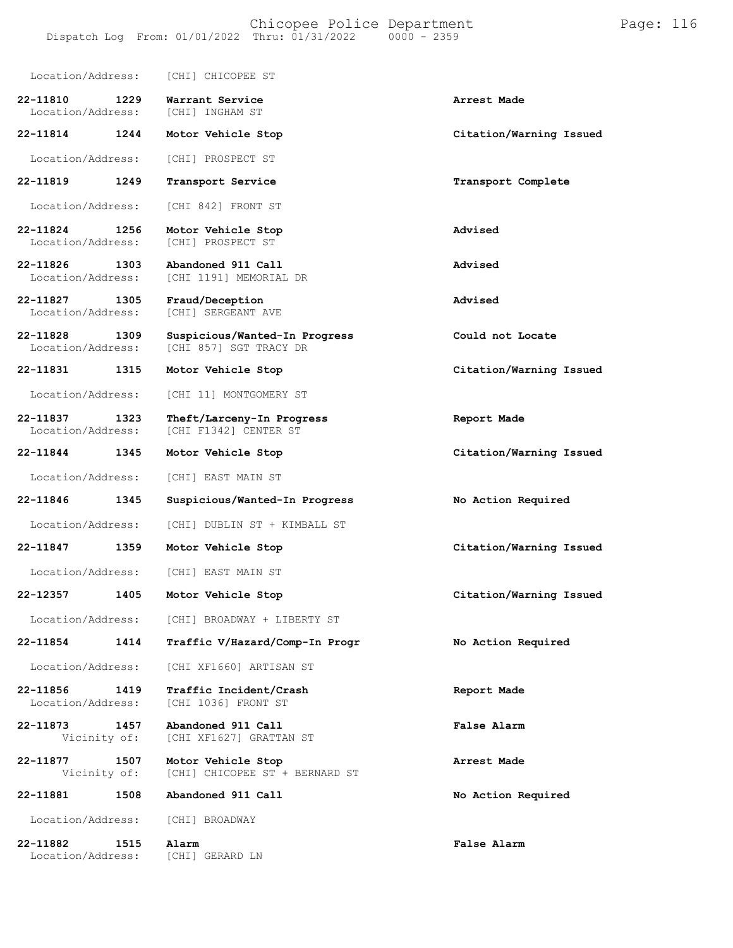| Location/Address:                     | [CHI] CHICOPEE ST                                       |                         |
|---------------------------------------|---------------------------------------------------------|-------------------------|
| 22-11810<br>1229<br>Location/Address: | Warrant Service<br>[CHI] INGHAM ST                      | Arrest Made             |
| 22-11814<br>1244                      | Motor Vehicle Stop                                      | Citation/Warning Issued |
| Location/Address:                     | [CHI] PROSPECT ST                                       |                         |
| 22-11819<br>1249                      | Transport Service                                       | Transport Complete      |
| Location/Address:                     | [CHI 842] FRONT ST                                      |                         |
| 22-11824<br>1256<br>Location/Address: | Motor Vehicle Stop<br>[CHI] PROSPECT ST                 | Advised                 |
| 22-11826<br>1303<br>Location/Address: | Abandoned 911 Call<br>[CHI 1191] MEMORIAL DR            | Advised                 |
| 22-11827<br>1305<br>Location/Address: | Fraud/Deception<br>[CHI] SERGEANT AVE                   | Advised                 |
| 22-11828<br>1309<br>Location/Address: | Suspicious/Wanted-In Progress<br>[CHI 857] SGT TRACY DR | Could not Locate        |
| 22-11831<br>1315                      | Motor Vehicle Stop                                      | Citation/Warning Issued |
| Location/Address:                     | [CHI 11] MONTGOMERY ST                                  |                         |
| 22-11837<br>1323<br>Location/Address: | Theft/Larceny-In Progress<br>[CHI F1342] CENTER ST      | Report Made             |
| 22-11844<br>1345                      | Motor Vehicle Stop                                      | Citation/Warning Issued |
| Location/Address:                     | [CHI] EAST MAIN ST                                      |                         |
| 22-11846<br>1345                      | Suspicious/Wanted-In Progress                           | No Action Required      |
| Location/Address:                     | [CHI] DUBLIN ST + KIMBALL ST                            |                         |
| 22-11847<br>1359                      | Motor Vehicle Stop                                      | Citation/Warning Issued |
| Location/Address:                     | [CHI] EAST MAIN ST                                      |                         |
| 22-12357<br>1405                      | Motor Vehicle Stop                                      | Citation/Warning Issued |
| Location/Address:                     | [CHI] BROADWAY + LIBERTY ST                             |                         |
| 22-11854<br>1414                      | Traffic V/Hazard/Comp-In Progr                          | No Action Required      |
| Location/Address:                     | [CHI XF1660] ARTISAN ST                                 |                         |
| 22-11856<br>1419<br>Location/Address: | Traffic Incident/Crash<br>[CHI 1036] FRONT ST           | Report Made             |
| 1457<br>22-11873<br>Vicinity of:      | Abandoned 911 Call<br>[CHI XF1627] GRATTAN ST           | False Alarm             |
| 22-11877<br>1507<br>Vicinity of:      | Motor Vehicle Stop<br>[CHI] CHICOPEE ST + BERNARD ST    | Arrest Made             |
| 22-11881<br>1508                      | Abandoned 911 Call                                      | No Action Required      |
| Location/Address:                     | [CHI] BROADWAY                                          |                         |
| 22-11882<br>1515<br>Location/Address: | Alarm<br>[CHI] GERARD LN                                | False Alarm             |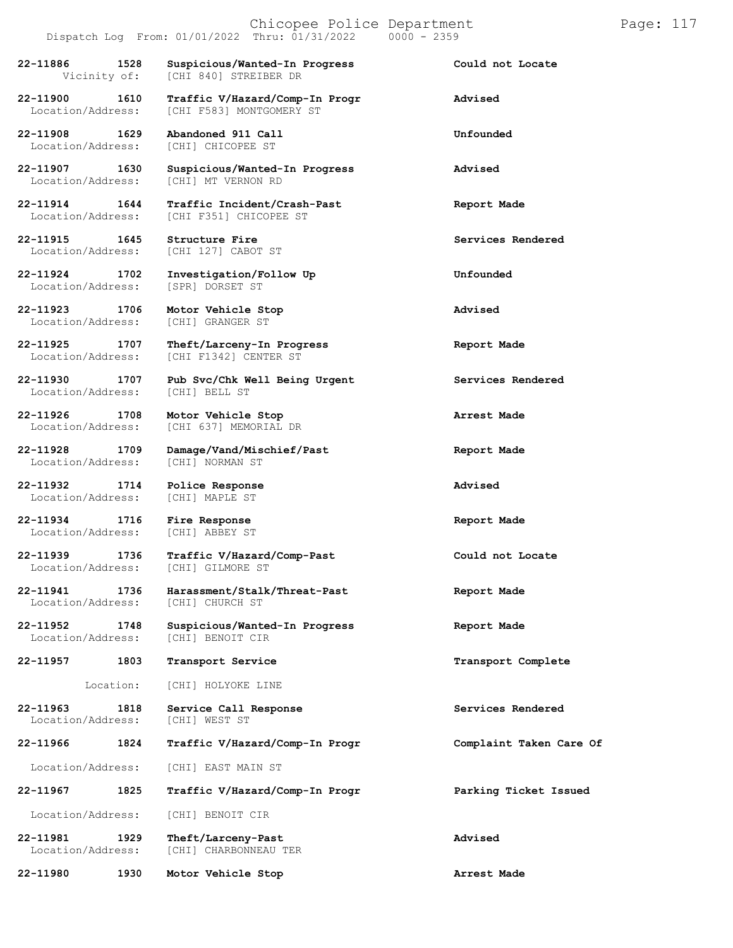## $Dispatch Log From: 01/01/2022 Thru: 01/31/2022$

**22-11886 1528 Suspicious/Wanted-In Progress Could not Locate**

**22-11908 1629 Abandoned 911 Call Unfounded**

**22-11915 1645 Structure Fire Services Rendered**

**22-11923 1706 Motor Vehicle Stop Advised**

Location/Address:

**22-11926 1708 Motor Vehicle Stop Arrest Made**

Location/Address: [CHI] NORMAN ST

**22-11932 1714 Police Response Advised** Location/Address:

**22-11934 1716 Fire Response Report Made** Location/Address: [CHI] ABBEY ST

Location/Address:

Location/Address: [CHI] CHURCH ST

Location/Address:

[CHI 840] STREIBER DR

**22-11900 1610 Traffic V/Hazard/Comp-In Progr Advised** Location/Address: [CHI F583] MONTGOMERY ST

Location/Address: [CHI] CHICOPEE ST

**22-11907 1630 Suspicious/Wanted-In Progress Advised** [CHI] MT VERNON RD

**22-11914 1644 Traffic Incident/Crash-Past Report Made** Location/Address: [CHI F351] CHICOPEE ST

Location/Address: [CHI 127] CABOT ST

**22-11924 1702 Investigation/Follow Up Unfounded** Location/Address: [SPR] DORSET ST

Location/Address: [CHI] GRANGER ST

**22-11925 1707 Theft/Larceny-In Progress Report Made** Location/Address: [CHI F1342] CENTER ST

**22-11930 1707 Pub Svc/Chk Well Being Urgent Services Rendered**

Location/Address: [CHI 637] MEMORIAL DR

**22-11928 1709 Damage/Vand/Mischief/Past Report Made**

**22-11939 1736 Traffic V/Hazard/Comp-Past Could not Locate**

**22-11941 1736 Harassment/Stalk/Threat-Past Report Made**

**22-11952 1748 Suspicious/Wanted-In Progress Report Made** Location/Address: [CHI] BENOIT CIR

**22-11957 1803 Transport Service Transport Complete**

Location: [CHI] HOLYOKE LINE

**22-11963 1818 Service Call Response Services Rendered Integral Constant Constant Constant Constant Constant Constant Constant Constant Constant Constant Constant Constant Constant Constant Constant Constant Constant** 

**22-11966 1824 Traffic V/Hazard/Comp-In Progr Complaint Taken Care Of**

Location/Address: [CHI] EAST MAIN ST

**22-11967 1825 Traffic V/Hazard/Comp-In Progr Parking Ticket Issued**

Location/Address: [CHI] BENOIT CIR

**22-11981 1929 Theft/Larceny-Past Advised** Location/Address: [CHI] CHARBONNEAU TER

**22-11980 1930 Motor Vehicle Stop Arrest Made**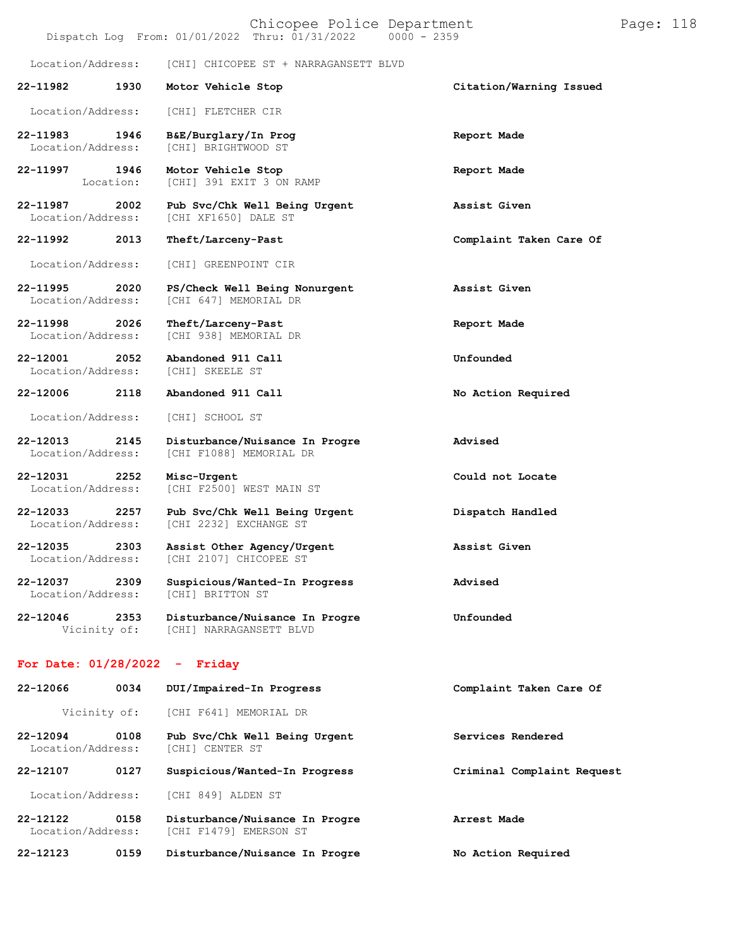| Chicopee Police Department<br>Dispatch Log From: 01/01/2022 Thru: 01/31/2022<br>$0000 - 2359$ |                   |                                                           |                            |  | Page: 118 |
|-----------------------------------------------------------------------------------------------|-------------------|-----------------------------------------------------------|----------------------------|--|-----------|
| Location/Address:                                                                             |                   | [CHI] CHICOPEE ST + NARRAGANSETT BLVD                     |                            |  |           |
| 22-11982                                                                                      | 1930              | Motor Vehicle Stop                                        | Citation/Warning Issued    |  |           |
| Location/Address:                                                                             |                   | [CHI] FLETCHER CIR                                        |                            |  |           |
| 22-11983<br>Location/Address:                                                                 | 1946              | B&E/Burglary/In Prog<br>[CHI] BRIGHTWOOD ST               | Report Made                |  |           |
| 22-11997                                                                                      | 1946<br>Location: | Motor Vehicle Stop<br>[CHI] 391 EXIT 3 ON RAMP            | Report Made                |  |           |
| 22-11987<br>Location/Address:                                                                 | 2002              | Pub Svc/Chk Well Being Urgent<br>[CHI XF1650] DALE ST     | Assist Given               |  |           |
| 22-11992                                                                                      | 2013              | Theft/Larceny-Past                                        | Complaint Taken Care Of    |  |           |
| Location/Address:                                                                             |                   | [CHI] GREENPOINT CIR                                      |                            |  |           |
| 22-11995<br>Location/Address:                                                                 | 2020              | PS/Check Well Being Nonurgent<br>[CHI 647] MEMORIAL DR    | Assist Given               |  |           |
| 22-11998<br>Location/Address:                                                                 | 2026              | Theft/Larceny-Past<br>[CHI 938] MEMORIAL DR               | Report Made                |  |           |
| 22-12001<br>Location/Address:                                                                 | 2052              | Abandoned 911 Call<br>[CHI] SKEELE ST                     | Unfounded                  |  |           |
| 22-12006                                                                                      | 2118              | Abandoned 911 Call                                        | No Action Required         |  |           |
| Location/Address:                                                                             |                   | [CHI] SCHOOL ST                                           |                            |  |           |
| 22-12013<br>Location/Address:                                                                 | 2145              | Disturbance/Nuisance In Progre<br>[CHI F1088] MEMORIAL DR | Advised                    |  |           |
| 22-12031<br>Location/Address:                                                                 | 2252              | Misc-Urgent<br>[CHI F2500] WEST MAIN ST                   | Could not Locate           |  |           |
| 22-12033<br>Location/Address:                                                                 | 2257              | Pub Svc/Chk Well Being Urgent<br>[CHI 2232] EXCHANGE ST   | Dispatch Handled           |  |           |
| 22-12035<br>Location/Address:                                                                 | 2303              | Assist Other Agency/Urgent<br>[CHI 2107] CHICOPEE ST      | Assist Given               |  |           |
| 22-12037<br>Location/Address:                                                                 | 2309              | Suspicious/Wanted-In Progress<br>[CHI] BRITTON ST         | Advised                    |  |           |
| 22-12046<br>Vicinity of:                                                                      | 2353              | Disturbance/Nuisance In Progre<br>[CHI] NARRAGANSETT BLVD | Unfounded                  |  |           |
| For Date: $01/28/2022 -$ Friday                                                               |                   |                                                           |                            |  |           |
| 22-12066                                                                                      | 0034              | DUI/Impaired-In Progress                                  | Complaint Taken Care Of    |  |           |
| Vicinity of:                                                                                  |                   | [CHI F641] MEMORIAL DR                                    |                            |  |           |
| 22-12094<br>Location/Address:                                                                 | 0108              | Pub Svc/Chk Well Being Urgent<br>[CHI] CENTER ST          | Services Rendered          |  |           |
| 22-12107                                                                                      | 0127              | Suspicious/Wanted-In Progress                             | Criminal Complaint Request |  |           |
| Location/Address:                                                                             |                   | [CHI 849] ALDEN ST                                        |                            |  |           |
| 22-12122<br>Location/Address:                                                                 | 0158              | Disturbance/Nuisance In Progre<br>[CHI F1479] EMERSON ST  | Arrest Made                |  |           |
| 22-12123                                                                                      | 0159              | Disturbance/Nuisance In Progre                            | No Action Required         |  |           |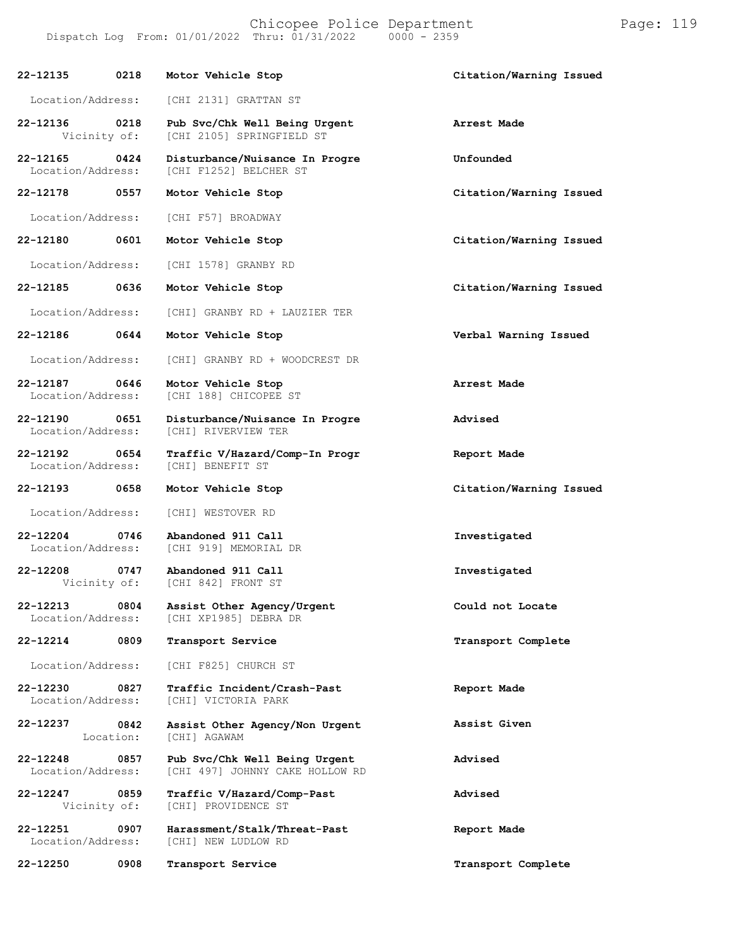| 22-12135                          | 0218              | Motor Vehicle Stop                                               | Citation/Warning Issued |
|-----------------------------------|-------------------|------------------------------------------------------------------|-------------------------|
| Location/Address:                 |                   | [CHI 2131] GRATTAN ST                                            |                         |
| 22-12136<br>Vicinity of:          | 0218              | Pub Svc/Chk Well Being Urgent<br>[CHI 2105] SPRINGFIELD ST       | Arrest Made             |
| 22-12165<br>Location/Address:     | 0424              | Disturbance/Nuisance In Progre<br>[CHI F1252] BELCHER ST         | Unfounded               |
| 22-12178                          | 0557              | Motor Vehicle Stop                                               | Citation/Warning Issued |
| Location/Address:                 |                   | [CHI F57] BROADWAY                                               |                         |
| 22-12180                          | 0601              | Motor Vehicle Stop                                               | Citation/Warning Issued |
| Location/Address:                 |                   | [CHI 1578] GRANBY RD                                             |                         |
| 22-12185                          | 0636              | Motor Vehicle Stop                                               | Citation/Warning Issued |
| Location/Address:                 |                   | [CHI] GRANBY RD + LAUZIER TER                                    |                         |
| 22-12186                          | 0644              | Motor Vehicle Stop                                               | Verbal Warning Issued   |
| Location/Address:                 |                   | [CHI] GRANBY RD + WOODCREST DR                                   |                         |
| 22-12187<br>Location/Address:     | 0646              | Motor Vehicle Stop<br><b>ICHI 1881 CHICOPEE ST</b>               | Arrest Made             |
| 22-12190<br>Location/Address:     | 0651              | Disturbance/Nuisance In Progre<br>[CHI] RIVERVIEW TER            | Advised                 |
| 22-12192<br>Location/Address:     | 0654              | Traffic V/Hazard/Comp-In Progr<br>[CHI] BENEFIT ST               | Report Made             |
| 22-12193                          | 0658              | Motor Vehicle Stop                                               | Citation/Warning Issued |
| Location/Address:                 |                   | [CHI] WESTOVER RD                                                |                         |
| $22 - 12204$<br>Location/Address: | 0746              | Abandoned 911 Call<br>[CHI 919] MEMORIAL DR                      | Investigated            |
| 22-12208<br>Vicinity of:          | 0747              | Abandoned 911 Call<br>[CHI 842] FRONT ST                         | Investigated            |
| 22-12213<br>Location/Address:     | 0804              | Assist Other Agency/Urgent<br>[CHI XP1985] DEBRA DR              | Could not Locate        |
| 22-12214                          | 0809              | Transport Service                                                | Transport Complete      |
| Location/Address:                 |                   | [CHI F825] CHURCH ST                                             |                         |
| 22-12230<br>Location/Address:     | 0827              | Traffic Incident/Crash-Past<br>[CHI] VICTORIA PARK               | Report Made             |
| 22-12237                          | 0842<br>Location: | Assist Other Agency/Non Urgent<br>[CHI] AGAWAM                   | Assist Given            |
| 22-12248<br>Location/Address:     | 0857              | Pub Svc/Chk Well Being Urgent<br>[CHI 497] JOHNNY CAKE HOLLOW RD | Advised                 |
| 22-12247<br>Vicinity of:          | 0859              | Traffic V/Hazard/Comp-Past<br>[CHI] PROVIDENCE ST                | Advised                 |
| 22-12251<br>Location/Address:     | 0907              | Harassment/Stalk/Threat-Past<br>[CHI] NEW LUDLOW RD              | Report Made             |
| 22-12250                          | 0908              | Transport Service                                                | Transport Complete      |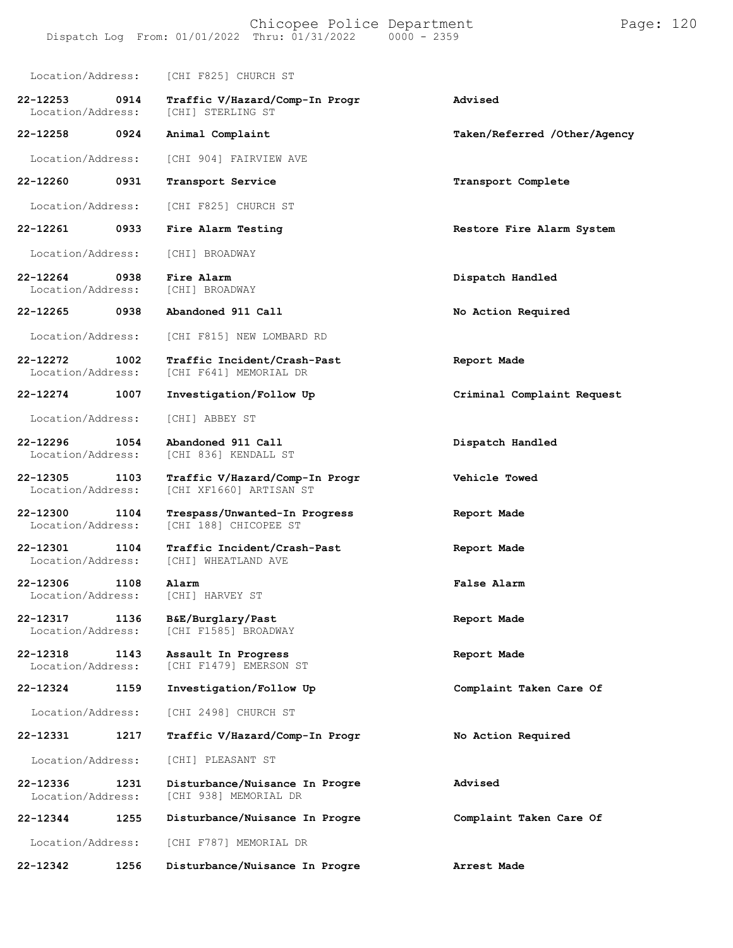| Location/Address:                     | [CHI F825] CHURCH ST                                      |                              |
|---------------------------------------|-----------------------------------------------------------|------------------------------|
| 22-12253<br>0914<br>Location/Address: | Traffic V/Hazard/Comp-In Progr<br>[CHI] STERLING ST       | Advised                      |
| 22-12258<br>0924                      | Animal Complaint                                          | Taken/Referred /Other/Agency |
| Location/Address:                     | [CHI 904] FAIRVIEW AVE                                    |                              |
| 0931<br>22-12260                      | Transport Service                                         | Transport Complete           |
| Location/Address:                     | [CHI F825] CHURCH ST                                      |                              |
| 22-12261<br>0933                      | Fire Alarm Testing                                        | Restore Fire Alarm System    |
| Location/Address:                     | [CHI] BROADWAY                                            |                              |
| 22-12264<br>0938<br>Location/Address: | Fire Alarm<br>[CHI] BROADWAY                              | Dispatch Handled             |
| 22-12265<br>0938                      | Abandoned 911 Call                                        | No Action Required           |
| Location/Address:                     | [CHI F815] NEW LOMBARD RD                                 |                              |
| 22-12272<br>1002<br>Location/Address: | Traffic Incident/Crash-Past<br>[CHI F641] MEMORIAL DR     | Report Made                  |
| 22-12274<br>1007                      | Investigation/Follow Up                                   | Criminal Complaint Request   |
| Location/Address:                     | [CHI] ABBEY ST                                            |                              |
| 22-12296<br>1054<br>Location/Address: | Abandoned 911 Call<br>[CHI 836] KENDALL ST                | Dispatch Handled             |
| 22-12305<br>1103<br>Location/Address: | Traffic V/Hazard/Comp-In Progr<br>[CHI XF1660] ARTISAN ST | Vehicle Towed                |
| 22-12300<br>1104<br>Location/Address: | Trespass/Unwanted-In Progress<br>[CHI 188] CHICOPEE ST    | Report Made                  |
| 22-12301<br>1104<br>Location/Address: | Traffic Incident/Crash-Past<br>[CHI] WHEATLAND AVE        | Report Made                  |
| 22-12306<br>1108<br>Location/Address: | Alarm<br>[CHI] HARVEY ST                                  | False Alarm                  |
| 22-12317<br>1136<br>Location/Address: | B&E/Burglary/Past<br>[CHI F1585] BROADWAY                 | Report Made                  |
| 22-12318<br>1143<br>Location/Address: | Assault In Progress<br>[CHI F1479] EMERSON ST             | Report Made                  |
| 22-12324<br>1159                      | Investigation/Follow Up                                   | Complaint Taken Care Of      |
| Location/Address:                     | [CHI 2498] CHURCH ST                                      |                              |
| 22-12331<br>1217                      | Traffic V/Hazard/Comp-In Progr                            | No Action Required           |
| Location/Address:                     | [CHI] PLEASANT ST                                         |                              |
| 22-12336<br>1231<br>Location/Address: | Disturbance/Nuisance In Progre<br>[CHI 938] MEMORIAL DR   | Advised                      |
| 22-12344<br>1255                      | Disturbance/Nuisance In Progre                            | Complaint Taken Care Of      |
| Location/Address:                     | [CHI F787] MEMORIAL DR                                    |                              |
| 22-12342<br>1256                      | Disturbance/Nuisance In Progre                            | Arrest Made                  |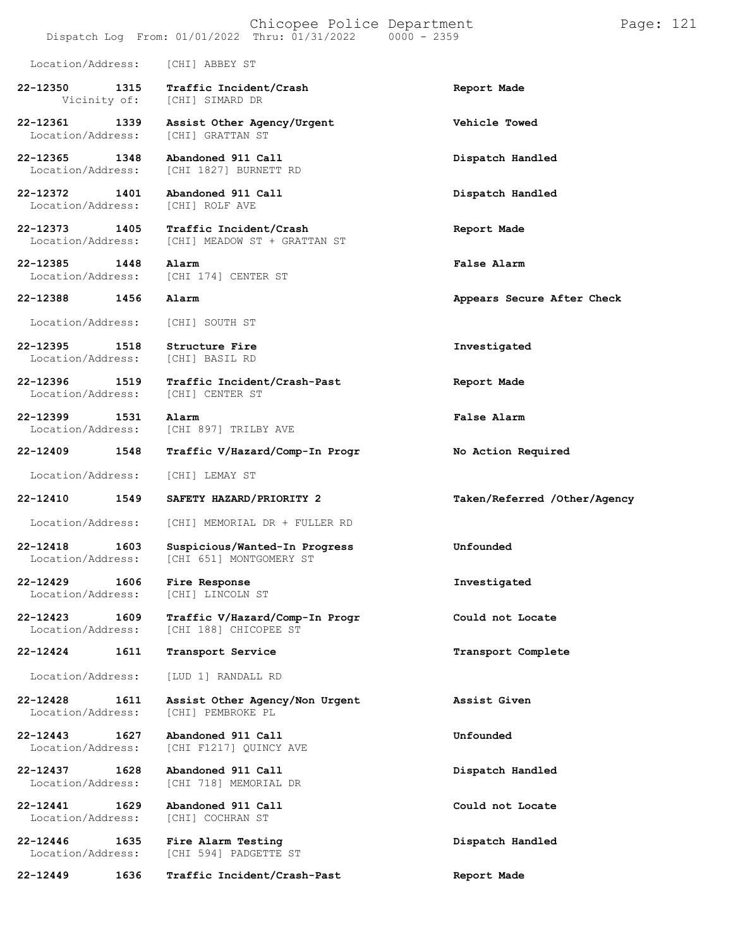### $Dispatch$   $Log$   $From:$   $01/01/2022$   $Thru:$   $01/31/2022$

Location/Address: [CHI] ABBEY ST

- **22-12350 1315 Traffic Incident/Crash Report Made** [CHI] SIMARD DR
- **22-12361 1339 Assist Other Agency/Urgent Vehicle Towed** Location/Address: [CHI] GRATTAN ST
- **22-12365 1348 Abandoned 911 Call Dispatch Handled** [CHI 1827] BURNETT RD
- **22-12372 1401 Abandoned 911 Call Dispatch Handled**

Location/Address: [CHI] ROLF AVE

**22-12373 1405 Traffic Incident/Crash Report Made** [CHI] MEADOW ST + GRATTAN ST

**22-12385 1448 Alarm False Alarm** [CHI 174] CENTER ST

Location/Address: [CHI] SOUTH ST

- **22-12395 1518 Structure Fire Investigated** Location/Address:
- **22-12396 1519 Traffic Incident/Crash-Past Report Made** Location/Address:

**22-12399 1531 Alarm False Alarm** [CHI 897] TRILBY AVE

**22-12409 1548 Traffic V/Hazard/Comp-In Progr No Action Required**

Location/Address: [CHI] LEMAY ST

**22-12410 1549 SAFETY HAZARD/PRIORITY 2 Taken/Referred /Other/Agency**

Location/Address: [CHI] MEMORIAL DR + FULLER RD

**22-12418 1603 Suspicious/Wanted-In Progress Unfounded** [CHI 651] MONTGOMERY ST

**22-12429 1606 Fire Response Investigated** Location/Address:

Location/Address:

**22-12423 1609 Traffic V/Hazard/Comp-In Progr Could not Locate** [CHI 188] CHICOPEE ST

**22-12424 1611 Transport Service Transport Complete**

Location/Address: [LUD 1] RANDALL RD

**22-12428 1611 Assist Other Agency/Non Urgent Assist Given** [CHI] PEMBROKE PL

**22-12443 1627 Abandoned 911 Call Unfounded** [CHI F1217] QUINCY AVE

**22-12437 1628 Abandoned 911 Call Dispatch Handled** [CHI 718] MEMORIAL DR

**22-12441 1629 Abandoned 911 Call Could not Locate**

**22-12446 1635 Fire Alarm Testing Dispatch Handled** [CHI 594] PADGETTE ST

**22-12449 1636 Traffic Incident/Crash-Past Report Made**

**22-12388 1456 Alarm Appears Secure After Check**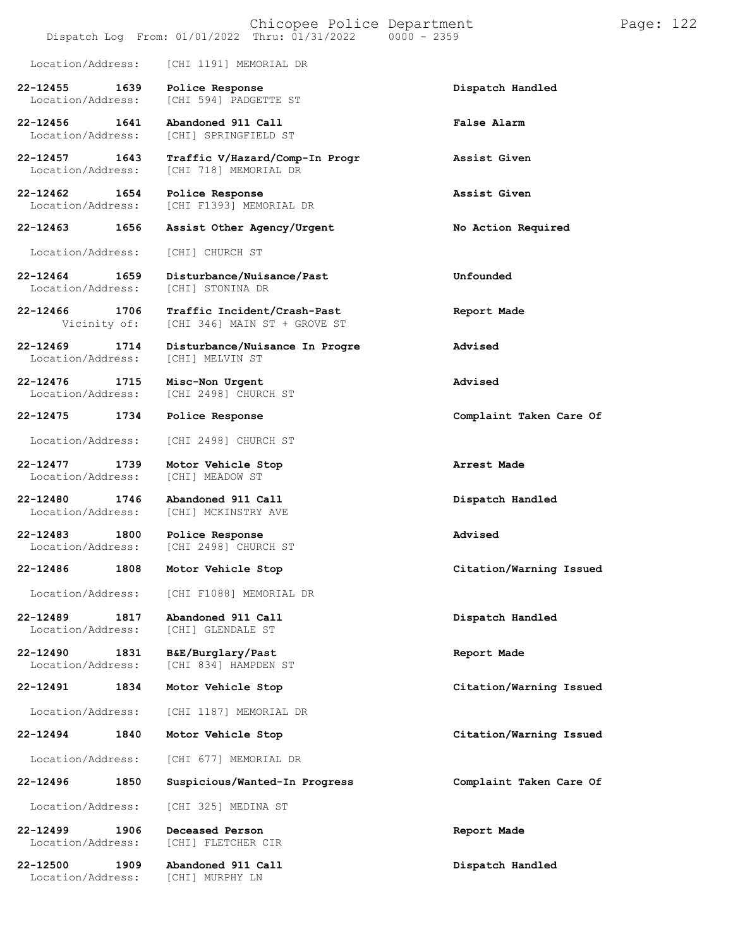|                                   |      | Chicopee Police Department<br>$0000 - 2359$<br>Dispatch Log From: 01/01/2022 Thru: 01/31/2022 |                         | Page: 122 |  |
|-----------------------------------|------|-----------------------------------------------------------------------------------------------|-------------------------|-----------|--|
| Location/Address:                 |      | [CHI 1191] MEMORIAL DR                                                                        |                         |           |  |
| $22 - 12455$<br>Location/Address: | 1639 | Police Response<br>[CHI 594] PADGETTE ST                                                      | Dispatch Handled        |           |  |
| $22 - 12456$<br>Location/Address: | 1641 | Abandoned 911 Call<br>[CHI] SPRINGFIELD ST                                                    | False Alarm             |           |  |
| 22-12457<br>Location/Address:     | 1643 | Traffic V/Hazard/Comp-In Progr<br>[CHI 718] MEMORIAL DR                                       | Assist Given            |           |  |
| 22-12462<br>Location/Address:     | 1654 | Police Response<br>[CHI F1393] MEMORIAL DR                                                    | Assist Given            |           |  |
| 22-12463                          | 1656 | Assist Other Agency/Urgent                                                                    | No Action Required      |           |  |
| Location/Address:                 |      | [CHI] CHURCH ST                                                                               |                         |           |  |
| 22-12464<br>Location/Address:     | 1659 | Disturbance/Nuisance/Past<br>[CHI] STONINA DR                                                 | Unfounded               |           |  |
| 22-12466<br>Vicinity of:          | 1706 | Traffic Incident/Crash-Past<br>[CHI 346] MAIN ST + GROVE ST                                   | Report Made             |           |  |
| 22-12469<br>Location/Address:     | 1714 | Disturbance/Nuisance In Progre<br>[CHI] MELVIN ST                                             | Advised                 |           |  |
| 22-12476<br>Location/Address:     | 1715 | Misc-Non Urgent<br>[CHI 2498] CHURCH ST                                                       | Advised                 |           |  |
| 22-12475                          | 1734 | Police Response                                                                               | Complaint Taken Care Of |           |  |
| Location/Address:                 |      | [CHI 2498] CHURCH ST                                                                          |                         |           |  |
| 22-12477<br>Location/Address:     | 1739 | Motor Vehicle Stop<br>[CHI] MEADOW ST                                                         | Arrest Made             |           |  |
| 22-12480<br>Location/Address:     | 1746 | Abandoned 911 Call<br>[CHI] MCKINSTRY AVE                                                     | Dispatch Handled        |           |  |
| 22-12483<br>Location/Address:     | 1800 | Police Response<br>[CHI 2498] CHURCH ST                                                       | Advised                 |           |  |
| 22-12486                          | 1808 | Motor Vehicle Stop                                                                            | Citation/Warning Issued |           |  |
| Location/Address:                 |      | [CHI F1088] MEMORIAL DR                                                                       |                         |           |  |
| 22-12489<br>Location/Address:     | 1817 | Abandoned 911 Call<br>[CHI] GLENDALE ST                                                       | Dispatch Handled        |           |  |
| $22 - 12490$<br>Location/Address: | 1831 | B&E/Burglary/Past<br>[CHI 834] HAMPDEN ST                                                     | Report Made             |           |  |
| 22-12491                          | 1834 | Motor Vehicle Stop                                                                            | Citation/Warning Issued |           |  |
| Location/Address:                 |      | [CHI 1187] MEMORIAL DR                                                                        |                         |           |  |
| 22-12494                          | 1840 | Motor Vehicle Stop                                                                            | Citation/Warning Issued |           |  |
| Location/Address:                 |      | [CHI 677] MEMORIAL DR                                                                         |                         |           |  |
| 22-12496                          | 1850 | Suspicious/Wanted-In Progress                                                                 | Complaint Taken Care Of |           |  |
| Location/Address:                 |      | [CHI 325] MEDINA ST                                                                           |                         |           |  |
| 22-12499<br>Location/Address:     | 1906 | Deceased Person<br>[CHI] FLETCHER CIR                                                         | Report Made             |           |  |
| 22-12500<br>Location/Address:     | 1909 | Abandoned 911 Call<br>[CHI] MURPHY LN                                                         | Dispatch Handled        |           |  |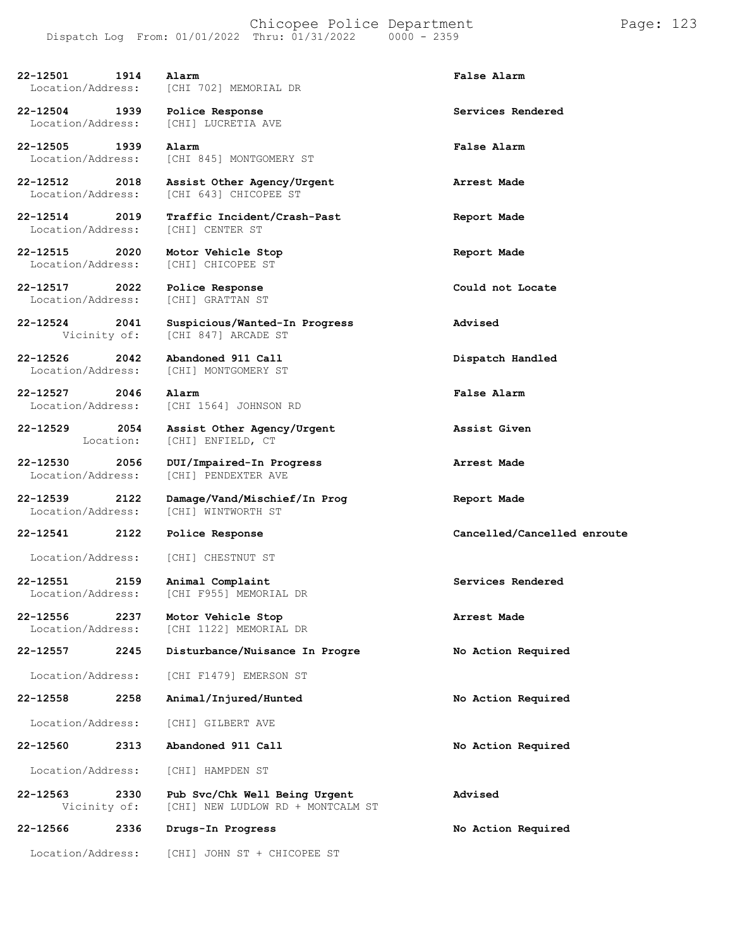| 22-12501<br>Location/Address:      | 1914              | Alarm<br>[CHI 702] MEMORIAL DR                                     | False Alarm                 |
|------------------------------------|-------------------|--------------------------------------------------------------------|-----------------------------|
| 22-12504<br>Location/Address:      | 1939              | Police Response<br>[CHI] LUCRETIA AVE                              | Services Rendered           |
| 22-12505<br>Location/Address:      | 1939              | Alarm<br>[CHI 845] MONTGOMERY ST                                   | False Alarm                 |
| 22-12512<br>Location/Address:      | 2018              | Assist Other Agency/Urgent<br>[CHI 643] CHICOPEE ST                | Arrest Made                 |
| 22-12514 2019<br>Location/Address: |                   | Traffic Incident/Crash-Past<br>[CHI] CENTER ST                     | Report Made                 |
| 22-12515<br>Location/Address:      | 2020              | Motor Vehicle Stop<br>[CHI] CHICOPEE ST                            | Report Made                 |
| 22-12517<br>Location/Address:      | 2022              | Police Response<br>[CHI] GRATTAN ST                                | Could not Locate            |
| 22-12524<br>Vicinity of:           | 2041              | Suspicious/Wanted-In Progress<br>[CHI 847] ARCADE ST               | Advised                     |
| $22 - 12526$<br>Location/Address:  | 2042              | Abandoned 911 Call<br>[CHI] MONTGOMERY ST                          | Dispatch Handled            |
| 22-12527<br>Location/Address:      | 2046              | Alarm<br>[CHI 1564] JOHNSON RD                                     | False Alarm                 |
| 22-12529                           | 2054<br>Location: | Assist Other Agency/Urgent<br>[CHI] ENFIELD, CT                    | Assist Given                |
| 22-12530<br>Location/Address:      | 2056              | DUI/Impaired-In Progress<br>[CHI] PENDEXTER AVE                    | Arrest Made                 |
| 22-12539<br>Location/Address:      | 2122              | Damage/Vand/Mischief/In Prog<br>[CHI] WINTWORTH ST                 | Report Made                 |
| 22-12541                           | 2122              | Police Response                                                    | Cancelled/Cancelled enroute |
| Location/Address:                  |                   | [CHI] CHESTNUT ST                                                  |                             |
| 22-12551<br>Location/Address:      | 2159              | Animal Complaint<br>[CHI F955] MEMORIAL DR                         | Services Rendered           |
| 22-12556<br>Location/Address:      | 2237              | Motor Vehicle Stop<br>[CHI 1122] MEMORIAL DR                       | Arrest Made                 |
| 22-12557                           | 2245              | Disturbance/Nuisance In Progre                                     | No Action Required          |
| Location/Address:                  |                   | [CHI F1479] EMERSON ST                                             |                             |
| 22-12558                           | 2258              | Animal/Injured/Hunted                                              | No Action Required          |
| Location/Address:                  |                   | [CHI] GILBERT AVE                                                  |                             |
| 22-12560                           | 2313              | Abandoned 911 Call                                                 | No Action Required          |
| Location/Address:                  |                   | [CHI] HAMPDEN ST                                                   |                             |
| 22-12563<br>Vicinity of:           | 2330              | Pub Svc/Chk Well Being Urgent<br>[CHI] NEW LUDLOW RD + MONTCALM ST | Advised                     |
| 22-12566                           | 2336              | Drugs-In Progress                                                  | No Action Required          |
| Location/Address:                  |                   | [CHI] JOHN ST + CHICOPEE ST                                        |                             |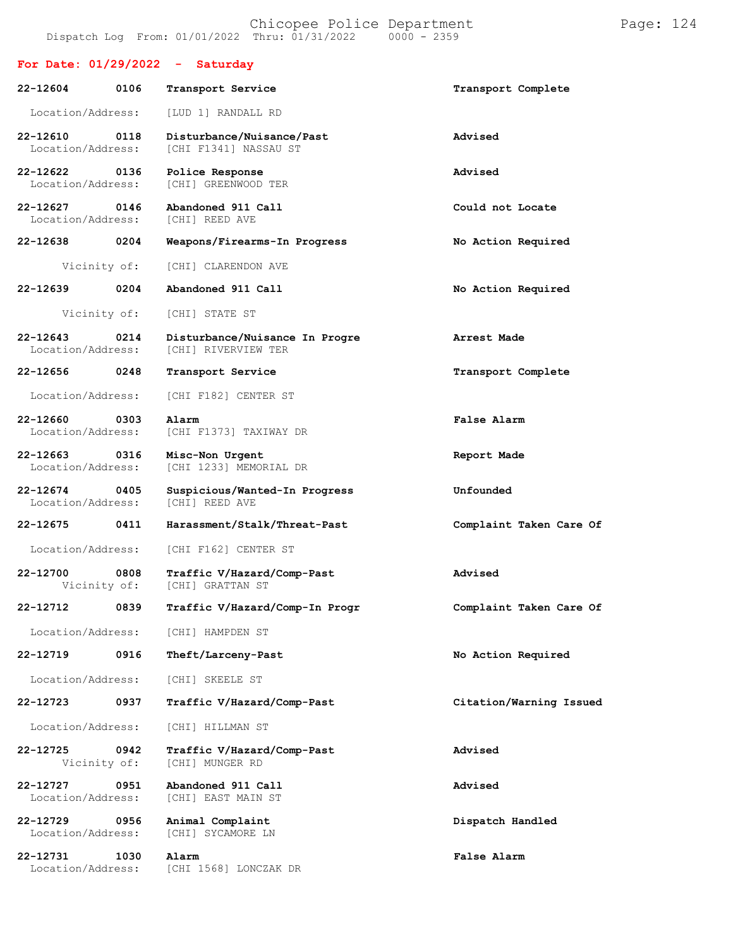|                               |      | For Date: $01/29/2022 - Saturday$                     |                         |
|-------------------------------|------|-------------------------------------------------------|-------------------------|
| 22-12604                      | 0106 | Transport Service                                     | Transport Complete      |
| Location/Address:             |      | [LUD 1] RANDALL RD                                    |                         |
| 22-12610<br>Location/Address: | 0118 | Disturbance/Nuisance/Past<br>[CHI F1341] NASSAU ST    | Advised                 |
| 22-12622<br>Location/Address: | 0136 | Police Response<br>[CHI] GREENWOOD TER                | Advised                 |
| 22-12627<br>Location/Address: | 0146 | Abandoned 911 Call<br>[CHI] REED AVE                  | Could not Locate        |
| 22-12638                      | 0204 | Weapons/Firearms-In Progress                          | No Action Required      |
| Vicinity of:                  |      | [CHI] CLARENDON AVE                                   |                         |
| 22-12639                      | 0204 | Abandoned 911 Call                                    | No Action Required      |
| Vicinity of:                  |      | [CHI] STATE ST                                        |                         |
| 22-12643<br>Location/Address: | 0214 | Disturbance/Nuisance In Progre<br>[CHI] RIVERVIEW TER | Arrest Made             |
| 22-12656                      | 0248 | Transport Service                                     | Transport Complete      |
| Location/Address:             |      | [CHI F182] CENTER ST                                  |                         |
| 22-12660<br>Location/Address: | 0303 | Alarm<br>[CHI F1373] TAXIWAY DR                       | False Alarm             |
| 22-12663<br>Location/Address: | 0316 | Misc-Non Urgent<br>[CHI 1233] MEMORIAL DR             | Report Made             |
| 22-12674<br>Location/Address: | 0405 | Suspicious/Wanted-In Progress<br>[CHI] REED AVE       | Unfounded               |
| $22 - 12675$                  | 0411 | Harassment/Stalk/Threat-Past                          | Complaint Taken Care Of |
| Location/Address:             |      | [CHI F162] CENTER ST                                  |                         |
| 22-12700<br>Vicinity of:      | 0808 | Traffic V/Hazard/Comp-Past<br>[CHI] GRATTAN ST        | Advised                 |
| 22-12712                      | 0839 | Traffic V/Hazard/Comp-In Progr                        | Complaint Taken Care Of |
| Location/Address:             |      | [CHI] HAMPDEN ST                                      |                         |
| 22-12719                      | 0916 | Theft/Larceny-Past                                    | No Action Required      |
| Location/Address:             |      | [CHI] SKEELE ST                                       |                         |
| 22-12723                      | 0937 | Traffic V/Hazard/Comp-Past                            | Citation/Warning Issued |
| Location/Address:             |      | [CHI] HILLMAN ST                                      |                         |
| 22-12725<br>Vicinity of:      | 0942 | Traffic V/Hazard/Comp-Past<br>[CHI] MUNGER RD         | Advised                 |
| 22-12727<br>Location/Address: | 0951 | Abandoned 911 Call<br>[CHI] EAST MAIN ST              | Advised                 |
| 22-12729<br>Location/Address: | 0956 | Animal Complaint<br>[CHI] SYCAMORE LN                 | Dispatch Handled        |
| 22-12731<br>Location/Address: | 1030 | Alarm<br>[CHI 1568] LONCZAK DR                        | False Alarm             |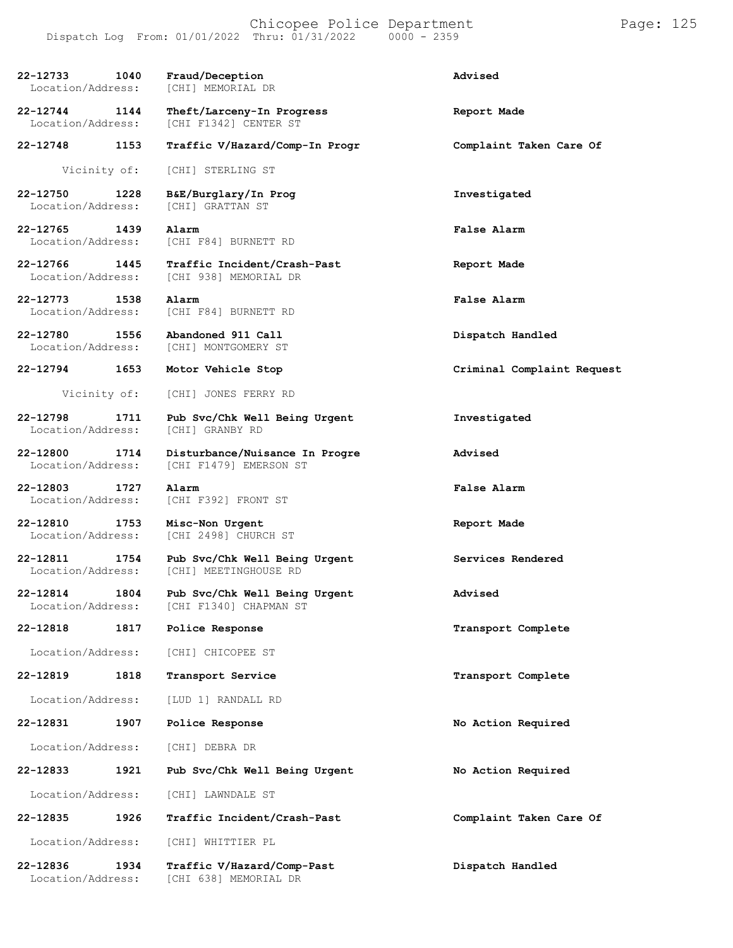| 22-12733<br>Location/Address:         | 1040 | Fraud/Deception<br>[CHI] MEMORIAL DR                     | Advised                    |
|---------------------------------------|------|----------------------------------------------------------|----------------------------|
| 22-12744<br>Location/Address:         | 1144 | Theft/Larceny-In Progress<br>[CHI F1342] CENTER ST       | Report Made                |
| 22-12748                              | 1153 | Traffic V/Hazard/Comp-In Progr                           | Complaint Taken Care Of    |
| Vicinity of:                          |      | [CHI] STERLING ST                                        |                            |
| 22-12750<br>Location/Address:         | 1228 | B&E/Burglary/In Prog<br>[CHI] GRATTAN ST                 | Investigated               |
| 22-12765 1439<br>Location/Address:    |      | Alarm<br>[CHI F84] BURNETT RD                            | False Alarm                |
| 22-12766 1445<br>Location/Address:    |      | Traffic Incident/Crash-Past<br>[CHI 938] MEMORIAL DR     | Report Made                |
| 22-12773<br>Location/Address:         | 1538 | Alarm<br>[CHI F84] BURNETT RD                            | False Alarm                |
| 22-12780 1556<br>Location/Address:    |      | Abandoned 911 Call<br>[CHI] MONTGOMERY ST                | Dispatch Handled           |
| 22-12794                              | 1653 | Motor Vehicle Stop                                       | Criminal Complaint Request |
| Vicinity of:                          |      | [CHI] JONES FERRY RD                                     |                            |
| 22-12798<br>Location/Address:         | 1711 | Pub Svc/Chk Well Being Urgent<br>[CHI] GRANBY RD         | Investigated               |
| 22-12800<br>Location/Address:         | 1714 | Disturbance/Nuisance In Progre<br>[CHI F1479] EMERSON ST | Advised                    |
| 22-12803 1727<br>Location/Address:    |      | Alarm<br>[CHI F392] FRONT ST                             | False Alarm                |
| 22-12810<br>1753<br>Location/Address: |      | Misc-Non Urgent<br>[CHI 2498] CHURCH ST                  | Report Made                |
| 22-12811<br>1754<br>Location/Address: |      | Pub Svc/Chk Well Being Urgent<br>[CHI] MEETINGHOUSE RD   | Services Rendered          |
| 22-12814<br>Location/Address:         | 1804 | Pub Svc/Chk Well Being Urgent<br>[CHI F1340] CHAPMAN ST  | Advised                    |
| 22-12818                              | 1817 | Police Response                                          | Transport Complete         |
| Location/Address:                     |      | [CHI] CHICOPEE ST                                        |                            |
| 22-12819                              | 1818 | Transport Service                                        | Transport Complete         |
| Location/Address:                     |      | [LUD 1] RANDALL RD                                       |                            |
| 22-12831                              | 1907 | Police Response                                          | No Action Required         |
| Location/Address:                     |      | [CHI] DEBRA DR                                           |                            |
| 22-12833                              | 1921 | Pub Svc/Chk Well Being Urgent                            | No Action Required         |
| Location/Address:                     |      | [CHI] LAWNDALE ST                                        |                            |
| 22-12835                              | 1926 | Traffic Incident/Crash-Past                              | Complaint Taken Care Of    |
| Location/Address:                     |      | [CHI] WHITTIER PL                                        |                            |
| 22-12836<br>Location/Address:         | 1934 | Traffic V/Hazard/Comp-Past<br>[CHI 638] MEMORIAL DR      | Dispatch Handled           |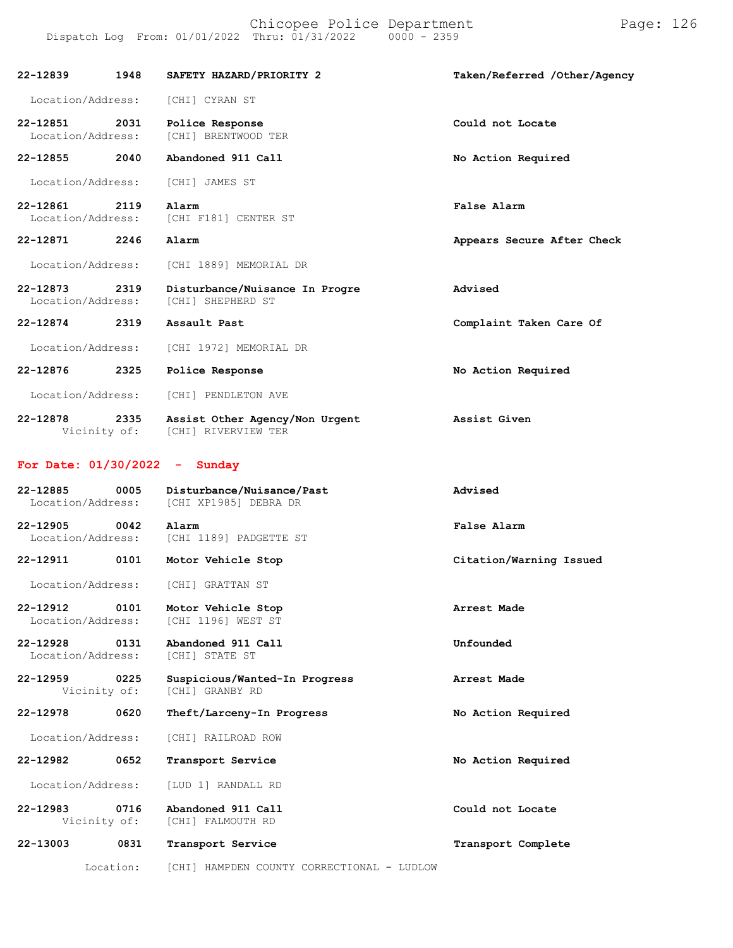| 22-12839                      | 1948                 | SAFETY HAZARD/PRIORITY 2                              | Taken/Referred /Other/Agency |
|-------------------------------|----------------------|-------------------------------------------------------|------------------------------|
| Location/Address:             |                      | [CHI] CYRAN ST                                        |                              |
| 22-12851<br>Location/Address: | 2031                 | Police Response<br>[CHI] BRENTWOOD TER                | Could not Locate             |
| 22-12855                      | 2040                 | Abandoned 911 Call                                    | No Action Required           |
| Location/Address:             |                      | [CHI] JAMES ST                                        |                              |
| 22-12861<br>Location/Address: | 2119                 | Alarm<br>[CHI F181] CENTER ST                         | False Alarm                  |
| 22-12871                      | 2246                 | Alarm                                                 | Appears Secure After Check   |
| Location/Address:             |                      | [CHI 1889] MEMORIAL DR                                |                              |
| 22-12873<br>Location/Address: | 2319                 | Disturbance/Nuisance In Progre<br>[CHI] SHEPHERD ST   | Advised                      |
| 22-12874                      | 2319                 | Assault Past                                          | Complaint Taken Care Of      |
| Location/Address:             |                      | [CHI 1972] MEMORIAL DR                                |                              |
| 22-12876                      | 2325                 | Police Response                                       | No Action Required           |
| Location/Address:             |                      | [CHI] PENDLETON AVE                                   |                              |
| 22-12878                      | 2335<br>Vicinity of: | Assist Other Agency/Non Urgent<br>[CHI] RIVERVIEW TER | Assist Given                 |

## **For Date: 01/30/2022 - Sunday**

| 22-12885<br>Location/Address:         | 0005 | Disturbance/Nuisance/Past<br>[CHI XP1985] DEBRA DR | Advised                 |
|---------------------------------------|------|----------------------------------------------------|-------------------------|
| 22-12905<br>Location/Address:         | 0042 | Alarm<br>[CHI 1189] PADGETTE ST                    | False Alarm             |
| 22-12911                              | 0101 | Motor Vehicle Stop                                 | Citation/Warning Issued |
| Location/Address:                     |      | [CHI] GRATTAN ST                                   |                         |
| 22-12912<br>0101<br>Location/Address: |      | Motor Vehicle Stop<br>[CHI 1196] WEST ST           | Arrest Made             |
| $22 - 12928$<br>Location/Address:     | 0131 | Abandoned 911 Call<br>[CHI] STATE ST               | Unfounded               |
| 22-12959 0225<br>Vicinity of:         |      | Suspicious/Wanted-In Progress<br>[CHI] GRANBY RD   | Arrest Made             |
| 22-12978                              | 0620 | Theft/Larceny-In Progress                          | No Action Required      |
| Location/Address:                     |      | [CHI] RAILROAD ROW                                 |                         |
| 22-12982                              | 0652 | Transport Service                                  | No Action Required      |
| Location/Address:                     |      | [LUD 1] RANDALL RD                                 |                         |
| $22 - 12983$<br>Vicinity of:          | 0716 | Abandoned 911 Call<br>[CHI] FALMOUTH RD            | Could not Locate        |
| 22-13003                              | 0831 | Transport Service                                  | Transport Complete      |
| Location:                             |      | [CHI] HAMPDEN COUNTY CORRECTIONAL - LUDLOW         |                         |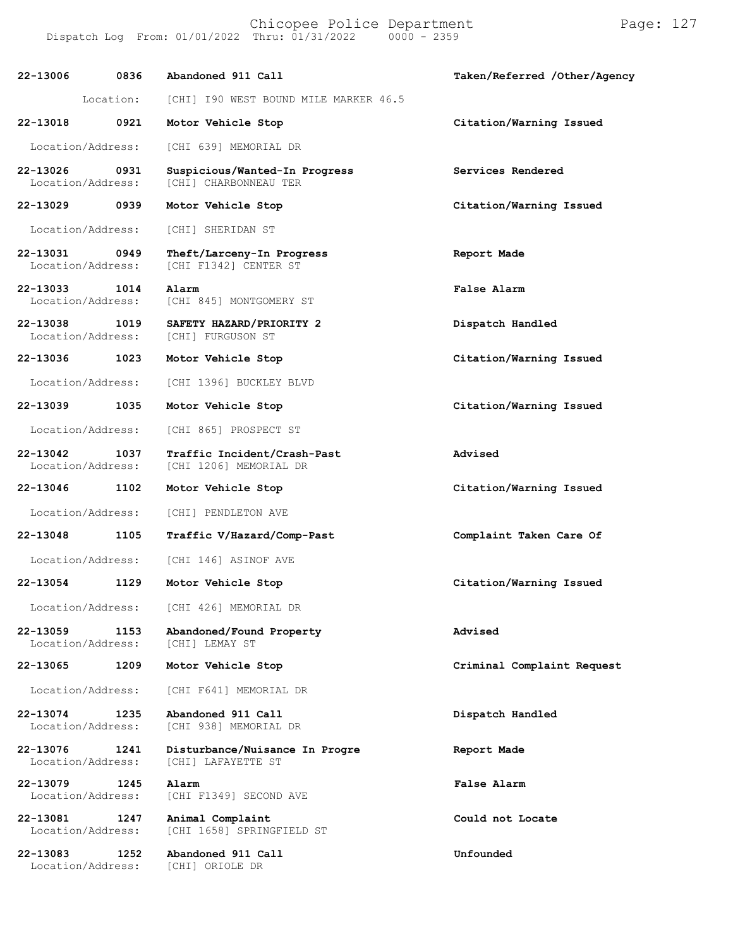**22-13006 0836** Location: **Abandoned 911 Call** [CHI] I90 WEST BOUND MILE MARKER 46.5 **Taken/Referred /Other/Agency 22-13018 0921 Motor Vehicle Stop Citation/Warning Issued** Location/Address: [CHI 639] MEMORIAL DR **22-13026 0931 Suspicious/Wanted-In Progress Services Rendered** Location/Address: [CHI] CHARBONNEAU TER **22-13029 0939 Motor Vehicle Stop Citation/Warning Issued** Location/Address: [CHI] SHERIDAN ST **22-13031 0949 Theft/Larceny-In Progress Report Made** [CHI F1342] CENTER ST **22-13033 1014 Alarm False Alarm** Location/Address: [CHI 845] MONTGOMERY ST **22-13038 1019 SAFETY HAZARD/PRIORITY 2 Dispatch Handled** Location/Address: **22-13036 1023 Motor Vehicle Stop Citation/Warning Issued** Location/Address: [CHI 1396] BUCKLEY BLVD **22-13039 1035 Motor Vehicle Stop Citation/Warning Issued** Location/Address: [CHI 865] PROSPECT ST **22-13042 1037 Traffic Incident/Crash-Past Advised** [CHI 1206] MEMORIAL DR **22-13046 1102 Motor Vehicle Stop Citation/Warning Issued** Location/Address: [CHI] PENDLETON AVE **22-13048 1105 Traffic V/Hazard/Comp-Past Complaint Taken Care Of** Location/Address: [CHI 146] ASINOF AVE **22-13054 1129 Motor Vehicle Stop Citation/Warning Issued** Location/Address: [CHI 426] MEMORIAL DR **22-13059 1153 Abandoned/Found Property Advised** Location/Address: **22-13065 1209 Motor Vehicle Stop Criminal Complaint Request** Location/Address: [CHI F641] MEMORIAL DR **22-13074 1235 Abandoned 911 Call Dispatch Handled** [CHI 938] MEMORIAL DR **22-13076 1241 Disturbance/Nuisance In Progre Report Made** Location/Address: [CHI] LAFAYETTE ST **22-13079 1245 Alarm False Alarm** [CHI F1349] SECOND AVE **22-13081 1247 Animal Complaint Could not Locate** [CHI 1658] SPRINGFIELD ST

**22-13083 1252 Abandoned 911 Call Unfounded**

Location/Address: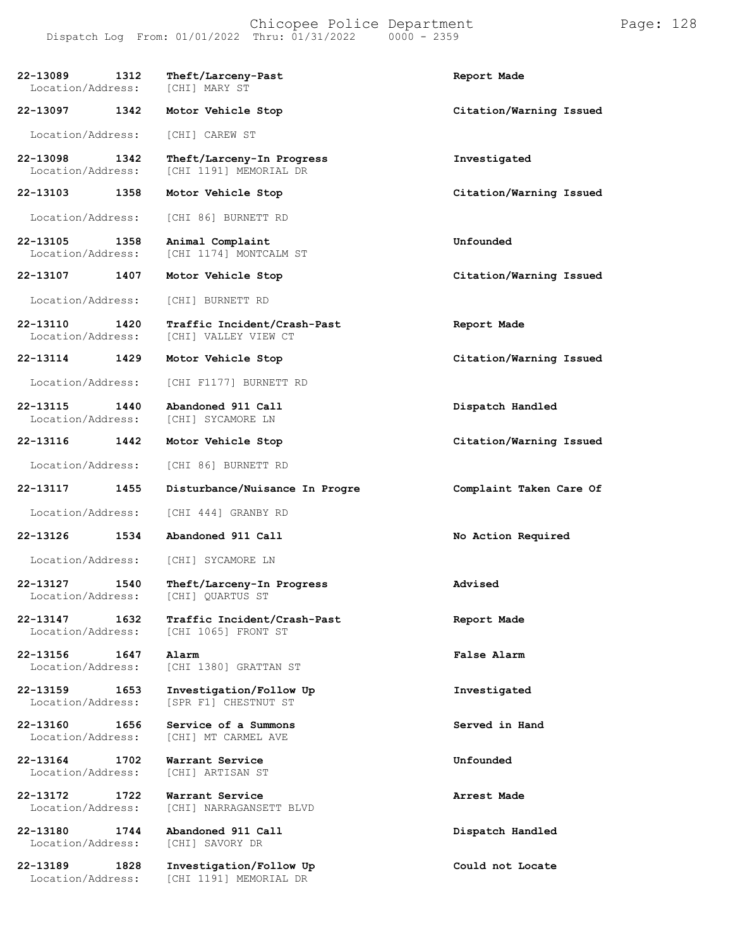#### Chicopee Police Department Page: 128 Dispatch Log From:  $01/01/2022$  Thru:  $01/31/2022$

**22-13089 1312 Theft/Larceny-Past Report Made** Location/Address: **22-13097 1342 Motor Vehicle Stop Citation/Warning Issued** Location/Address: [CHI] CAREW ST **22-13098 1342 Theft/Larceny-In Progress Investigated** [CHI 1191] MEMORIAL DR **22-13103 1358 Motor Vehicle Stop Citation/Warning Issued** Location/Address: [CHI 86] BURNETT RD **22-13105 1358 Animal Complaint Unfounded** [CHI 1174] MONTCALM ST **22-13107 1407 Motor Vehicle Stop Citation/Warning Issued** Location/Address: [CHI] BURNETT RD **22-13110 1420 Traffic Incident/Crash-Past Report Made** [CHI] VALLEY VIEW CT **22-13114 1429 Motor Vehicle Stop Citation/Warning Issued** Location/Address: [CHI F1177] BURNETT RD **22-13115 1440 Abandoned 911 Call Dispatch Handled** Location/Address: **22-13116 1442 Motor Vehicle Stop Citation/Warning Issued** Location/Address: [CHI 86] BURNETT RD **22-13117 1455 Disturbance/Nuisance In Progre Complaint Taken Care Of** Location/Address: [CHI 444] GRANBY RD **22-13126 1534 Abandoned 911 Call No Action Required** Location/Address: [CHI] SYCAMORE LN **22-13127 1540 Theft/Larceny-In Progress Advised** Location/Address: [CHI] QUARTUS ST **22-13147 1632 Traffic Incident/Crash-Past Report Made** [CHI 1065] FRONT ST **22-13156 1647 Alarm False Alarm** Location/Address: [CHI 1380] GRATTAN ST **22-13159 1653 Investigation/Follow Up Investigated** [SPR F1] CHESTNUT ST **22-13160 1656 Service of a Summons Served in Hand** [CHI] MT CARMEL AVE **22-13164 1702 Warrant Service Unfounded** Location/Address: **22-13172 1722 Warrant Service Arrest Made** [CHI] NARRAGANSETT BLVD **22-13180 1744 Abandoned 911 Call Dispatch Handled** Location/Address: **22-13189 1828 Investigation/Follow Up Could not Locate** [CHI 1191] MEMORIAL DR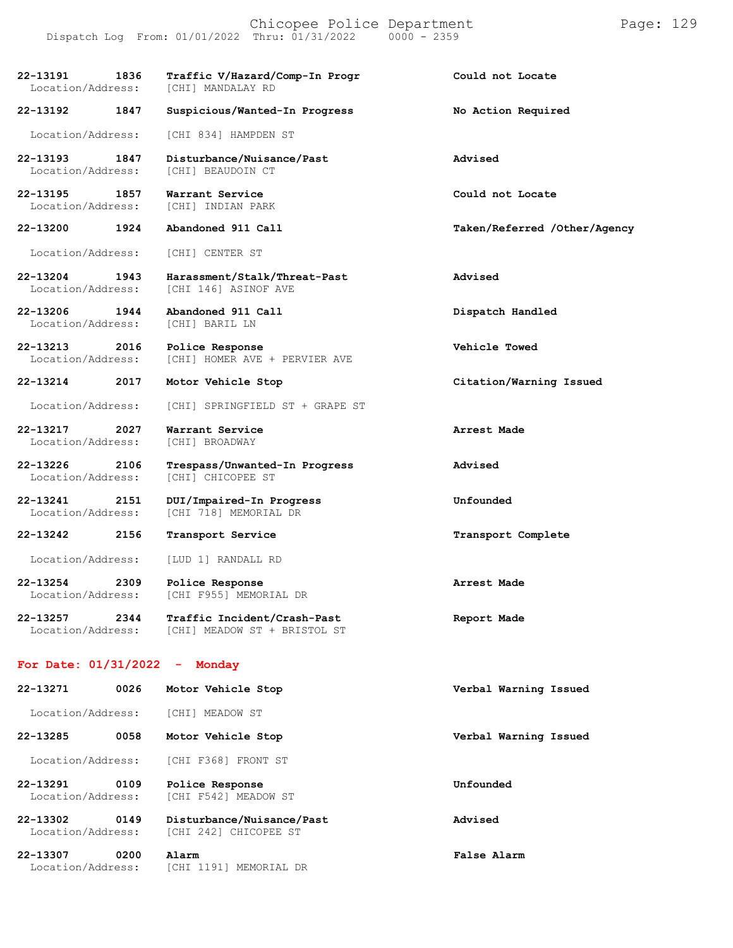Chicopee Police Department Page: 129 Dispatch Log From: 01/01/2022 Thru: 01/31/2022 0000 - 2359

**22-13191 1836 Traffic V/Hazard/Comp-In Progr Could not Locate** Location/Address:

**22-13192 1847 Suspicious/Wanted-In Progress No Action Required**

Location/Address: [CHI 834] HAMPDEN ST

**22-13193 1847 Disturbance/Nuisance/Past Advised** Location/Address: [CHI] BEAUDOIN CT

**22-13195 1857 Warrant Service Could not Locate** Location/Address:

**22-13200 1924 Abandoned 911 Call Taken/Referred /Other/Agency**

Location/Address: [CHI] CENTER ST

**22-13204 1943 Harassment/Stalk/Threat-Past Advised** [CHI 146] ASINOF AVE

**22-13206 1944 Abandoned 911 Call Dispatch Handled** Location/Address: [CHI] BARIL LN

**22-13213 2016 Police Response Vehicle Towed** Location/Address: [CHI] HOMER AVE + PERVIER AVE

**22-13214 2017 Motor Vehicle Stop Citation/Warning Issued**

Location/Address: [CHI] SPRINGFIELD ST + GRAPE ST

**22-13217 2027 Warrant Service Arrest Made** Location/Address:

**22-13226 2106 Trespass/Unwanted-In Progress Advised** Location/Address: [CHI] CHICOPEE ST

**22-13241 2151 DUI/Impaired-In Progress Unfounded** Location/Address: [CHI 718] MEMORIAL DR

**22-13242 2156 Transport Service Transport Complete**

Location/Address: [LUD 1] RANDALL RD

**22-13254 2309 Police Response Arrest Made** Location/Address: [CHI F955] MEMORIAL DR

**22-13257 2344 Traffic Incident/Crash-Past Report Made** Location/Address: [CHI] MEADOW ST + BRISTOL ST

#### **For Date: 01/31/2022 - Monday**

| $22 - 13271$                  | 0026 | Motor Vehicle Stop                                 | Verbal Warning Issued |
|-------------------------------|------|----------------------------------------------------|-----------------------|
| Location/Address:             |      | <b>[CHI] MEADOW ST</b>                             |                       |
| 22-13285                      | 0058 | Motor Vehicle Stop                                 | Verbal Warning Issued |
| Location/Address:             |      | ICHI F3681 FRONT ST                                |                       |
| 22-13291<br>Location/Address: | 0109 | Police Response<br>[CHI F542] MEADOW ST            | Unfounded             |
| 22-13302<br>Location/Address: | 0149 | Disturbance/Nuisance/Past<br>ICHI 2421 CHICOPEE ST | Advised               |

**22-13307 0200 Alarm False Alarm** Location/Address: [CHI 1191] MEMORIAL DR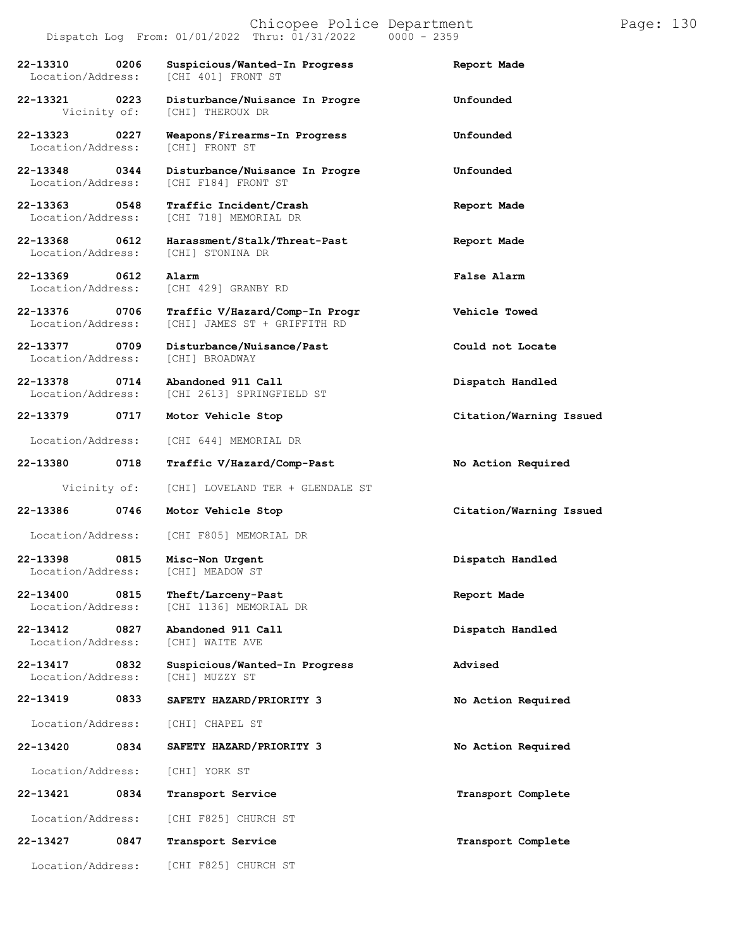| 22-13310 0206<br>Location/Address:    |      | Suspicious/Wanted-In Progress<br>[CHI 401] FRONT ST            | Report Made             |
|---------------------------------------|------|----------------------------------------------------------------|-------------------------|
| 22-13321 0223<br>Vicinity of:         |      | Disturbance/Nuisance In Progre<br>[CHI] THEROUX DR             | Unfounded               |
| 22-13323 0227<br>Location/Address:    |      | Weapons/Firearms-In Progress<br>[CHI] FRONT ST                 | Unfounded               |
| 22-13348 0344<br>Location/Address:    |      | Disturbance/Nuisance In Progre<br><b>ICHI F1841 FRONT ST</b>   | Unfounded               |
| 22-13363<br>0548<br>Location/Address: |      | Traffic Incident/Crash<br>[CHI 718] MEMORIAL DR                | Report Made             |
| 22-13368 0612<br>Location/Address:    |      | Harassment/Stalk/Threat-Past<br>[CHI] STONINA DR               | Report Made             |
| 22-13369<br>Location/Address:         | 0612 | Alarm<br>[CHI 429] GRANBY RD                                   | False Alarm             |
| 22-13376 0706<br>Location/Address:    |      | Traffic V/Hazard/Comp-In Progr<br>[CHI] JAMES ST + GRIFFITH RD | Vehicle Towed           |
| 22-13377 0709<br>Location/Address:    |      | Disturbance/Nuisance/Past<br>[CHI] BROADWAY                    | Could not Locate        |
| 22-13378 0714<br>Location/Address:    |      | Abandoned 911 Call<br>[CHI 2613] SPRINGFIELD ST                | Dispatch Handled        |
| 22-13379                              | 0717 | Motor Vehicle Stop                                             | Citation/Warning Issued |
| Location/Address:                     |      | [CHI 644] MEMORIAL DR                                          |                         |
| 22-13380                              | 0718 | Traffic V/Hazard/Comp-Past                                     | No Action Required      |
|                                       |      |                                                                |                         |
| Vicinity of:                          |      |                                                                |                         |
| 22-13386                              | 0746 | [CHI] LOVELAND TER + GLENDALE ST<br>Motor Vehicle Stop         | Citation/Warning Issued |
| Location/Address:                     |      | [CHI F805] MEMORIAL DR                                         |                         |
| 22-13398<br>0815<br>Location/Address: |      | Misc-Non Urgent<br><b>[CHI] MEADOW ST</b>                      | Dispatch Handled        |
| 22-13400<br>Location/Address:         | 0815 | Theft/Larceny-Past<br>[CHI 1136] MEMORIAL DR                   | Report Made             |
| 22-13412<br>Location/Address:         | 0827 | Abandoned 911 Call<br>[CHI] WAITE AVE                          | Dispatch Handled        |
| 22-13417<br>Location/Address:         | 0832 | Suspicious/Wanted-In Progress<br>[CHI] MUZZY ST                | Advised                 |
| 22-13419                              | 0833 | SAFETY HAZARD/PRIORITY 3                                       | No Action Required      |
| Location/Address:                     |      | [CHI] CHAPEL ST                                                |                         |
| 22-13420                              | 0834 | SAFETY HAZARD/PRIORITY 3                                       | No Action Required      |
| Location/Address:                     |      | [CHI] YORK ST                                                  |                         |
| 22-13421                              | 0834 | Transport Service                                              | Transport Complete      |
| Location/Address:                     |      | [CHI F825] CHURCH ST                                           |                         |
| 22-13427                              | 0847 | Transport Service                                              | Transport Complete      |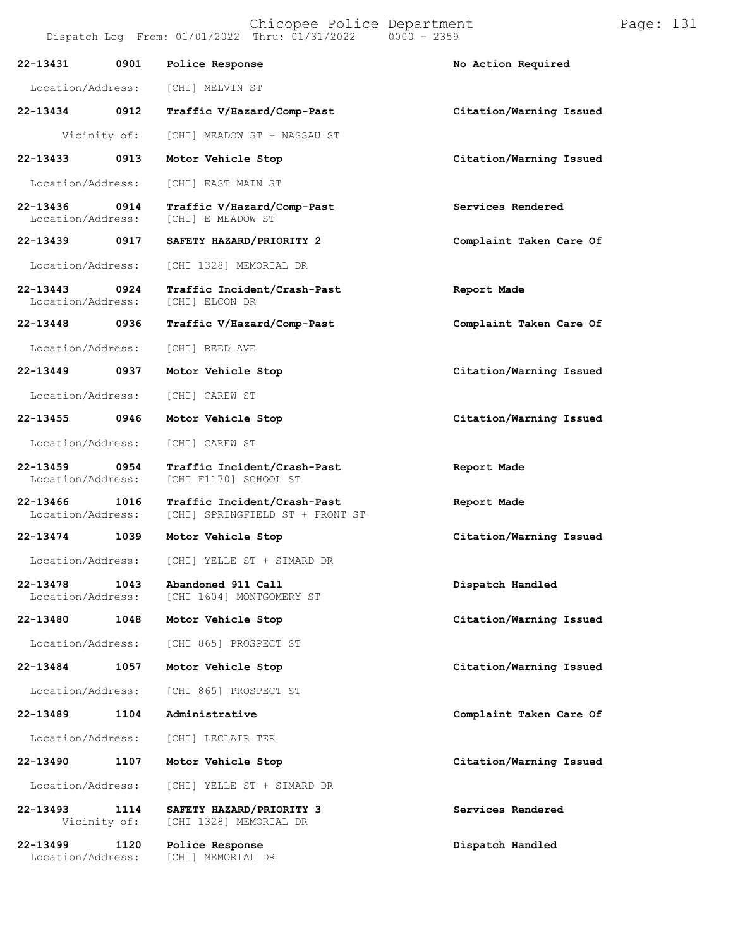Vicinity of: [CHI] MEADOW ST + NASSAU ST

**22-13433 0913 Motor Vehicle Stop Citation/Warning Issued**

Location/Address: [CHI] EAST MAIN ST

**22-13436 0914 Traffic V/Hazard/Comp-Past Services Rendered** [CHI] E MEADOW ST

**22-13439 0917 SAFETY HAZARD/PRIORITY 2 Complaint Taken Care Of**

Location/Address: [CHI 1328] MEMORIAL DR

**22-13443 0924 Traffic Incident/Crash-Past Report Made** Location/Address:

Location/Address: [CHI] REED AVE

**22-13449 0937 Motor Vehicle Stop Citation/Warning Issued**

Location/Address: [CHI] CAREW ST

**22-13455 0946 Motor Vehicle Stop Citation/Warning Issued**

Location/Address: [CHI] CAREW ST

**22-13459 0954 Traffic Incident/Crash-Past Report Made** [CHI F1170] SCHOOL ST

**22-13466 1016 Traffic Incident/Crash-Past Report Made** [CHI] SPRINGFIELD ST + FRONT ST

**22-13474 1039 Motor Vehicle Stop Citation/Warning Issued**

Location/Address: [CHI] YELLE ST + SIMARD DR

**22-13478 1043 Abandoned 911 Call Dispatch Handled** [CHI 1604] MONTGOMERY ST

Location/Address: [CHI 865] PROSPECT ST

[CHI 1328] MEMORIAL DR

[CHI] MEMORIAL DR

**22-13484 1057 Motor Vehicle Stop Citation/Warning Issued**

Location/Address: [CHI 865] PROSPECT ST

**22-13489 1104 Administrative Complaint Taken Care Of**

Location/Address: [CHI] LECLAIR TER

Location/Address: [CHI] YELLE ST + SIMARD DR

**22-13493 1114 SAFETY HAZARD/PRIORITY 3 Services Rendered**

**22-13499 1120 Police Response Dispatch Handled**

**22-13448 0936 Traffic V/Hazard/Comp-Past Complaint Taken Care Of**

**22-13480 1048 Motor Vehicle Stop Citation/Warning Issued**

**22-13490 1107 Motor Vehicle Stop Citation/Warning Issued**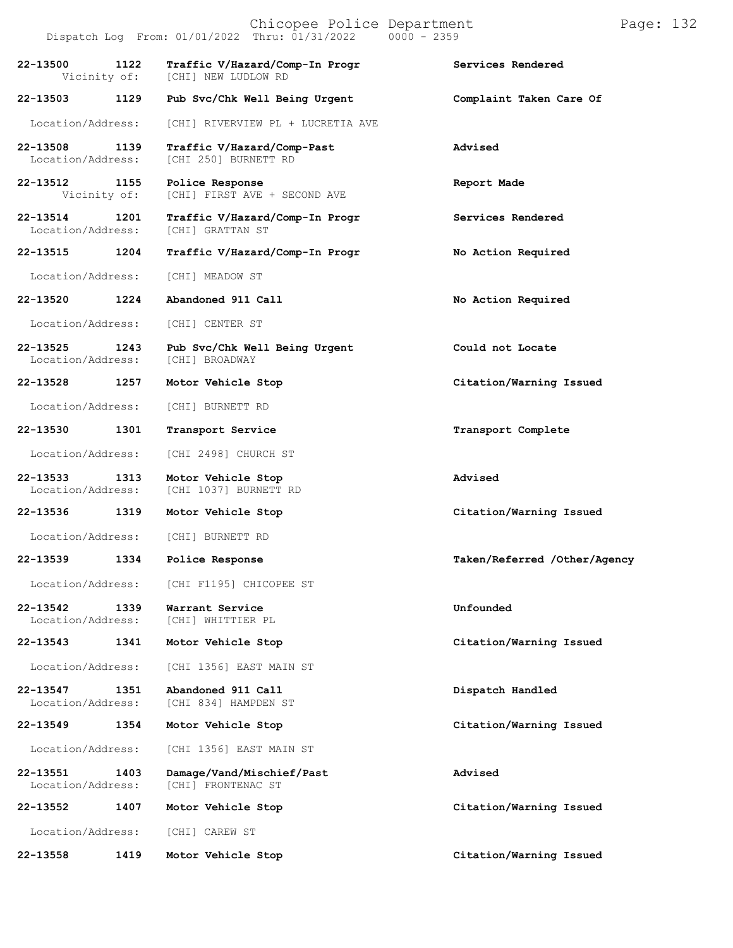|                               |      | Chicopee Police Department<br>Dispatch Log From: 01/01/2022 Thru: 01/31/2022 0000 - 2359 |                              | Page: 132 |  |
|-------------------------------|------|------------------------------------------------------------------------------------------|------------------------------|-----------|--|
| 22-13500<br>Vicinity of:      | 1122 | Traffic V/Hazard/Comp-In Progr<br>[CHI] NEW LUDLOW RD                                    | Services Rendered            |           |  |
| 22-13503                      | 1129 | Pub Svc/Chk Well Being Urgent                                                            | Complaint Taken Care Of      |           |  |
| Location/Address:             |      | [CHI] RIVERVIEW PL + LUCRETIA AVE                                                        |                              |           |  |
| 22-13508<br>Location/Address: | 1139 | Traffic V/Hazard/Comp-Past<br>[CHI 250] BURNETT RD                                       | Advised                      |           |  |
| 22-13512 1155<br>Vicinity of: |      | Police Response<br>[CHI] FIRST AVE + SECOND AVE                                          | Report Made                  |           |  |
| 22-13514<br>Location/Address: | 1201 | Traffic V/Hazard/Comp-In Progr<br>[CHI] GRATTAN ST                                       | Services Rendered            |           |  |
| 22-13515                      | 1204 | Traffic V/Hazard/Comp-In Progr                                                           | No Action Required           |           |  |
| Location/Address:             |      | [CHI] MEADOW ST                                                                          |                              |           |  |
| 22-13520                      | 1224 | Abandoned 911 Call                                                                       | No Action Required           |           |  |
| Location/Address:             |      | [CHI] CENTER ST                                                                          |                              |           |  |
| 22-13525<br>Location/Address: | 1243 | Pub Svc/Chk Well Being Urgent<br>[CHI] BROADWAY                                          | Could not Locate             |           |  |
| 22-13528                      | 1257 | Motor Vehicle Stop                                                                       | Citation/Warning Issued      |           |  |
| Location/Address:             |      | [CHI] BURNETT RD                                                                         |                              |           |  |
| 22-13530                      | 1301 | Transport Service                                                                        | Transport Complete           |           |  |
| Location/Address:             |      | [CHI 2498] CHURCH ST                                                                     |                              |           |  |
| 22-13533<br>Location/Address: | 1313 | Motor Vehicle Stop<br>[CHI 1037] BURNETT RD                                              | Advised                      |           |  |
| 22-13536 1319                 |      | Motor Vehicle Stop                                                                       | Citation/Warning Issued      |           |  |
| Location/Address:             |      | [CHI] BURNETT RD                                                                         |                              |           |  |
| 22-13539                      | 1334 | Police Response                                                                          | Taken/Referred /Other/Agency |           |  |
| Location/Address:             |      | [CHI F1195] CHICOPEE ST                                                                  |                              |           |  |
| 22-13542<br>Location/Address: | 1339 | Warrant Service<br>[CHI] WHITTIER PL                                                     | Unfounded                    |           |  |
| 22-13543                      | 1341 | Motor Vehicle Stop                                                                       | Citation/Warning Issued      |           |  |
| Location/Address:             |      | [CHI 1356] EAST MAIN ST                                                                  |                              |           |  |
| 22-13547<br>Location/Address: | 1351 | Abandoned 911 Call<br>[CHI 834] HAMPDEN ST                                               | Dispatch Handled             |           |  |
| 22-13549                      | 1354 | Motor Vehicle Stop                                                                       | Citation/Warning Issued      |           |  |
| Location/Address:             |      | [CHI 1356] EAST MAIN ST                                                                  |                              |           |  |
| 22-13551<br>Location/Address: | 1403 | Damage/Vand/Mischief/Past<br>[CHI] FRONTENAC ST                                          | Advised                      |           |  |
| 22-13552                      | 1407 | Motor Vehicle Stop                                                                       | Citation/Warning Issued      |           |  |
| Location/Address:             |      | [CHI] CAREW ST                                                                           |                              |           |  |

**22-13558 1419 Motor Vehicle Stop Citation/Warning Issued**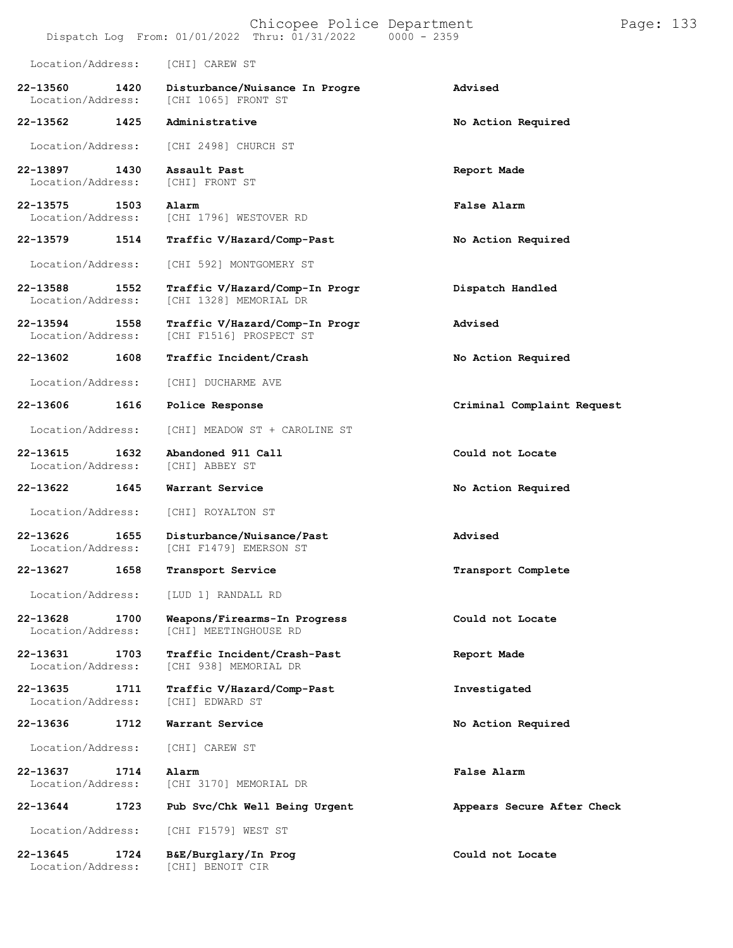| Location/Address:             |      | [CHI] CAREW ST                                            |                            |
|-------------------------------|------|-----------------------------------------------------------|----------------------------|
| 22-13560<br>Location/Address: | 1420 | Disturbance/Nuisance In Progre<br>[CHI 1065] FRONT ST     | Advised                    |
| 22-13562                      | 1425 | Administrative                                            | No Action Required         |
| Location/Address:             |      | [CHI 2498] CHURCH ST                                      |                            |
| 22-13897<br>Location/Address: | 1430 | Assault Past<br><b>[CHI] FRONT ST</b>                     | Report Made                |
| 22-13575<br>Location/Address: | 1503 | Alarm<br>[CHI 1796] WESTOVER RD                           | False Alarm                |
| 22-13579                      | 1514 | Traffic V/Hazard/Comp-Past                                | No Action Required         |
| Location/Address:             |      | [CHI 592] MONTGOMERY ST                                   |                            |
| 22-13588<br>Location/Address: | 1552 | Traffic V/Hazard/Comp-In Progr<br>[CHI 1328] MEMORIAL DR  | Dispatch Handled           |
| 22-13594<br>Location/Address: | 1558 | Traffic V/Hazard/Comp-In Progr<br>[CHI F1516] PROSPECT ST | Advised                    |
| 22-13602                      | 1608 | Traffic Incident/Crash                                    | No Action Required         |
| Location/Address:             |      | [CHI] DUCHARME AVE                                        |                            |
| 22-13606                      | 1616 | Police Response                                           | Criminal Complaint Request |
| Location/Address:             |      | [CHI] MEADOW ST + CAROLINE ST                             |                            |
| 22-13615<br>Location/Address: | 1632 | Abandoned 911 Call<br>[CHI] ABBEY ST                      | Could not Locate           |
| 22-13622                      | 1645 | Warrant Service                                           | No Action Required         |
| Location/Address:             |      | [CHI] ROYALTON ST                                         |                            |
| 22-13626<br>Location/Address: | 1655 | Disturbance/Nuisance/Past<br>[CHI F1479] EMERSON ST       | Advised                    |
| 22-13627                      | 1658 | Transport Service                                         | Transport Complete         |
| Location/Address:             |      | [LUD 1] RANDALL RD                                        |                            |
| 22-13628<br>Location/Address: | 1700 | Weapons/Firearms-In Progress<br>[CHI] MEETINGHOUSE RD     | Could not Locate           |
| 22-13631<br>Location/Address: | 1703 | Traffic Incident/Crash-Past<br>[CHI 938] MEMORIAL DR      | Report Made                |
| 22-13635<br>Location/Address: | 1711 | Traffic V/Hazard/Comp-Past<br>[CHI] EDWARD ST             | Investigated               |
| 22-13636                      | 1712 | Warrant Service                                           | No Action Required         |
| Location/Address:             |      | [CHI] CAREW ST                                            |                            |
| 22-13637<br>Location/Address: | 1714 | Alarm<br>[CHI 3170] MEMORIAL DR                           | False Alarm                |
| 22-13644                      | 1723 | Pub Svc/Chk Well Being Urgent                             | Appears Secure After Check |
| Location/Address:             |      | [CHI F1579] WEST ST                                       |                            |
| 22-13645<br>Location/Address: | 1724 | B&E/Burglary/In Prog<br>[CHI] BENOIT CIR                  | Could not Locate           |

Dispatch Log From: 01/01/2022 Thru: 01/31/2022 0000 - 2359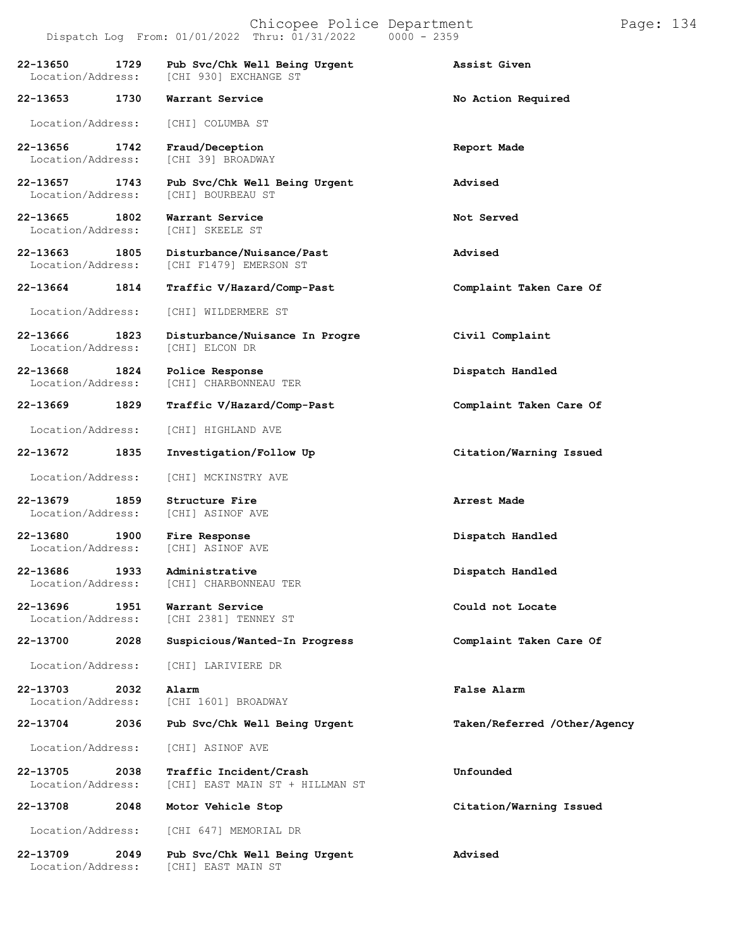**22-13650 1729 Pub Svc/Chk Well Being Urgent Assist Given** [CHI 930] EXCHANGE ST **22-13653 1730 Warrant Service No Action Required** Location/Address: [CHI] COLUMBA ST **22-13656 1742 Fraud/Deception Report Made** Location/Address: [CHI 39] BROADWAY **22-13657 1743 Pub Svc/Chk Well Being Urgent Advised** Location/Address: **22-13665 1802 Warrant Service Not Served** Location/Address: **22-13663 1805 Disturbance/Nuisance/Past Advised** [CHI F1479] EMERSON ST **22-13664 1814 Traffic V/Hazard/Comp-Past Complaint Taken Care Of** Location/Address: [CHI] WILDERMERE ST **22-13666 1823 Disturbance/Nuisance In Progre Civil Complaint** Location/Address: **22-13668 1824 Police Response Dispatch Handled** [CHI] CHARBONNEAU TER **22-13669 1829 Traffic V/Hazard/Comp-Past Complaint Taken Care Of** Location/Address: [CHI] HIGHLAND AVE **22-13672 1835 Investigation/Follow Up Citation/Warning Issued** Location/Address: [CHI] MCKINSTRY AVE **22-13679 1859 Structure Fire Arrest Made** Location/Address: **22-13680 1900 Fire Response Dispatch Handled** Location/Address: [CHI] ASINOF AVE **22-13686 1933 Administrative Dispatch Handled** Location/Address: [CHI] CHARBONNEAU TER **22-13696 1951 Warrant Service Could not Locate** [CHI 2381] TENNEY ST **22-13700 2028 Suspicious/Wanted-In Progress Complaint Taken Care Of** Location/Address: [CHI] LARIVIERE DR **22-13703 2032 Alarm False Alarm** Location/Address: [CHI 1601] BROADWAY **22-13704 2036 Pub Svc/Chk Well Being Urgent Taken/Referred /Other/Agency** Location/Address: [CHI] ASINOF AVE **22-13705 2038 Traffic Incident/Crash Unfounded** [CHI] EAST MAIN ST + HILLMAN ST **22-13708 2048 Motor Vehicle Stop Citation/Warning Issued** Location/Address: [CHI 647] MEMORIAL DR **22-13709 2049 Pub Svc/Chk Well Being Urgent Advised**

[CHI] EAST MAIN ST